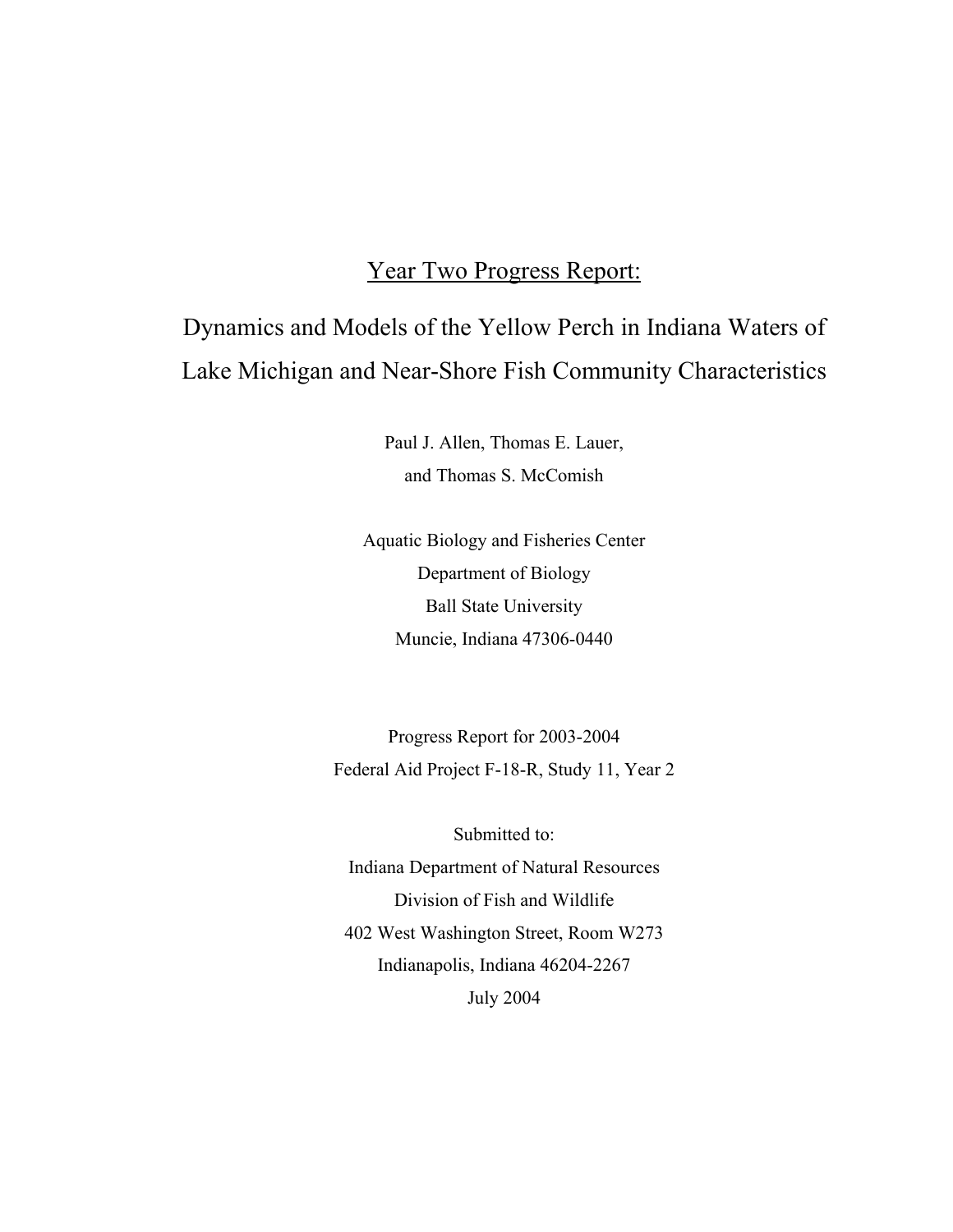## Year Two Progress Report:

# Dynamics and Models of the Yellow Perch in Indiana Waters of Lake Michigan and Near-Shore Fish Community Characteristics

Paul J. Allen, Thomas E. Lauer, and Thomas S. McComish

Aquatic Biology and Fisheries Center Department of Biology Ball State University Muncie, Indiana 47306-0440

Progress Report for 2003-2004 Federal Aid Project F-18-R, Study 11, Year 2

Submitted to: Indiana Department of Natural Resources Division of Fish and Wildlife 402 West Washington Street, Room W273 Indianapolis, Indiana 46204-2267 July 2004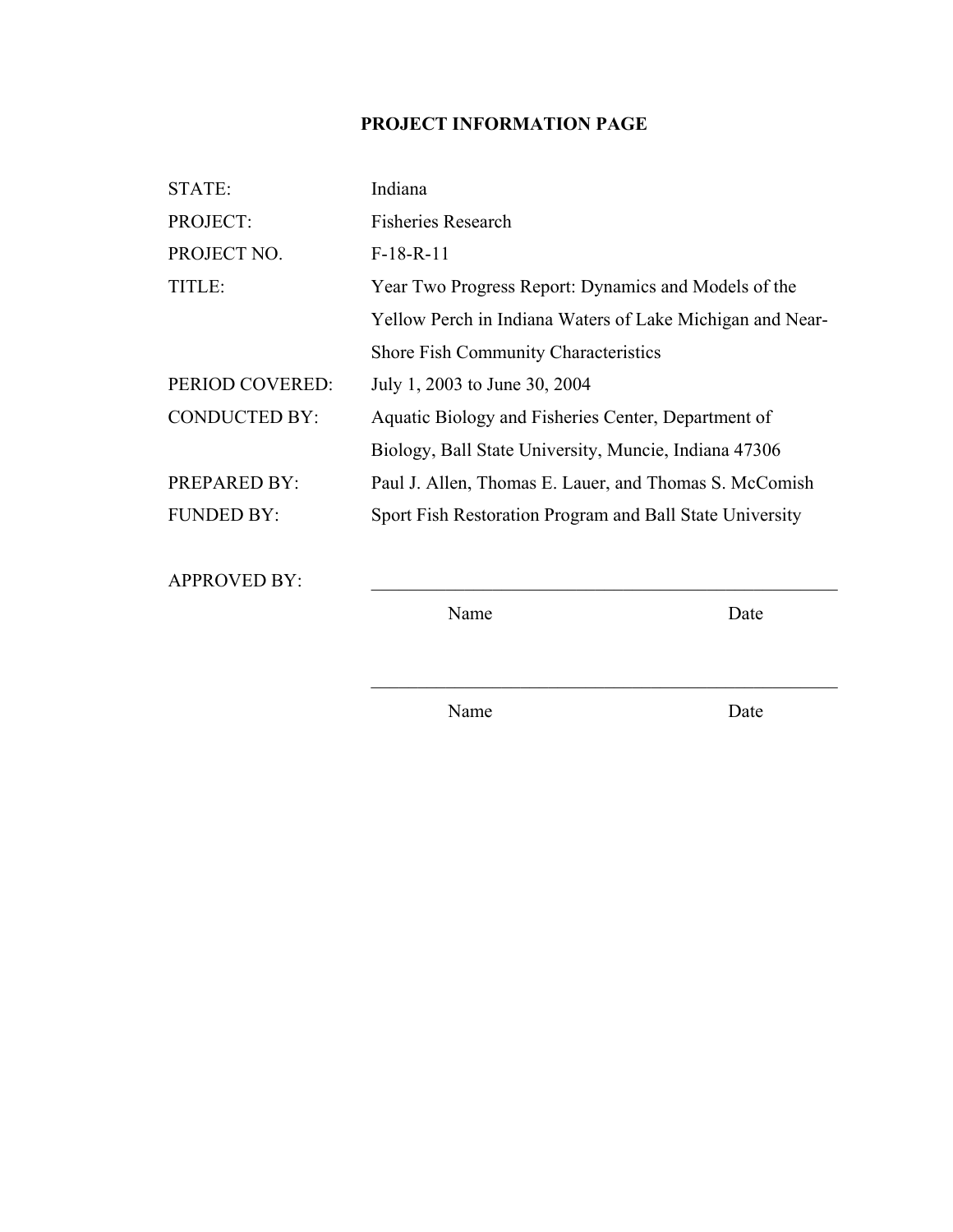## **PROJECT INFORMATION PAGE**

| STATE:               | Indiana                                                   |
|----------------------|-----------------------------------------------------------|
| PROJECT:             | <b>Fisheries Research</b>                                 |
| PROJECT NO.          | $F-18-R-11$                                               |
| TITLE:               | Year Two Progress Report: Dynamics and Models of the      |
|                      | Yellow Perch in Indiana Waters of Lake Michigan and Near- |
|                      | <b>Shore Fish Community Characteristics</b>               |
| PERIOD COVERED:      | July 1, 2003 to June 30, 2004                             |
| <b>CONDUCTED BY:</b> | Aquatic Biology and Fisheries Center, Department of       |
|                      | Biology, Ball State University, Muncie, Indiana 47306     |
| <b>PREPARED BY:</b>  | Paul J. Allen, Thomas E. Lauer, and Thomas S. McComish    |
| <b>FUNDED BY:</b>    | Sport Fish Restoration Program and Ball State University  |
|                      |                                                           |
| <b>APPROVED BY:</b>  |                                                           |

Name Date

Name Date

 $\mathcal{L}_\text{max} = \mathcal{L}_\text{max} = \mathcal{L}_\text{max} = \mathcal{L}_\text{max} = \mathcal{L}_\text{max} = \mathcal{L}_\text{max} = \mathcal{L}_\text{max} = \mathcal{L}_\text{max} = \mathcal{L}_\text{max} = \mathcal{L}_\text{max} = \mathcal{L}_\text{max} = \mathcal{L}_\text{max} = \mathcal{L}_\text{max} = \mathcal{L}_\text{max} = \mathcal{L}_\text{max} = \mathcal{L}_\text{max} = \mathcal{L}_\text{max} = \mathcal{L}_\text{max} = \mathcal{$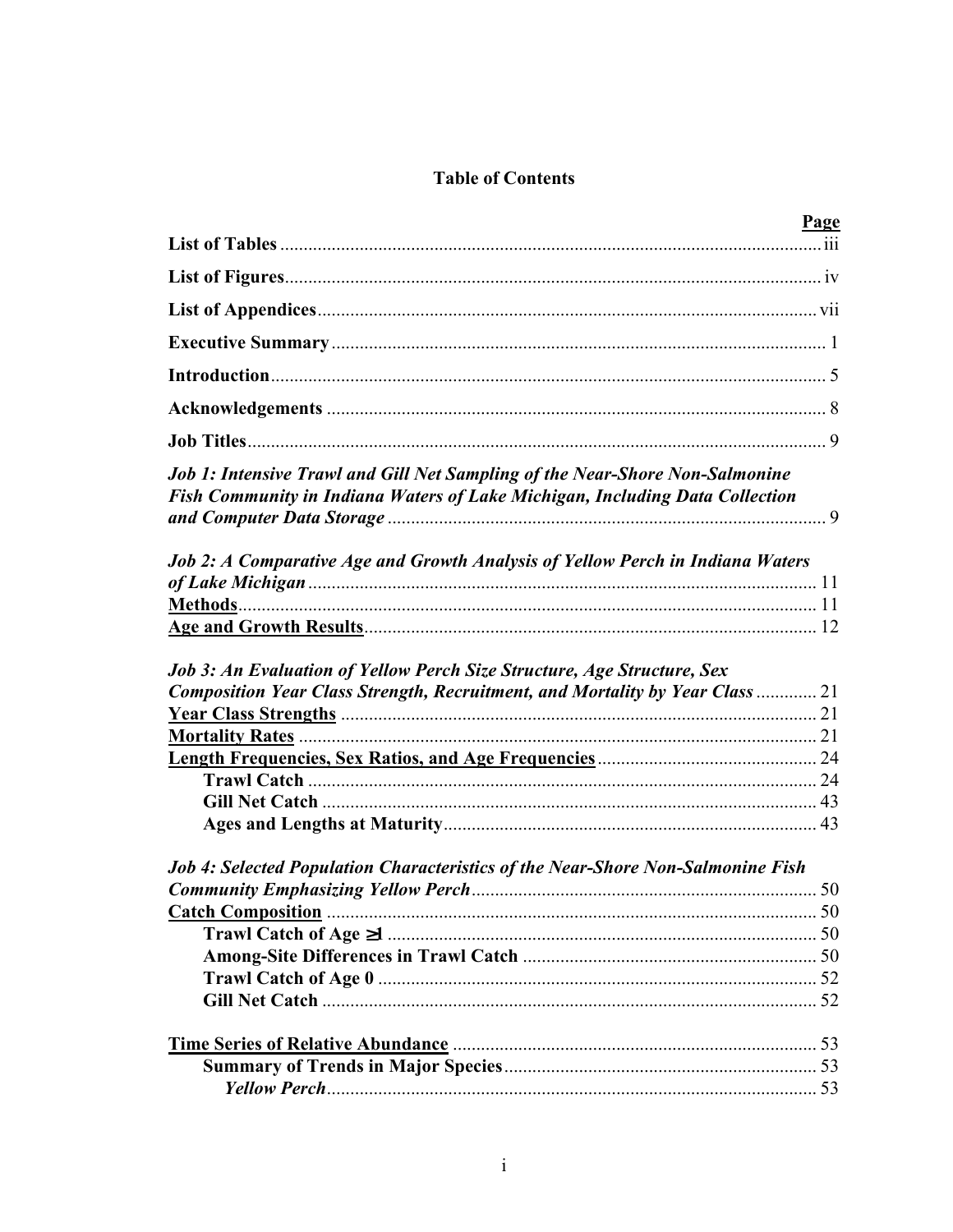## **Table of Contents**

|                                                                                                                                                              | <u>Page</u> |
|--------------------------------------------------------------------------------------------------------------------------------------------------------------|-------------|
|                                                                                                                                                              |             |
|                                                                                                                                                              |             |
|                                                                                                                                                              |             |
|                                                                                                                                                              |             |
|                                                                                                                                                              |             |
|                                                                                                                                                              |             |
|                                                                                                                                                              |             |
| Job 1: Intensive Trawl and Gill Net Sampling of the Near-Shore Non-Salmonine<br>Fish Community in Indiana Waters of Lake Michigan, Including Data Collection |             |
| Job 2: A Comparative Age and Growth Analysis of Yellow Perch in Indiana Waters                                                                               |             |
|                                                                                                                                                              |             |
|                                                                                                                                                              |             |
|                                                                                                                                                              |             |
| Job 3: An Evaluation of Yellow Perch Size Structure, Age Structure, Sex                                                                                      |             |
| Composition Year Class Strength, Recruitment, and Mortality by Year Class  21                                                                                |             |
|                                                                                                                                                              |             |
|                                                                                                                                                              |             |
|                                                                                                                                                              |             |
|                                                                                                                                                              |             |
|                                                                                                                                                              |             |
|                                                                                                                                                              |             |
| <b>Job 4: Selected Population Characteristics of the Near-Shore Non-Salmonine Fish</b>                                                                       |             |
|                                                                                                                                                              |             |
| Catch Composition <b>Catch</b> Composition <b>Catch</b> Composition <b>Catch</b> Composition <b>Catch</b> Composition                                        |             |
|                                                                                                                                                              |             |
|                                                                                                                                                              |             |
|                                                                                                                                                              |             |
|                                                                                                                                                              |             |
|                                                                                                                                                              |             |
|                                                                                                                                                              |             |
|                                                                                                                                                              |             |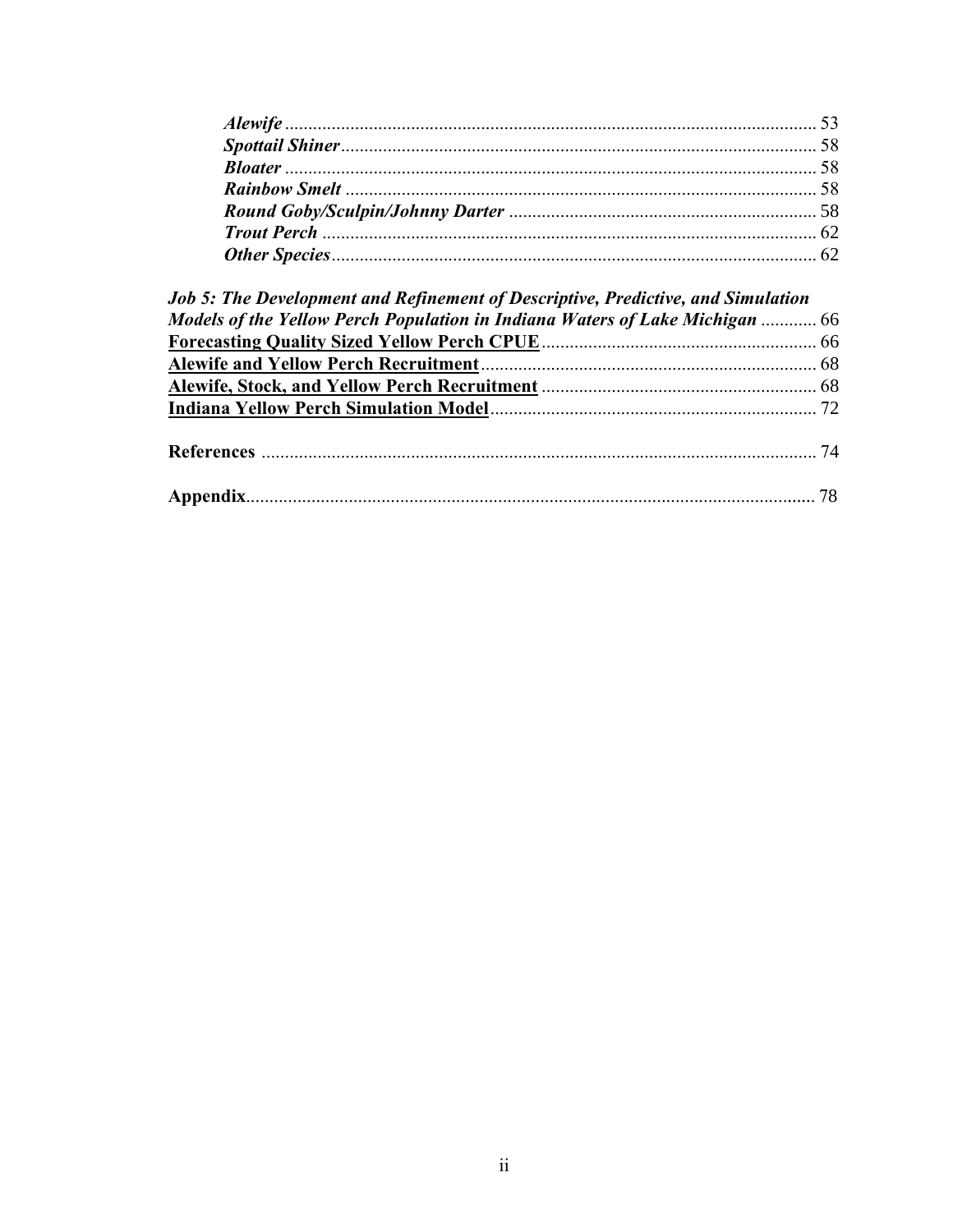| <b>Job 5: The Development and Refinement of Descriptive, Predictive, and Simulation</b> |  |
|-----------------------------------------------------------------------------------------|--|
| Models of the Yellow Perch Population in Indiana Waters of Lake Michigan  66            |  |
|                                                                                         |  |
|                                                                                         |  |
|                                                                                         |  |
|                                                                                         |  |
|                                                                                         |  |
|                                                                                         |  |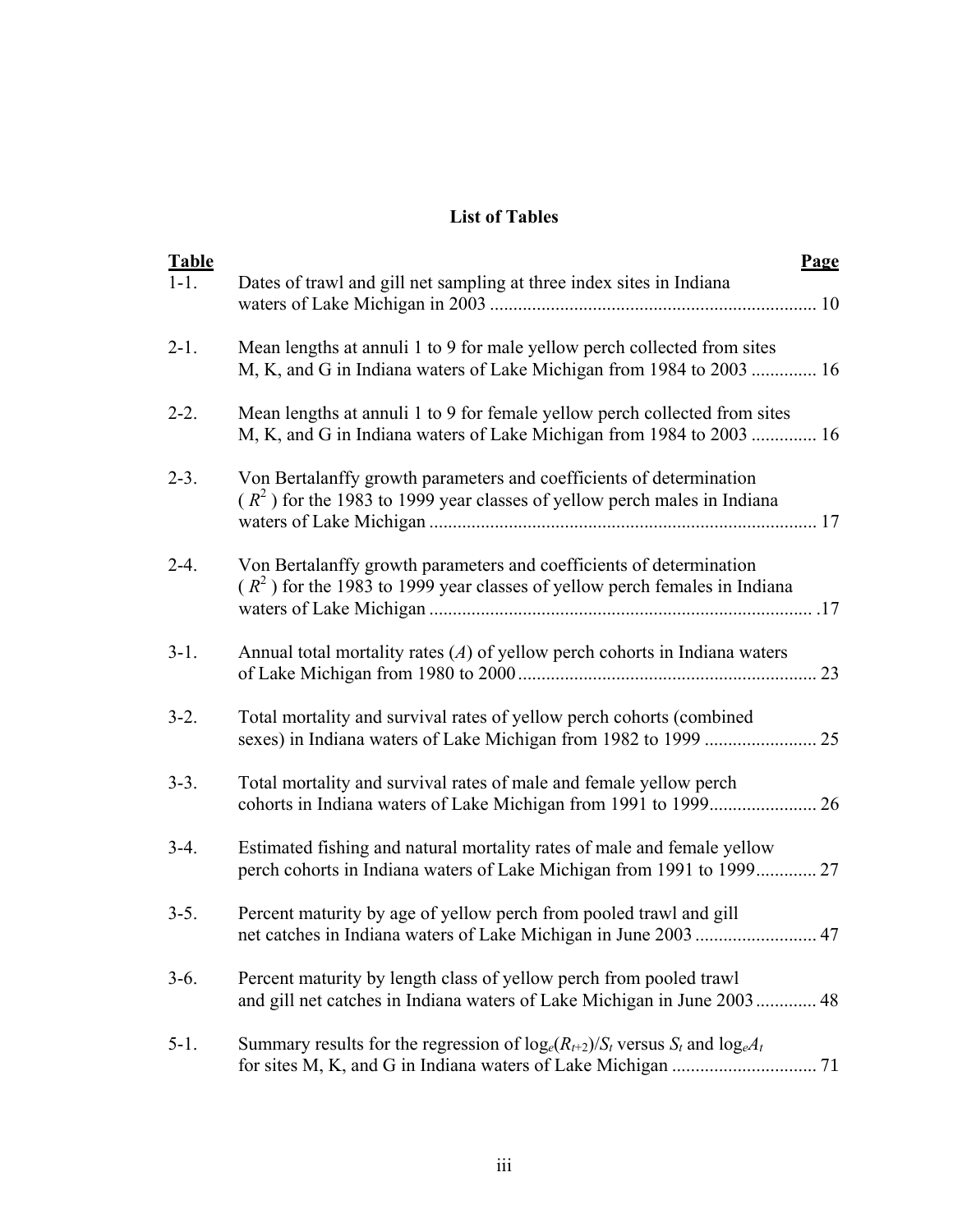## **List of Tables**

| <b>Table</b><br>$1 - 1$ . | <b>Page</b><br>Dates of trawl and gill net sampling at three index sites in Indiana                                                                |
|---------------------------|----------------------------------------------------------------------------------------------------------------------------------------------------|
| $2 - 1$ .                 | Mean lengths at annuli 1 to 9 for male yellow perch collected from sites<br>M, K, and G in Indiana waters of Lake Michigan from 1984 to 2003  16   |
| $2 - 2$ .                 | Mean lengths at annuli 1 to 9 for female yellow perch collected from sites<br>M, K, and G in Indiana waters of Lake Michigan from 1984 to 2003  16 |
| $2 - 3$ .                 | Von Bertalanffy growth parameters and coefficients of determination<br>$(R2)$ for the 1983 to 1999 year classes of yellow perch males in Indiana   |
| $2-4.$                    | Von Bertalanffy growth parameters and coefficients of determination<br>$(R2)$ for the 1983 to 1999 year classes of yellow perch females in Indiana |
| $3-1.$                    | Annual total mortality rates $(A)$ of yellow perch cohorts in Indiana waters<br>23                                                                 |
| $3-2.$                    | Total mortality and survival rates of yellow perch cohorts (combined                                                                               |
| $3-3.$                    | Total mortality and survival rates of male and female yellow perch                                                                                 |
| $3-4.$                    | Estimated fishing and natural mortality rates of male and female yellow<br>perch cohorts in Indiana waters of Lake Michigan from 1991 to 1999 27   |
| $3-5.$                    | Percent maturity by age of yellow perch from pooled trawl and gill                                                                                 |
| $3-6.$                    | Percent maturity by length class of yellow perch from pooled trawl<br>and gill net catches in Indiana waters of Lake Michigan in June 2003 48      |
| $5-1.$                    | Summary results for the regression of $log_e(R_{t+2})/S_t$ versus $S_t$ and $log_eA_t$                                                             |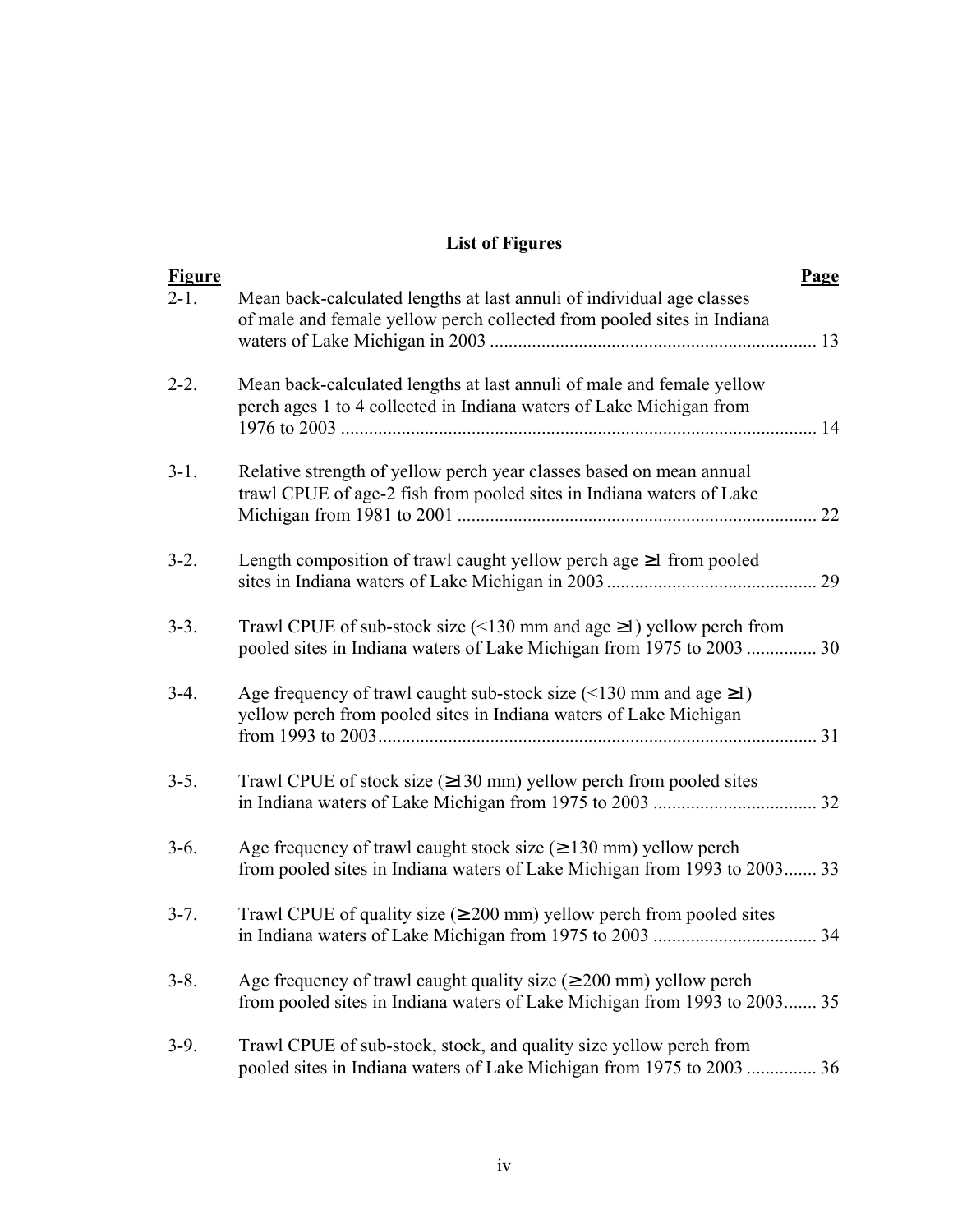## **List of Figures**

| <b>Figure</b> |                                                                                                                                                              | Page |
|---------------|--------------------------------------------------------------------------------------------------------------------------------------------------------------|------|
| $2 - 1$ .     | Mean back-calculated lengths at last annuli of individual age classes<br>of male and female yellow perch collected from pooled sites in Indiana              |      |
| $2 - 2$ .     | Mean back-calculated lengths at last annuli of male and female yellow<br>perch ages 1 to 4 collected in Indiana waters of Lake Michigan from                 |      |
| $3-1.$        | Relative strength of yellow perch year classes based on mean annual<br>trawl CPUE of age-2 fish from pooled sites in Indiana waters of Lake                  | 22   |
| $3-2.$        | Length composition of trawl caught yellow perch age $\geq 1$ from pooled                                                                                     | 29   |
| $3-3.$        | Trawl CPUE of sub-stock size (<130 mm and age $\geq$ 1) yellow perch from<br>pooled sites in Indiana waters of Lake Michigan from 1975 to 2003  30           |      |
| $3-4.$        | Age frequency of trawl caught sub-stock size $($ <130 mm and age $\geq$ 1)<br>yellow perch from pooled sites in Indiana waters of Lake Michigan              |      |
| $3-5.$        | Trawl CPUE of stock size $(\geq 130 \text{ mm})$ yellow perch from pooled sites                                                                              |      |
| $3-6.$        | Age frequency of trawl caught stock size $( \geq 130 \text{ mm})$ yellow perch<br>from pooled sites in Indiana waters of Lake Michigan from 1993 to 2003 33  |      |
| $3 - 7$ .     | Trawl CPUE of quality size ( $\geq 200$ mm) yellow perch from pooled sites                                                                                   |      |
| $3 - 8$ .     | Age frequency of trawl caught quality size $(\geq 200 \text{ mm})$ yellow perch<br>from pooled sites in Indiana waters of Lake Michigan from 1993 to 2003 35 |      |
| $3-9.$        | Trawl CPUE of sub-stock, stock, and quality size yellow perch from<br>pooled sites in Indiana waters of Lake Michigan from 1975 to 2003  36                  |      |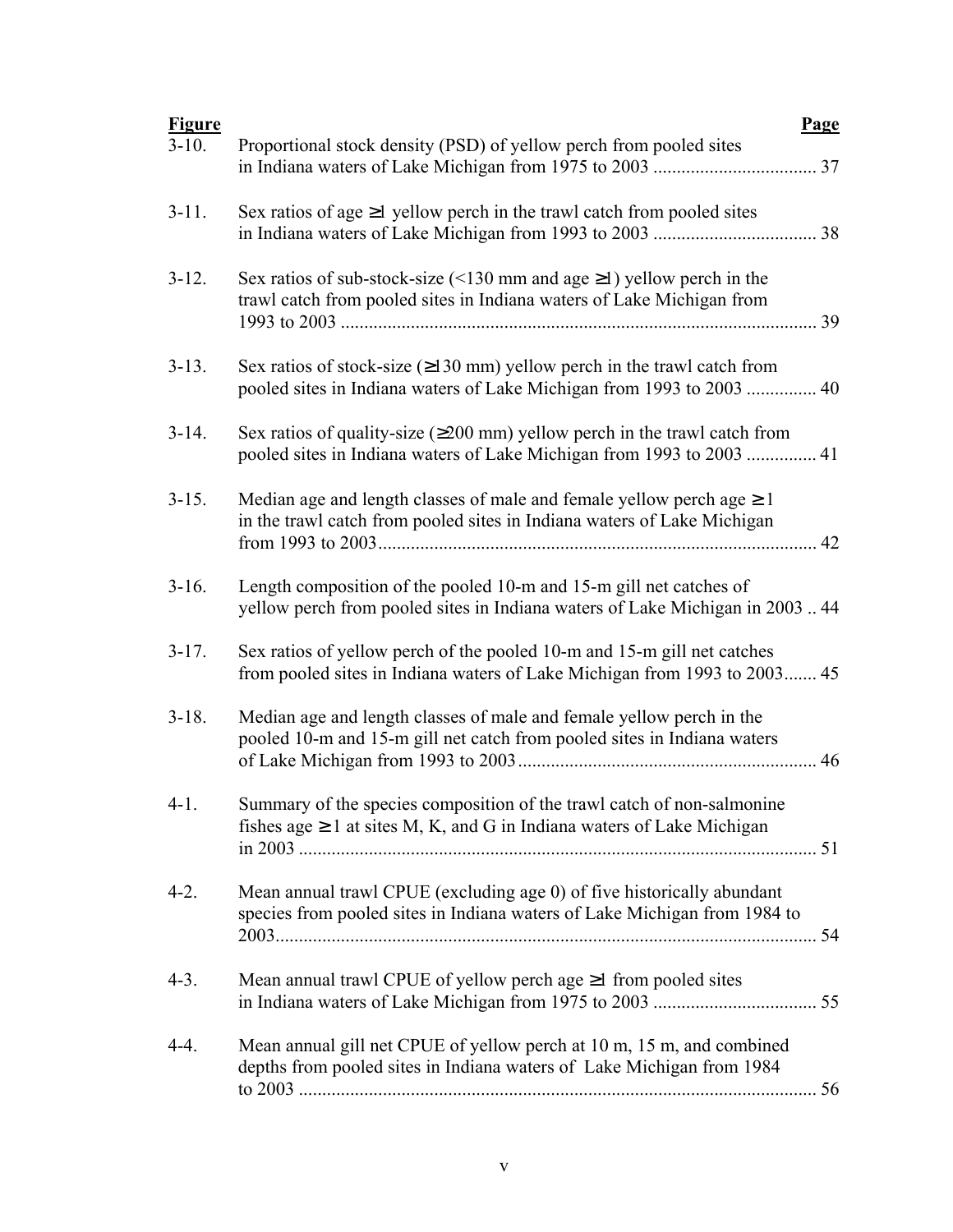| <b>Figure</b> | <b>Page</b>                                                                                                                                                      |
|---------------|------------------------------------------------------------------------------------------------------------------------------------------------------------------|
| $3-10.$       | Proportional stock density (PSD) of yellow perch from pooled sites                                                                                               |
| $3-11.$       | Sex ratios of age $\geq 1$ yellow perch in the trawl catch from pooled sites                                                                                     |
| $3-12.$       | Sex ratios of sub-stock-size (<130 mm and age $\geq$ 1) yellow perch in the<br>trawl catch from pooled sites in Indiana waters of Lake Michigan from             |
| $3-13.$       | Sex ratios of stock-size $(\geq 130 \text{ mm})$ yellow perch in the trawl catch from<br>pooled sites in Indiana waters of Lake Michigan from 1993 to 2003<br>40 |
| $3-14.$       | Sex ratios of quality-size $(\geq 200 \text{ mm})$ yellow perch in the trawl catch from<br>pooled sites in Indiana waters of Lake Michigan from 1993 to 2003  41 |
| $3 - 15.$     | Median age and length classes of male and female yellow perchage $\geq 1$<br>in the trawl catch from pooled sites in Indiana waters of Lake Michigan<br>42       |
| $3-16.$       | Length composition of the pooled 10-m and 15-m gill net catches of<br>yellow perch from pooled sites in Indiana waters of Lake Michigan in 2003  44              |
| $3-17.$       | Sex ratios of yellow perch of the pooled 10-m and 15-m gill net catches<br>from pooled sites in Indiana waters of Lake Michigan from 1993 to 2003 45             |
| $3-18.$       | Median age and length classes of male and female yellow perch in the<br>pooled 10-m and 15-m gill net catch from pooled sites in Indiana waters<br>46            |
| $4-1.$        | Summary of the species composition of the trawl catch of non-salmonine<br>fishes age $\geq 1$ at sites M, K, and G in Indiana waters of Lake Michigan            |
| $4-2.$        | Mean annual trawl CPUE (excluding age 0) of five historically abundant<br>species from pooled sites in Indiana waters of Lake Michigan from 1984 to              |
| $4-3.$        | Mean annual trawl CPUE of yellow perchage $\geq 1$ from pooled sites                                                                                             |
| $4-4.$        | Mean annual gill net CPUE of yellow perch at 10 m, 15 m, and combined<br>depths from pooled sites in Indiana waters of Lake Michigan from 1984                   |
|               |                                                                                                                                                                  |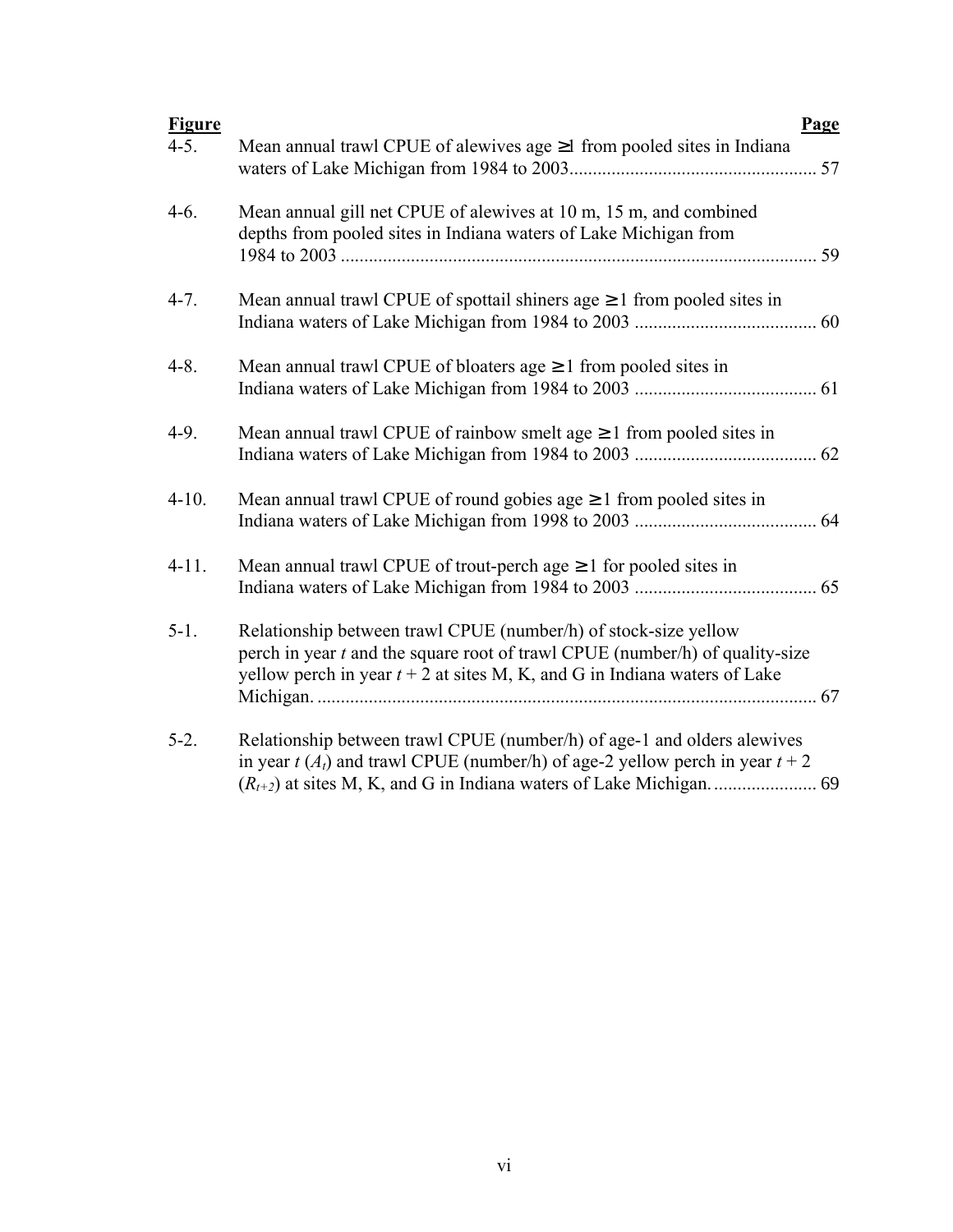| <b>Figure</b> |                                                                                                                                                                                                                                  | <b>Page</b> |
|---------------|----------------------------------------------------------------------------------------------------------------------------------------------------------------------------------------------------------------------------------|-------------|
| $4-5.$        | Mean annual trawl CPUE of alewives age ≥1 from pooled sites in Indiana                                                                                                                                                           |             |
| $4-6.$        | Mean annual gill net CPUE of alewives at 10 m, 15 m, and combined<br>depths from pooled sites in Indiana waters of Lake Michigan from                                                                                            |             |
| $4 - 7.$      | Mean annual trawl CPUE of spottail shiners age $\geq 1$ from pooled sites in                                                                                                                                                     |             |
| $4 - 8$ .     | Mean annual trawl CPUE of bloaters age $\geq 1$ from pooled sites in                                                                                                                                                             |             |
| $4-9.$        | Mean annual trawl CPUE of rainbow smelt age $\geq 1$ from pooled sites in                                                                                                                                                        |             |
| $4 - 10.$     | Mean annual trawl CPUE of round gobies age $\geq 1$ from pooled sites in                                                                                                                                                         |             |
| $4-11.$       | Mean annual trawl CPUE of trout-perch age $\geq 1$ for pooled sites in                                                                                                                                                           |             |
| $5-1.$        | Relationship between trawl CPUE (number/h) of stock-size yellow<br>perch in year $t$ and the square root of trawl CPUE (number/h) of quality-size<br>yellow perch in year $t + 2$ at sites M, K, and G in Indiana waters of Lake |             |
| $5-2.$        | Relationship between trawl CPUE (number/h) of age-1 and olders alewives<br>in year $t(A_t)$ and trawl CPUE (number/h) of age-2 yellow perch in year $t + 2$                                                                      |             |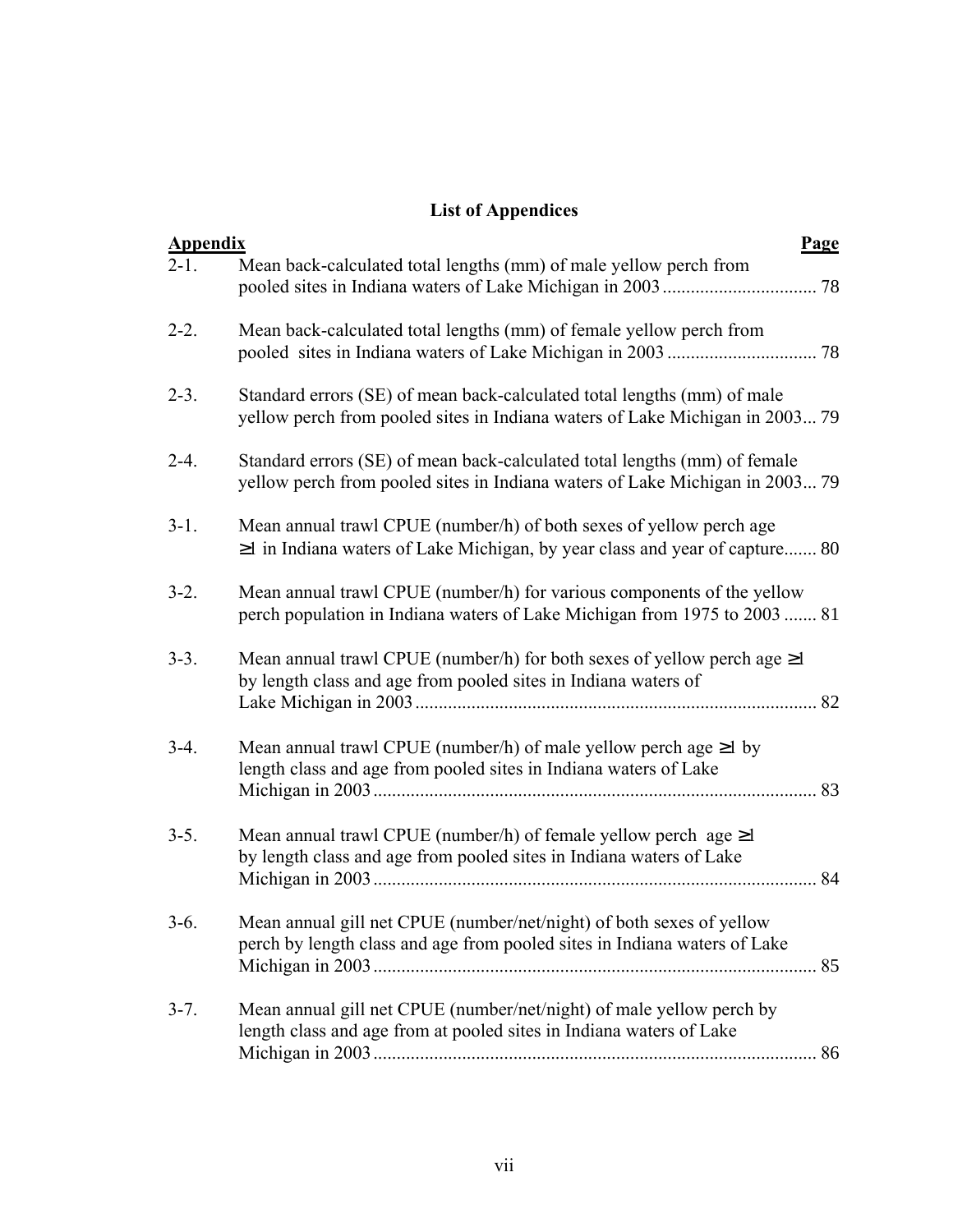## **List of Appendices**

| <b>Appendix</b> |                                                                                                                                                           | <b>Page</b> |
|-----------------|-----------------------------------------------------------------------------------------------------------------------------------------------------------|-------------|
| $2-1.$          | Mean back-calculated total lengths (mm) of male yellow perch from                                                                                         |             |
| $2 - 2$ .       | Mean back-calculated total lengths (mm) of female yellow perch from                                                                                       |             |
| $2 - 3$ .       | Standard errors (SE) of mean back-calculated total lengths (mm) of male<br>yellow perch from pooled sites in Indiana waters of Lake Michigan in 2003 79   |             |
| $2 - 4.$        | Standard errors (SE) of mean back-calculated total lengths (mm) of female<br>yellow perch from pooled sites in Indiana waters of Lake Michigan in 2003 79 |             |
| $3-1.$          | Mean annual trawl CPUE (number/h) of both sexes of yellow perch age<br>$\geq$ 1 in Indiana waters of Lake Michigan, by year class and year of capture 80  |             |
| $3-2.$          | Mean annual trawl CPUE (number/h) for various components of the yellow<br>perch population in Indiana waters of Lake Michigan from 1975 to 2003  81       |             |
| $3-3.$          | Mean annual trawl CPUE (number/h) for both sexes of yellow perch age $\geq$ 1<br>by length class and age from pooled sites in Indiana waters of           | 82          |
| $3-4.$          | Mean annual trawl CPUE (number/h) of male yellow perch age $\geq 1$ by<br>length class and age from pooled sites in Indiana waters of Lake                | 83          |
| $3-5.$          | Mean annual trawl CPUE (number/h) of female yellow perch age $\geq$ 1<br>by length class and age from pooled sites in Indiana waters of Lake              | 84          |
| $3-6.$          | Mean annual gill net CPUE (number/net/night) of both sexes of yellow<br>perch by length class and age from pooled sites in Indiana waters of Lake         |             |
| $3 - 7$ .       | Mean annual gill net CPUE (number/net/night) of male yellow perch by<br>length class and age from at pooled sites in Indiana waters of Lake               |             |
|                 |                                                                                                                                                           |             |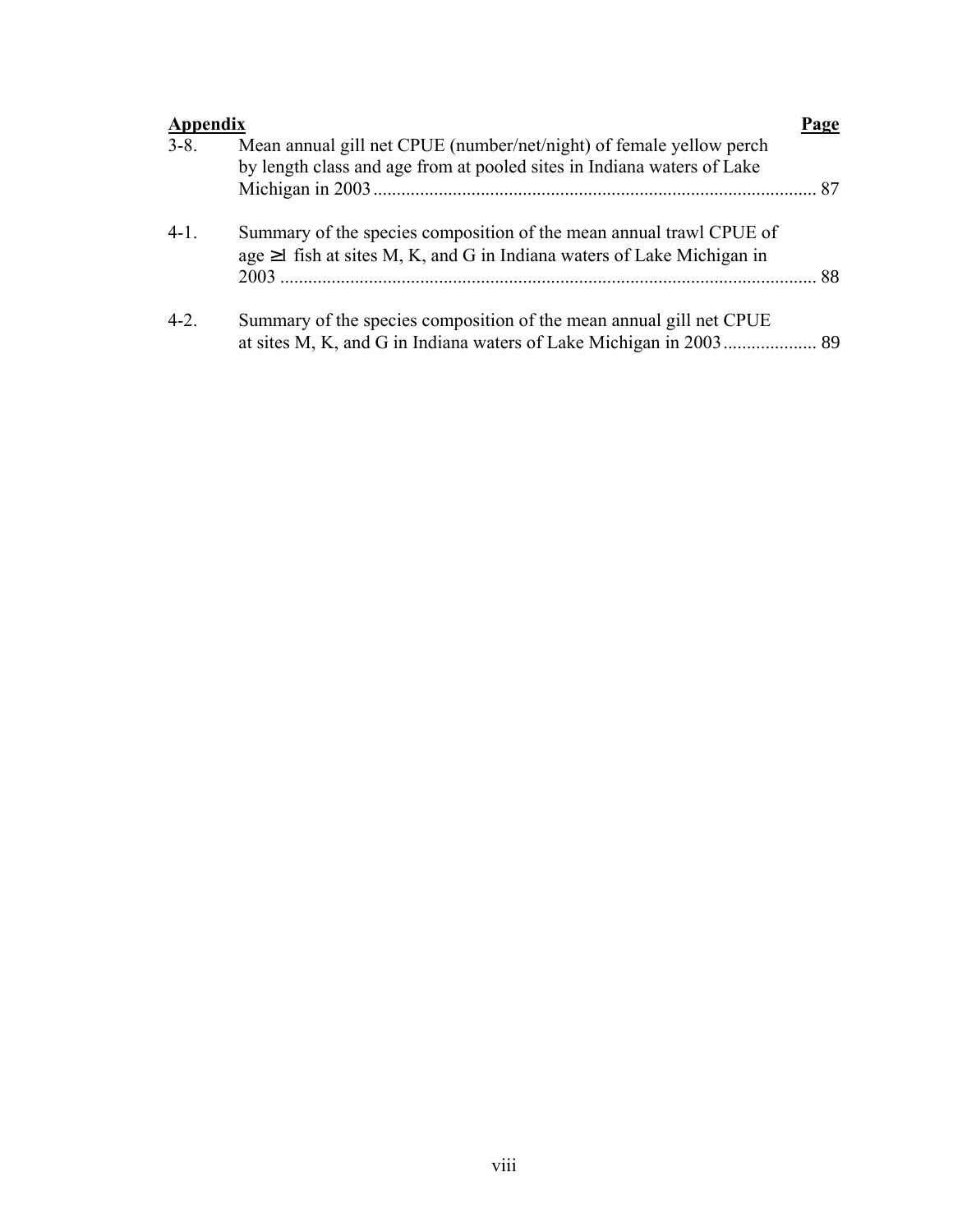| <b>Appendix</b> |                                                                                                                                                     | Page |
|-----------------|-----------------------------------------------------------------------------------------------------------------------------------------------------|------|
| $3 - 8$ .       | Mean annual gill net CPUE (number/net/night) of female yellow perch<br>by length class and age from at pooled sites in Indiana waters of Lake       |      |
| $4-1.$          | Summary of the species composition of the mean annual trawl CPUE of<br>age $\geq 1$ fish at sites M, K, and G in Indiana waters of Lake Michigan in |      |
| $4 - 2$ .       | Summary of the species composition of the mean annual gill net CPUE                                                                                 |      |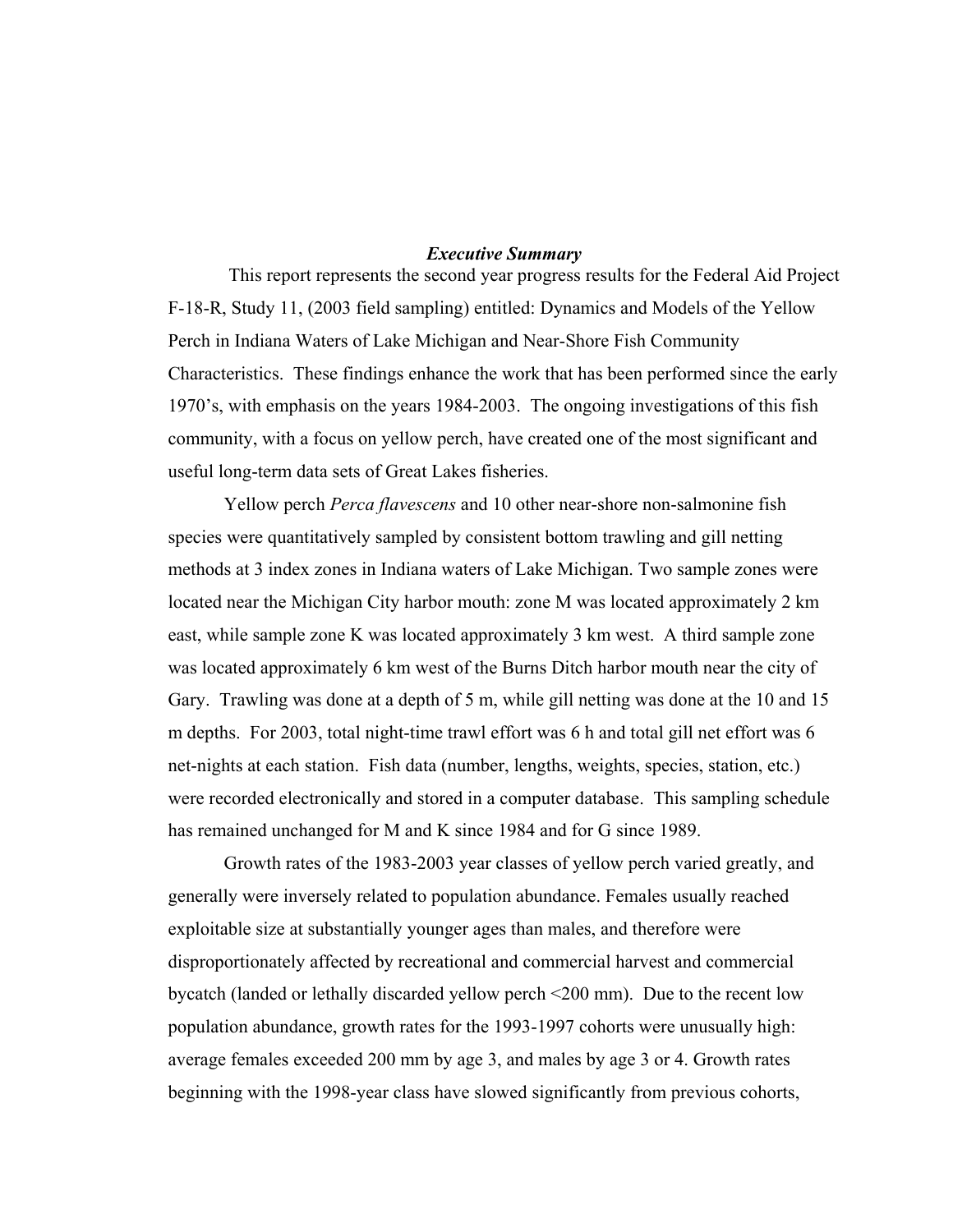#### *Executive Summary*

 This report represents the second year progress results for the Federal Aid Project F-18-R, Study 11, (2003 field sampling) entitled: Dynamics and Models of the Yellow Perch in Indiana Waters of Lake Michigan and Near-Shore Fish Community Characteristics. These findings enhance the work that has been performed since the early 1970's, with emphasis on the years 1984-2003. The ongoing investigations of this fish community, with a focus on yellow perch, have created one of the most significant and useful long-term data sets of Great Lakes fisheries.

Yellow perch *Perca flavescens* and 10 other near-shore non-salmonine fish species were quantitatively sampled by consistent bottom trawling and gill netting methods at 3 index zones in Indiana waters of Lake Michigan. Two sample zones were located near the Michigan City harbor mouth: zone M was located approximately 2 km east, while sample zone K was located approximately 3 km west. A third sample zone was located approximately 6 km west of the Burns Ditch harbor mouth near the city of Gary. Trawling was done at a depth of 5 m, while gill netting was done at the 10 and 15 m depths. For 2003, total night-time trawl effort was 6 h and total gill net effort was 6 net-nights at each station. Fish data (number, lengths, weights, species, station, etc.) were recorded electronically and stored in a computer database. This sampling schedule has remained unchanged for M and K since 1984 and for G since 1989.

Growth rates of the 1983-2003 year classes of yellow perch varied greatly, and generally were inversely related to population abundance. Females usually reached exploitable size at substantially younger ages than males, and therefore were disproportionately affected by recreational and commercial harvest and commercial bycatch (landed or lethally discarded yellow perch <200 mm). Due to the recent low population abundance, growth rates for the 1993-1997 cohorts were unusually high: average females exceeded 200 mm by age 3, and males by age 3 or 4. Growth rates beginning with the 1998-year class have slowed significantly from previous cohorts,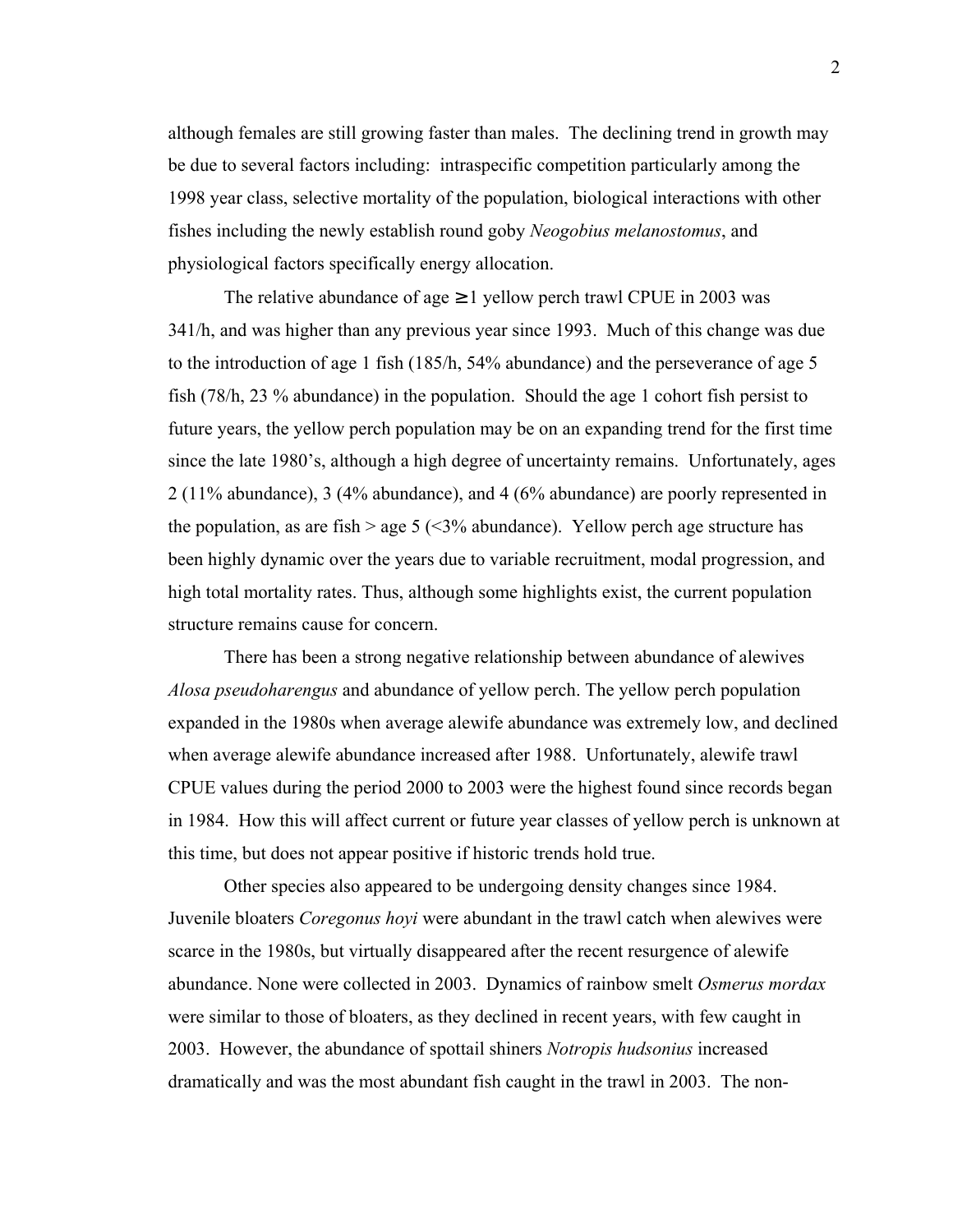although females are still growing faster than males. The declining trend in growth may be due to several factors including: intraspecific competition particularly among the 1998 year class, selective mortality of the population, biological interactions with other fishes including the newly establish round goby *Neogobius melanostomus*, and physiological factors specifically energy allocation.

The relative abundance of age  $\geq 1$  yellow perch trawl CPUE in 2003 was 341/h, and was higher than any previous year since 1993. Much of this change was due to the introduction of age 1 fish (185/h, 54% abundance) and the perseverance of age 5 fish (78/h, 23 % abundance) in the population. Should the age 1 cohort fish persist to future years, the yellow perch population may be on an expanding trend for the first time since the late 1980's, although a high degree of uncertainty remains. Unfortunately, ages 2 (11% abundance), 3 (4% abundance), and 4 (6% abundance) are poorly represented in the population, as are fish  $>$  age 5 ( $\leq$ 3% abundance). Yellow perch age structure has been highly dynamic over the years due to variable recruitment, modal progression, and high total mortality rates. Thus, although some highlights exist, the current population structure remains cause for concern.

There has been a strong negative relationship between abundance of alewives *Alosa pseudoharengus* and abundance of yellow perch. The yellow perch population expanded in the 1980s when average alewife abundance was extremely low, and declined when average alewife abundance increased after 1988. Unfortunately, alewife trawl CPUE values during the period 2000 to 2003 were the highest found since records began in 1984. How this will affect current or future year classes of yellow perch is unknown at this time, but does not appear positive if historic trends hold true.

Other species also appeared to be undergoing density changes since 1984. Juvenile bloaters *Coregonus hoyi* were abundant in the trawl catch when alewives were scarce in the 1980s, but virtually disappeared after the recent resurgence of alewife abundance. None were collected in 2003. Dynamics of rainbow smelt *Osmerus mordax* were similar to those of bloaters, as they declined in recent years, with few caught in 2003. However, the abundance of spottail shiners *Notropis hudsonius* increased dramatically and was the most abundant fish caught in the trawl in 2003. The non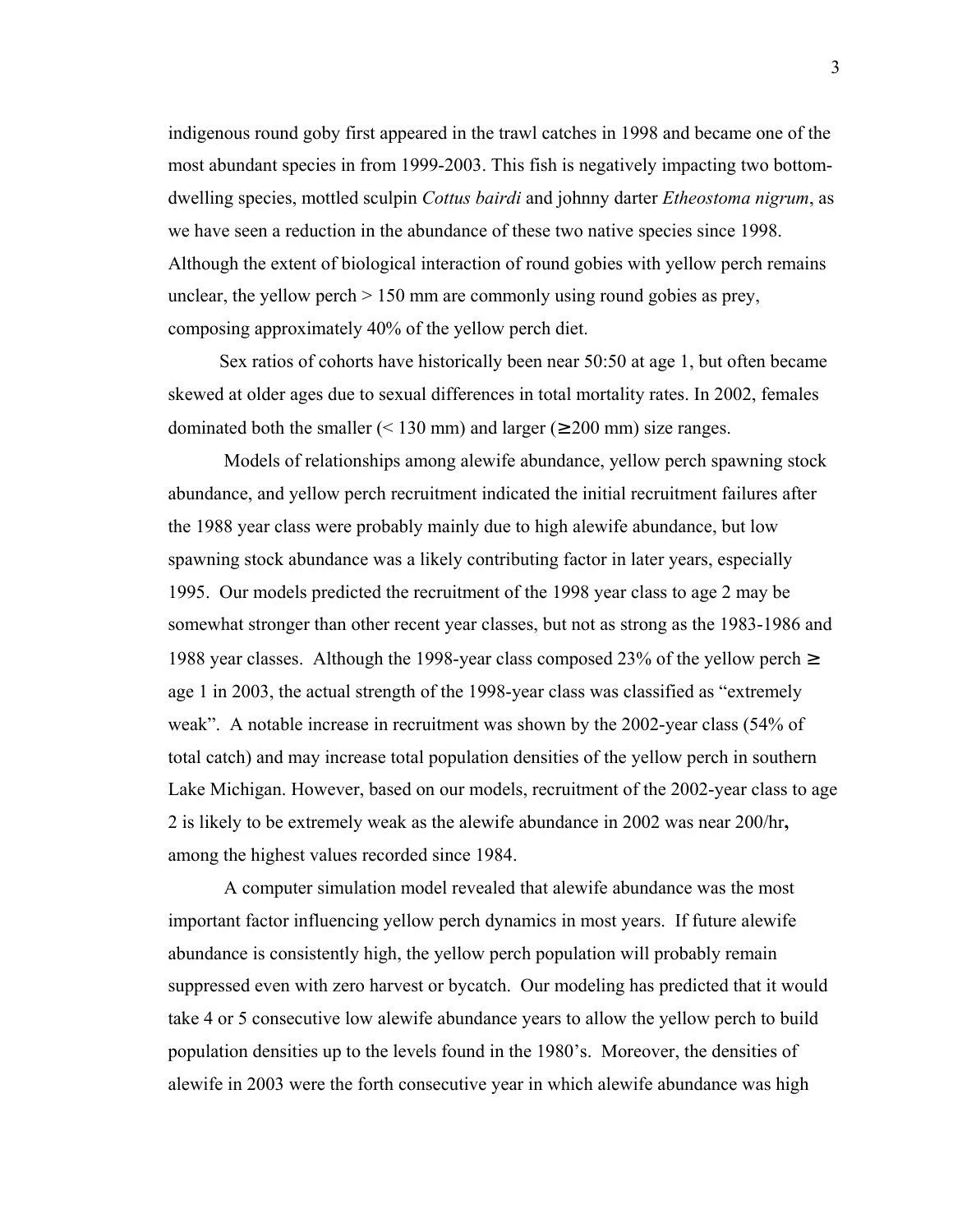indigenous round goby first appeared in the trawl catches in 1998 and became one of the most abundant species in from 1999-2003. This fish is negatively impacting two bottomdwelling species, mottled sculpin *Cottus bairdi* and johnny darter *Etheostoma nigrum*, as we have seen a reduction in the abundance of these two native species since 1998. Although the extent of biological interaction of round gobies with yellow perch remains unclear, the yellow perch  $> 150$  mm are commonly using round gobies as prey, composing approximately 40% of the yellow perch diet.

 Sex ratios of cohorts have historically been near 50:50 at age 1, but often became skewed at older ages due to sexual differences in total mortality rates. In 2002, females dominated both the smaller ( $\leq 130$  mm) and larger ( $\geq 200$  mm) size ranges.

 Models of relationships among alewife abundance, yellow perch spawning stock abundance, and yellow perch recruitment indicated the initial recruitment failures after the 1988 year class were probably mainly due to high alewife abundance, but low spawning stock abundance was a likely contributing factor in later years, especially 1995. Our models predicted the recruitment of the 1998 year class to age 2 may be somewhat stronger than other recent year classes, but not as strong as the 1983-1986 and 1988 year classes. Although the 1998-year class composed 23% of the yellow perch ≥ age 1 in 2003, the actual strength of the 1998-year class was classified as "extremely weak". A notable increase in recruitment was shown by the 2002-year class (54% of total catch) and may increase total population densities of the yellow perch in southern Lake Michigan. However, based on our models, recruitment of the 2002-year class to age 2 is likely to be extremely weak as the alewife abundance in 2002 was near 200/hr**,** among the highest values recorded since 1984.

 A computer simulation model revealed that alewife abundance was the most important factor influencing yellow perch dynamics in most years. If future alewife abundance is consistently high, the yellow perch population will probably remain suppressed even with zero harvest or bycatch. Our modeling has predicted that it would take 4 or 5 consecutive low alewife abundance years to allow the yellow perch to build population densities up to the levels found in the 1980's. Moreover, the densities of alewife in 2003 were the forth consecutive year in which alewife abundance was high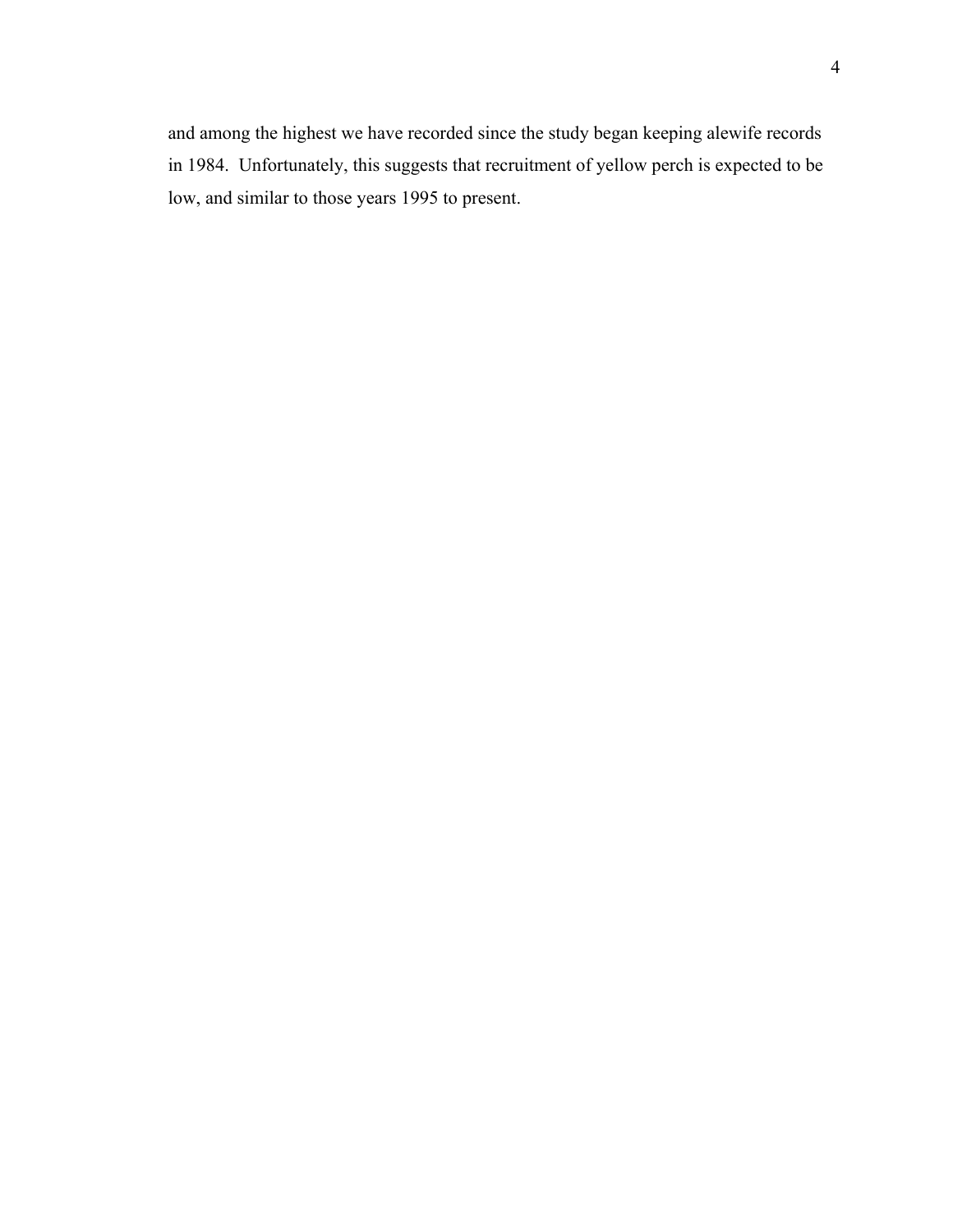and among the highest we have recorded since the study began keeping alewife records in 1984. Unfortunately, this suggests that recruitment of yellow perch is expected to be low, and similar to those years 1995 to present.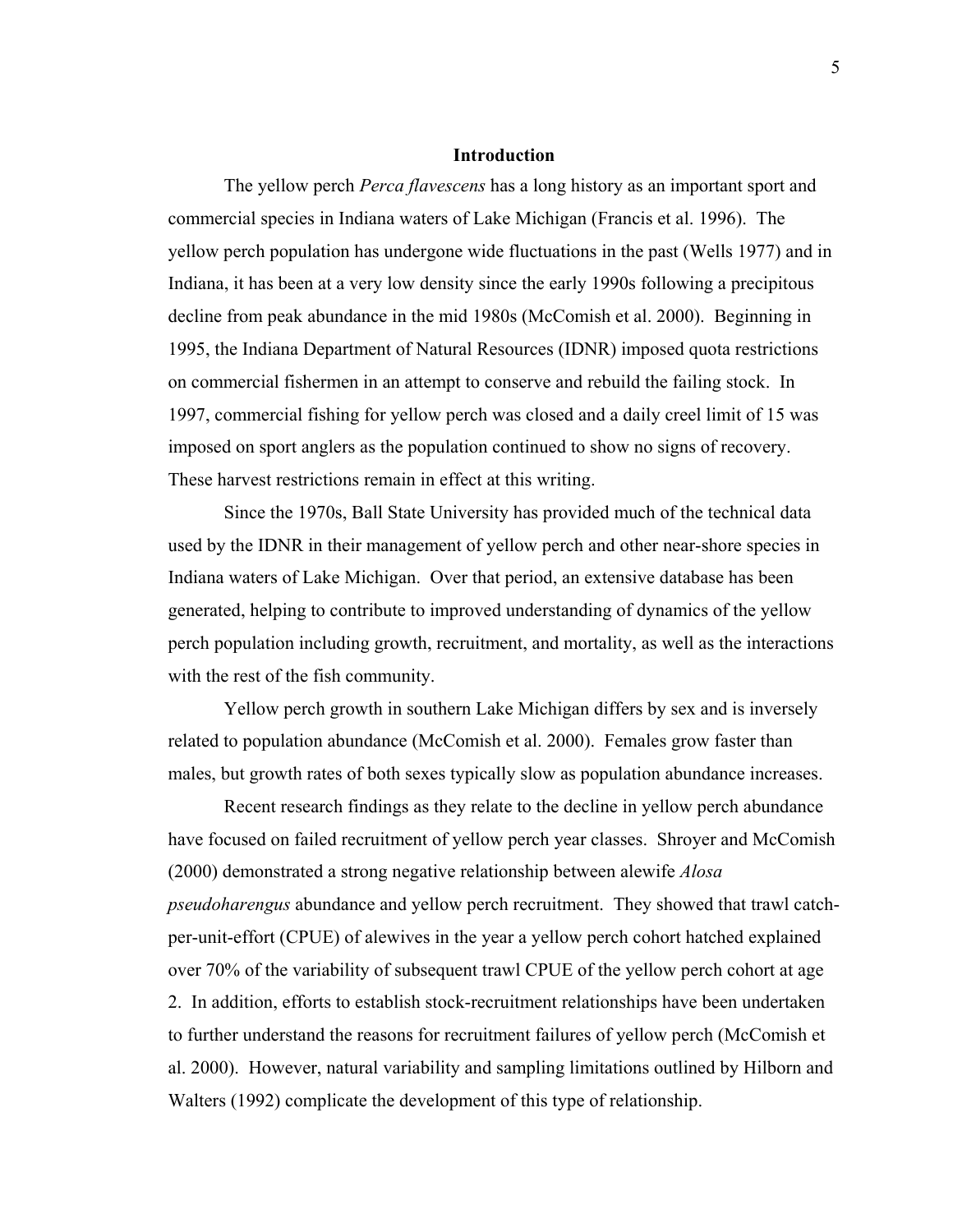#### **Introduction**

 The yellow perch *Perca flavescens* has a long history as an important sport and commercial species in Indiana waters of Lake Michigan (Francis et al. 1996). The yellow perch population has undergone wide fluctuations in the past (Wells 1977) and in Indiana, it has been at a very low density since the early 1990s following a precipitous decline from peak abundance in the mid 1980s (McComish et al. 2000). Beginning in 1995, the Indiana Department of Natural Resources (IDNR) imposed quota restrictions on commercial fishermen in an attempt to conserve and rebuild the failing stock. In 1997, commercial fishing for yellow perch was closed and a daily creel limit of 15 was imposed on sport anglers as the population continued to show no signs of recovery. These harvest restrictions remain in effect at this writing.

 Since the 1970s, Ball State University has provided much of the technical data used by the IDNR in their management of yellow perch and other near-shore species in Indiana waters of Lake Michigan. Over that period, an extensive database has been generated, helping to contribute to improved understanding of dynamics of the yellow perch population including growth, recruitment, and mortality, as well as the interactions with the rest of the fish community.

Yellow perch growth in southern Lake Michigan differs by sex and is inversely related to population abundance (McComish et al. 2000). Females grow faster than males, but growth rates of both sexes typically slow as population abundance increases.

Recent research findings as they relate to the decline in yellow perch abundance have focused on failed recruitment of yellow perch year classes. Shroyer and McComish (2000) demonstrated a strong negative relationship between alewife *Alosa pseudoharengus* abundance and yellow perch recruitment. They showed that trawl catchper-unit-effort (CPUE) of alewives in the year a yellow perch cohort hatched explained over 70% of the variability of subsequent trawl CPUE of the yellow perch cohort at age 2. In addition, efforts to establish stock-recruitment relationships have been undertaken to further understand the reasons for recruitment failures of yellow perch (McComish et al. 2000). However, natural variability and sampling limitations outlined by Hilborn and Walters (1992) complicate the development of this type of relationship.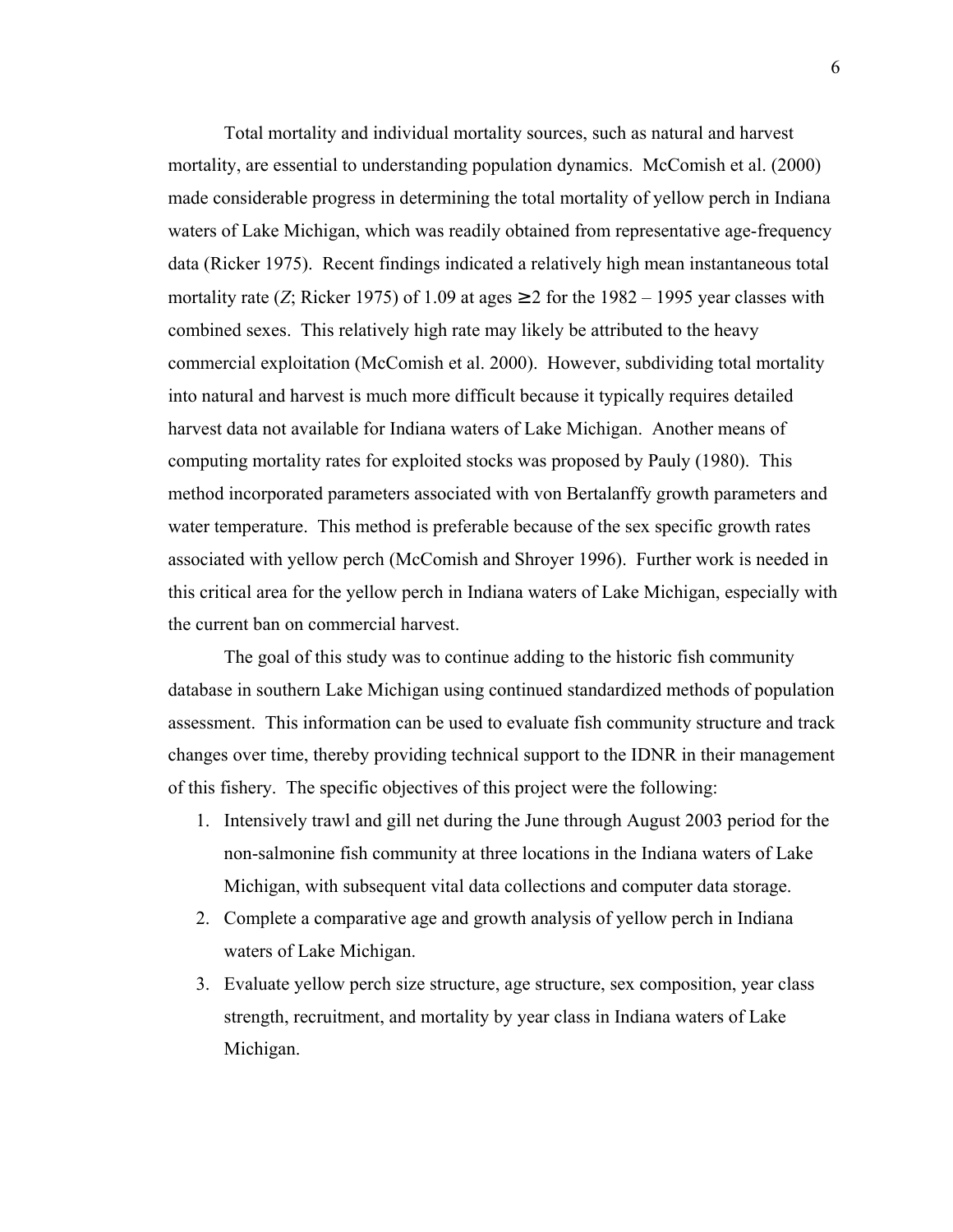Total mortality and individual mortality sources, such as natural and harvest mortality, are essential to understanding population dynamics. McComish et al. (2000) made considerable progress in determining the total mortality of yellow perch in Indiana waters of Lake Michigan, which was readily obtained from representative age-frequency data (Ricker 1975). Recent findings indicated a relatively high mean instantaneous total mortality rate (*Z*; Ricker 1975) of 1.09 at ages  $\geq$  2 for the 1982 – 1995 year classes with combined sexes. This relatively high rate may likely be attributed to the heavy commercial exploitation (McComish et al. 2000). However, subdividing total mortality into natural and harvest is much more difficult because it typically requires detailed harvest data not available for Indiana waters of Lake Michigan. Another means of computing mortality rates for exploited stocks was proposed by Pauly (1980). This method incorporated parameters associated with von Bertalanffy growth parameters and water temperature. This method is preferable because of the sex specific growth rates associated with yellow perch (McComish and Shroyer 1996). Further work is needed in this critical area for the yellow perch in Indiana waters of Lake Michigan, especially with the current ban on commercial harvest.

The goal of this study was to continue adding to the historic fish community database in southern Lake Michigan using continued standardized methods of population assessment. This information can be used to evaluate fish community structure and track changes over time, thereby providing technical support to the IDNR in their management of this fishery. The specific objectives of this project were the following:

- 1. Intensively trawl and gill net during the June through August 2003 period for the non-salmonine fish community at three locations in the Indiana waters of Lake Michigan, with subsequent vital data collections and computer data storage.
- 2. Complete a comparative age and growth analysis of yellow perch in Indiana waters of Lake Michigan.
- 3. Evaluate yellow perch size structure, age structure, sex composition, year class strength, recruitment, and mortality by year class in Indiana waters of Lake Michigan.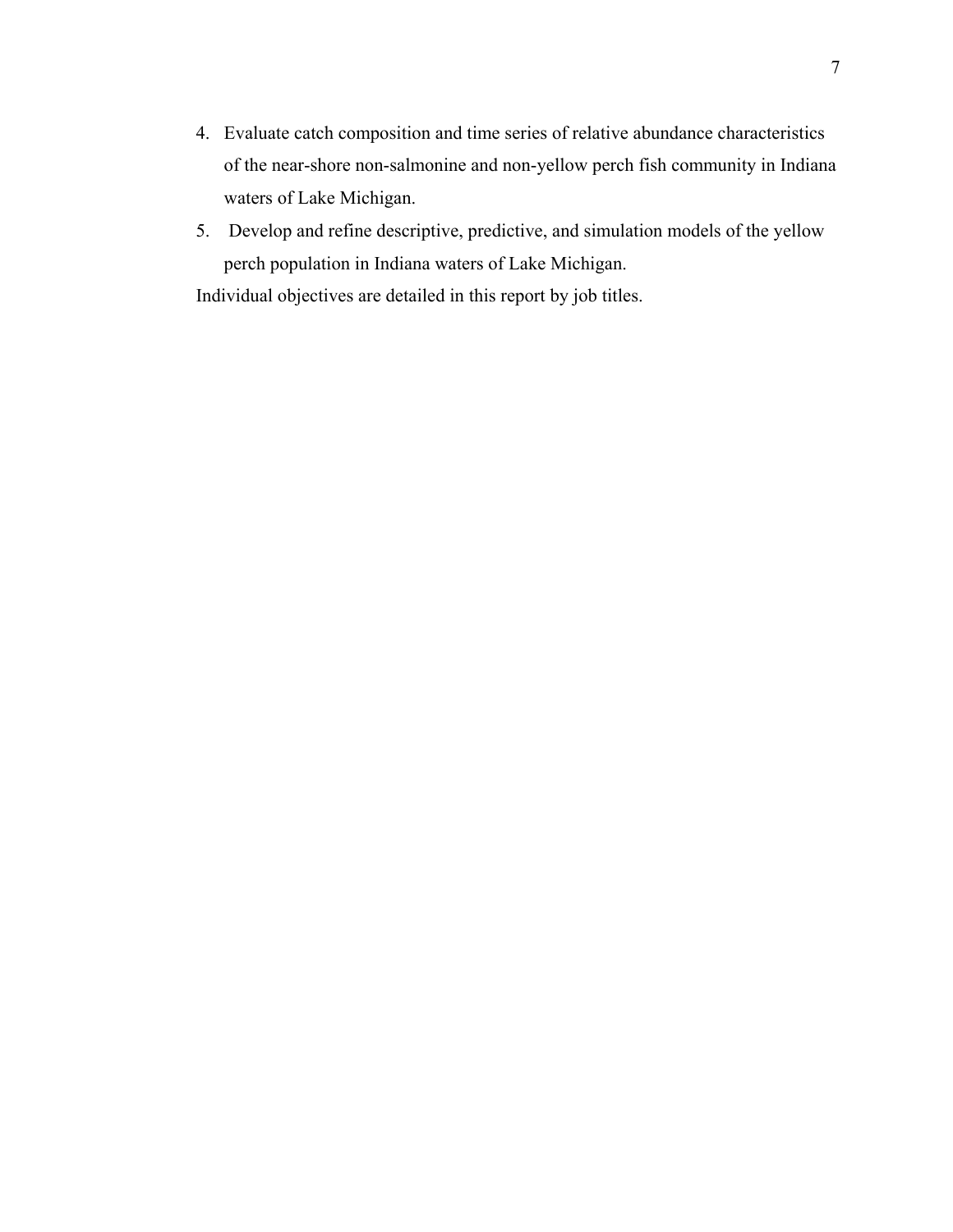- 4. Evaluate catch composition and time series of relative abundance characteristics of the near-shore non-salmonine and non-yellow perch fish community in Indiana waters of Lake Michigan.
- 5. Develop and refine descriptive, predictive, and simulation models of the yellow perch population in Indiana waters of Lake Michigan.

Individual objectives are detailed in this report by job titles.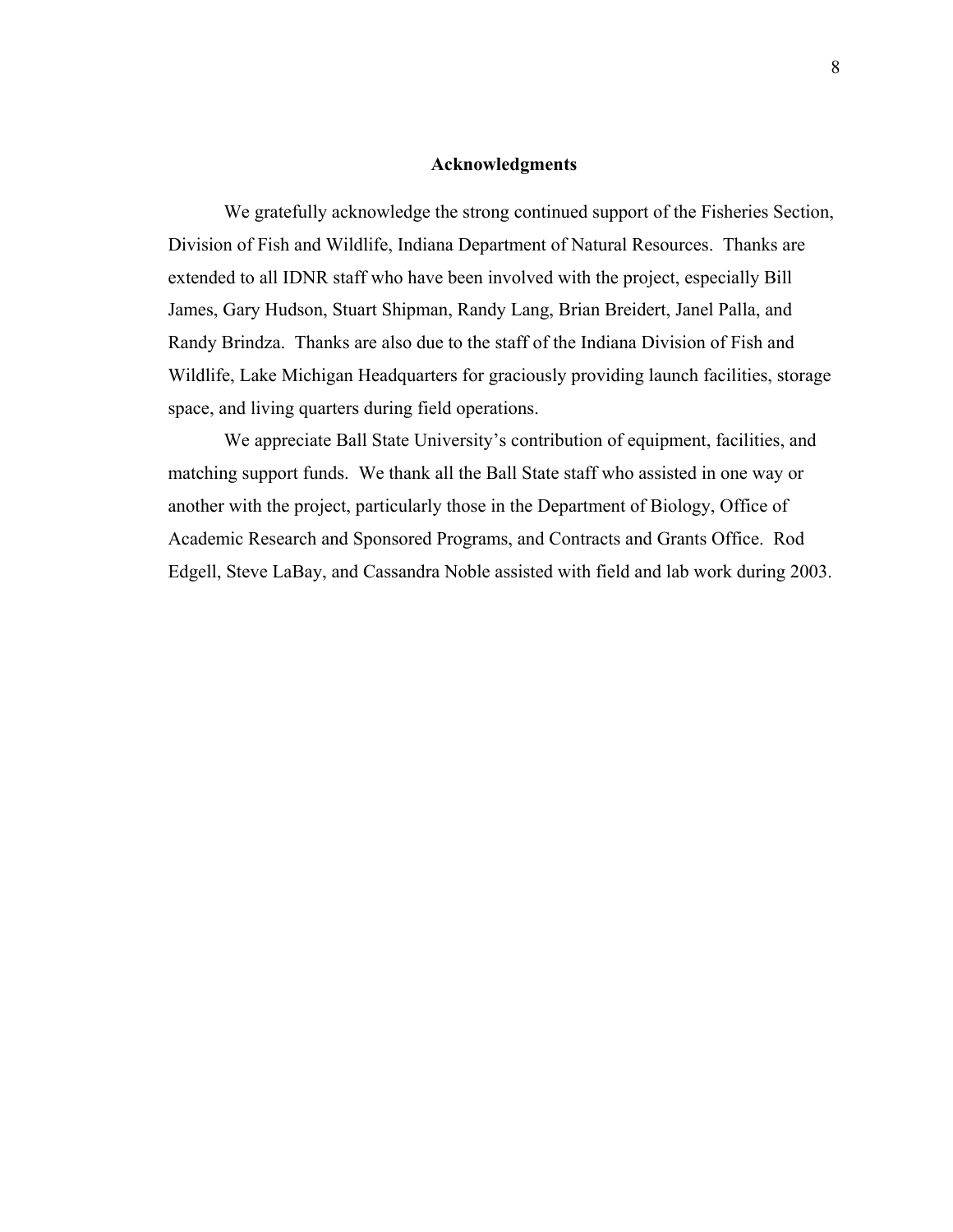#### **Acknowledgments**

 We gratefully acknowledge the strong continued support of the Fisheries Section, Division of Fish and Wildlife, Indiana Department of Natural Resources. Thanks are extended to all IDNR staff who have been involved with the project, especially Bill James, Gary Hudson, Stuart Shipman, Randy Lang, Brian Breidert, Janel Palla, and Randy Brindza. Thanks are also due to the staff of the Indiana Division of Fish and Wildlife, Lake Michigan Headquarters for graciously providing launch facilities, storage space, and living quarters during field operations.

 We appreciate Ball State University's contribution of equipment, facilities, and matching support funds. We thank all the Ball State staff who assisted in one way or another with the project, particularly those in the Department of Biology, Office of Academic Research and Sponsored Programs, and Contracts and Grants Office. Rod Edgell, Steve LaBay, and Cassandra Noble assisted with field and lab work during 2003.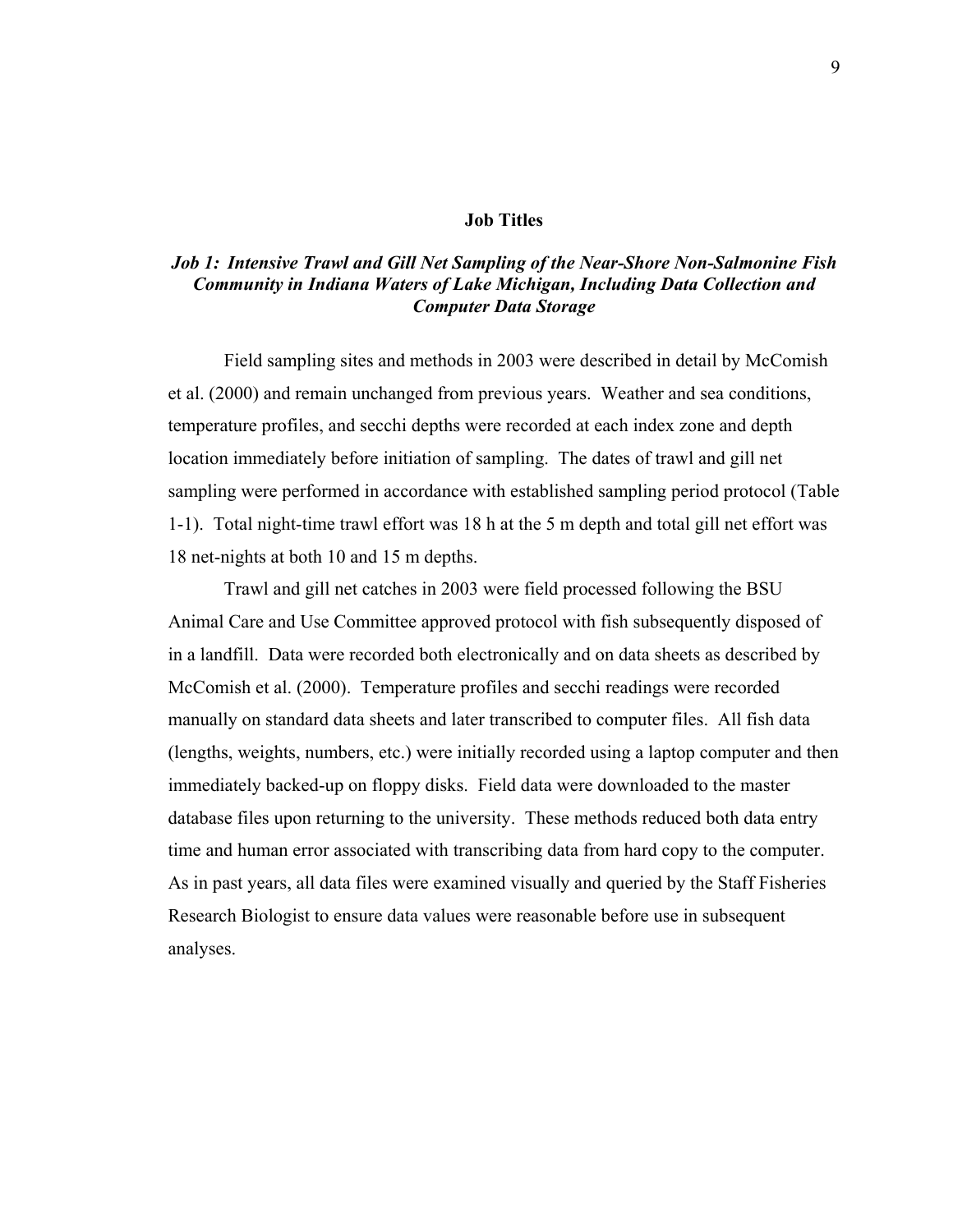#### **Job Titles**

#### *Job 1: Intensive Trawl and Gill Net Sampling of the Near-Shore Non-Salmonine Fish Community in Indiana Waters of Lake Michigan, Including Data Collection and Computer Data Storage*

Field sampling sites and methods in 2003 were described in detail by McComish et al. (2000) and remain unchanged from previous years. Weather and sea conditions, temperature profiles, and secchi depths were recorded at each index zone and depth location immediately before initiation of sampling. The dates of trawl and gill net sampling were performed in accordance with established sampling period protocol (Table 1-1). Total night-time trawl effort was 18 h at the 5 m depth and total gill net effort was 18 net-nights at both 10 and 15 m depths.

Trawl and gill net catches in 2003 were field processed following the BSU Animal Care and Use Committee approved protocol with fish subsequently disposed of in a landfill. Data were recorded both electronically and on data sheets as described by McComish et al. (2000). Temperature profiles and secchi readings were recorded manually on standard data sheets and later transcribed to computer files. All fish data (lengths, weights, numbers, etc.) were initially recorded using a laptop computer and then immediately backed-up on floppy disks. Field data were downloaded to the master database files upon returning to the university. These methods reduced both data entry time and human error associated with transcribing data from hard copy to the computer. As in past years, all data files were examined visually and queried by the Staff Fisheries Research Biologist to ensure data values were reasonable before use in subsequent analyses.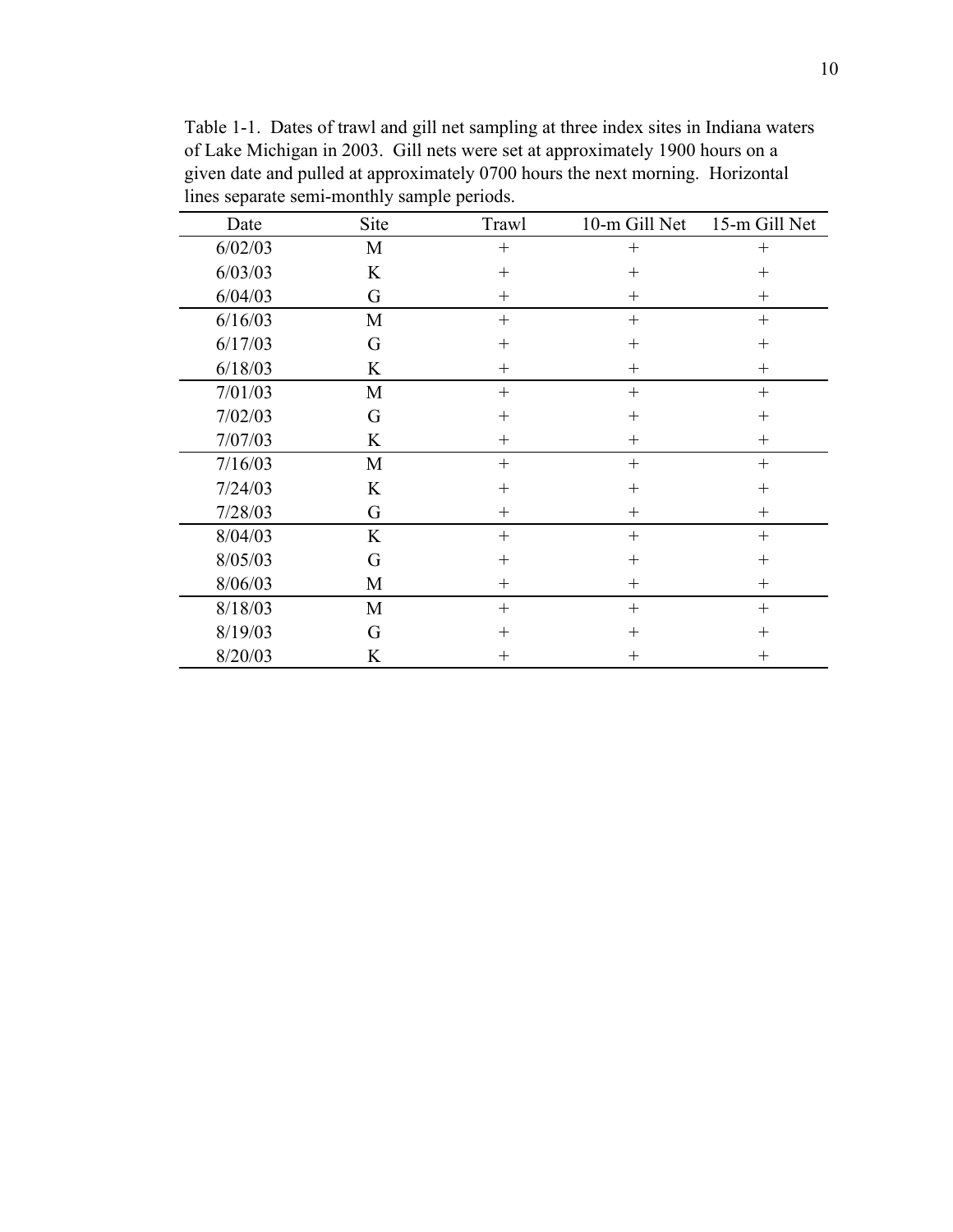| Date    | Site | Trawl  | 10-m Gill Net | 15-m Gill Net |
|---------|------|--------|---------------|---------------|
| 6/02/03 | M    | $+$    | $^{+}$        | $^{+}$        |
| 6/03/03 | K    | $^{+}$ | $^{+}$        | $^{+}$        |
| 6/04/03 | G    | $^{+}$ | $^{+}$        | $^{+}$        |
| 6/16/03 | M    | $^{+}$ | $^{+}$        | $^{+}$        |
| 6/17/03 | G    | $^{+}$ | $^{+}$        | $^{+}$        |
| 6/18/03 | K    | $^{+}$ | $^{+}$        | $^{+}$        |
| 7/01/03 | M    | $^{+}$ | $+$           | $^{+}$        |
| 7/02/03 | G    | $^{+}$ | $^{+}$        | $^{+}$        |
| 7/07/03 | K    | $^{+}$ | $^{+}$        | $^{+}$        |
| 7/16/03 | M    | $^{+}$ | $^{+}$        | $^{+}$        |
| 7/24/03 | K    | $^{+}$ | $^{+}$        | $^{+}$        |
| 7/28/03 | G    | $^{+}$ | $^{+}$        | $^{+}$        |
| 8/04/03 | K    | $^{+}$ | $+$           | $^{+}$        |
| 8/05/03 | G    | $^{+}$ | $+$           | $^{+}$        |
| 8/06/03 | M    | $^{+}$ | $^{+}$        | $^{+}$        |
| 8/18/03 | M    | $^{+}$ | $^{+}$        | $^{+}$        |
| 8/19/03 | G    | $^{+}$ | $^{+}$        | $^{+}$        |
| 8/20/03 | K    | $^{+}$ | $^{+}$        | $^{+}$        |

Table 1-1. Dates of trawl and gill net sampling at three index sites in Indiana waters of Lake Michigan in 2003. Gill nets were set at approximately 1900 hours on a given date and pulled at approximately 0700 hours the next morning. Horizontal lines separate semi-monthly sample periods.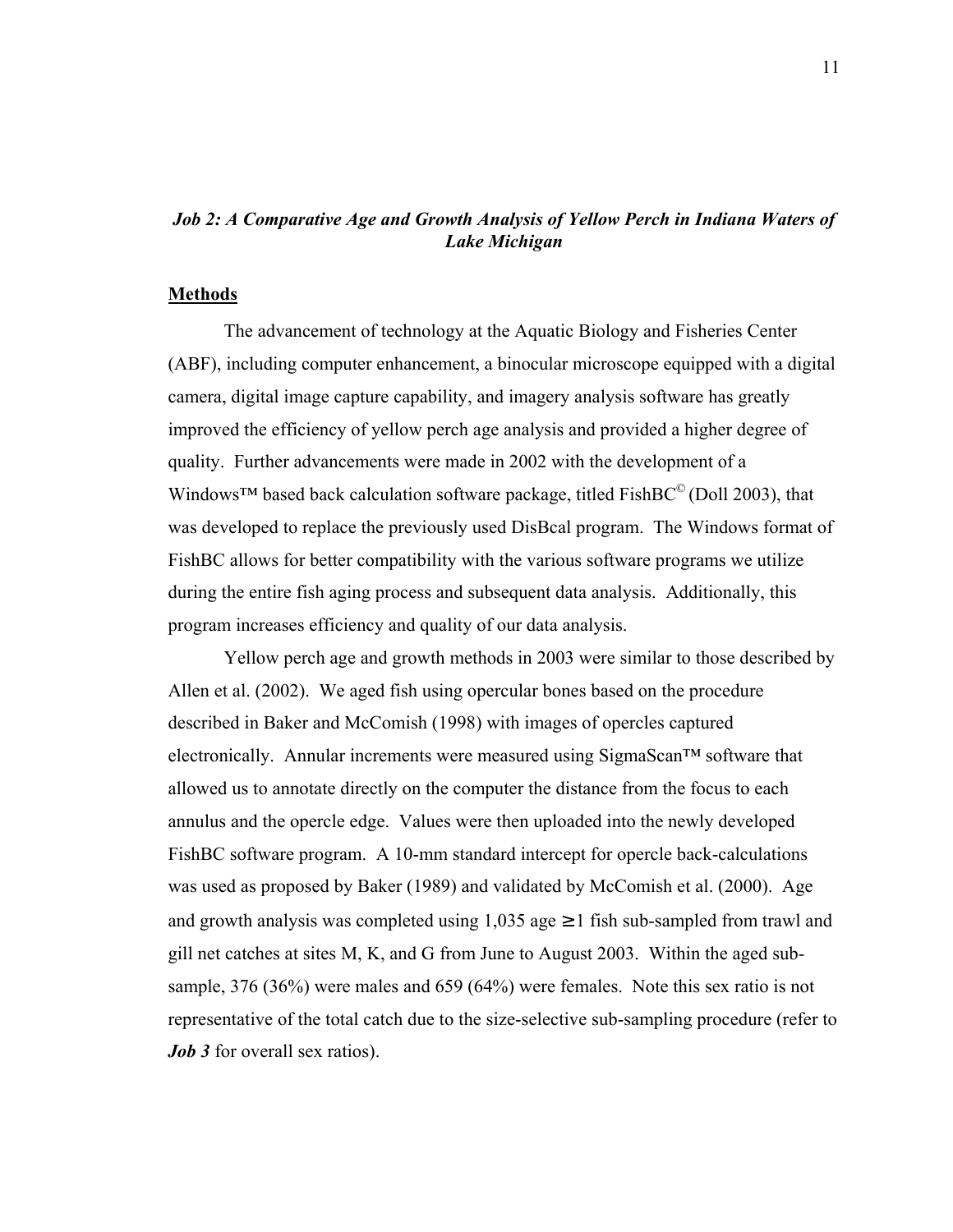### *Job 2: A Comparative Age and Growth Analysis of Yellow Perch in Indiana Waters of Lake Michigan*

#### **Methods**

 The advancement of technology at the Aquatic Biology and Fisheries Center (ABF), including computer enhancement, a binocular microscope equipped with a digital camera, digital image capture capability, and imagery analysis software has greatly improved the efficiency of yellow perch age analysis and provided a higher degree of quality. Further advancements were made in 2002 with the development of a Windows<sup>™</sup> based back calculation software package, titled FishBC<sup>©</sup> (Doll 2003), that was developed to replace the previously used DisBcal program. The Windows format of FishBC allows for better compatibility with the various software programs we utilize during the entire fish aging process and subsequent data analysis. Additionally, this program increases efficiency and quality of our data analysis.

Yellow perch age and growth methods in 2003 were similar to those described by Allen et al. (2002). We aged fish using opercular bones based on the procedure described in Baker and McComish (1998) with images of opercles captured electronically. Annular increments were measured using  $Sigma\Gamma$ <sup>*M*</sup> software that allowed us to annotate directly on the computer the distance from the focus to each annulus and the opercle edge. Values were then uploaded into the newly developed FishBC software program. A 10-mm standard intercept for opercle back-calculations was used as proposed by Baker (1989) and validated by McComish et al. (2000). Age and growth analysis was completed using  $1,035$  age  $\geq 1$  fish sub-sampled from trawl and gill net catches at sites M, K, and G from June to August 2003. Within the aged subsample, 376 (36%) were males and 659 (64%) were females. Note this sex ratio is not representative of the total catch due to the size-selective sub-sampling procedure (refer to *Job 3* for overall sex ratios).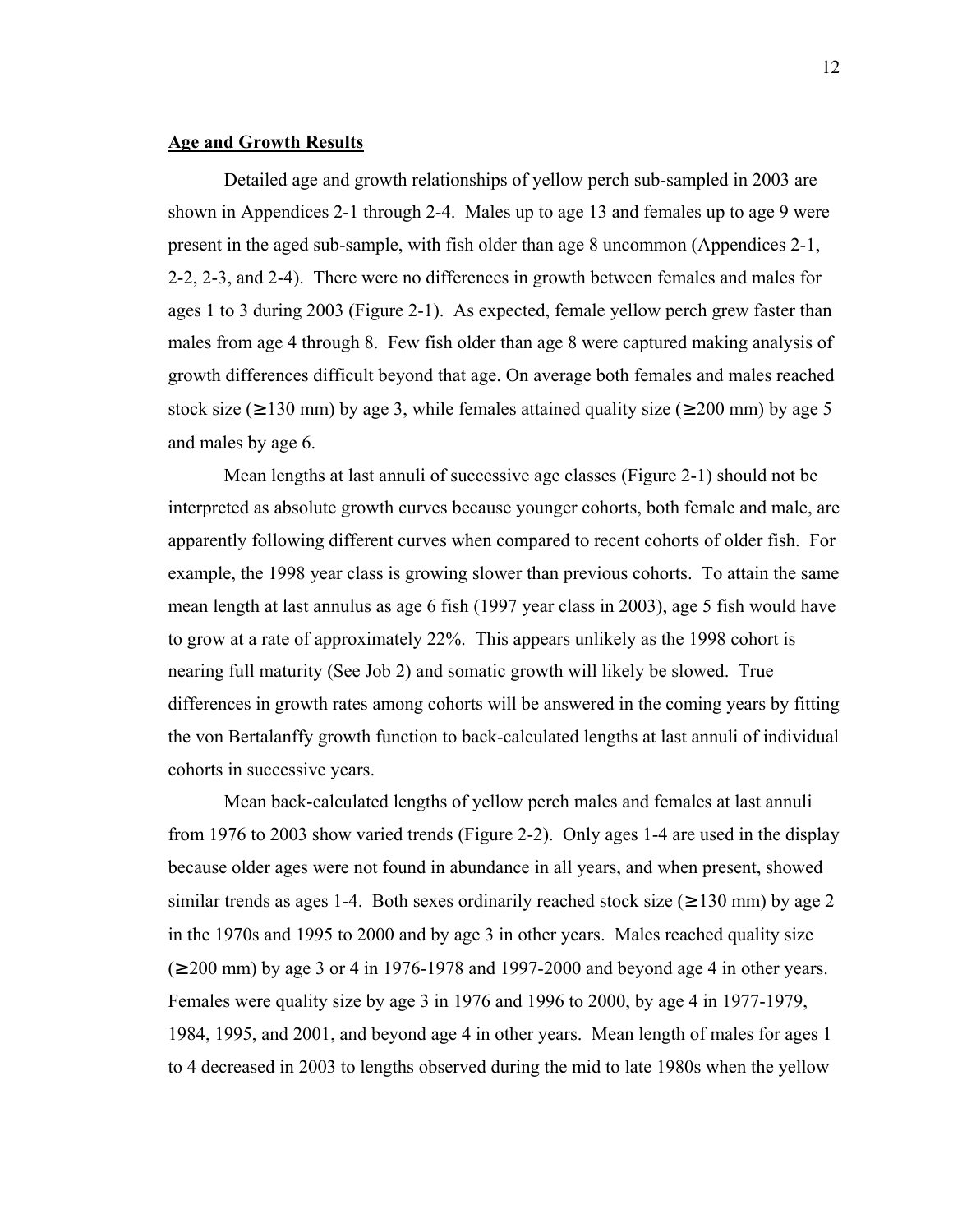#### **Age and Growth Results**

 Detailed age and growth relationships of yellow perch sub-sampled in 2003 are shown in Appendices 2-1 through 2-4. Males up to age 13 and females up to age 9 were present in the aged sub-sample, with fish older than age 8 uncommon (Appendices 2-1, 2-2, 2-3, and 2-4). There were no differences in growth between females and males for ages 1 to 3 during 2003 (Figure 2-1). As expected, female yellow perch grew faster than males from age 4 through 8. Few fish older than age 8 were captured making analysis of growth differences difficult beyond that age. On average both females and males reached stock size ( $\geq$  130 mm) by age 3, while females attained quality size ( $\geq$  200 mm) by age 5 and males by age 6.

Mean lengths at last annuli of successive age classes (Figure 2-1) should not be interpreted as absolute growth curves because younger cohorts, both female and male, are apparently following different curves when compared to recent cohorts of older fish. For example, the 1998 year class is growing slower than previous cohorts. To attain the same mean length at last annulus as age 6 fish (1997 year class in 2003), age 5 fish would have to grow at a rate of approximately 22%. This appears unlikely as the 1998 cohort is nearing full maturity (See Job 2) and somatic growth will likely be slowed. True differences in growth rates among cohorts will be answered in the coming years by fitting the von Bertalanffy growth function to back-calculated lengths at last annuli of individual cohorts in successive years.

 Mean back-calculated lengths of yellow perch males and females at last annuli from 1976 to 2003 show varied trends (Figure 2-2). Only ages 1-4 are used in the display because older ages were not found in abundance in all years, and when present, showed similar trends as ages 1-4. Both sexes ordinarily reached stock size ( $\geq$  130 mm) by age 2 in the 1970s and 1995 to 2000 and by age 3 in other years. Males reached quality size  $(\geq 200 \text{ mm})$  by age 3 or 4 in 1976-1978 and 1997-2000 and beyond age 4 in other years. Females were quality size by age 3 in 1976 and 1996 to 2000, by age 4 in 1977-1979, 1984, 1995, and 2001, and beyond age 4 in other years. Mean length of males for ages 1 to 4 decreased in 2003 to lengths observed during the mid to late 1980s when the yellow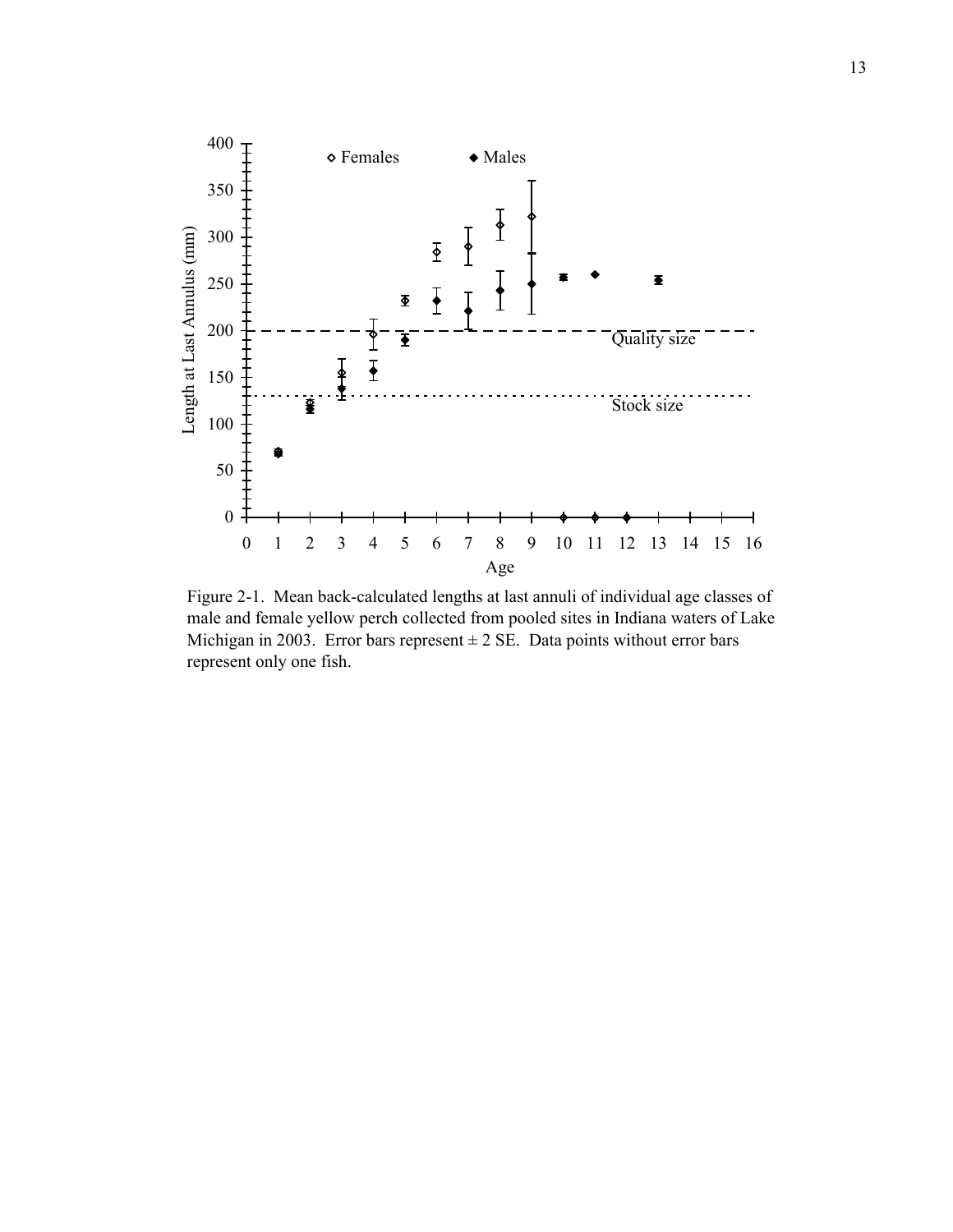

Figure 2-1. Mean back-calculated lengths at last annuli of individual age classes of male and female yellow perch collected from pooled sites in Indiana waters of Lake Michigan in 2003. Error bars represent  $\pm$  2 SE. Data points without error bars represent only one fish.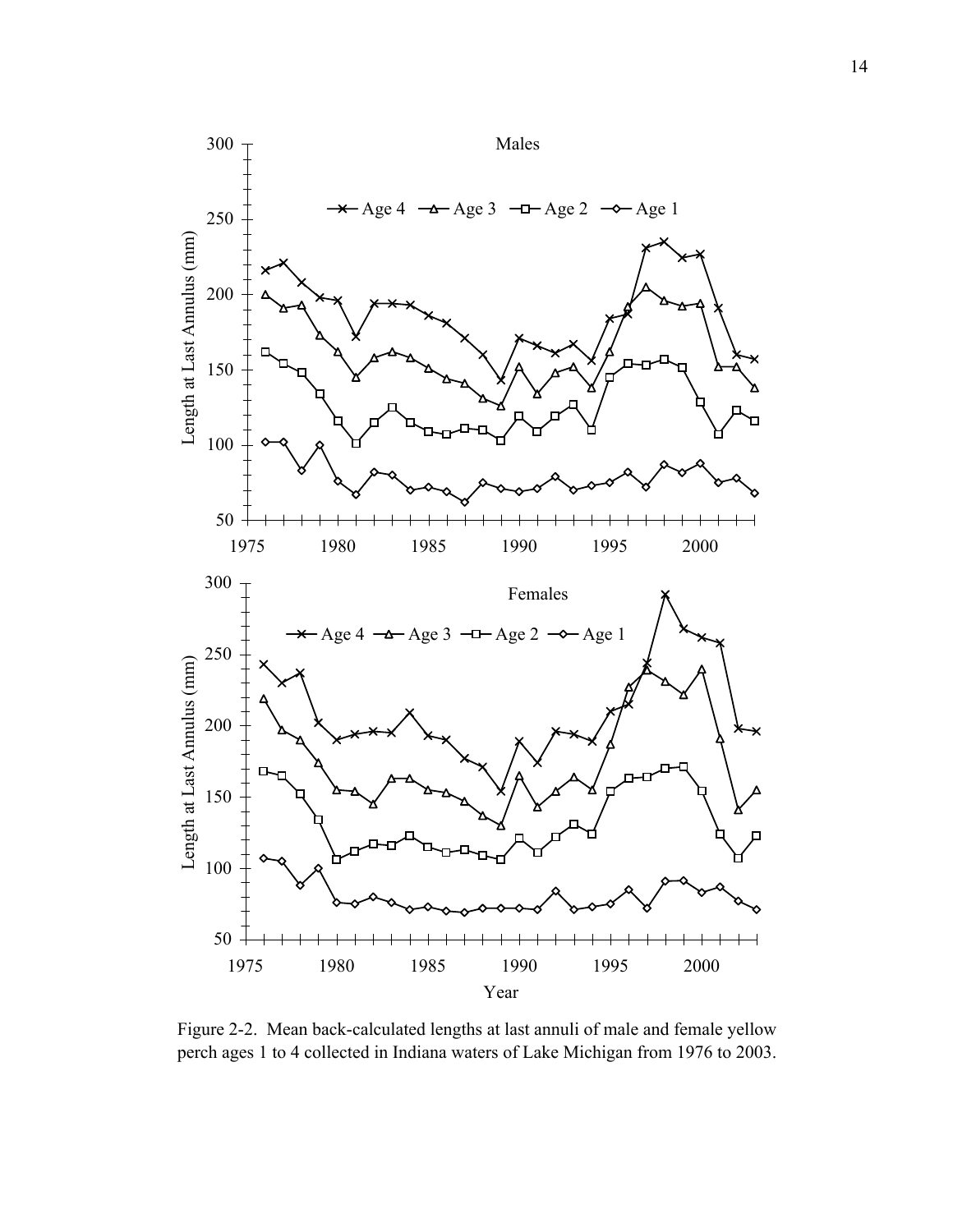

Figure 2-2. Mean back-calculated lengths at last annuli of male and female yellow perch ages 1 to 4 collected in Indiana waters of Lake Michigan from 1976 to 2003.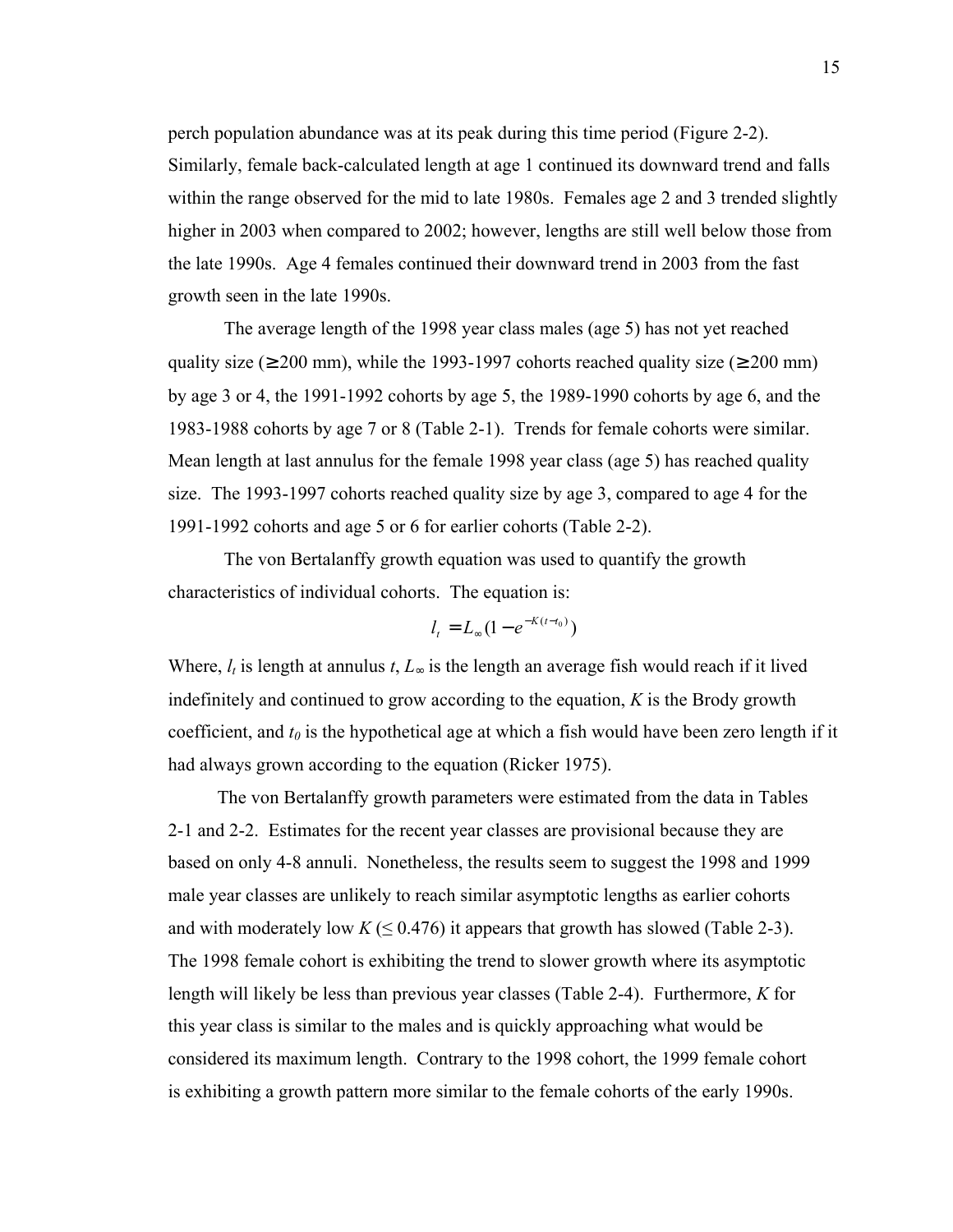perch population abundance was at its peak during this time period (Figure 2-2). Similarly, female back-calculated length at age 1 continued its downward trend and falls within the range observed for the mid to late 1980s. Females age 2 and 3 trended slightly higher in 2003 when compared to 2002; however, lengths are still well below those from the late 1990s. Age 4 females continued their downward trend in 2003 from the fast growth seen in the late 1990s.

The average length of the 1998 year class males (age 5) has not yet reached quality size ( $\geq 200$  mm), while the 1993-1997 cohorts reached quality size ( $\geq 200$  mm) by age 3 or 4, the 1991-1992 cohorts by age 5, the 1989-1990 cohorts by age 6, and the 1983-1988 cohorts by age 7 or 8 (Table 2-1). Trends for female cohorts were similar. Mean length at last annulus for the female 1998 year class (age 5) has reached quality size. The 1993-1997 cohorts reached quality size by age 3, compared to age 4 for the 1991-1992 cohorts and age 5 or 6 for earlier cohorts (Table 2-2).

The von Bertalanffy growth equation was used to quantify the growth characteristics of individual cohorts. The equation is:

$$
l_t = L_{\infty} (1 - e^{-K(t - t_0)})
$$

Where,  $l_t$  is length at annulus  $t, L_{\infty}$  is the length an average fish would reach if it lived indefinitely and continued to grow according to the equation, *K* is the Brody growth coefficient, and  $t_0$  is the hypothetical age at which a fish would have been zero length if it had always grown according to the equation (Ricker 1975).

The von Bertalanffy growth parameters were estimated from the data in Tables 2-1 and 2-2. Estimates for the recent year classes are provisional because they are based on only 4-8 annuli. Nonetheless, the results seem to suggest the 1998 and 1999 male year classes are unlikely to reach similar asymptotic lengths as earlier cohorts and with moderately low  $K \leq 0.476$ ) it appears that growth has slowed (Table 2-3). The 1998 female cohort is exhibiting the trend to slower growth where its asymptotic length will likely be less than previous year classes (Table 2-4). Furthermore, *K* for this year class is similar to the males and is quickly approaching what would be considered its maximum length. Contrary to the 1998 cohort, the 1999 female cohort is exhibiting a growth pattern more similar to the female cohorts of the early 1990s.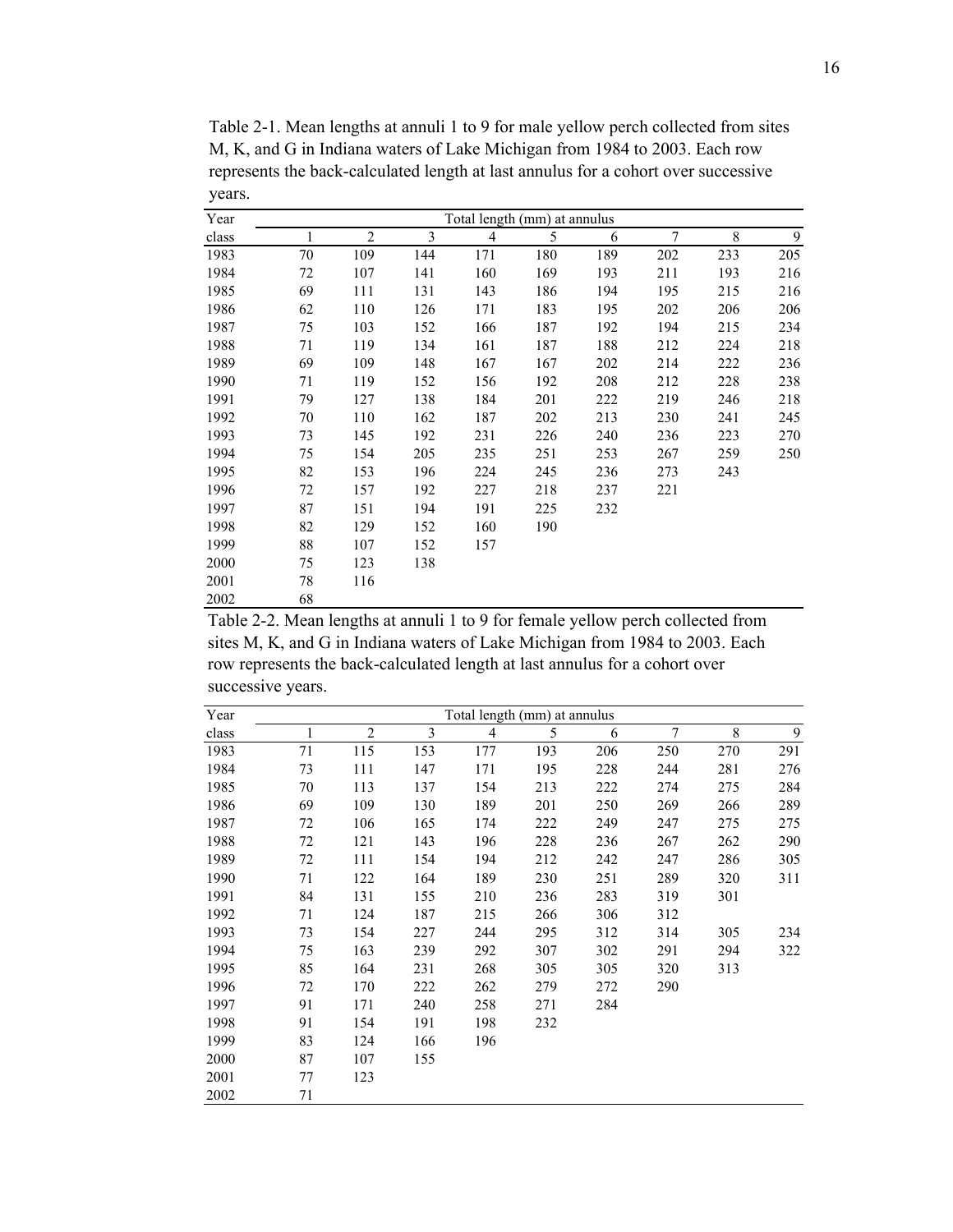| Year  |    |     |     | Total length (mm) at annulus |     |     |     |     |     |
|-------|----|-----|-----|------------------------------|-----|-----|-----|-----|-----|
| class |    | 2   | 3   | 4                            | 5   | 6   | 7   | 8   | 9   |
| 1983  | 70 | 109 | 144 | 171                          | 180 | 189 | 202 | 233 | 205 |
| 1984  | 72 | 107 | 141 | 160                          | 169 | 193 | 211 | 193 | 216 |
| 1985  | 69 | 111 | 131 | 143                          | 186 | 194 | 195 | 215 | 216 |
| 1986  | 62 | 110 | 126 | 171                          | 183 | 195 | 202 | 206 | 206 |
| 1987  | 75 | 103 | 152 | 166                          | 187 | 192 | 194 | 215 | 234 |
| 1988  | 71 | 119 | 134 | 161                          | 187 | 188 | 212 | 224 | 218 |
| 1989  | 69 | 109 | 148 | 167                          | 167 | 202 | 214 | 222 | 236 |
| 1990  | 71 | 119 | 152 | 156                          | 192 | 208 | 212 | 228 | 238 |
| 1991  | 79 | 127 | 138 | 184                          | 201 | 222 | 219 | 246 | 218 |
| 1992  | 70 | 110 | 162 | 187                          | 202 | 213 | 230 | 241 | 245 |
| 1993  | 73 | 145 | 192 | 231                          | 226 | 240 | 236 | 223 | 270 |
| 1994  | 75 | 154 | 205 | 235                          | 251 | 253 | 267 | 259 | 250 |
| 1995  | 82 | 153 | 196 | 224                          | 245 | 236 | 273 | 243 |     |
| 1996  | 72 | 157 | 192 | 227                          | 218 | 237 | 221 |     |     |
| 1997  | 87 | 151 | 194 | 191                          | 225 | 232 |     |     |     |
| 1998  | 82 | 129 | 152 | 160                          | 190 |     |     |     |     |
| 1999  | 88 | 107 | 152 | 157                          |     |     |     |     |     |
| 2000  | 75 | 123 | 138 |                              |     |     |     |     |     |
| 2001  | 78 | 116 |     |                              |     |     |     |     |     |
| 2002  | 68 |     |     |                              |     |     |     |     |     |

Table 2-1. Mean lengths at annuli 1 to 9 for male yellow perch collected from sites M, K, and G in Indiana waters of Lake Michigan from 1984 to 2003. Each row represents the back-calculated length at last annulus for a cohort over successive years.

Table 2-2. Mean lengths at annuli 1 to 9 for female yellow perch collected from sites M, K, and G in Indiana waters of Lake Michigan from 1984 to 2003. Each row represents the back-calculated length at last annulus for a cohort over successive years.

| Year  | Total length (mm) at annulus |                |     |     |     |     |     |     |     |  |  |  |  |
|-------|------------------------------|----------------|-----|-----|-----|-----|-----|-----|-----|--|--|--|--|
| class |                              | $\overline{2}$ | 3   | 4   | 5   | 6   | 7   | 8   | 9   |  |  |  |  |
| 1983  | 71                           | 115            | 153 | 177 | 193 | 206 | 250 | 270 | 291 |  |  |  |  |
| 1984  | 73                           | 111            | 147 | 171 | 195 | 228 | 244 | 281 | 276 |  |  |  |  |
| 1985  | 70                           | 113            | 137 | 154 | 213 | 222 | 274 | 275 | 284 |  |  |  |  |
| 1986  | 69                           | 109            | 130 | 189 | 201 | 250 | 269 | 266 | 289 |  |  |  |  |
| 1987  | 72                           | 106            | 165 | 174 | 222 | 249 | 247 | 275 | 275 |  |  |  |  |
| 1988  | 72                           | 121            | 143 | 196 | 228 | 236 | 267 | 262 | 290 |  |  |  |  |
| 1989  | 72                           | 111            | 154 | 194 | 212 | 242 | 247 | 286 | 305 |  |  |  |  |
| 1990  | 71                           | 122            | 164 | 189 | 230 | 251 | 289 | 320 | 311 |  |  |  |  |
| 1991  | 84                           | 131            | 155 | 210 | 236 | 283 | 319 | 301 |     |  |  |  |  |
| 1992  | 71                           | 124            | 187 | 215 | 266 | 306 | 312 |     |     |  |  |  |  |
| 1993  | 73                           | 154            | 227 | 244 | 295 | 312 | 314 | 305 | 234 |  |  |  |  |
| 1994  | 75                           | 163            | 239 | 292 | 307 | 302 | 291 | 294 | 322 |  |  |  |  |
| 1995  | 85                           | 164            | 231 | 268 | 305 | 305 | 320 | 313 |     |  |  |  |  |
| 1996  | 72                           | 170            | 222 | 262 | 279 | 272 | 290 |     |     |  |  |  |  |
| 1997  | 91                           | 171            | 240 | 258 | 271 | 284 |     |     |     |  |  |  |  |
| 1998  | 91                           | 154            | 191 | 198 | 232 |     |     |     |     |  |  |  |  |
| 1999  | 83                           | 124            | 166 | 196 |     |     |     |     |     |  |  |  |  |
| 2000  | 87                           | 107            | 155 |     |     |     |     |     |     |  |  |  |  |
| 2001  | 77                           | 123            |     |     |     |     |     |     |     |  |  |  |  |
| 2002  | 71                           |                |     |     |     |     |     |     |     |  |  |  |  |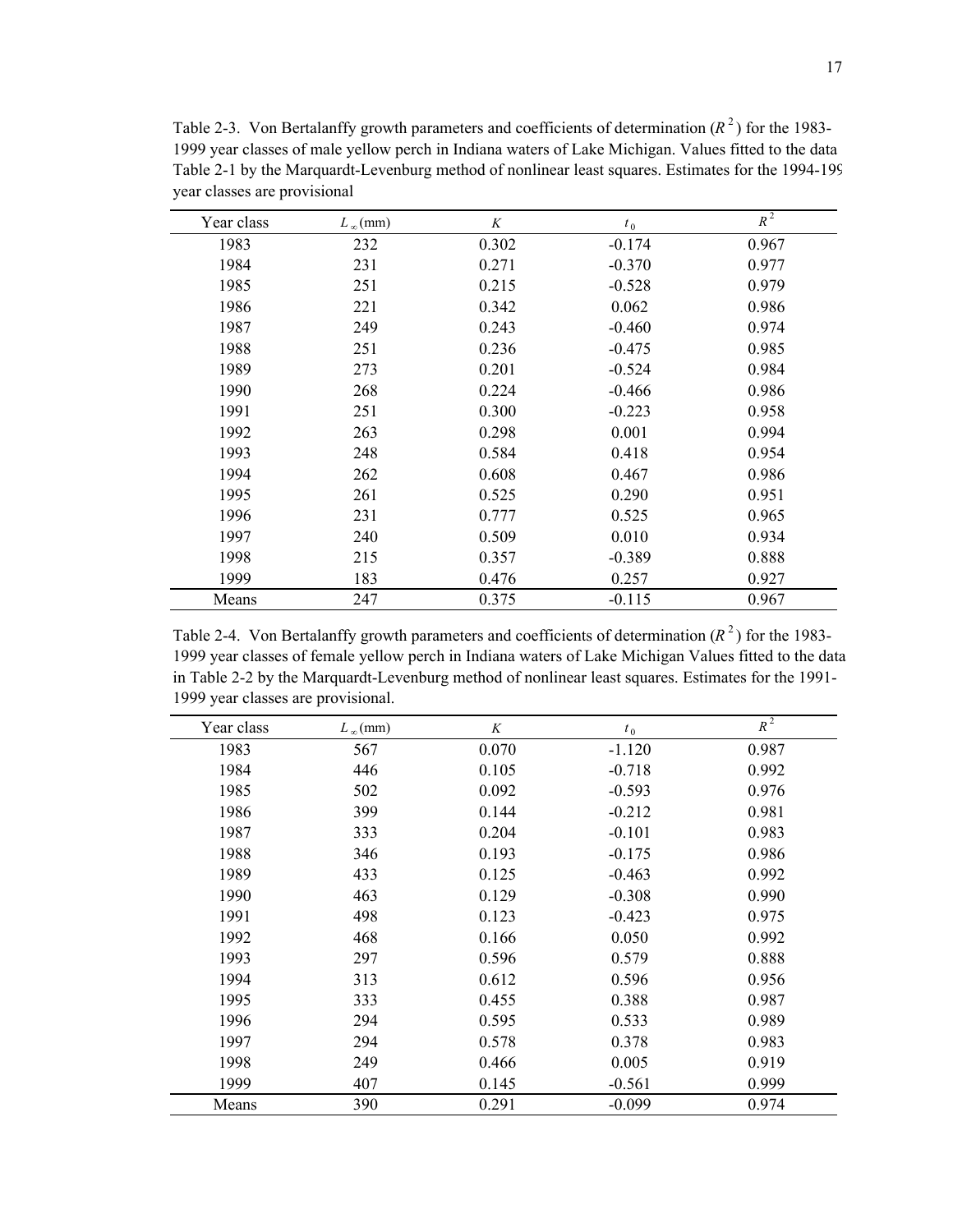| Year class | $L_{\infty}$ (mm) | K     | $t_0$    | $R^2$ |
|------------|-------------------|-------|----------|-------|
| 1983       | 232               | 0.302 | $-0.174$ | 0.967 |
| 1984       | 231               | 0.271 | $-0.370$ | 0.977 |
| 1985       | 251               | 0.215 | $-0.528$ | 0.979 |
| 1986       | 221               | 0.342 | 0.062    | 0.986 |
| 1987       | 249               | 0.243 | $-0.460$ | 0.974 |
| 1988       | 251               | 0.236 | $-0.475$ | 0.985 |
| 1989       | 273               | 0.201 | $-0.524$ | 0.984 |
| 1990       | 268               | 0.224 | $-0.466$ | 0.986 |
| 1991       | 251               | 0.300 | $-0.223$ | 0.958 |
| 1992       | 263               | 0.298 | 0.001    | 0.994 |
| 1993       | 248               | 0.584 | 0.418    | 0.954 |
| 1994       | 262               | 0.608 | 0.467    | 0.986 |
| 1995       | 261               | 0.525 | 0.290    | 0.951 |
| 1996       | 231               | 0.777 | 0.525    | 0.965 |
| 1997       | 240               | 0.509 | 0.010    | 0.934 |
| 1998       | 215               | 0.357 | $-0.389$ | 0.888 |
| 1999       | 183               | 0.476 | 0.257    | 0.927 |
| Means      | 247               | 0.375 | $-0.115$ | 0.967 |

Table 2-3. Von Bertalanffy growth parameters and coefficients of determination  $(R^2)$  for the 1983-1999 year classes of male yellow perch in Indiana waters of Lake Michigan. Values fitted to the data Table 2-1 by the Marquardt-Levenburg method of nonlinear least squares. Estimates for the 1994-199 year classes are provisional

Table 2-4. Von Bertalanffy growth parameters and coefficients of determination  $(R^2)$  for the 1983-1999 year classes of female yellow perch in Indiana waters of Lake Michigan Values fitted to the data in Table 2-2 by the Marquardt-Levenburg method of nonlinear least squares. Estimates for the 1991- 1999 year classes are provisional.

| Year class | $L_{\infty}$ (mm) | K     | $t_{0}$  | $R^2$ |
|------------|-------------------|-------|----------|-------|
| 1983       | 567               | 0.070 | $-1.120$ | 0.987 |
| 1984       | 446               | 0.105 | $-0.718$ | 0.992 |
| 1985       | 502               | 0.092 | $-0.593$ | 0.976 |
| 1986       | 399               | 0.144 | $-0.212$ | 0.981 |
| 1987       | 333               | 0.204 | $-0.101$ | 0.983 |
| 1988       | 346               | 0.193 | $-0.175$ | 0.986 |
| 1989       | 433               | 0.125 | $-0.463$ | 0.992 |
| 1990       | 463               | 0.129 | $-0.308$ | 0.990 |
| 1991       | 498               | 0.123 | $-0.423$ | 0.975 |
| 1992       | 468               | 0.166 | 0.050    | 0.992 |
| 1993       | 297               | 0.596 | 0.579    | 0.888 |
| 1994       | 313               | 0.612 | 0.596    | 0.956 |
| 1995       | 333               | 0.455 | 0.388    | 0.987 |
| 1996       | 294               | 0.595 | 0.533    | 0.989 |
| 1997       | 294               | 0.578 | 0.378    | 0.983 |
| 1998       | 249               | 0.466 | 0.005    | 0.919 |
| 1999       | 407               | 0.145 | $-0.561$ | 0.999 |
| Means      | 390               | 0.291 | $-0.099$ | 0.974 |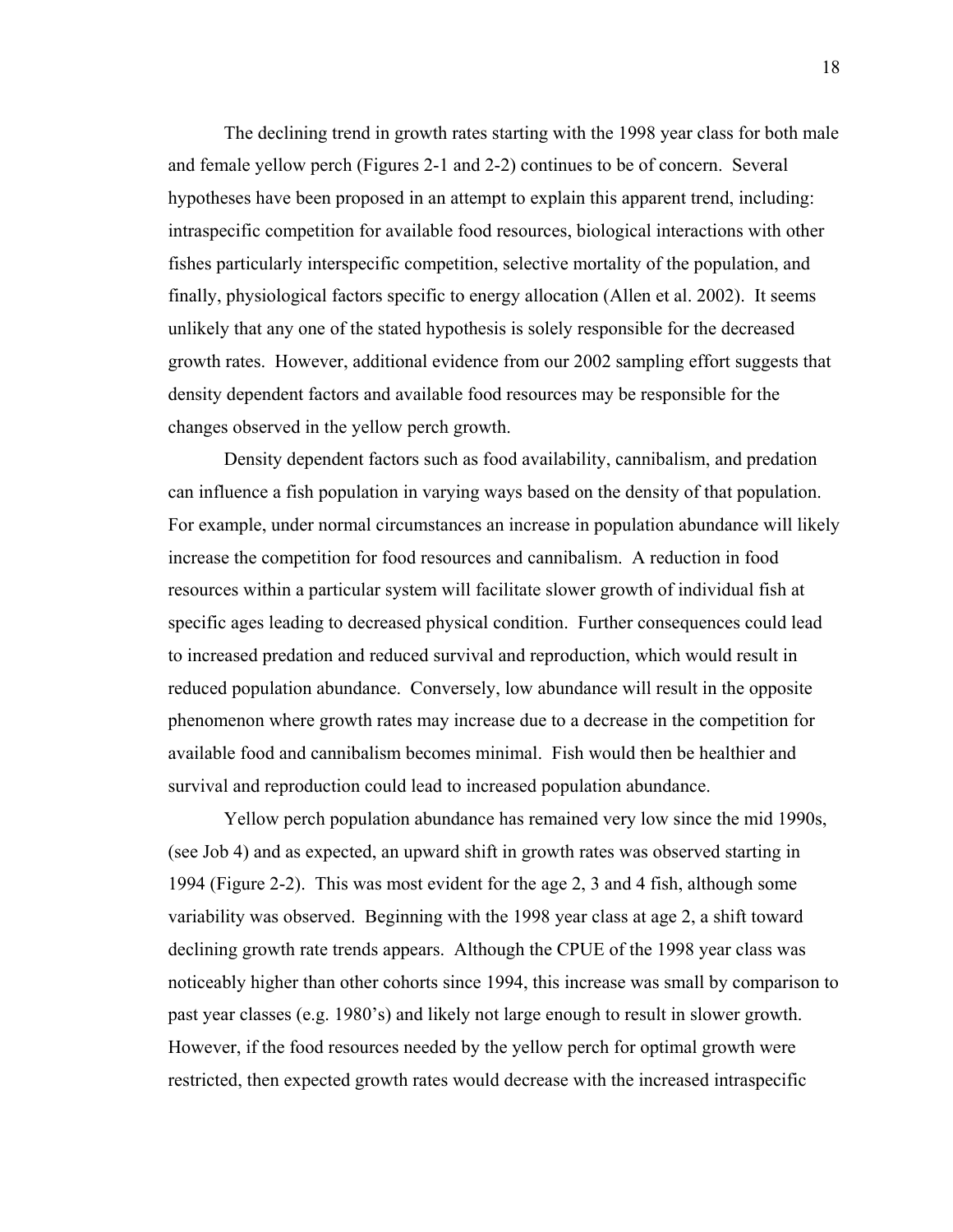The declining trend in growth rates starting with the 1998 year class for both male and female yellow perch (Figures 2-1 and 2-2) continues to be of concern. Several hypotheses have been proposed in an attempt to explain this apparent trend, including: intraspecific competition for available food resources, biological interactions with other fishes particularly interspecific competition, selective mortality of the population, and finally, physiological factors specific to energy allocation (Allen et al. 2002). It seems unlikely that any one of the stated hypothesis is solely responsible for the decreased growth rates. However, additional evidence from our 2002 sampling effort suggests that density dependent factors and available food resources may be responsible for the changes observed in the yellow perch growth.

Density dependent factors such as food availability, cannibalism, and predation can influence a fish population in varying ways based on the density of that population. For example, under normal circumstances an increase in population abundance will likely increase the competition for food resources and cannibalism. A reduction in food resources within a particular system will facilitate slower growth of individual fish at specific ages leading to decreased physical condition. Further consequences could lead to increased predation and reduced survival and reproduction, which would result in reduced population abundance. Conversely, low abundance will result in the opposite phenomenon where growth rates may increase due to a decrease in the competition for available food and cannibalism becomes minimal. Fish would then be healthier and survival and reproduction could lead to increased population abundance.

Yellow perch population abundance has remained very low since the mid 1990s, (see Job 4) and as expected, an upward shift in growth rates was observed starting in 1994 (Figure 2-2). This was most evident for the age 2, 3 and 4 fish, although some variability was observed. Beginning with the 1998 year class at age 2, a shift toward declining growth rate trends appears. Although the CPUE of the 1998 year class was noticeably higher than other cohorts since 1994, this increase was small by comparison to past year classes (e.g. 1980's) and likely not large enough to result in slower growth. However, if the food resources needed by the yellow perch for optimal growth were restricted, then expected growth rates would decrease with the increased intraspecific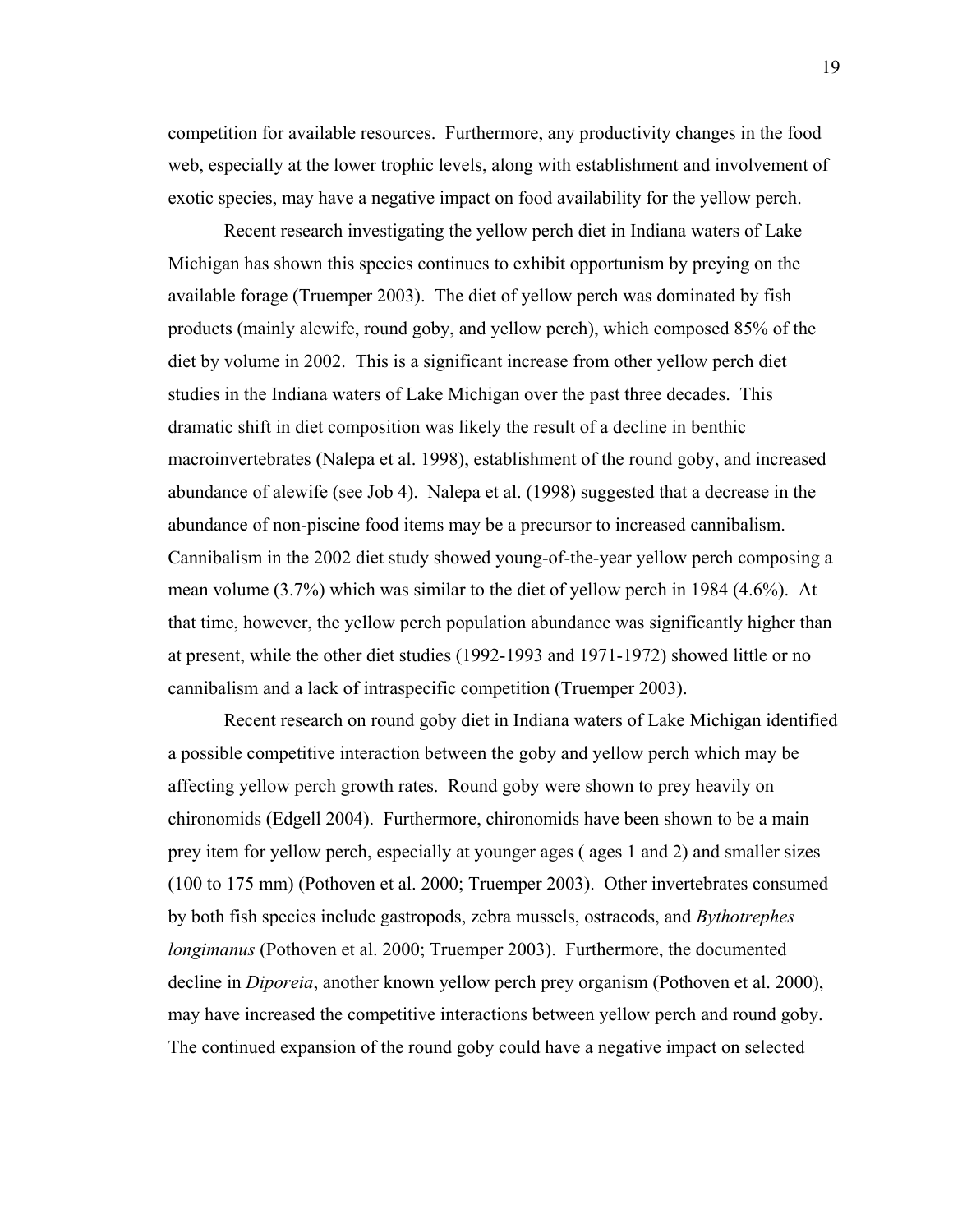competition for available resources. Furthermore, any productivity changes in the food web, especially at the lower trophic levels, along with establishment and involvement of exotic species, may have a negative impact on food availability for the yellow perch.

Recent research investigating the yellow perch diet in Indiana waters of Lake Michigan has shown this species continues to exhibit opportunism by preying on the available forage (Truemper 2003). The diet of yellow perch was dominated by fish products (mainly alewife, round goby, and yellow perch), which composed 85% of the diet by volume in 2002. This is a significant increase from other yellow perch diet studies in the Indiana waters of Lake Michigan over the past three decades. This dramatic shift in diet composition was likely the result of a decline in benthic macroinvertebrates (Nalepa et al. 1998), establishment of the round goby, and increased abundance of alewife (see Job 4). Nalepa et al. (1998) suggested that a decrease in the abundance of non-piscine food items may be a precursor to increased cannibalism. Cannibalism in the 2002 diet study showed young-of-the-year yellow perch composing a mean volume (3.7%) which was similar to the diet of yellow perch in 1984 (4.6%). At that time, however, the yellow perch population abundance was significantly higher than at present, while the other diet studies (1992-1993 and 1971-1972) showed little or no cannibalism and a lack of intraspecific competition (Truemper 2003).

Recent research on round goby diet in Indiana waters of Lake Michigan identified a possible competitive interaction between the goby and yellow perch which may be affecting yellow perch growth rates. Round goby were shown to prey heavily on chironomids (Edgell 2004). Furthermore, chironomids have been shown to be a main prey item for yellow perch, especially at younger ages ( ages 1 and 2) and smaller sizes (100 to 175 mm) (Pothoven et al. 2000; Truemper 2003). Other invertebrates consumed by both fish species include gastropods, zebra mussels, ostracods, and *Bythotrephes longimanus* (Pothoven et al. 2000; Truemper 2003). Furthermore, the documented decline in *Diporeia*, another known yellow perch prey organism (Pothoven et al. 2000), may have increased the competitive interactions between yellow perch and round goby. The continued expansion of the round goby could have a negative impact on selected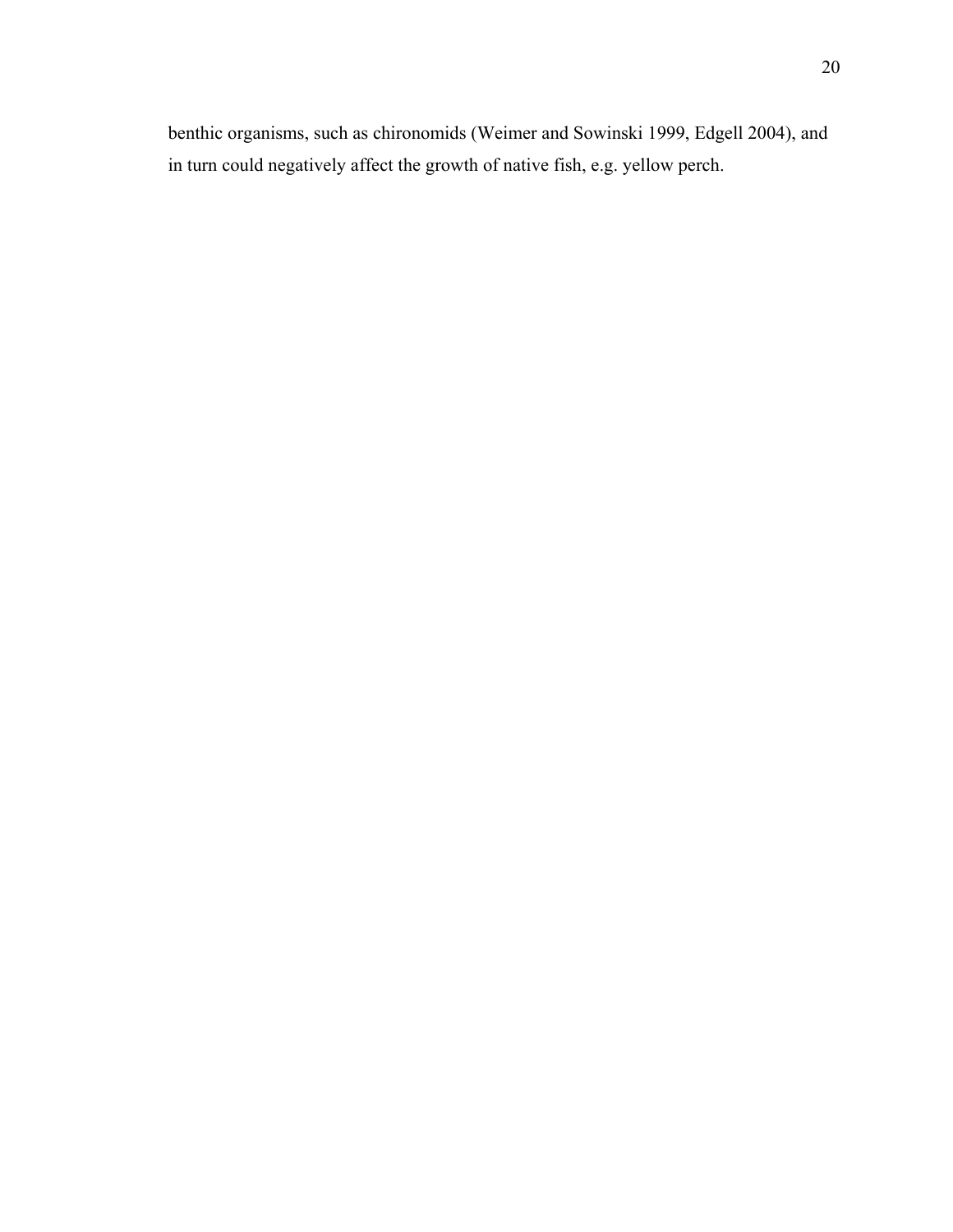benthic organisms, such as chironomids (Weimer and Sowinski 1999, Edgell 2004), and in turn could negatively affect the growth of native fish, e.g. yellow perch.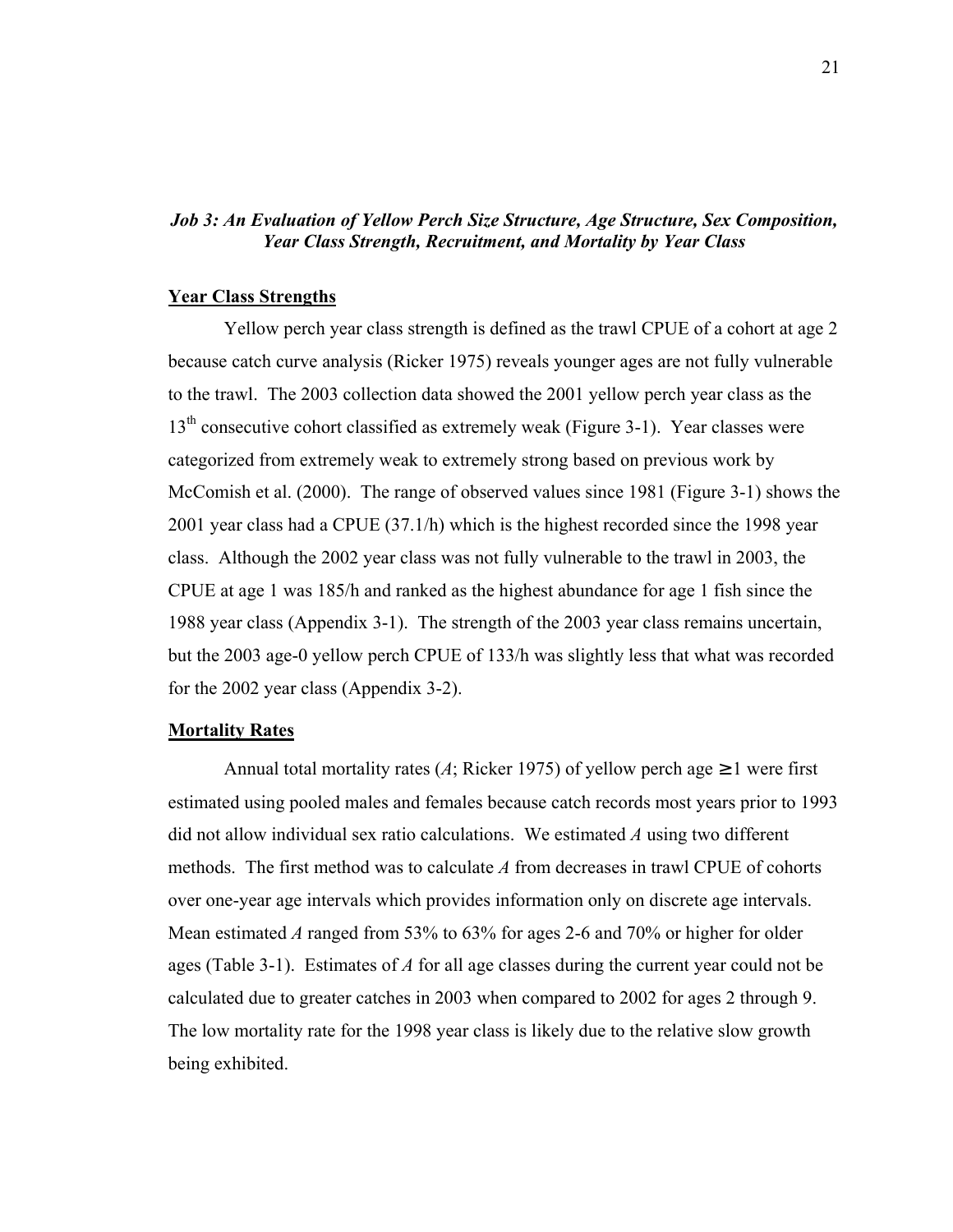### *Job 3: An Evaluation of Yellow Perch Size Structure, Age Structure, Sex Composition, Year Class Strength, Recruitment, and Mortality by Year Class*

#### **Year Class Strengths**

Yellow perch year class strength is defined as the trawl CPUE of a cohort at age 2 because catch curve analysis (Ricker 1975) reveals younger ages are not fully vulnerable to the trawl. The 2003 collection data showed the 2001 yellow perch year class as the 13<sup>th</sup> consecutive cohort classified as extremely weak (Figure 3-1). Year classes were categorized from extremely weak to extremely strong based on previous work by McComish et al. (2000). The range of observed values since 1981 (Figure 3-1) shows the 2001 year class had a CPUE (37.1/h) which is the highest recorded since the 1998 year class. Although the 2002 year class was not fully vulnerable to the trawl in 2003, the CPUE at age 1 was 185/h and ranked as the highest abundance for age 1 fish since the 1988 year class (Appendix 3-1). The strength of the 2003 year class remains uncertain, but the 2003 age-0 yellow perch CPUE of 133/h was slightly less that what was recorded for the 2002 year class (Appendix 3-2).

#### **Mortality Rates**

Annual total mortality rates (*A*; Ricker 1975) of yellow perch age  $\geq 1$  were first estimated using pooled males and females because catch records most years prior to 1993 did not allow individual sex ratio calculations. We estimated *A* using two different methods. The first method was to calculate *A* from decreases in trawl CPUE of cohorts over one-year age intervals which provides information only on discrete age intervals. Mean estimated *A* ranged from 53% to 63% for ages 2-6 and 70% or higher for older ages (Table 3-1). Estimates of *A* for all age classes during the current year could not be calculated due to greater catches in 2003 when compared to 2002 for ages 2 through 9. The low mortality rate for the 1998 year class is likely due to the relative slow growth being exhibited.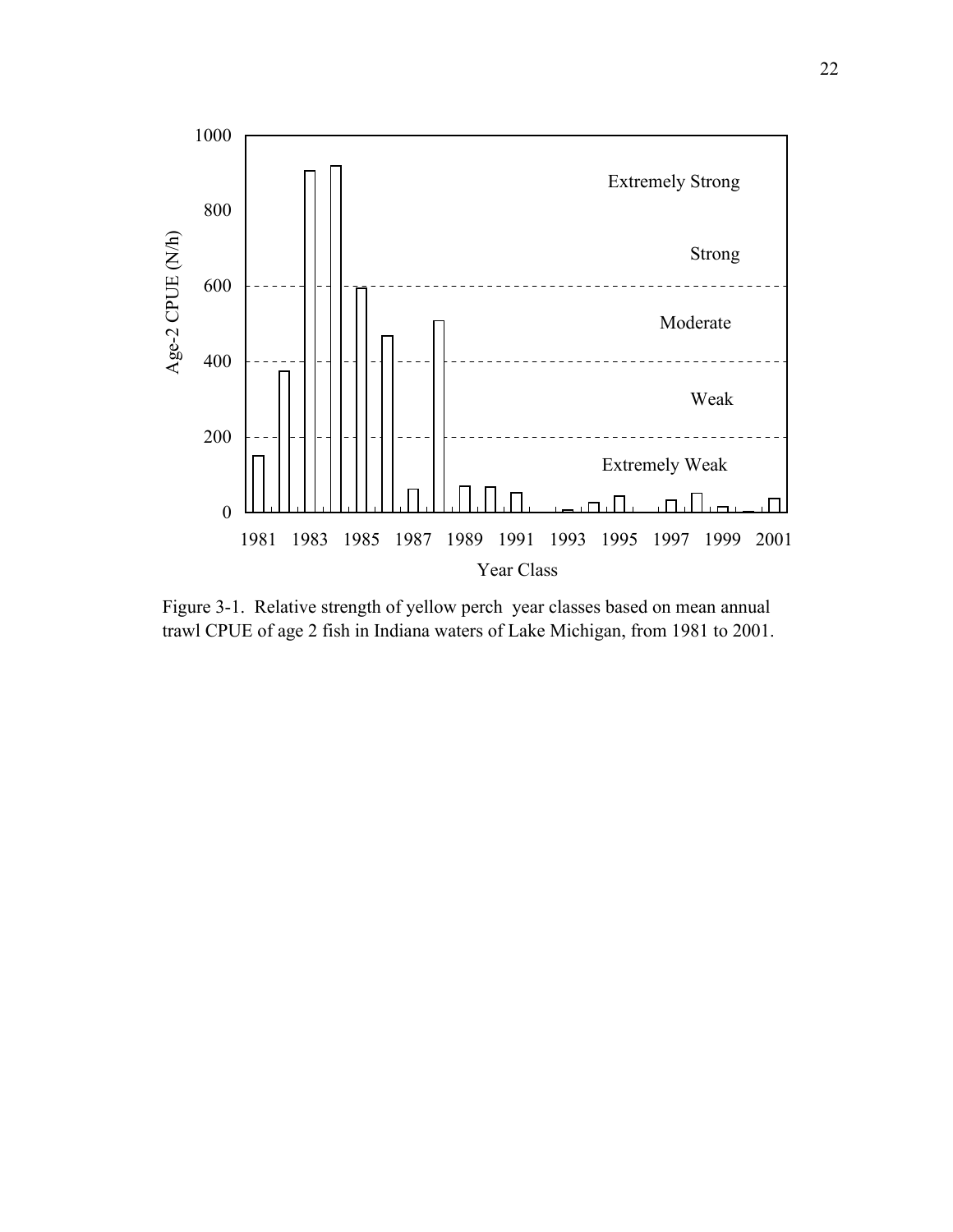

Figure 3-1. Relative strength of yellow perch year classes based on mean annual trawl CPUE of age 2 fish in Indiana waters of Lake Michigan, from 1981 to 2001.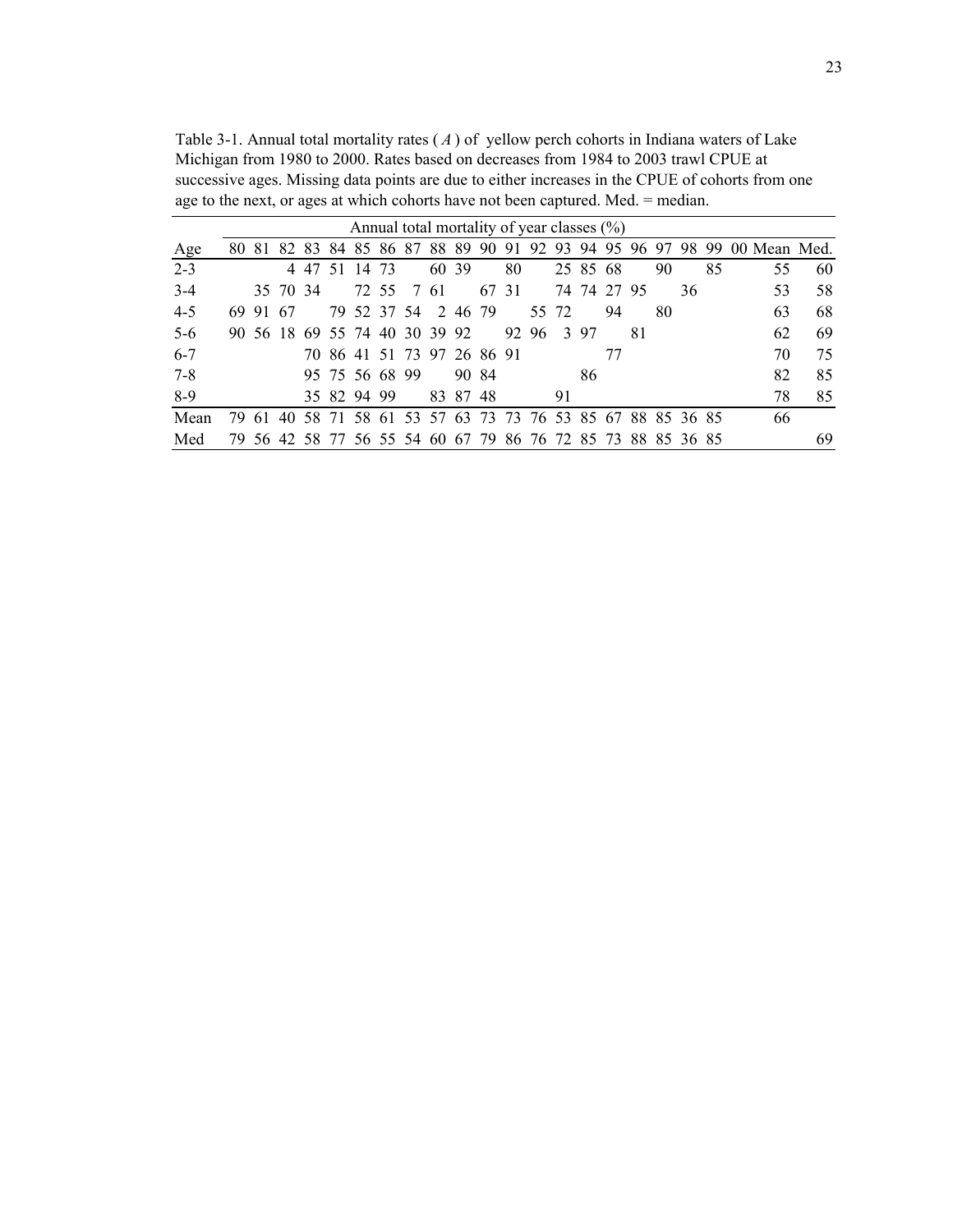Table 3-1. Annual total mortality rates ( *A* ) of yellow perch cohorts in Indiana waters of Lake Michigan from 1980 to 2000. Rates based on decreases from 1984 to 2003 trawl CPUE at successive ages. Missing data points are due to either increases in the CPUE of cohorts from one age to the next, or ages at which cohorts have not been captured. Med. = median.

|         | Annual total mortality of year classes $(\%)$ |          |          |           |  |                |  |                               |  |          |       |       |                                                             |             |          |    |     |    |    |    |                                                                          |    |
|---------|-----------------------------------------------|----------|----------|-----------|--|----------------|--|-------------------------------|--|----------|-------|-------|-------------------------------------------------------------|-------------|----------|----|-----|----|----|----|--------------------------------------------------------------------------|----|
| Age     |                                               |          |          |           |  |                |  |                               |  |          |       |       |                                                             |             |          |    |     |    |    |    | 80 81 82 83 84 85 86 87 88 89 90 91 92 93 94 95 96 97 98 99 00 Mean Med. |    |
| $2 - 3$ |                                               |          |          | 4 4 7 5 1 |  | 14 73          |  |                               |  | 60 39    |       | 80    |                                                             |             | 25 85 68 |    |     | 90 |    | 85 | 55                                                                       | 60 |
| $3-4$   |                                               |          | 35 70 34 |           |  |                |  | 72 55 7 61                    |  |          |       | 67 31 |                                                             | 74 74 27 95 |          |    |     |    | 36 |    | 53                                                                       | 58 |
| $4 - 5$ |                                               | 69 91 67 |          |           |  |                |  | 79 52 37 54 2 46 79           |  |          |       |       |                                                             | 55 72       |          | 94 |     | 80 |    |    | 63                                                                       | 68 |
| $5-6$   |                                               |          |          |           |  |                |  | 90 56 18 69 55 74 40 30 39 92 |  |          |       |       | 92 96 3 97                                                  |             |          |    | -81 |    |    |    | 62                                                                       | 69 |
| $6 - 7$ |                                               |          |          |           |  |                |  | 70 86 41 51 73 97 26 86 91    |  |          |       |       |                                                             |             |          | 77 |     |    |    |    | 70                                                                       | 75 |
| 7-8     |                                               |          |          |           |  | 95 75 56 68 99 |  |                               |  |          | 90 84 |       |                                                             |             | 86       |    |     |    |    |    | 82                                                                       | 85 |
| $8-9$   |                                               |          |          |           |  | 35 82 94 99    |  |                               |  | 83 87 48 |       |       |                                                             | 91          |          |    |     |    |    |    | 78                                                                       | 85 |
| Mean    |                                               | 79.61    |          |           |  |                |  |                               |  |          |       |       | 40 58 71 58 61 53 57 63 73 73 76 53 85 67 88 85 36 85       |             |          |    |     |    |    |    | 66                                                                       |    |
| Med     |                                               |          |          |           |  |                |  |                               |  |          |       |       | 79 56 42 58 77 56 55 54 60 67 79 86 76 72 85 73 88 85 36 85 |             |          |    |     |    |    |    |                                                                          | 69 |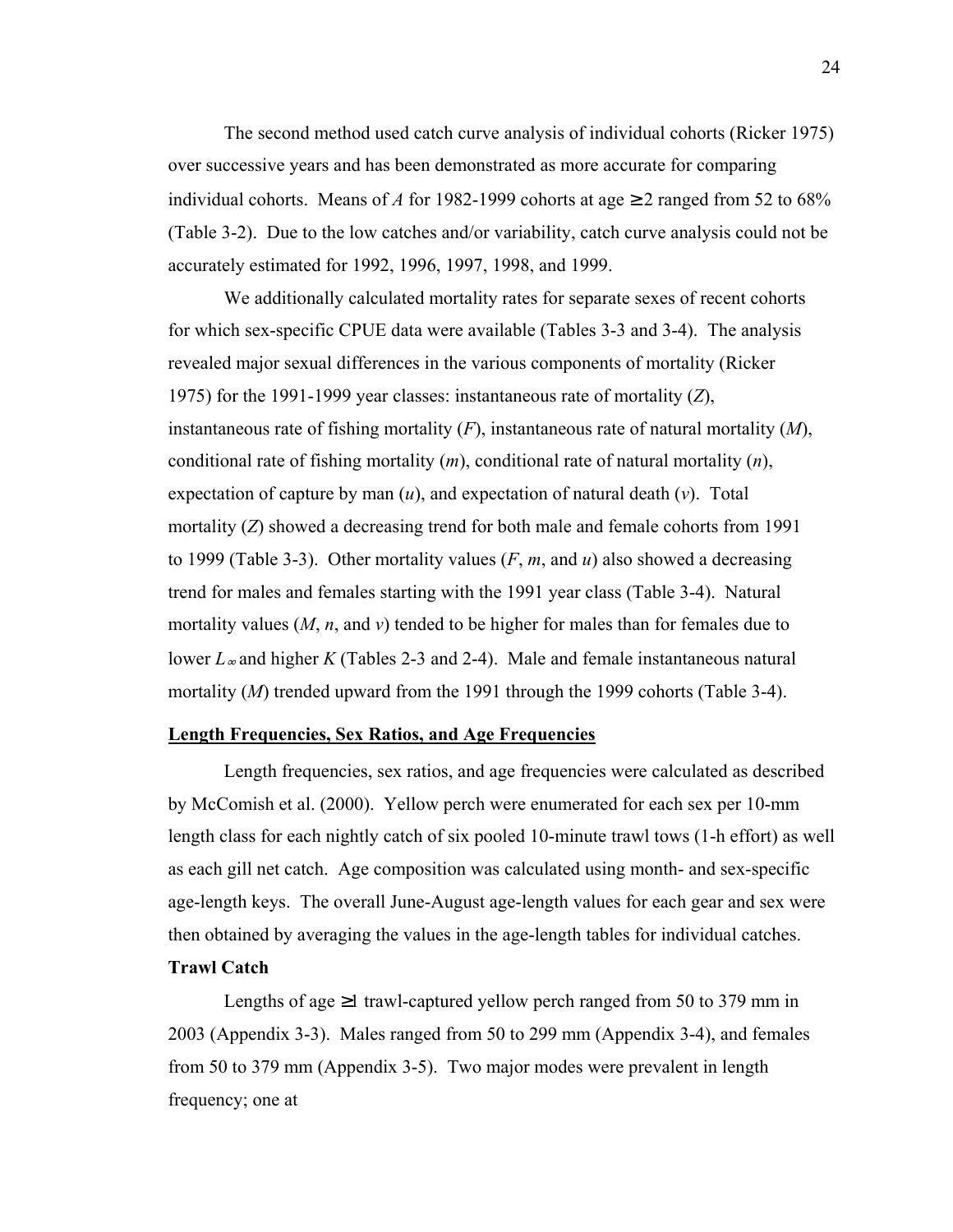The second method used catch curve analysis of individual cohorts (Ricker 1975) over successive years and has been demonstrated as more accurate for comparing individual cohorts. Means of *A* for 1982-1999 cohorts at age  $\geq$  2 ranged from 52 to 68% (Table 3-2). Due to the low catches and/or variability, catch curve analysis could not be accurately estimated for 1992, 1996, 1997, 1998, and 1999.

We additionally calculated mortality rates for separate sexes of recent cohorts for which sex-specific CPUE data were available (Tables 3-3 and 3-4). The analysis revealed major sexual differences in the various components of mortality (Ricker 1975) for the 1991-1999 year classes: instantaneous rate of mortality (*Z*), instantaneous rate of fishing mortality (*F*), instantaneous rate of natural mortality (*M*), conditional rate of fishing mortality (*m*), conditional rate of natural mortality (*n*), expectation of capture by man (*u*), and expectation of natural death (*v*). Total mortality (*Z*) showed a decreasing trend for both male and female cohorts from 1991 to 1999 (Table 3-3). Other mortality values (*F*, *m*, and *u*) also showed a decreasing trend for males and females starting with the 1991 year class (Table 3-4). Natural mortality values (*M*, *n*, and *v*) tended to be higher for males than for females due to lower *L*∞ and higher *K* (Tables 2-3 and 2-4). Male and female instantaneous natural mortality (*M*) trended upward from the 1991 through the 1999 cohorts (Table 3-4).

#### **Length Frequencies, Sex Ratios, and Age Frequencies**

 Length frequencies, sex ratios, and age frequencies were calculated as described by McComish et al. (2000). Yellow perch were enumerated for each sex per 10-mm length class for each nightly catch of six pooled 10-minute trawl tows (1-h effort) as well as each gill net catch. Age composition was calculated using month- and sex-specific age-length keys. The overall June-August age-length values for each gear and sex were then obtained by averaging the values in the age-length tables for individual catches.

### **Trawl Catch**

Lengths of age  $\geq 1$  trawl-captured yellow perch ranged from 50 to 379 mm in 2003 (Appendix 3-3). Males ranged from 50 to 299 mm (Appendix 3-4), and females from 50 to 379 mm (Appendix 3-5). Two major modes were prevalent in length frequency; one at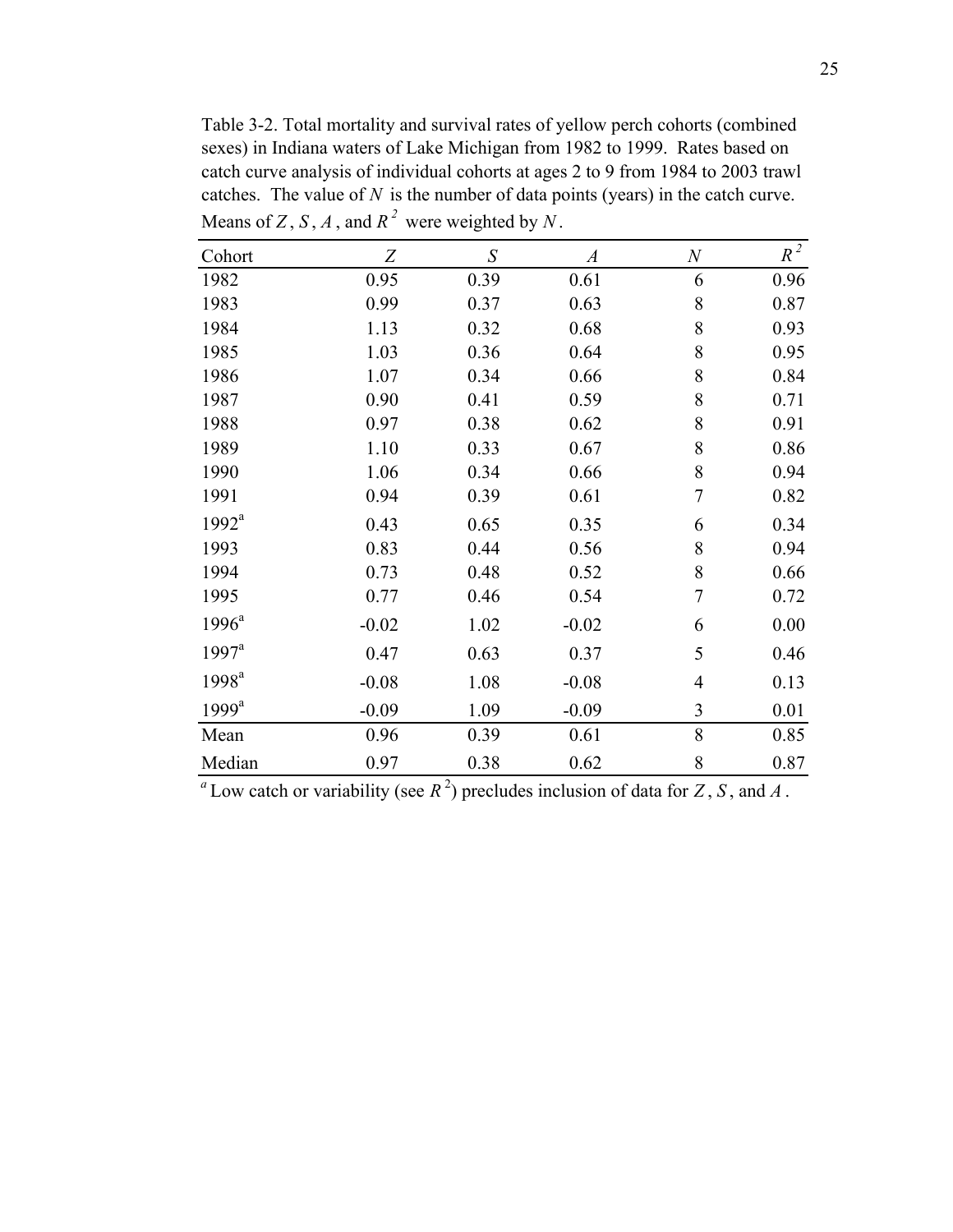Table 3-2. Total mortality and survival rates of yellow perch cohorts (combined sexes) in Indiana waters of Lake Michigan from 1982 to 1999. Rates based on catch curve analysis of individual cohorts at ages 2 to 9 from 1984 to 2003 trawl catches. The value of *N* is the number of data points (years) in the catch curve. Means of *Z*, *S*, *A*, and  $R^2$  were weighted by  $N$ .

| Cohort            | Z       | S    | $\boldsymbol{A}$ | $\boldsymbol{N}$        | $R^2$ |
|-------------------|---------|------|------------------|-------------------------|-------|
| 1982              | 0.95    | 0.39 | 0.61             | 6                       | 0.96  |
| 1983              | 0.99    | 0.37 | 0.63             | 8                       | 0.87  |
| 1984              | 1.13    | 0.32 | 0.68             | 8                       | 0.93  |
| 1985              | 1.03    | 0.36 | 0.64             | 8                       | 0.95  |
| 1986              | 1.07    | 0.34 | 0.66             | 8                       | 0.84  |
| 1987              | 0.90    | 0.41 | 0.59             | 8                       | 0.71  |
| 1988              | 0.97    | 0.38 | 0.62             | 8                       | 0.91  |
| 1989              | 1.10    | 0.33 | 0.67             | 8                       | 0.86  |
| 1990              | 1.06    | 0.34 | 0.66             | 8                       | 0.94  |
| 1991              | 0.94    | 0.39 | 0.61             | $\overline{7}$          | 0.82  |
| 1992 <sup>a</sup> | 0.43    | 0.65 | 0.35             | 6                       | 0.34  |
| 1993              | 0.83    | 0.44 | 0.56             | 8                       | 0.94  |
| 1994              | 0.73    | 0.48 | 0.52             | 8                       | 0.66  |
| 1995              | 0.77    | 0.46 | 0.54             | $\overline{7}$          | 0.72  |
| $1996^a$          | $-0.02$ | 1.02 | $-0.02$          | 6                       | 0.00  |
| $1997^a$          | 0.47    | 0.63 | 0.37             | 5                       | 0.46  |
| 1998 <sup>a</sup> | $-0.08$ | 1.08 | $-0.08$          | $\overline{4}$          | 0.13  |
| 1999 <sup>a</sup> | $-0.09$ | 1.09 | $-0.09$          | $\overline{\mathbf{3}}$ | 0.01  |
| Mean              | 0.96    | 0.39 | 0.61             | 8                       | 0.85  |
| Median            | 0.97    | 0.38 | 0.62             | 8                       | 0.87  |

 $^a$  Low catch or variability (see  $R^2$ ) precludes inclusion of data for *Z*, *S*, and *A*.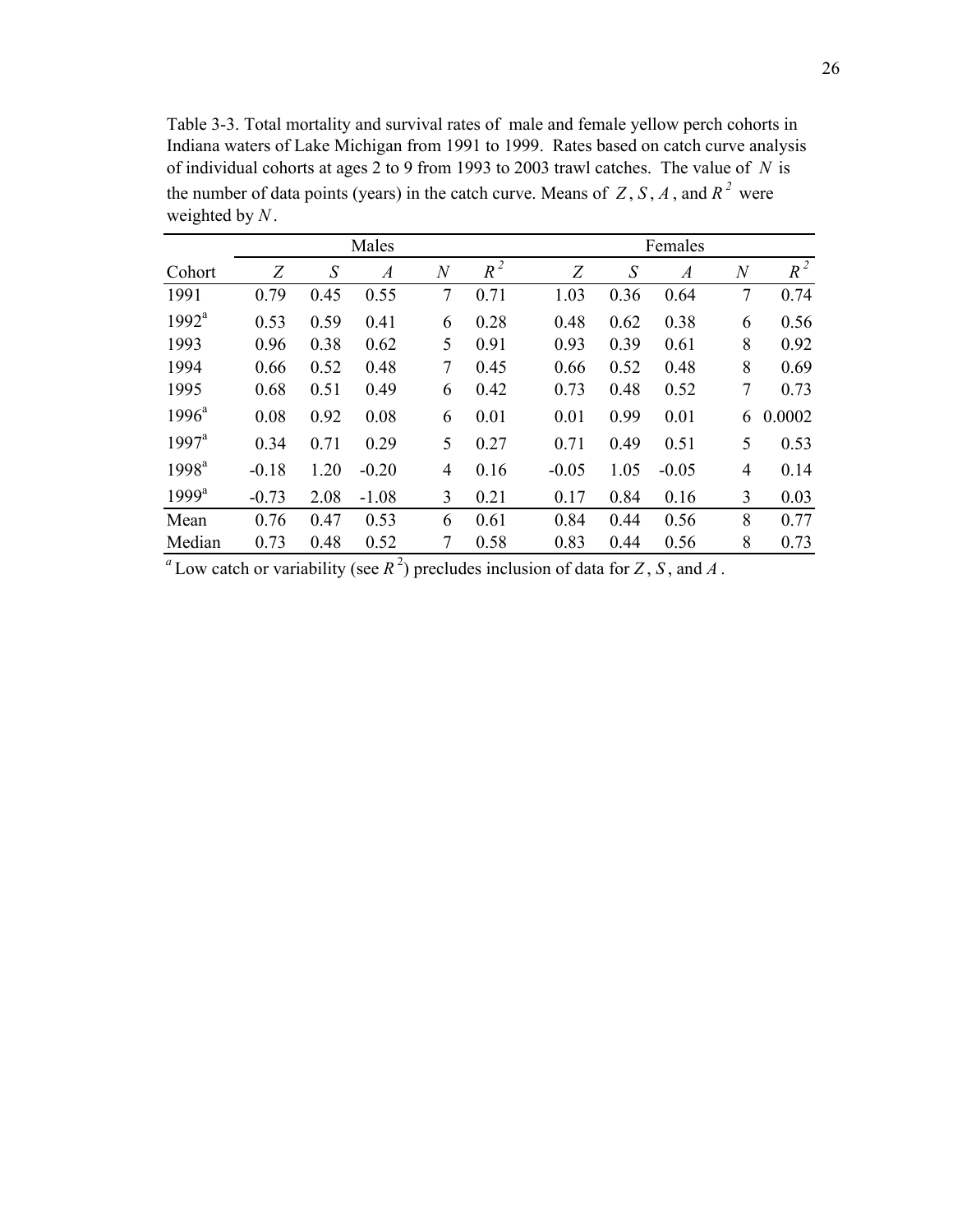Table 3-3. Total mortality and survival rates of male and female yellow perch cohorts in Indiana waters of Lake Michigan from 1991 to 1999. Rates based on catch curve analysis of individual cohorts at ages 2 to 9 from 1993 to 2003 trawl catches. The value of *N* is the number of data points (years) in the catch curve. Means of  $Z$ ,  $S$ ,  $A$ , and  $R<sup>2</sup>$  were weighted by *N* .

|                   |         |                   | Males            |                  | Females |         |      |                  |                |        |  |
|-------------------|---------|-------------------|------------------|------------------|---------|---------|------|------------------|----------------|--------|--|
| Cohort            | Z       | $\mathcal{S}_{0}$ | $\boldsymbol{A}$ | $\boldsymbol{N}$ | $R^2$   | Z       | S    | $\boldsymbol{A}$ | $\overline{N}$ | $R^2$  |  |
| 1991              | 0.79    | 0.45              | 0.55             | 7                | 0.71    | 1.03    | 0.36 | 0.64             | 7              | 0.74   |  |
| 1992 <sup>a</sup> | 0.53    | 0.59              | 0.41             | 6                | 0.28    | 0.48    | 0.62 | 0.38             | 6              | 0.56   |  |
| 1993              | 0.96    | 0.38              | 0.62             | 5                | 0.91    | 0.93    | 0.39 | 0.61             | 8              | 0.92   |  |
| 1994              | 0.66    | 0.52              | 0.48             | 7                | 0.45    | 0.66    | 0.52 | 0.48             | 8              | 0.69   |  |
| 1995              | 0.68    | 0.51              | 0.49             | 6                | 0.42    | 0.73    | 0.48 | 0.52             | 7              | 0.73   |  |
| $1996^{\circ}$    | 0.08    | 0.92              | 0.08             | 6                | 0.01    | 0.01    | 0.99 | 0.01             | 6              | 0.0002 |  |
| $1997^{\text{a}}$ | 0.34    | 0.71              | 0.29             | 5                | 0.27    | 0.71    | 0.49 | 0.51             | 5              | 0.53   |  |
| $1998^a$          | $-0.18$ | 1.20              | $-0.20$          | 4                | 0.16    | $-0.05$ | 1.05 | $-0.05$          | $\overline{4}$ | 0.14   |  |
| $1999^a$          | $-0.73$ | 2.08              | $-1.08$          | 3                | 0.21    | 0.17    | 0.84 | 0.16             | 3              | 0.03   |  |
| Mean              | 0.76    | 0.47              | 0.53             | 6                | 0.61    | 0.84    | 0.44 | 0.56             | 8              | 0.77   |  |
| Median            | 0.73    | 0.48              | 0.52             | 7                | 0.58    | 0.83    | 0.44 | 0.56             | 8              | 0.73   |  |

 $\hat{\mathbf{z}}$ 

 $^a$  Low catch or variability (see  $R^2$ ) precludes inclusion of data for *Z*, *S*, and *A*.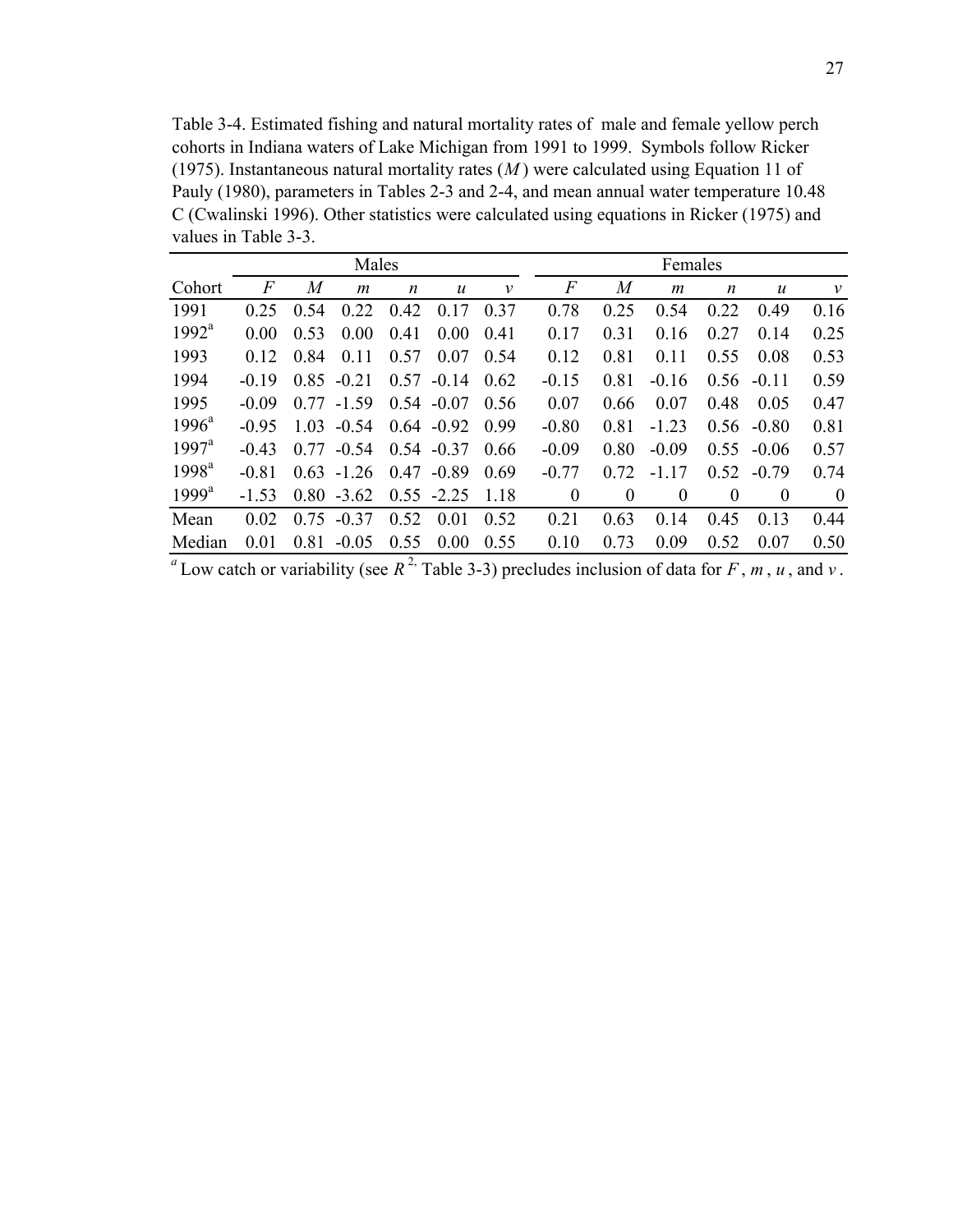Table 3-4. Estimated fishing and natural mortality rates of male and female yellow perch cohorts in Indiana waters of Lake Michigan from 1991 to 1999. Symbols follow Ricker (1975). Instantaneous natural mortality rates (*M* ) were calculated using Equation 11 of Pauly (1980), parameters in Tables 2-3 and 2-4, and mean annual water temperature 10.48 C (Cwalinski 1996). Other statistics were calculated using equations in Ricker (1975) and values in Table 3-3.

|                   | Males   |      |               |                  |                  | Females      |          |                  |                |          |                  |              |
|-------------------|---------|------|---------------|------------------|------------------|--------------|----------|------------------|----------------|----------|------------------|--------------|
| Cohort            | F       | M    | m             | $\boldsymbol{n}$ | $\boldsymbol{u}$ | $\mathcal V$ | F        | $\boldsymbol{M}$ | m              | n        | $\boldsymbol{u}$ | $\mathcal V$ |
| 1991              | 0.25    | 0.54 | 0.22          | 0.42             | 17<br>$\theta$ . | 0.37         | 0.78     | 0.25             | 0.54           | 0.22     | 0.49             | 0.16         |
| $1992^a$          | 0.00    | 0.53 | 0.00          | 0.41             | 0.00             | 0.41         | 0.17     | 0.31             | 0.16           | 0.27     | 0.14             | 0.25         |
| 1993              | 0.12    | 0.84 | 0.11          | 0.57             | 0.07             | 0.54         | 0.12     | 0.81             | 0.11           | 0.55     | 0.08             | 0.53         |
| 1994              | $-0.19$ | 0.85 | $-0.21$       | 0.57             | $-0.14$          | 0.62         | $-0.15$  | 0.81             | $-0.16$        | 0.56     | $-0.11$          | 0.59         |
| 1995              | $-0.09$ | 0.77 | $-1.59$       | 0.54             | $-0.07$          | 0.56         | 0.07     | 0.66             | 0.07           | 0.48     | 0.05             | 0.47         |
| $1996^a$          | $-0.95$ | 1.03 | $-0.54$       | 0.64             | $-0.92$          | 0.99         | $-0.80$  | 0.81             | $-1.23$        | 0.56     | $-0.80$          | 0.81         |
| $1997^{\text{a}}$ | $-0.43$ | 0.77 | $-0.54$       | 0.54             | $-0.37$          | 0.66         | $-0.09$  | 0.80             | $-0.09$        | 0.55     | $-0.06$          | 0.57         |
| 1998 <sup>a</sup> | $-0.81$ |      | $0.63 - 1.26$ | 0.47             | $-0.89$          | 0.69         | $-0.77$  | 0.72             | $-1.17$        | 0.52     | $-0.79$          | 0.74         |
| $1999^a$          | $-1.53$ |      | $0.80 - 3.62$ |                  | $0.55 - 2.25$    | 1.18         | $\theta$ | $\theta$         | $\overline{0}$ | $\theta$ | $\theta$         | $\theta$     |
| Mean              | 0.02    | 0.75 | $-0.37$       | 0.52             | 0.01             | 0.52         | 0.21     | 0.63             | 0.14           | 0.45     | 0.13             | 0.44         |
| Median            | 0.01    | 0.81 | $-0.05$       | 0.55             | 0.00             | 0.55         | 0.10     | 0.73             | 0.09           | 0.52     | 0.07             | 0.50         |

<sup>*a*</sup> Low catch or variability (see  $R^2$ , Table 3-3) precludes inclusion of data for *F*, *m*, *u*, and *v*.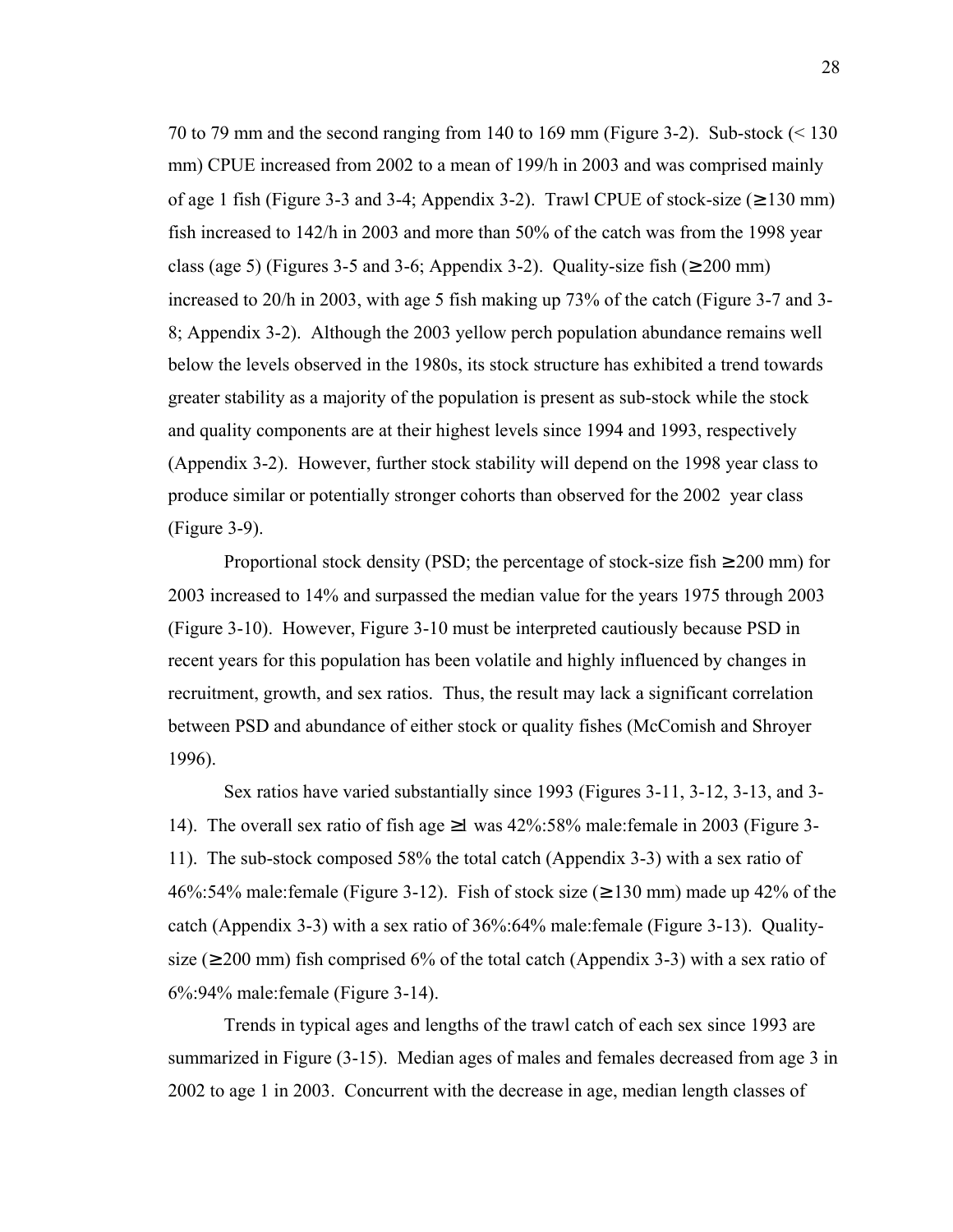70 to 79 mm and the second ranging from 140 to 169 mm (Figure 3-2). Sub-stock (< 130 mm) CPUE increased from 2002 to a mean of 199/h in 2003 and was comprised mainly of age 1 fish (Figure 3-3 and 3-4; Appendix 3-2). Trawl CPUE of stock-size  $(\geq 130 \text{ mm})$ fish increased to 142/h in 2003 and more than 50% of the catch was from the 1998 year class (age 5) (Figures 3-5 and 3-6; Appendix 3-2). Quality-size fish ( $\geq$  200 mm) increased to 20/h in 2003, with age 5 fish making up 73% of the catch (Figure 3-7 and 3- 8; Appendix 3-2). Although the 2003 yellow perch population abundance remains well below the levels observed in the 1980s, its stock structure has exhibited a trend towards greater stability as a majority of the population is present as sub-stock while the stock and quality components are at their highest levels since 1994 and 1993, respectively (Appendix 3-2). However, further stock stability will depend on the 1998 year class to produce similar or potentially stronger cohorts than observed for the 2002 year class (Figure 3-9).

Proportional stock density (PSD; the percentage of stock-size fish  $\geq 200$  mm) for 2003 increased to 14% and surpassed the median value for the years 1975 through 2003 (Figure 3-10). However, Figure 3-10 must be interpreted cautiously because PSD in recent years for this population has been volatile and highly influenced by changes in recruitment, growth, and sex ratios. Thus, the result may lack a significant correlation between PSD and abundance of either stock or quality fishes (McComish and Shroyer 1996).

 Sex ratios have varied substantially since 1993 (Figures 3-11, 3-12, 3-13, and 3- 14). The overall sex ratio of fish age  $\geq$ 1 was 42%:58% male:female in 2003 (Figure 3-11). The sub-stock composed 58% the total catch (Appendix 3-3) with a sex ratio of 46%:54% male:female (Figure 3-12). Fish of stock size ( $\geq$  130 mm) made up 42% of the catch (Appendix 3-3) with a sex ratio of 36%:64% male:female (Figure 3-13). Qualitysize ( $\geq$  200 mm) fish comprised 6% of the total catch (Appendix 3-3) with a sex ratio of 6%:94% male:female (Figure 3-14).

Trends in typical ages and lengths of the trawl catch of each sex since 1993 are summarized in Figure (3-15). Median ages of males and females decreased from age 3 in 2002 to age 1 in 2003. Concurrent with the decrease in age, median length classes of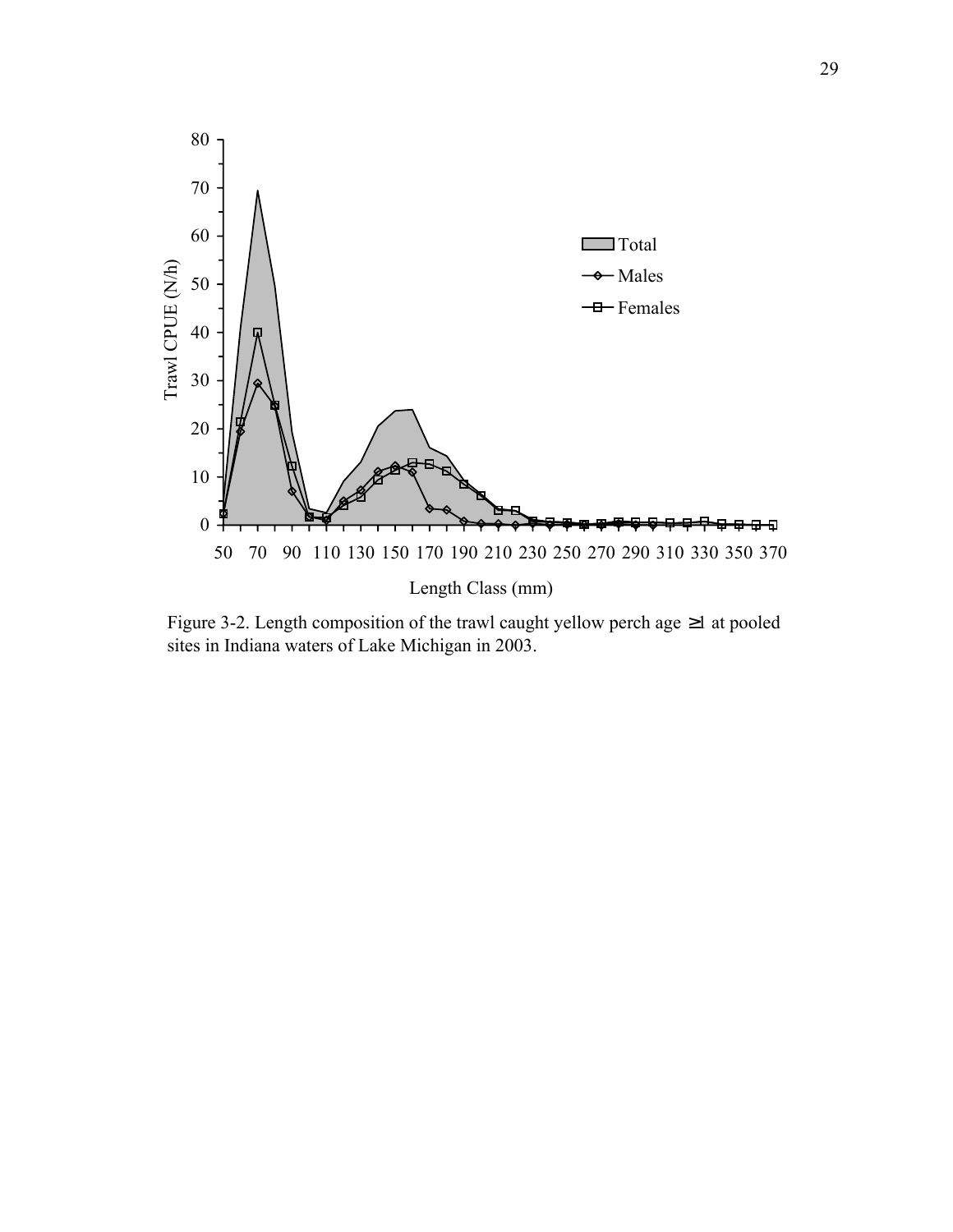

Figure 3-2. Length composition of the trawl caught yellow perch age ≥1 at pooled sites in Indiana waters of Lake Michigan in 2003.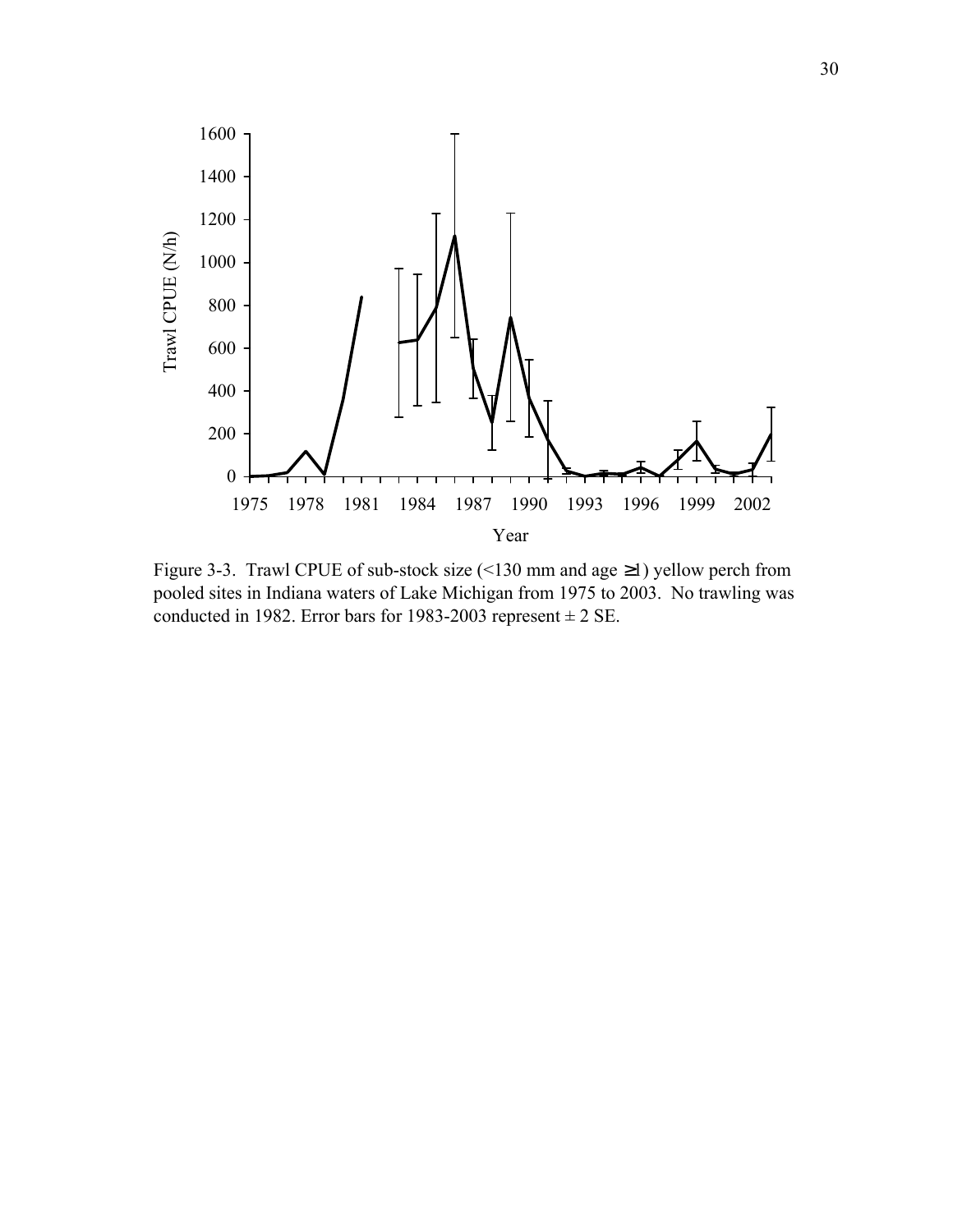

Figure 3-3. Trawl CPUE of sub-stock size (<130 mm and age ≥1) yellow perch from pooled sites in Indiana waters of Lake Michigan from 1975 to 2003. No trawling was conducted in 1982. Error bars for 1983-2003 represent  $\pm 2$  SE.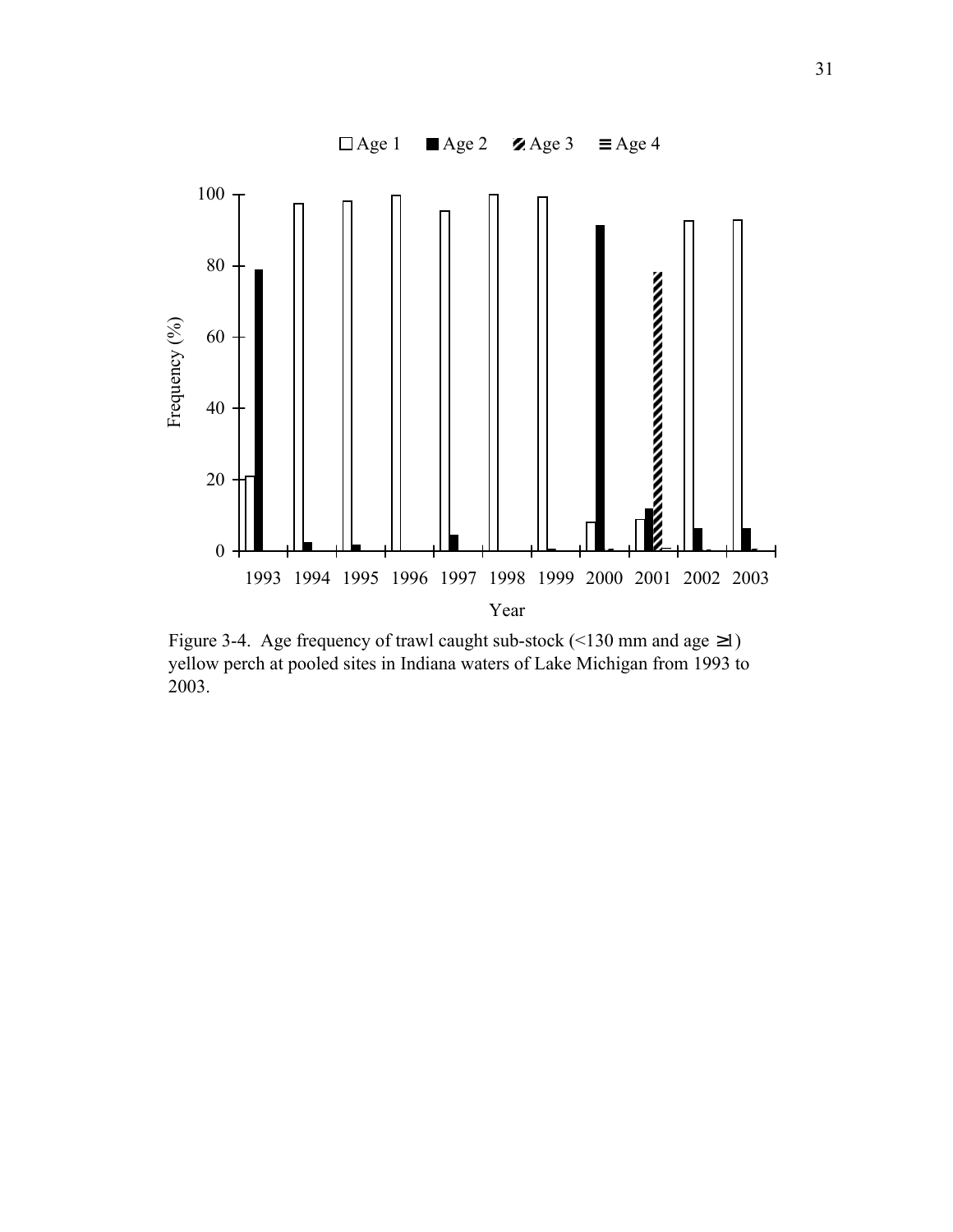

Figure 3-4. Age frequency of trawl caught sub-stock (<130 mm and age  $\geq$ 1) yellow perch at pooled sites in Indiana waters of Lake Michigan from 1993 to 2003.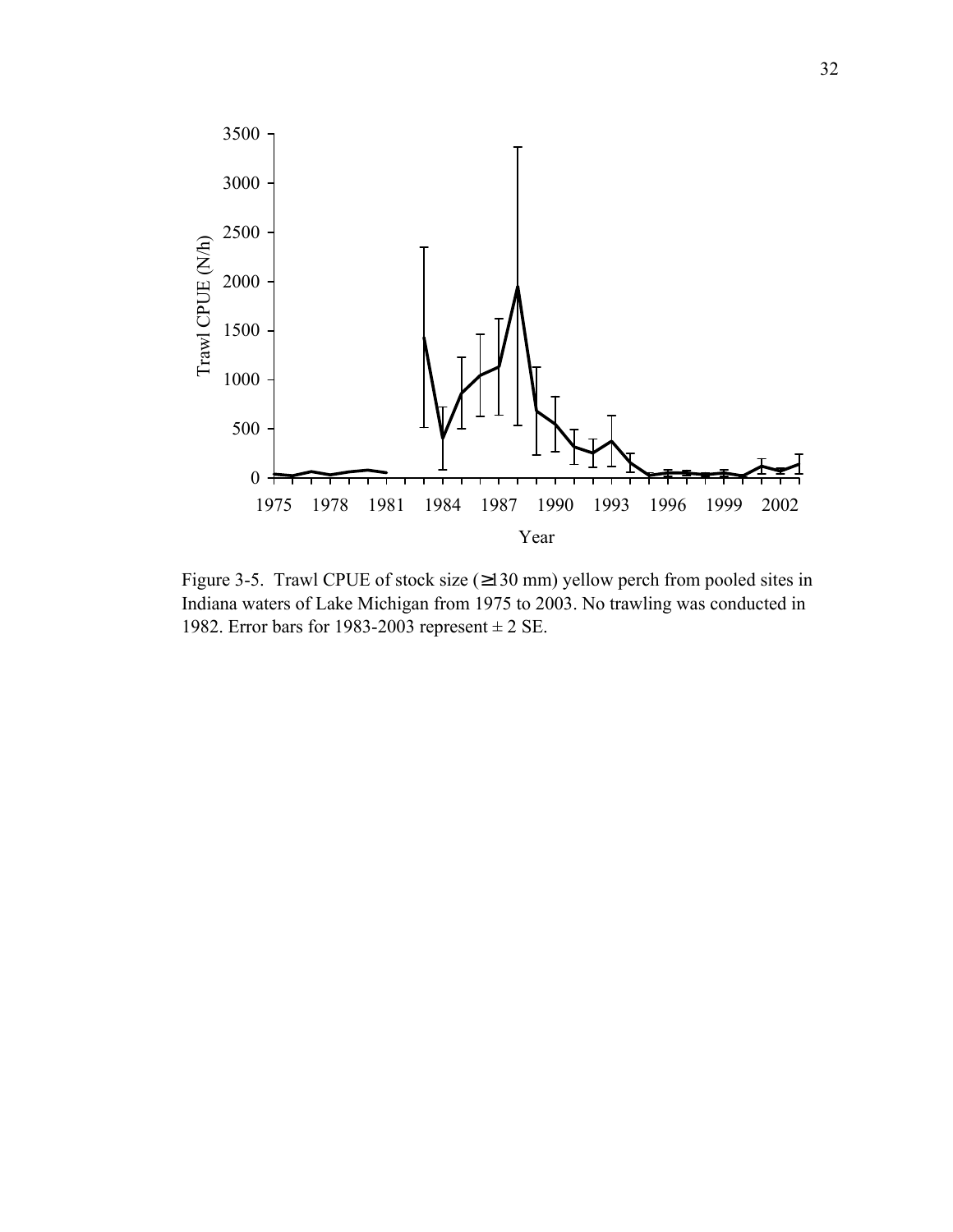

Figure 3-5. Trawl CPUE of stock size  $(\geq 130 \text{ mm})$  yellow perch from pooled sites in Indiana waters of Lake Michigan from 1975 to 2003. No trawling was conducted in 1982. Error bars for 1983-2003 represent  $\pm 2$  SE.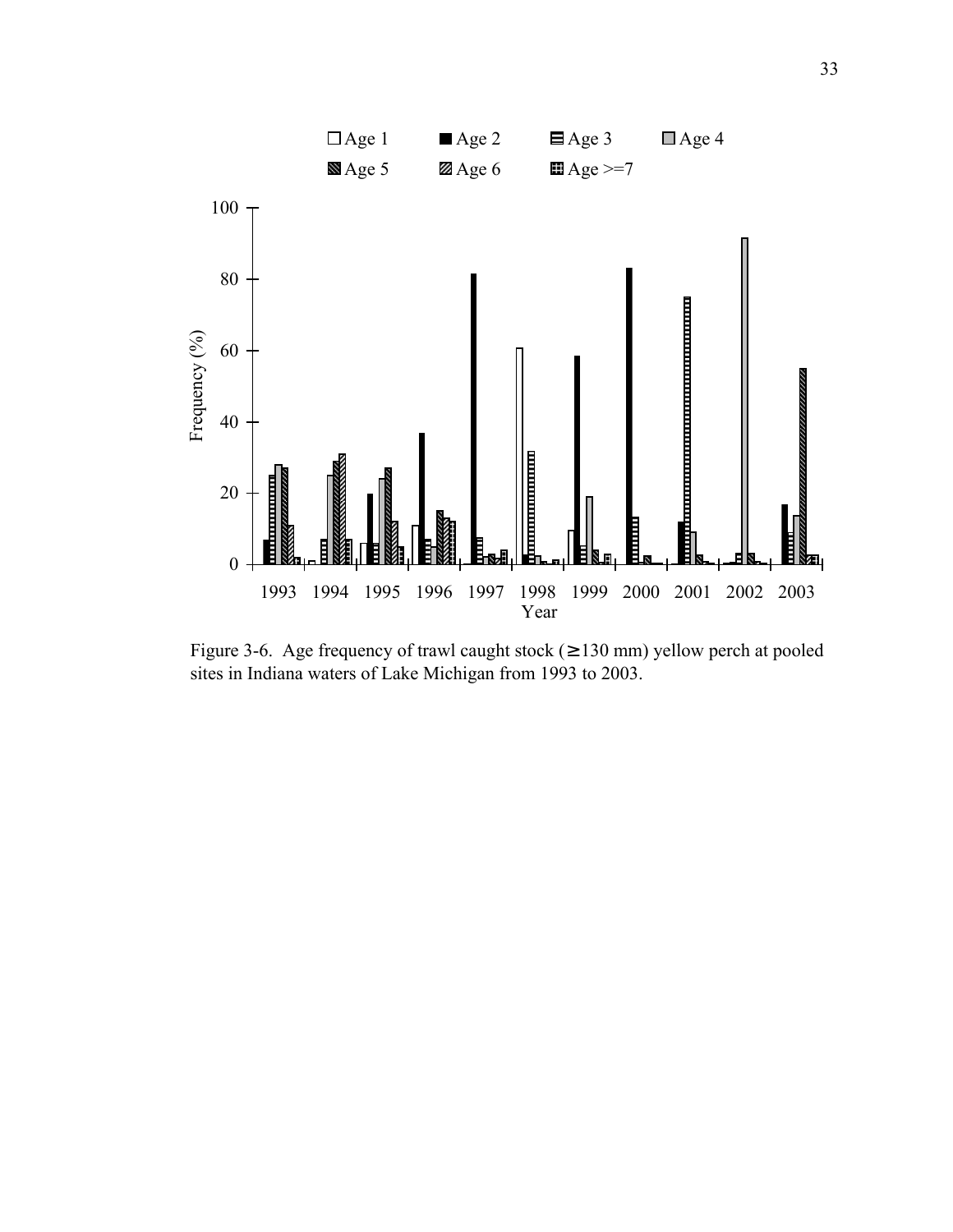

Figure 3-6. Age frequency of trawl caught stock ( $\geq$  130 mm) yellow perch at pooled sites in Indiana waters of Lake Michigan from 1993 to 2003.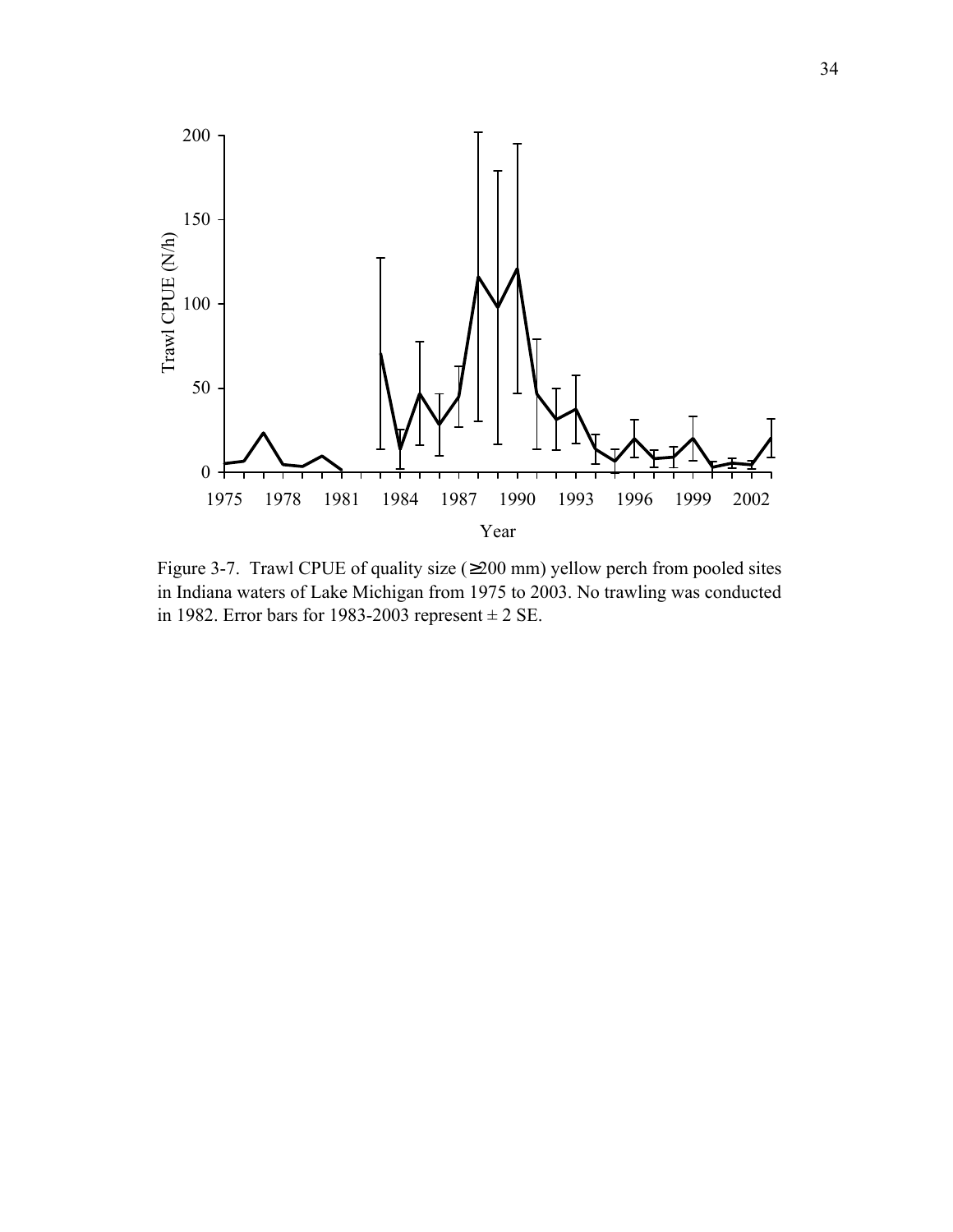

Figure 3-7. Trawl CPUE of quality size (≥200 mm) yellow perch from pooled sites in Indiana waters of Lake Michigan from 1975 to 2003. No trawling was conducted in 1982. Error bars for 1983-2003 represent  $\pm 2$  SE.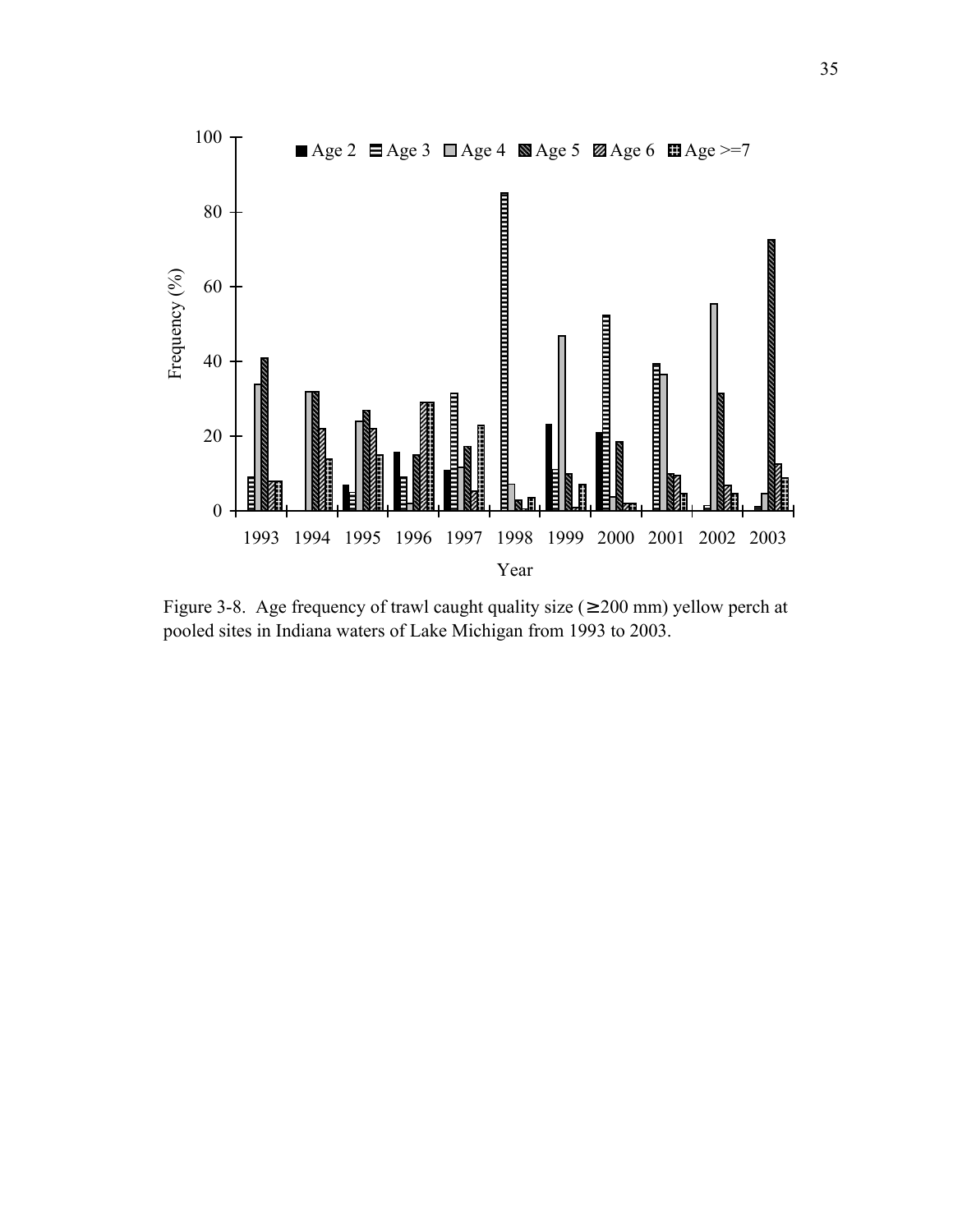

Figure 3-8. Age frequency of trawl caught quality size ( $\geq 200$  mm) yellow perch at pooled sites in Indiana waters of Lake Michigan from 1993 to 2003.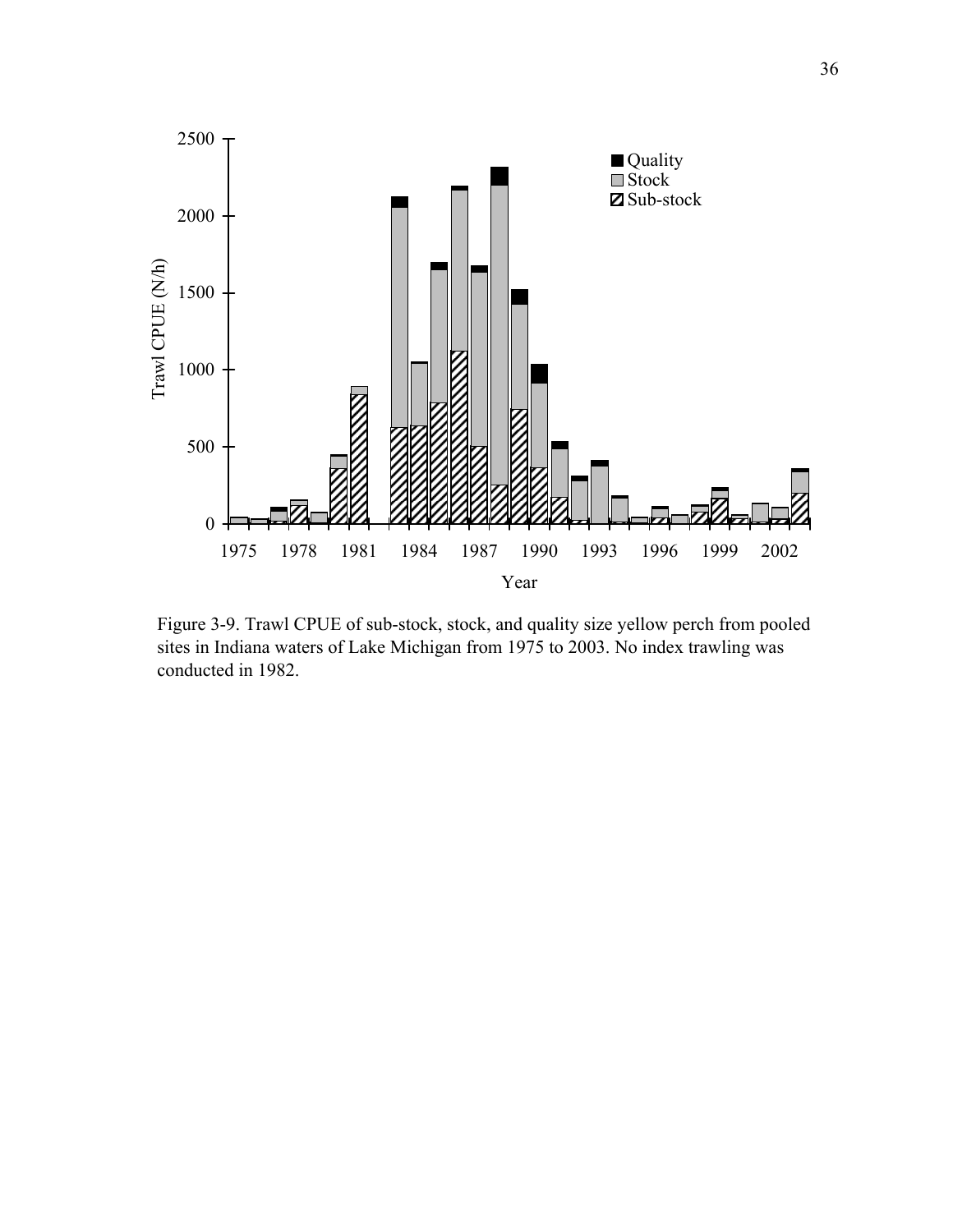

Figure 3-9. Trawl CPUE of sub-stock, stock, and quality size yellow perch from pooled sites in Indiana waters of Lake Michigan from 1975 to 2003. No index trawling was conducted in 1982.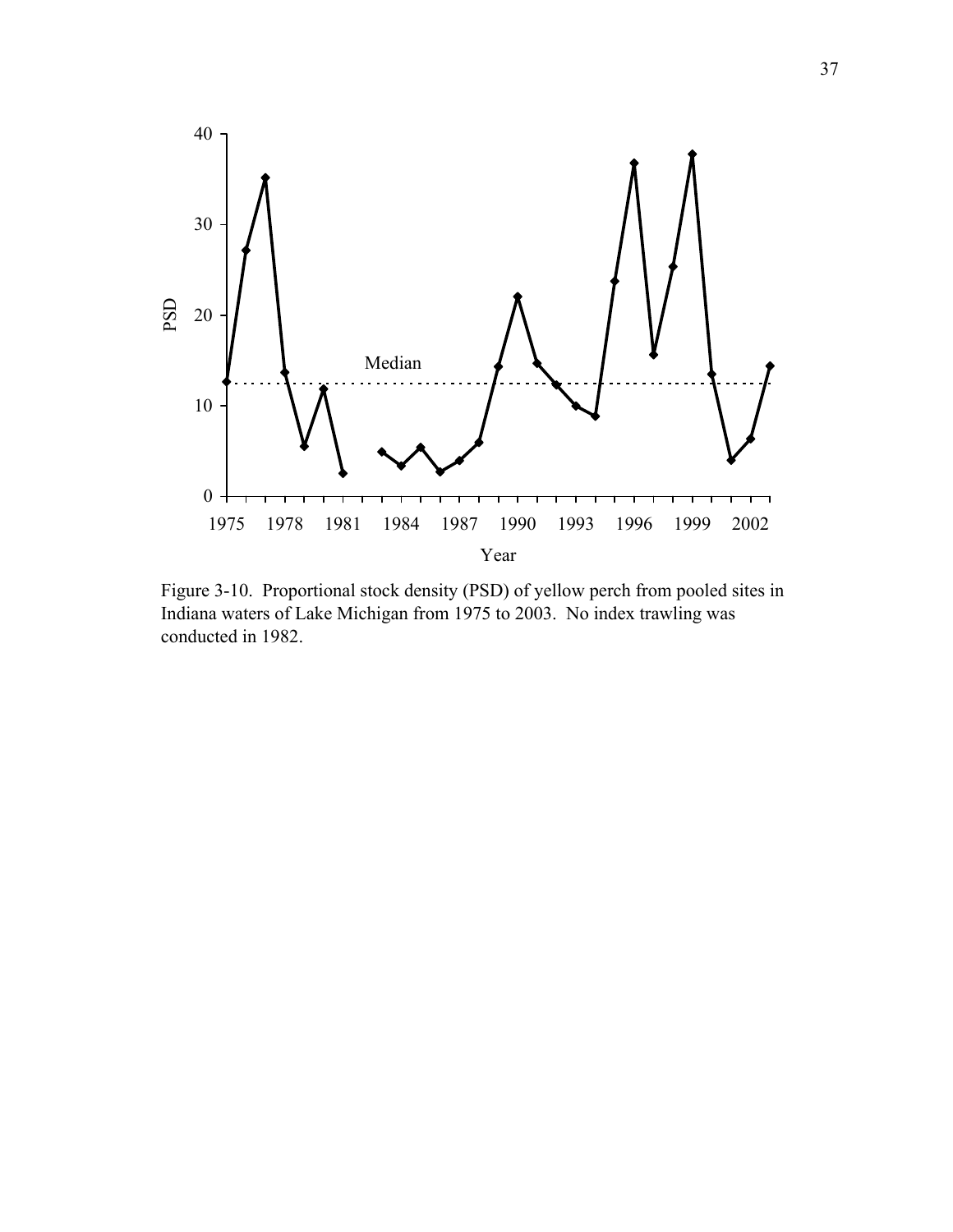

Figure 3-10. Proportional stock density (PSD) of yellow perch from pooled sites in Indiana waters of Lake Michigan from 1975 to 2003. No index trawling was conducted in 1982.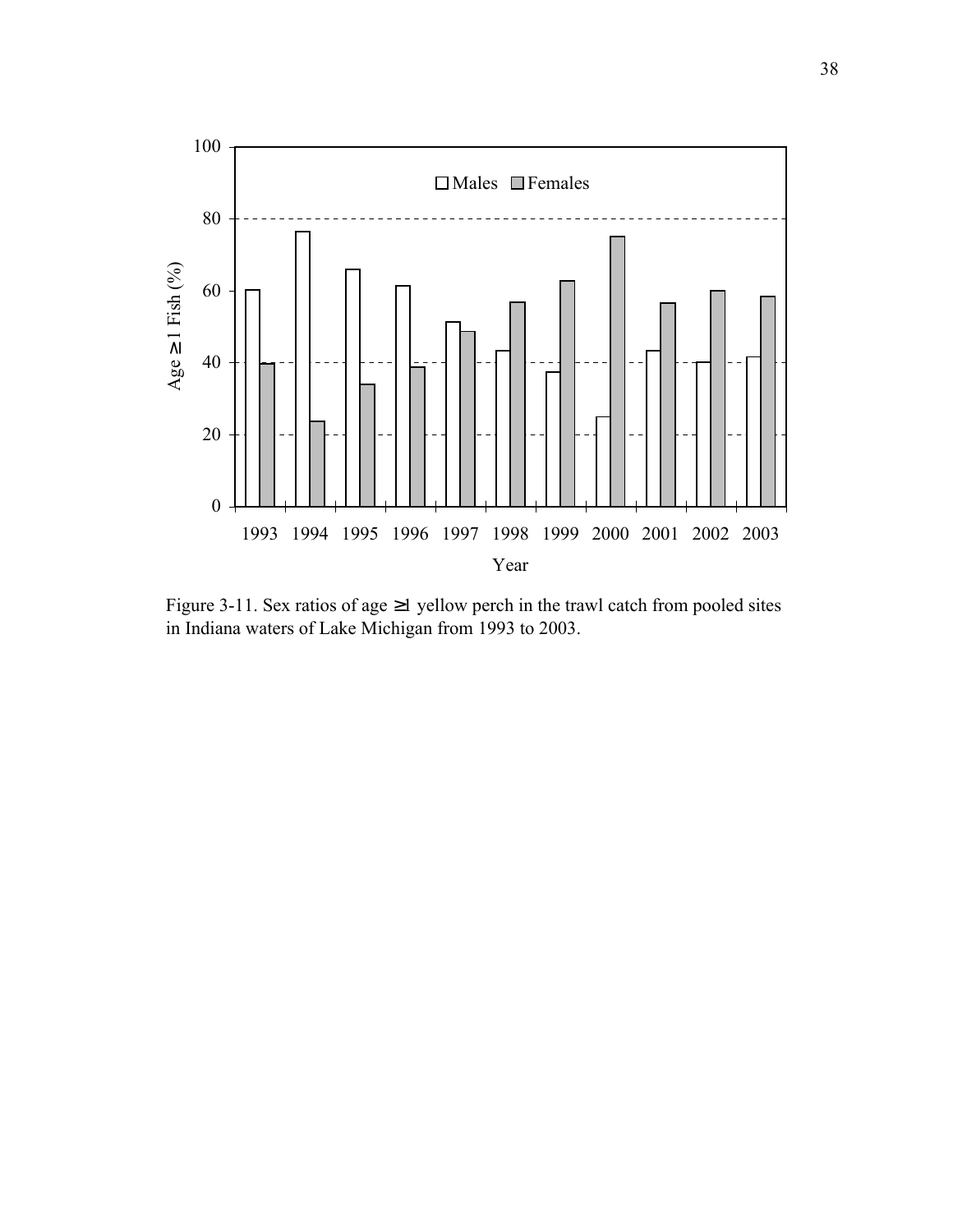

Figure 3-11. Sex ratios of age ≥1 yellow perch in the trawl catch from pooled sites in Indiana waters of Lake Michigan from 1993 to 2003.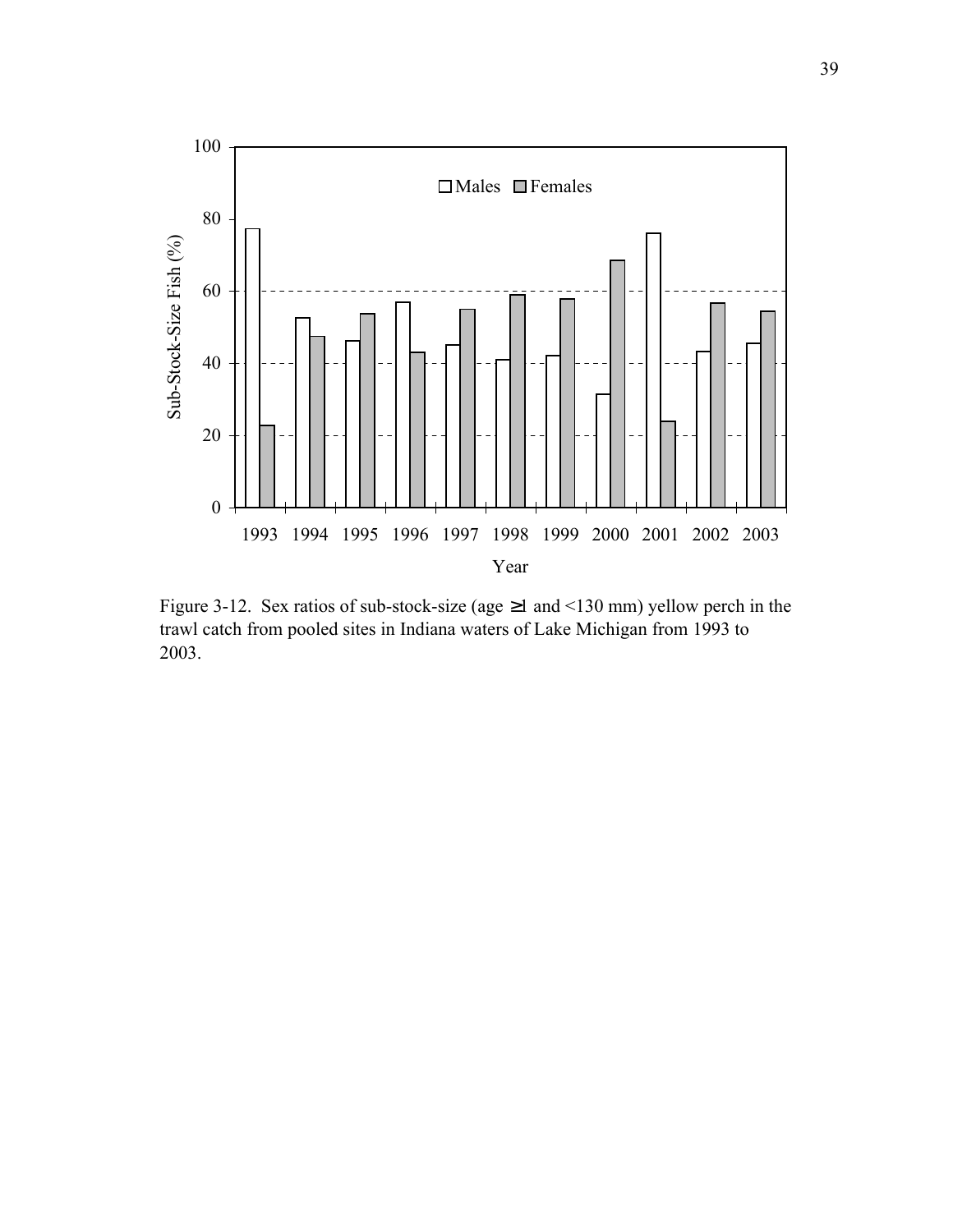

Figure 3-12. Sex ratios of sub-stock-size (age  $\geq$ 1 and <130 mm) yellow perch in the trawl catch from pooled sites in Indiana waters of Lake Michigan from 1993 to 2003.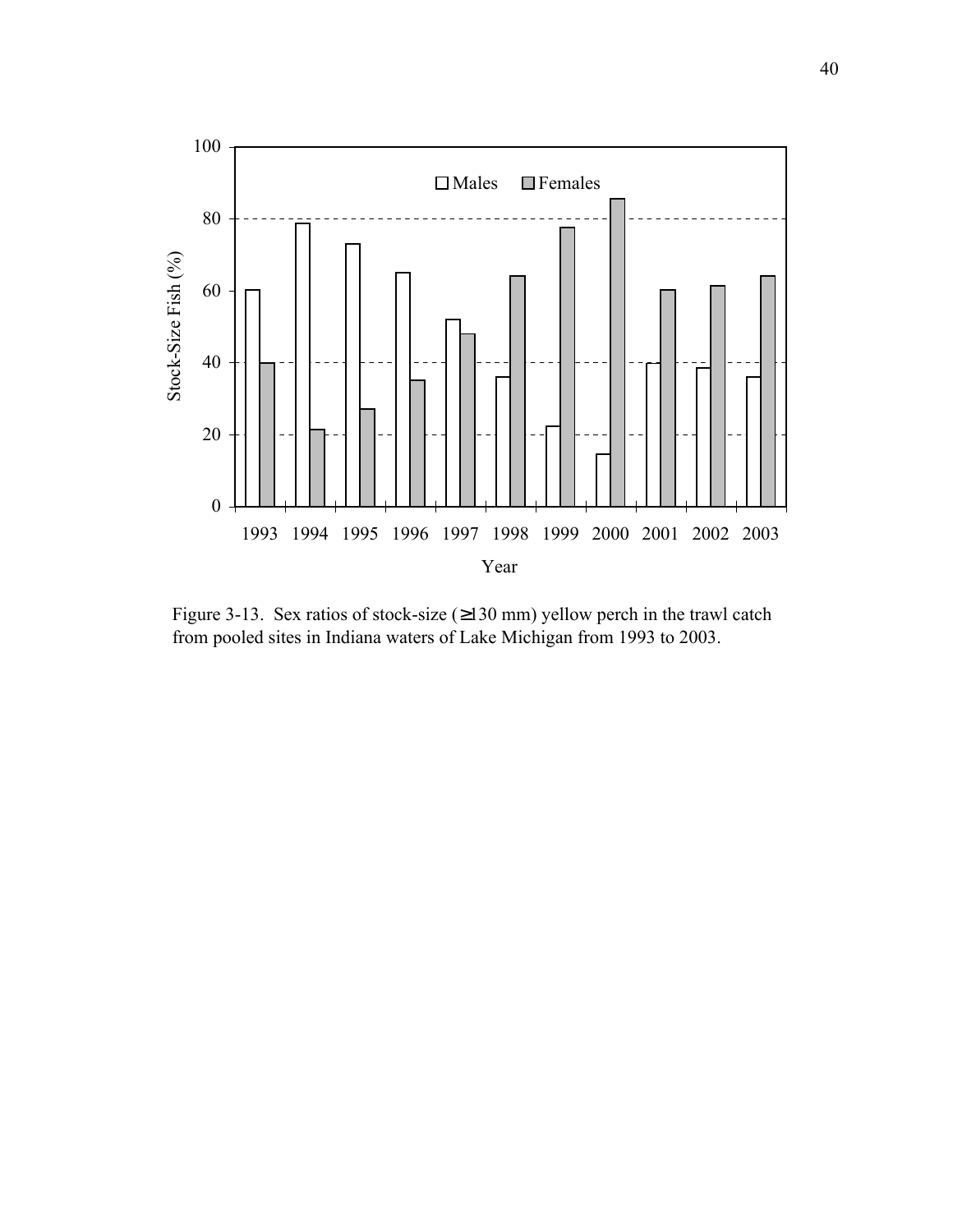

Figure 3-13. Sex ratios of stock-size (≥130 mm) yellow perch in the trawl catch from pooled sites in Indiana waters of Lake Michigan from 1993 to 2003.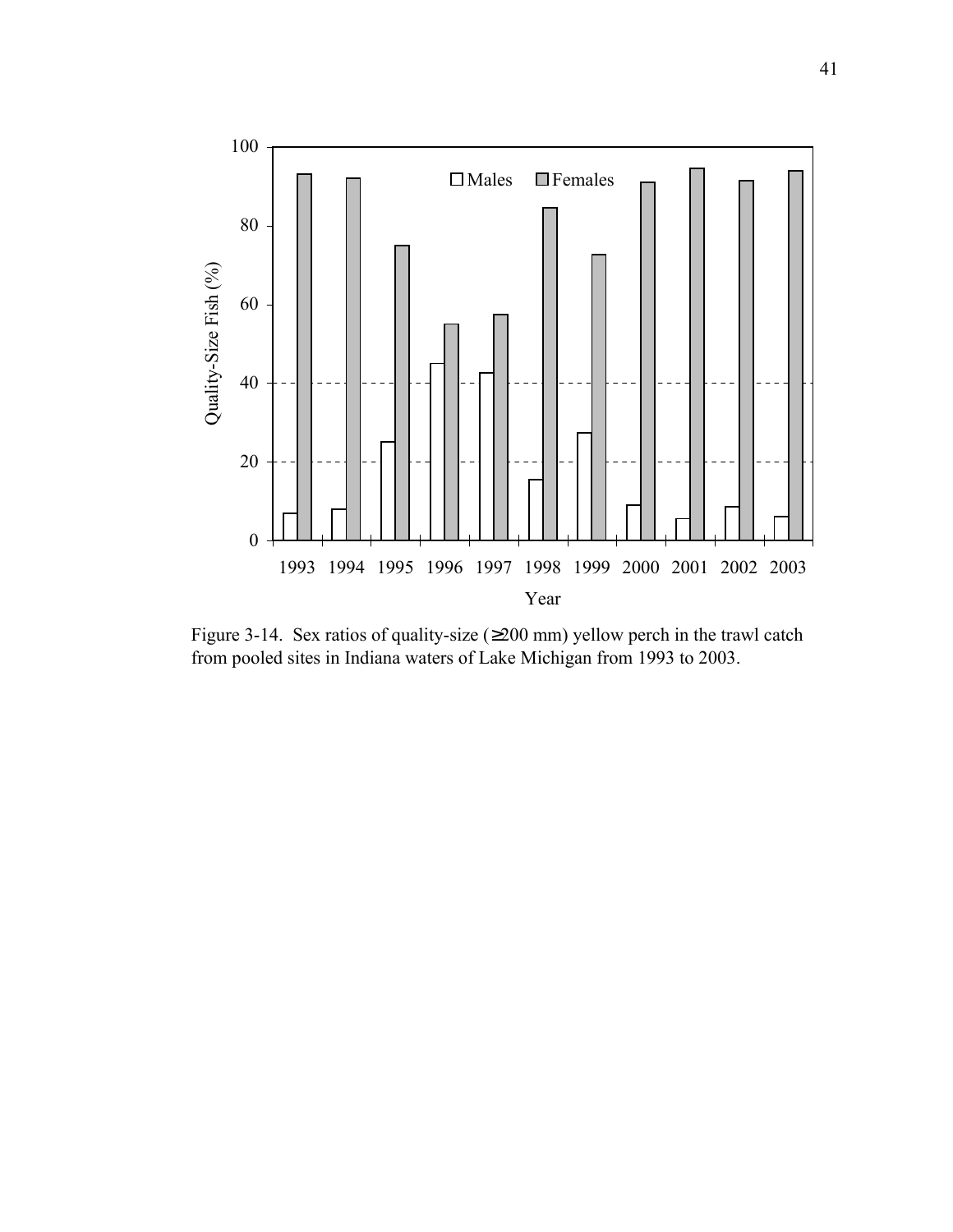

Figure 3-14. Sex ratios of quality-size  $(\geq 200 \text{ mm})$  yellow perch in the trawl catch from pooled sites in Indiana waters of Lake Michigan from 1993 to 2003.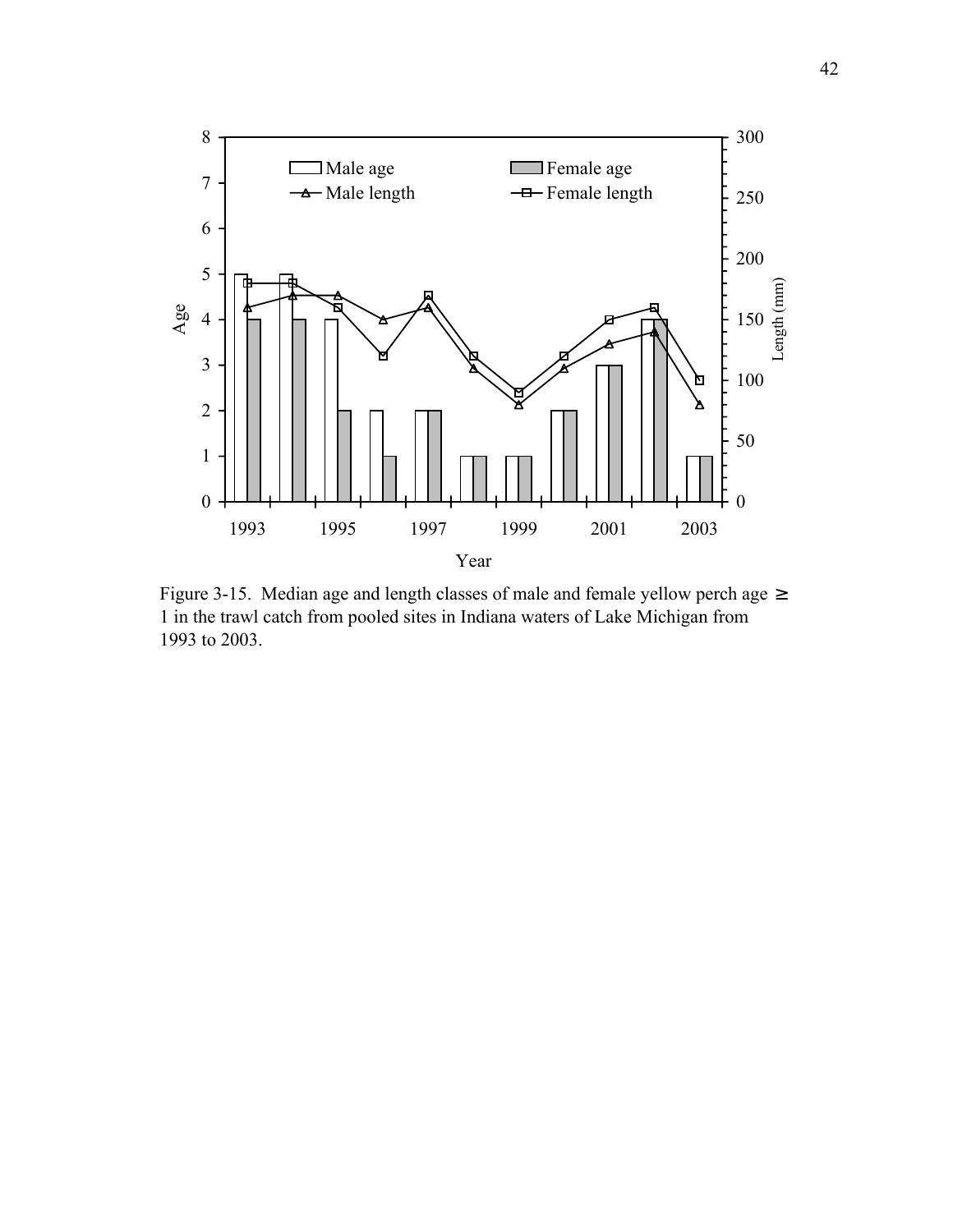

Figure 3-15. Median age and length classes of male and female yellow perch age  $\geq$ 1 in the trawl catch from pooled sites in Indiana waters of Lake Michigan from 1993 to 2003.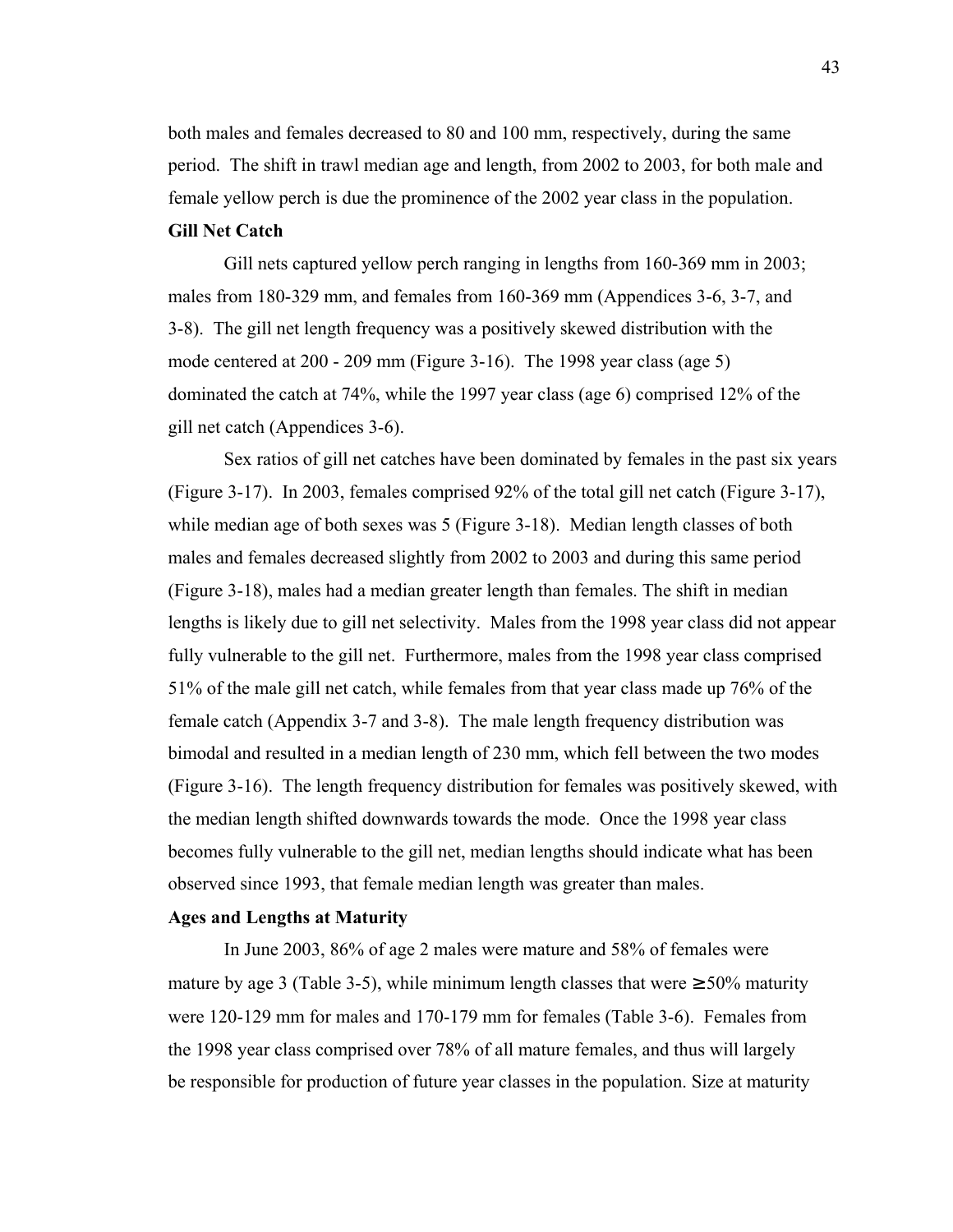both males and females decreased to 80 and 100 mm, respectively, during the same period. The shift in trawl median age and length, from 2002 to 2003, for both male and female yellow perch is due the prominence of the 2002 year class in the population. **Gill Net Catch**

Gill nets captured yellow perch ranging in lengths from 160-369 mm in 2003; males from 180-329 mm, and females from 160-369 mm (Appendices 3-6, 3-7, and 3-8). The gill net length frequency was a positively skewed distribution with the mode centered at 200 - 209 mm (Figure 3-16). The 1998 year class (age 5) dominated the catch at 74%, while the 1997 year class (age 6) comprised 12% of the gill net catch (Appendices 3-6).

Sex ratios of gill net catches have been dominated by females in the past six years (Figure 3-17). In 2003, females comprised 92% of the total gill net catch (Figure 3-17), while median age of both sexes was 5 (Figure 3-18). Median length classes of both males and females decreased slightly from 2002 to 2003 and during this same period (Figure 3-18), males had a median greater length than females. The shift in median lengths is likely due to gill net selectivity. Males from the 1998 year class did not appear fully vulnerable to the gill net. Furthermore, males from the 1998 year class comprised 51% of the male gill net catch, while females from that year class made up 76% of the female catch (Appendix 3-7 and 3-8). The male length frequency distribution was bimodal and resulted in a median length of 230 mm, which fell between the two modes (Figure 3-16). The length frequency distribution for females was positively skewed, with the median length shifted downwards towards the mode. Once the 1998 year class becomes fully vulnerable to the gill net, median lengths should indicate what has been observed since 1993, that female median length was greater than males.

### **Ages and Lengths at Maturity**

In June 2003, 86% of age 2 males were mature and 58% of females were mature by age 3 (Table 3-5), while minimum length classes that were  $\geq 50\%$  maturity were 120-129 mm for males and 170-179 mm for females (Table 3-6). Females from the 1998 year class comprised over 78% of all mature females, and thus will largely be responsible for production of future year classes in the population. Size at maturity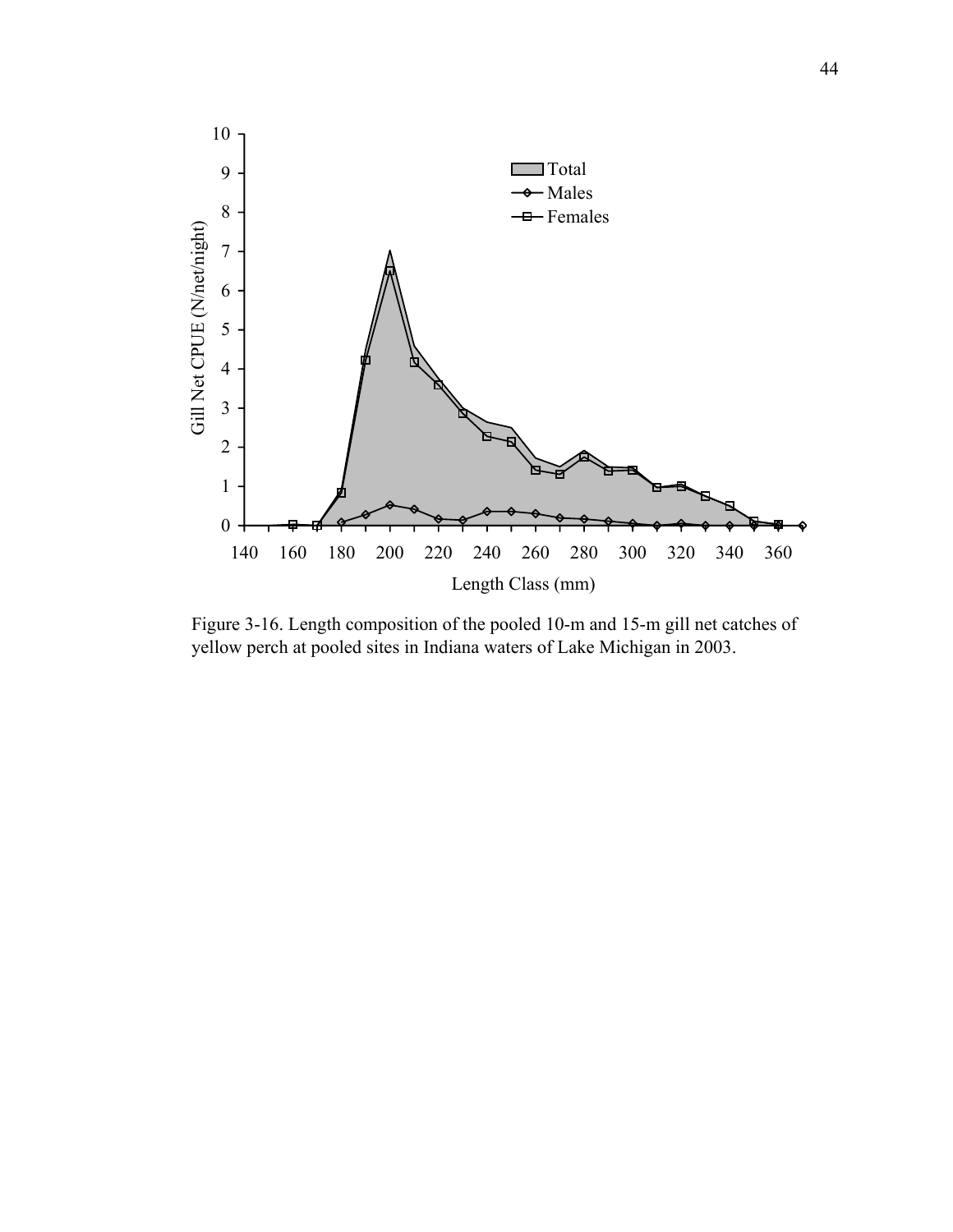

Figure 3-16. Length composition of the pooled 10-m and 15-m gill net catches of yellow perch at pooled sites in Indiana waters of Lake Michigan in 2003.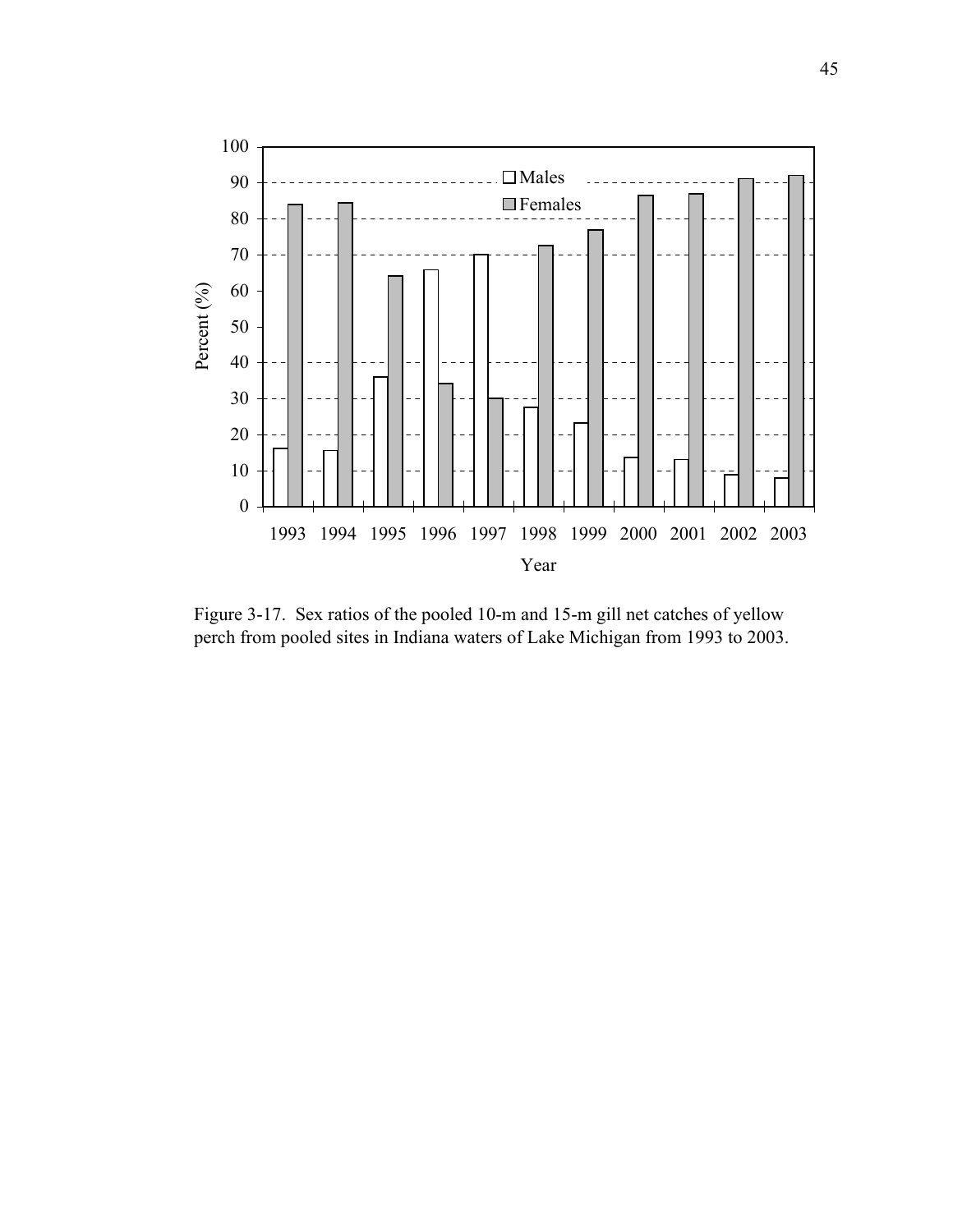

Figure 3-17. Sex ratios of the pooled 10-m and 15-m gill net catches of yellow perch from pooled sites in Indiana waters of Lake Michigan from 1993 to 2003.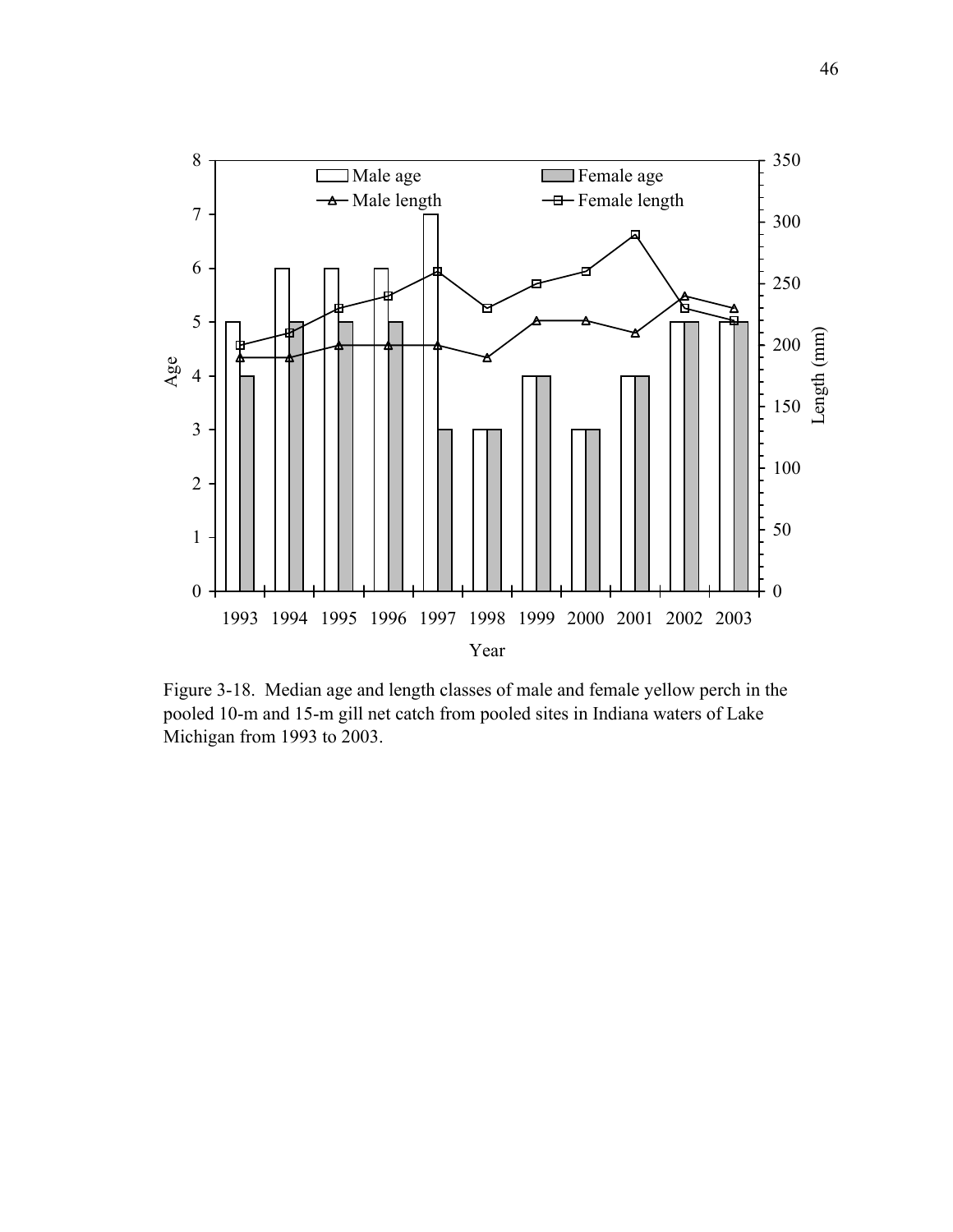

Figure 3-18. Median age and length classes of male and female yellow perch in the pooled 10-m and 15-m gill net catch from pooled sites in Indiana waters of Lake Michigan from 1993 to 2003.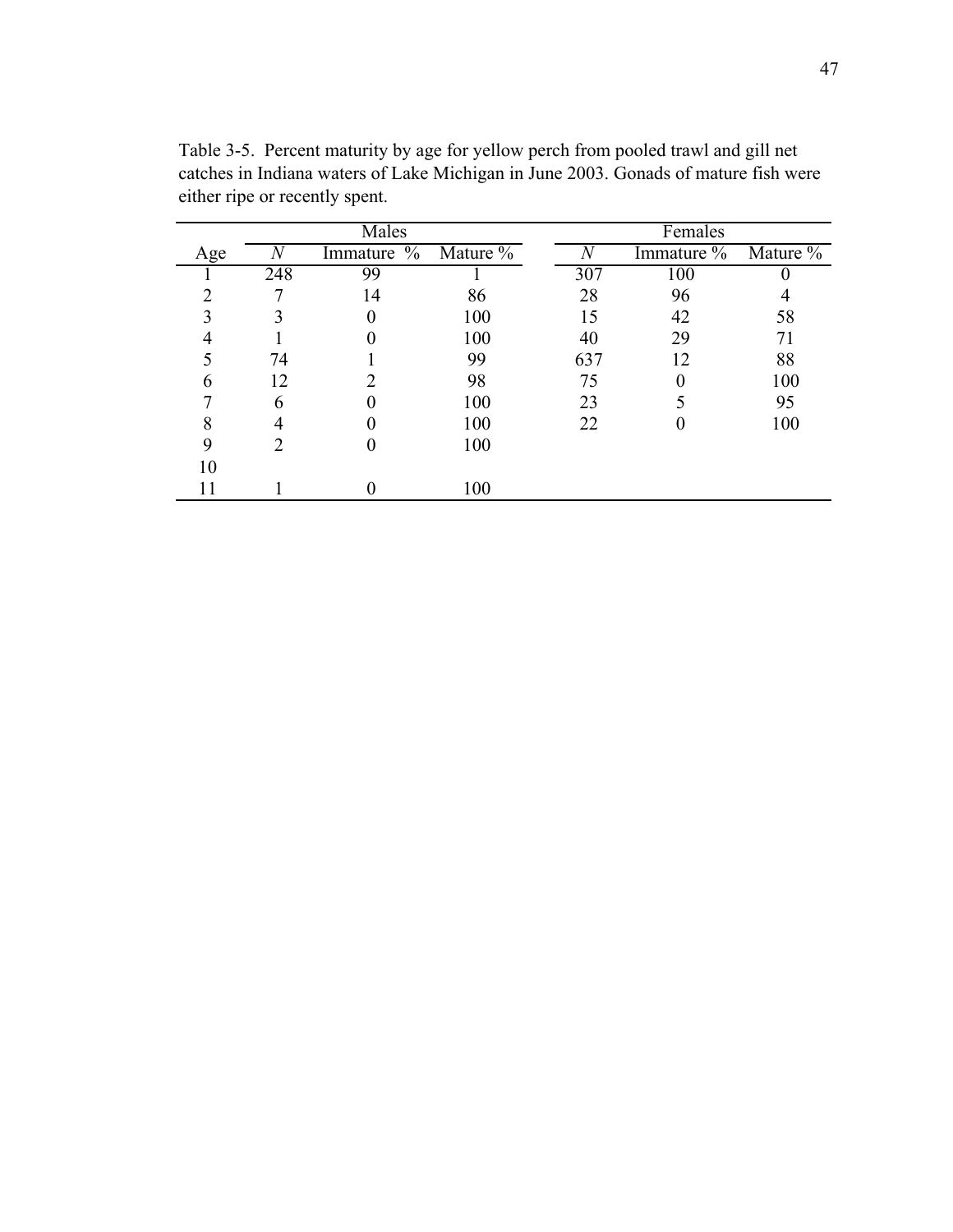|     |                             | Males               |     | Females |            |          |  |
|-----|-----------------------------|---------------------|-----|---------|------------|----------|--|
| Age |                             | Immature % Mature % |     | N       | Immature % | Mature % |  |
|     | 248                         | 99                  |     | 307     | 100        |          |  |
|     |                             | 14                  | 86  | 28      | 96         |          |  |
| 3   |                             |                     | 100 | 15      | 42         | 58       |  |
|     |                             |                     | 100 | 40      | 29         | 71       |  |
|     | 74                          |                     | 99  | 637     | 12         | 88       |  |
|     | 12                          |                     | 98  | 75      |            | 100      |  |
|     | 6                           |                     | 100 | 23      |            | 95       |  |
| 8   |                             |                     | 100 | 22      |            | 100      |  |
| 9   | $\mathcal{D}_{\mathcal{L}}$ |                     | 100 |         |            |          |  |
| 10  |                             |                     |     |         |            |          |  |
|     |                             |                     | 100 |         |            |          |  |

Table 3-5. Percent maturity by age for yellow perch from pooled trawl and gill net catches in Indiana waters of Lake Michigan in June 2003. Gonads of mature fish were either ripe or recently spent.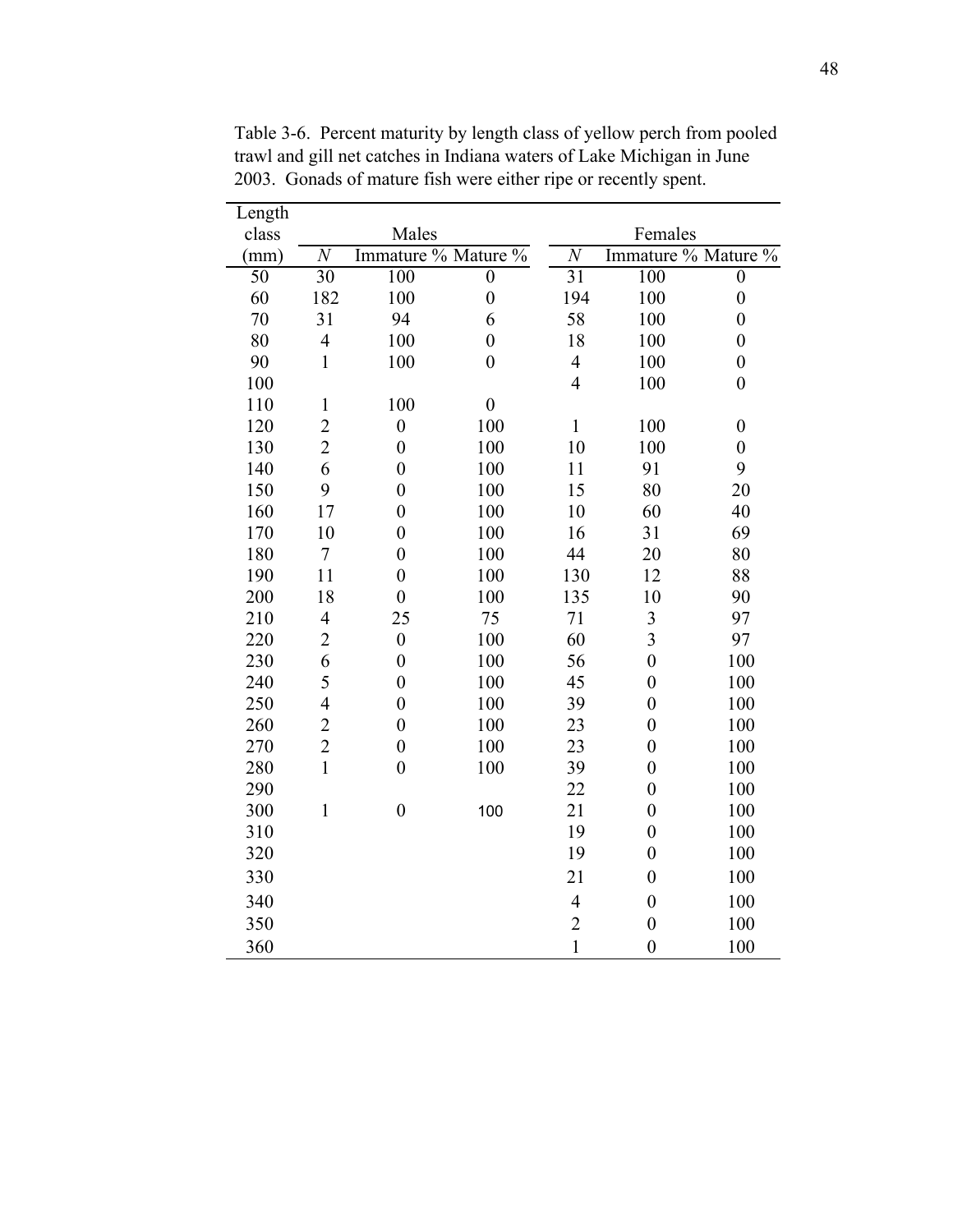| Length |                 |                     |                  |                 |                         |                  |  |
|--------|-----------------|---------------------|------------------|-----------------|-------------------------|------------------|--|
| class  |                 | Males               |                  | Females         |                         |                  |  |
| (mm)   | $\overline{N}$  | Immature % Mature % |                  | $\overline{N}$  | Immature % Mature %     |                  |  |
| 50     | $\overline{30}$ | 100                 | $\boldsymbol{0}$ | $\overline{31}$ | 100                     | $\boldsymbol{0}$ |  |
| 60     | 182             | 100                 | $\overline{0}$   | 194             | 100                     | $\boldsymbol{0}$ |  |
| 70     | 31              | 94                  | 6                | 58              | 100                     | $\boldsymbol{0}$ |  |
| 80     | $\overline{4}$  | 100                 | $\boldsymbol{0}$ | 18              | 100                     | $\boldsymbol{0}$ |  |
| 90     | $\mathbf{1}$    | 100                 | $\overline{0}$   | $\overline{4}$  | 100                     | $\boldsymbol{0}$ |  |
| 100    |                 |                     |                  | $\overline{4}$  | 100                     | $\boldsymbol{0}$ |  |
| 110    | $\mathbf{1}$    | 100                 | $\boldsymbol{0}$ |                 |                         |                  |  |
| 120    | $\overline{2}$  | $\overline{0}$      | 100              | $\mathbf{1}$    | 100                     | $\boldsymbol{0}$ |  |
| 130    | $\overline{2}$  | $\boldsymbol{0}$    | 100              | 10              | 100                     | $\boldsymbol{0}$ |  |
| 140    | 6               | $\boldsymbol{0}$    | 100              | 11              | 91                      | 9                |  |
| 150    | 9               | $\overline{0}$      | 100              | 15              | 80                      | 20               |  |
| 160    | 17              | $\boldsymbol{0}$    | 100              | 10              | 60                      | 40               |  |
| 170    | 10              | $\overline{0}$      | 100              | 16              | 31                      | 69               |  |
| 180    | 7               | $\boldsymbol{0}$    | 100              | 44              | 20                      | 80               |  |
| 190    | 11              | $\overline{0}$      | 100              | 130             | 12                      | 88               |  |
| 200    | 18              | $\boldsymbol{0}$    | 100              | 135             | 10                      | 90               |  |
| 210    | $\overline{4}$  | 25                  | 75               | 71              | $\overline{\mathbf{3}}$ | 97               |  |
| 220    | $\overline{2}$  | $\boldsymbol{0}$    | 100              | 60              | $\overline{3}$          | 97               |  |
| 230    | 6               | $\overline{0}$      | 100              | 56              | $\overline{0}$          | 100              |  |
| 240    | 5               | $\boldsymbol{0}$    | 100              | 45              | $\boldsymbol{0}$        | 100              |  |
| 250    | $\overline{4}$  | $\boldsymbol{0}$    | 100              | 39              | $\boldsymbol{0}$        | 100              |  |
| 260    | $\overline{c}$  | $\boldsymbol{0}$    | 100              | 23              | $\boldsymbol{0}$        | 100              |  |
| 270    | $\overline{2}$  | $\boldsymbol{0}$    | 100              | 23              | $\boldsymbol{0}$        | 100              |  |
| 280    | $\mathbf{1}$    | $\boldsymbol{0}$    | 100              | 39              | $\boldsymbol{0}$        | 100              |  |
| 290    |                 |                     |                  | 22              | $\boldsymbol{0}$        | 100              |  |
| 300    | $\mathbf 1$     | $\boldsymbol{0}$    | 100              | 21              | $\boldsymbol{0}$        | 100              |  |
| 310    |                 |                     |                  | 19              | $\boldsymbol{0}$        | 100              |  |
| 320    |                 |                     |                  | 19              | $\boldsymbol{0}$        | 100              |  |
| 330    |                 |                     |                  | 21              | $\boldsymbol{0}$        | 100              |  |
| 340    |                 |                     |                  | $\overline{4}$  | $\boldsymbol{0}$        | 100              |  |
| 350    |                 |                     |                  | $\overline{2}$  | $\boldsymbol{0}$        | 100              |  |
| 360    |                 |                     |                  | $\mathbf{1}$    | $\overline{0}$          | 100              |  |

Table 3-6. Percent maturity by length class of yellow perch from pooled trawl and gill net catches in Indiana waters of Lake Michigan in June 2003. Gonads of mature fish were either ripe or recently spent.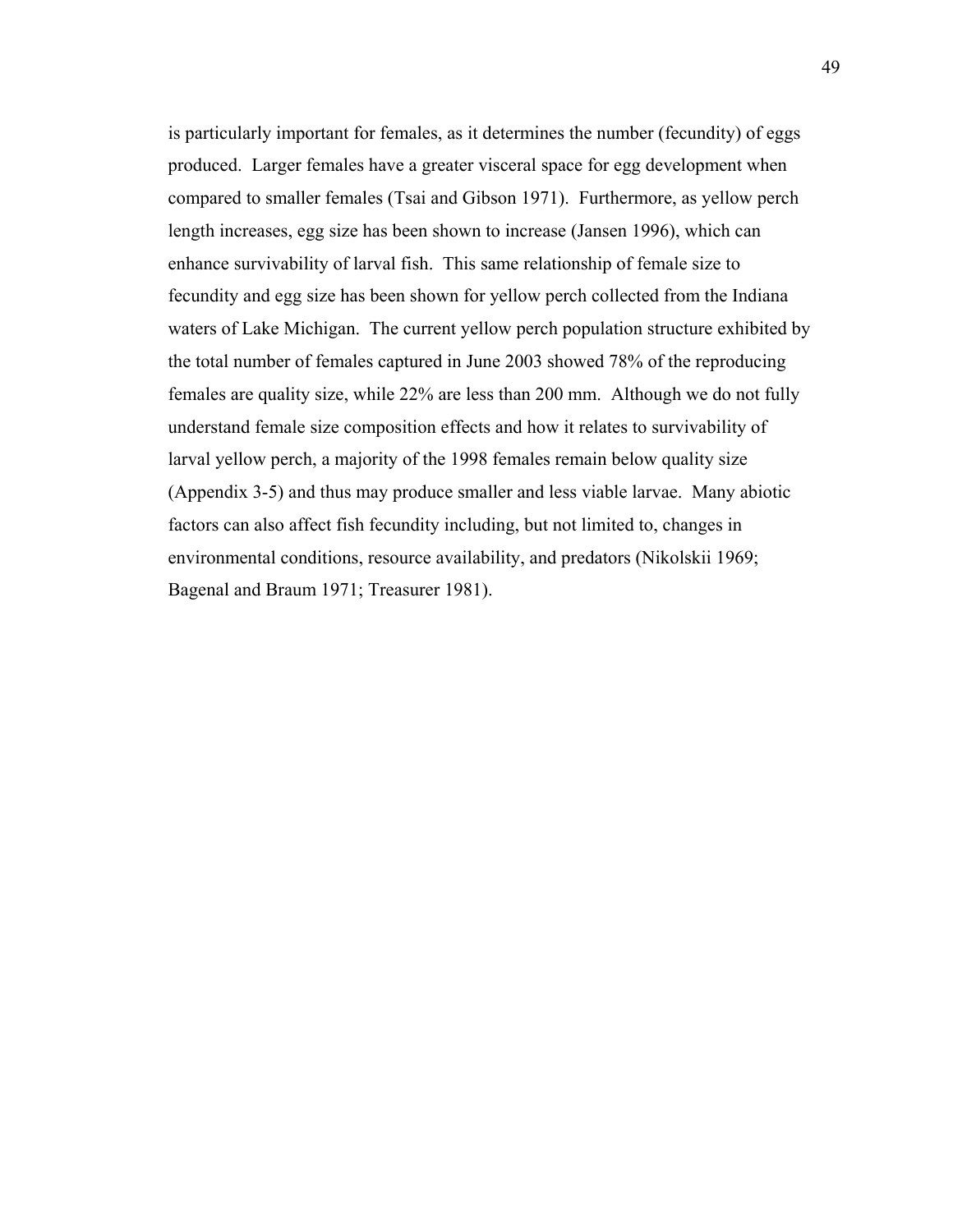is particularly important for females, as it determines the number (fecundity) of eggs produced. Larger females have a greater visceral space for egg development when compared to smaller females (Tsai and Gibson 1971). Furthermore, as yellow perch length increases, egg size has been shown to increase (Jansen 1996), which can enhance survivability of larval fish. This same relationship of female size to fecundity and egg size has been shown for yellow perch collected from the Indiana waters of Lake Michigan. The current yellow perch population structure exhibited by the total number of females captured in June 2003 showed 78% of the reproducing females are quality size, while 22% are less than 200 mm. Although we do not fully understand female size composition effects and how it relates to survivability of larval yellow perch, a majority of the 1998 females remain below quality size (Appendix 3-5) and thus may produce smaller and less viable larvae. Many abiotic factors can also affect fish fecundity including, but not limited to, changes in environmental conditions, resource availability, and predators (Nikolskii 1969; Bagenal and Braum 1971; Treasurer 1981).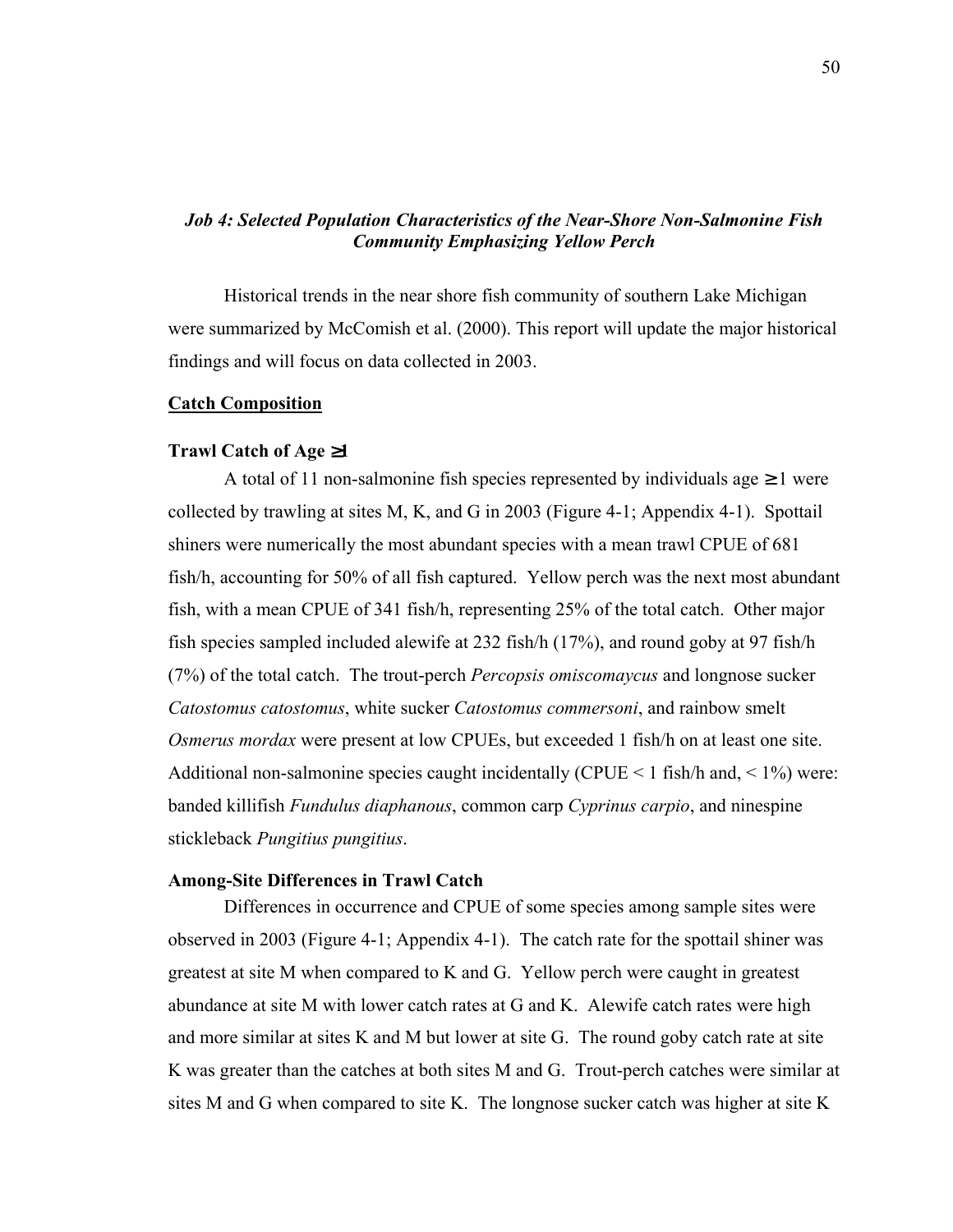# *Job 4: Selected Population Characteristics of the Near-Shore Non-Salmonine Fish Community Emphasizing Yellow Perch*

Historical trends in the near shore fish community of southern Lake Michigan were summarized by McComish et al. (2000). This report will update the major historical findings and will focus on data collected in 2003.

### **Catch Composition**

#### **Trawl Catch of Age** ≥**1**

A total of 11 non-salmonine fish species represented by individuals age  $\geq 1$  were collected by trawling at sites M, K, and G in 2003 (Figure 4-1; Appendix 4-1). Spottail shiners were numerically the most abundant species with a mean trawl CPUE of 681 fish/h, accounting for 50% of all fish captured. Yellow perch was the next most abundant fish, with a mean CPUE of 341 fish/h, representing 25% of the total catch. Other major fish species sampled included alewife at 232 fish/h (17%), and round goby at 97 fish/h (7%) of the total catch. The trout-perch *Percopsis omiscomaycus* and longnose sucker *Catostomus catostomus*, white sucker *Catostomus commersoni*, and rainbow smelt *Osmerus mordax* were present at low CPUEs, but exceeded 1 fish/h on at least one site. Additional non-salmonine species caught incidentally (CPUE < 1 fish/h and,  $\leq$  1%) were: banded killifish *Fundulus diaphanous*, common carp *Cyprinus carpio*, and ninespine stickleback *Pungitius pungitius*.

# **Among-Site Differences in Trawl Catch**

 Differences in occurrence and CPUE of some species among sample sites were observed in 2003 (Figure 4-1; Appendix 4-1). The catch rate for the spottail shiner was greatest at site M when compared to K and G. Yellow perch were caught in greatest abundance at site M with lower catch rates at G and K. Alewife catch rates were high and more similar at sites K and M but lower at site G. The round goby catch rate at site K was greater than the catches at both sites M and G. Trout-perch catches were similar at sites M and G when compared to site K. The longnose sucker catch was higher at site K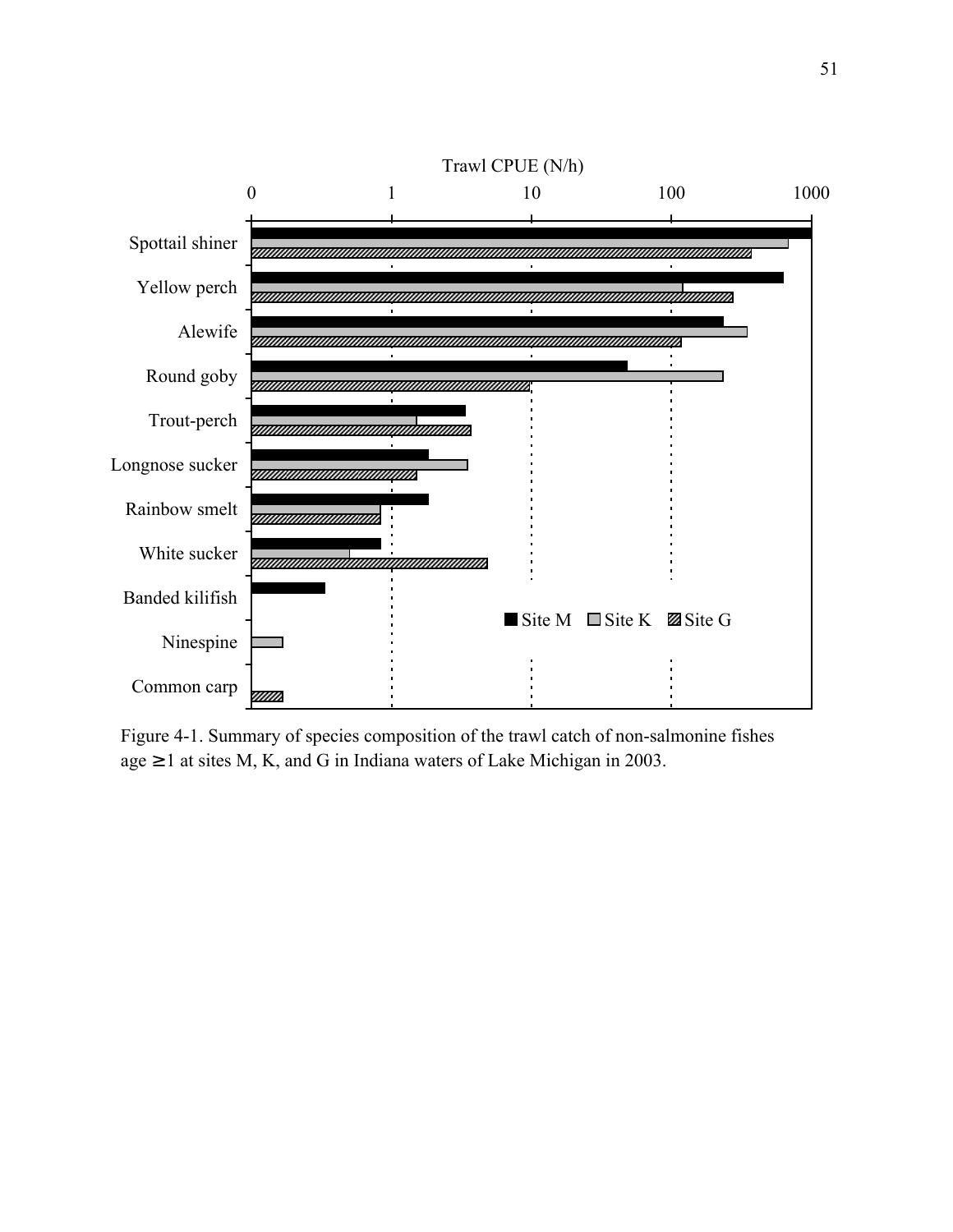

Figure 4-1. Summary of species composition of the trawl catch of non-salmonine fishes age  $\geq 1$  at sites M, K, and G in Indiana waters of Lake Michigan in 2003.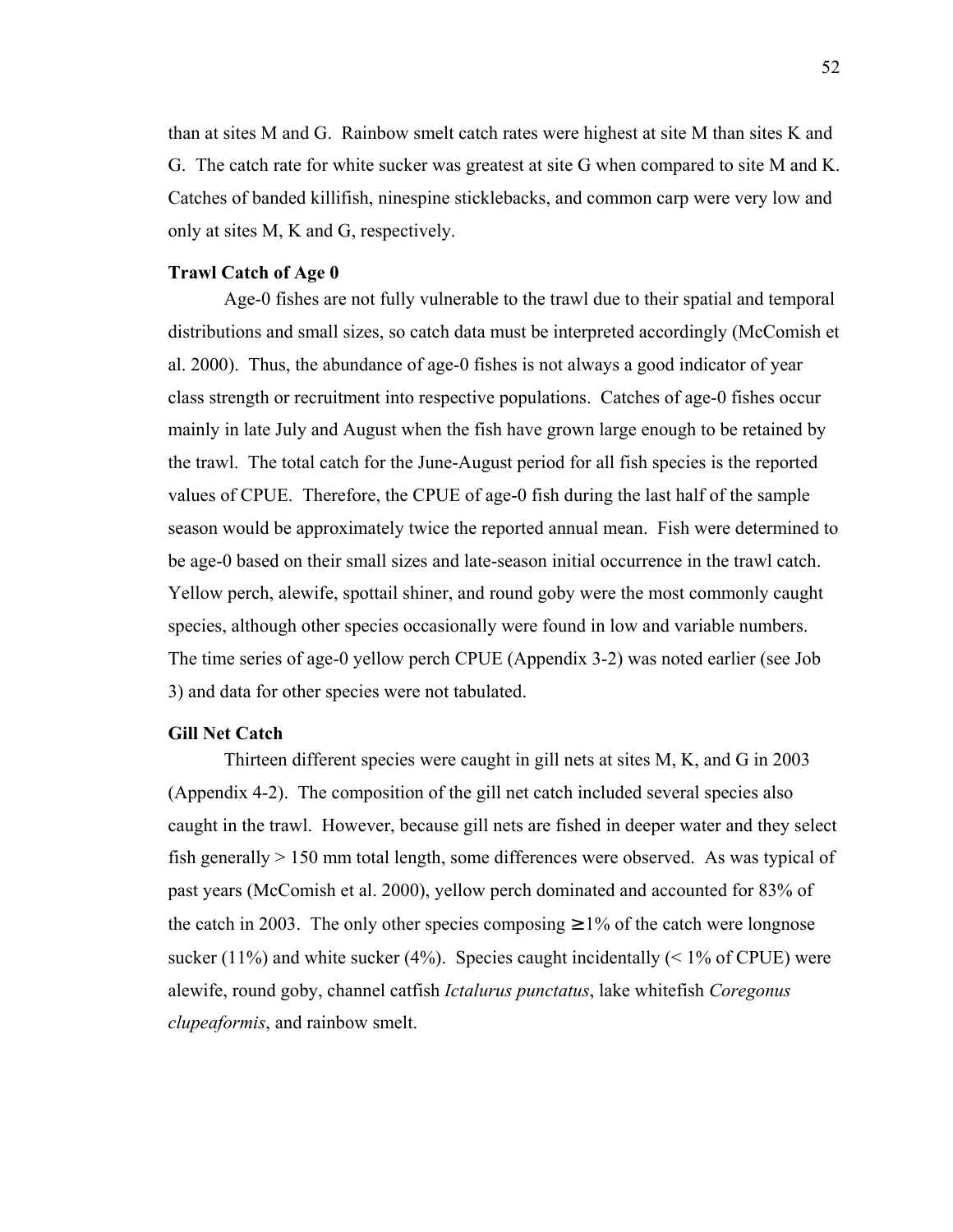than at sites M and G. Rainbow smelt catch rates were highest at site M than sites K and G. The catch rate for white sucker was greatest at site G when compared to site M and K. Catches of banded killifish, ninespine sticklebacks, and common carp were very low and only at sites M, K and G, respectively.

### **Trawl Catch of Age 0**

 Age-0 fishes are not fully vulnerable to the trawl due to their spatial and temporal distributions and small sizes, so catch data must be interpreted accordingly (McComish et al. 2000). Thus, the abundance of age-0 fishes is not always a good indicator of year class strength or recruitment into respective populations. Catches of age-0 fishes occur mainly in late July and August when the fish have grown large enough to be retained by the trawl. The total catch for the June-August period for all fish species is the reported values of CPUE. Therefore, the CPUE of age-0 fish during the last half of the sample season would be approximately twice the reported annual mean. Fish were determined to be age-0 based on their small sizes and late-season initial occurrence in the trawl catch. Yellow perch, alewife, spottail shiner, and round goby were the most commonly caught species, although other species occasionally were found in low and variable numbers. The time series of age-0 yellow perch CPUE (Appendix 3-2) was noted earlier (see Job 3) and data for other species were not tabulated.

### **Gill Net Catch**

 Thirteen different species were caught in gill nets at sites M, K, and G in 2003 (Appendix 4-2). The composition of the gill net catch included several species also caught in the trawl. However, because gill nets are fished in deeper water and they select fish generally  $> 150$  mm total length, some differences were observed. As was typical of past years (McComish et al. 2000), yellow perch dominated and accounted for 83% of the catch in 2003. The only other species composing  $\geq 1\%$  of the catch were longnose sucker (11%) and white sucker (4%). Species caught incidentally ( $\leq$  1% of CPUE) were alewife, round goby, channel catfish *Ictalurus punctatus*, lake whitefish *Coregonus clupeaformis*, and rainbow smelt.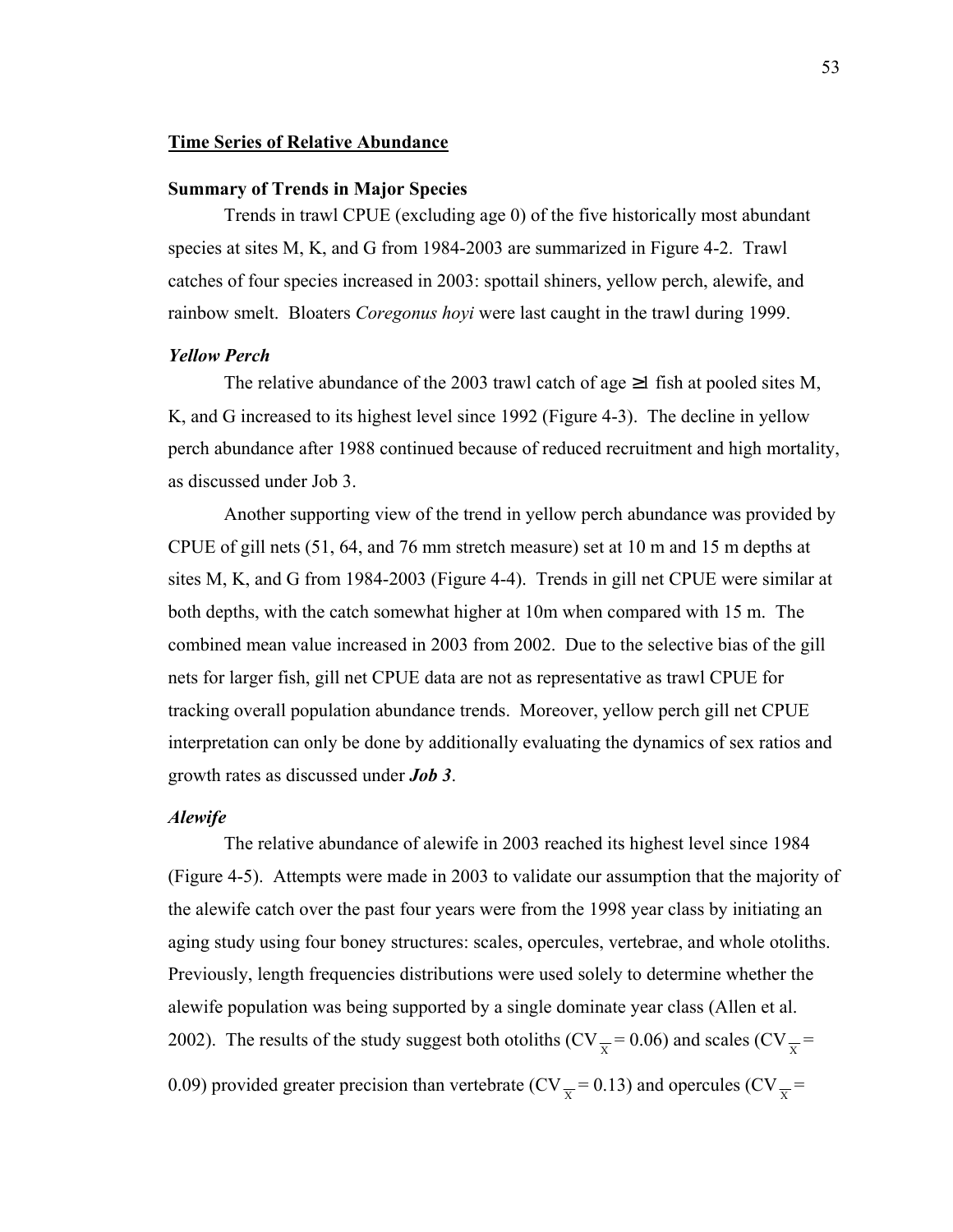### **Time Series of Relative Abundance**

### **Summary of Trends in Major Species**

 Trends in trawl CPUE (excluding age 0) of the five historically most abundant species at sites M, K, and G from 1984-2003 are summarized in Figure 4-2. Trawl catches of four species increased in 2003: spottail shiners, yellow perch, alewife, and rainbow smelt. Bloaters *Coregonus hoyi* were last caught in the trawl during 1999.

## *Yellow Perch*

The relative abundance of the 2003 trawl catch of age  $\geq 1$  fish at pooled sites M, K, and G increased to its highest level since 1992 (Figure 4-3). The decline in yellow perch abundance after 1988 continued because of reduced recruitment and high mortality, as discussed under Job 3.

 Another supporting view of the trend in yellow perch abundance was provided by CPUE of gill nets (51, 64, and 76 mm stretch measure) set at 10 m and 15 m depths at sites M, K, and G from 1984-2003 (Figure 4-4). Trends in gill net CPUE were similar at both depths, with the catch somewhat higher at 10m when compared with 15 m. The combined mean value increased in 2003 from 2002. Due to the selective bias of the gill nets for larger fish, gill net CPUE data are not as representative as trawl CPUE for tracking overall population abundance trends. Moreover, yellow perch gill net CPUE interpretation can only be done by additionally evaluating the dynamics of sex ratios and growth rates as discussed under *Job 3*.

#### *Alewife*

 The relative abundance of alewife in 2003 reached its highest level since 1984 (Figure 4-5). Attempts were made in 2003 to validate our assumption that the majority of the alewife catch over the past four years were from the 1998 year class by initiating an aging study using four boney structures: scales, opercules, vertebrae, and whole otoliths. Previously, length frequencies distributions were used solely to determine whether the alewife population was being supported by a single dominate year class (Allen et al. 2002). The results of the study suggest both otoliths (CV $\frac{x}{x}$  = 0.06) and scales (CV $\frac{x}{x}$  = 0.09) provided greater precision than vertebrate (CV $_{\overline{x}}$  = 0.13) and opercules (CV $_{\overline{x}}$  =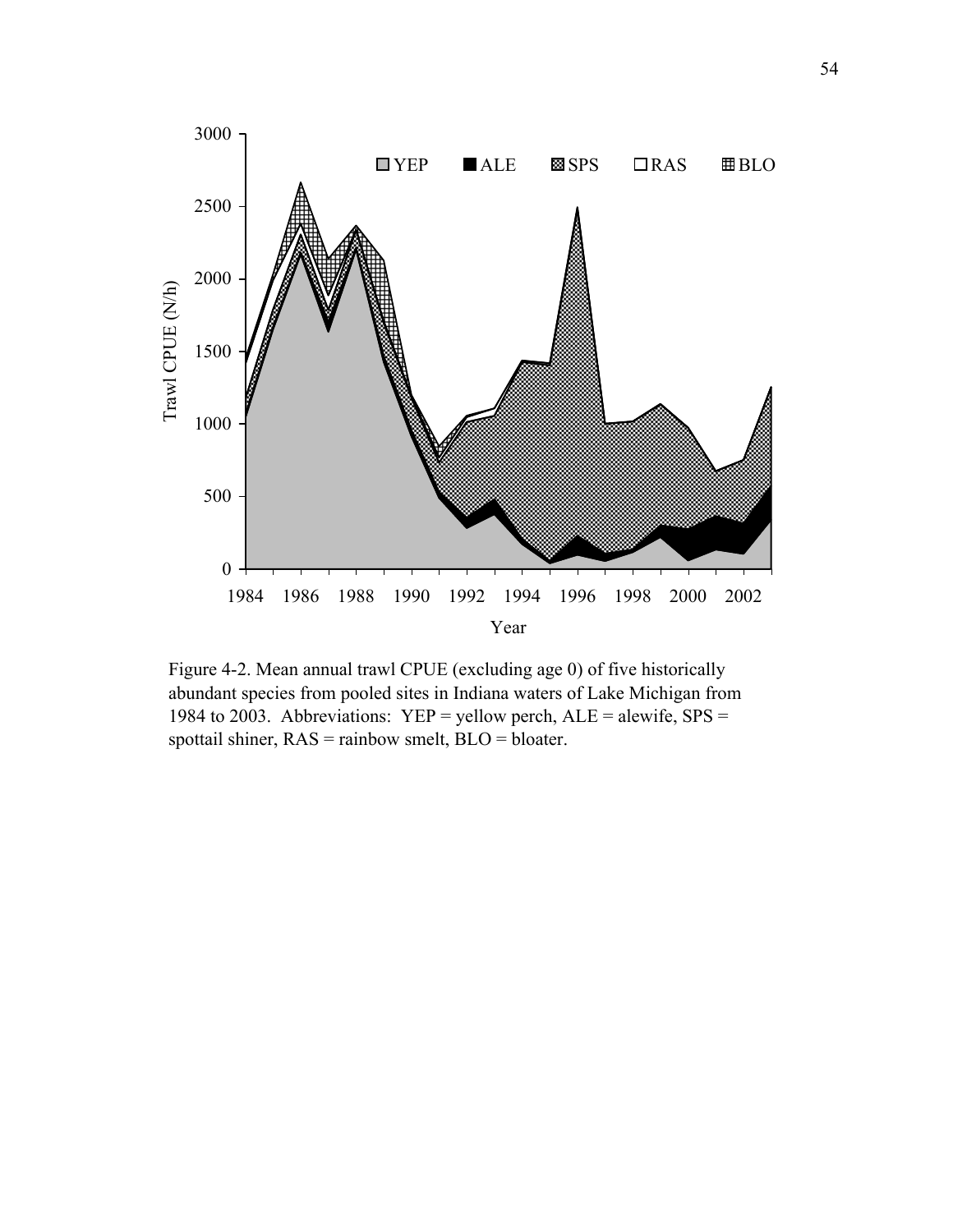

Figure 4-2. Mean annual trawl CPUE (excluding age 0) of five historically abundant species from pooled sites in Indiana waters of Lake Michigan from 1984 to 2003. Abbreviations: YEP = yellow perch,  $ALE =$  alewife, SPS = spottail shiner, RAS = rainbow smelt, BLO = bloater.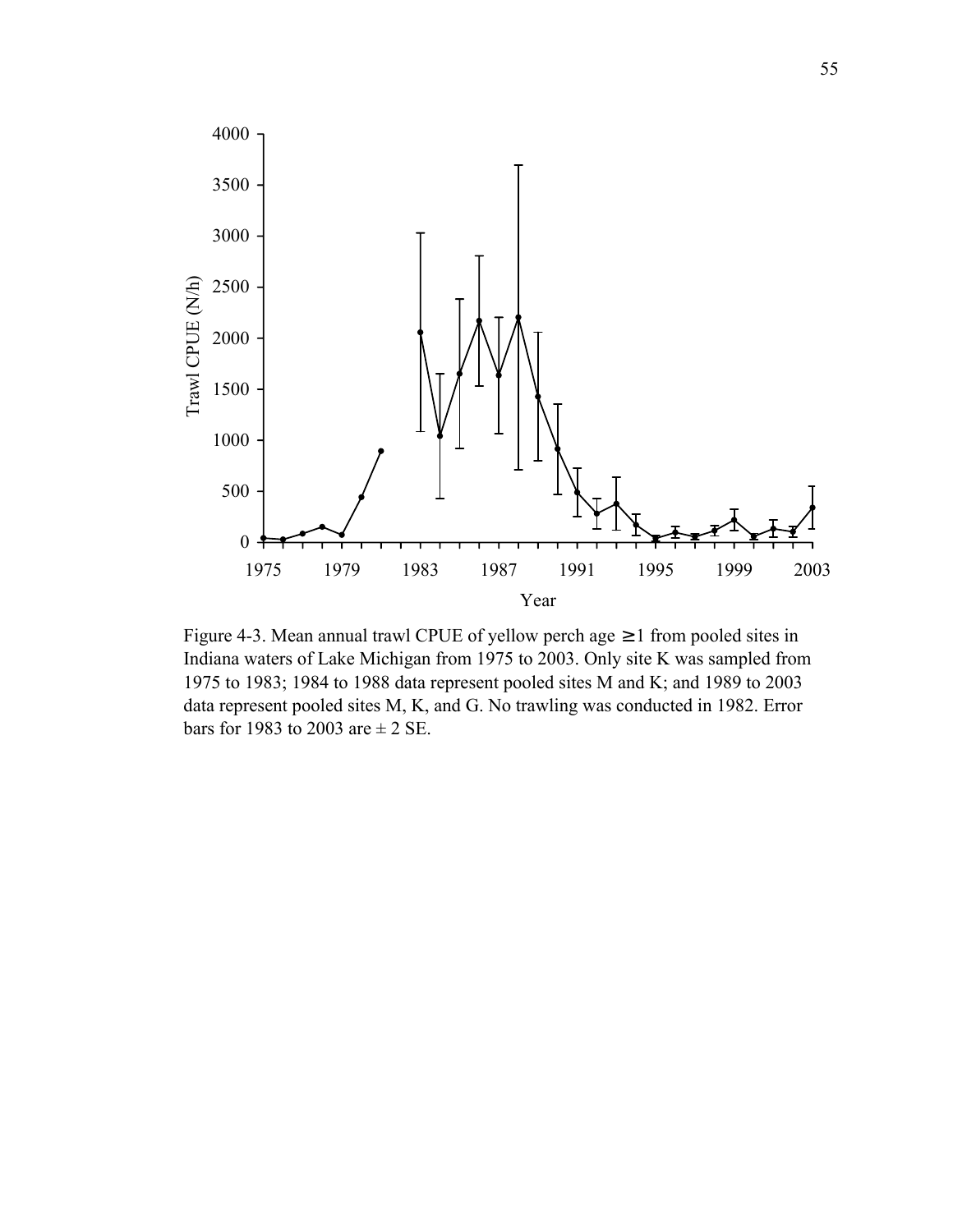

Figure 4-3. Mean annual trawl CPUE of yellow perch age  $\geq 1$  from pooled sites in Indiana waters of Lake Michigan from 1975 to 2003. Only site K was sampled from 1975 to 1983; 1984 to 1988 data represent pooled sites M and K; and 1989 to 2003 data represent pooled sites M, K, and G. No trawling was conducted in 1982. Error bars for 1983 to 2003 are  $\pm$  2 SE.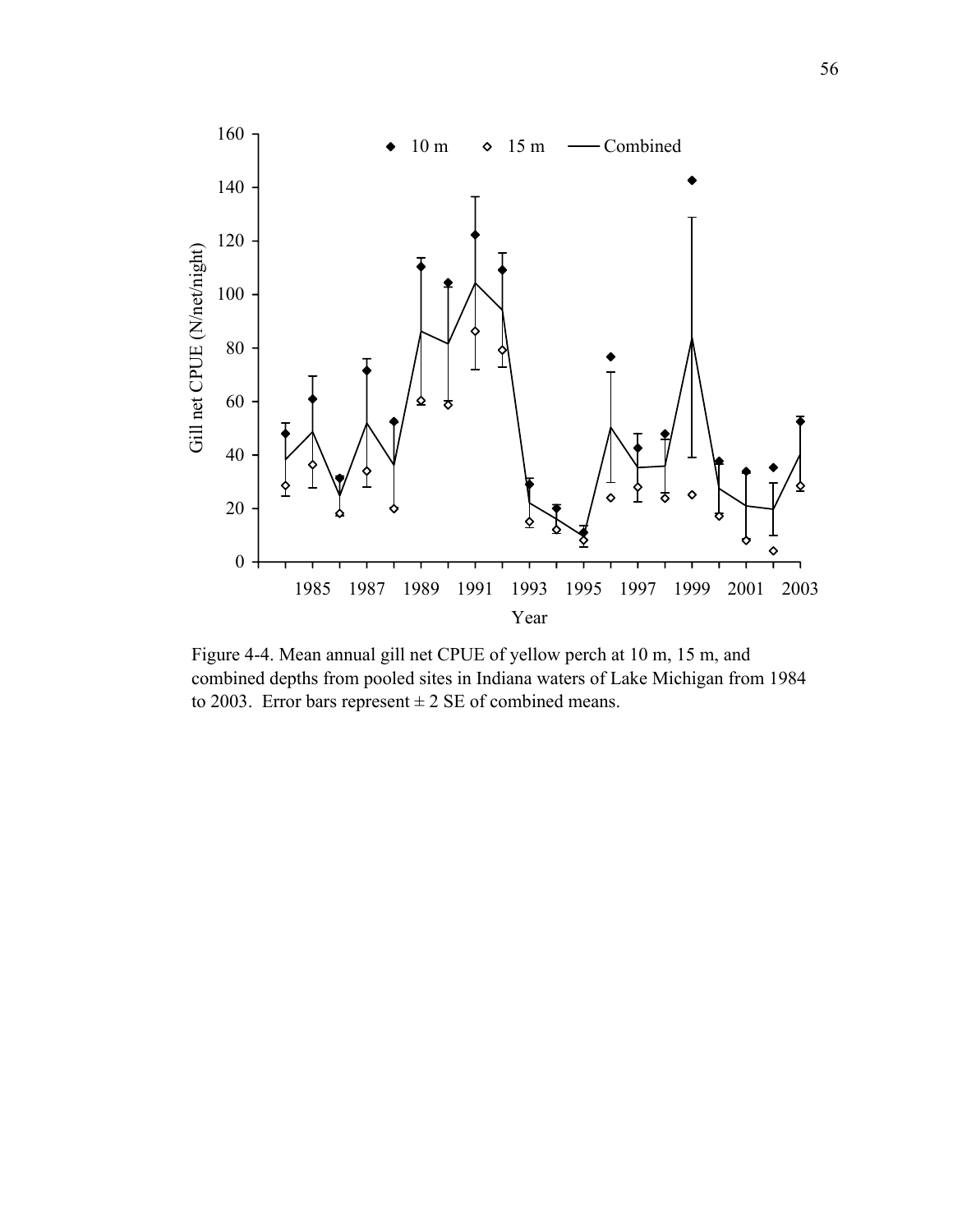

Figure 4-4. Mean annual gill net CPUE of yellow perch at 10 m, 15 m, and combined depths from pooled sites in Indiana waters of Lake Michigan from 1984 to 2003. Error bars represent  $\pm 2$  SE of combined means.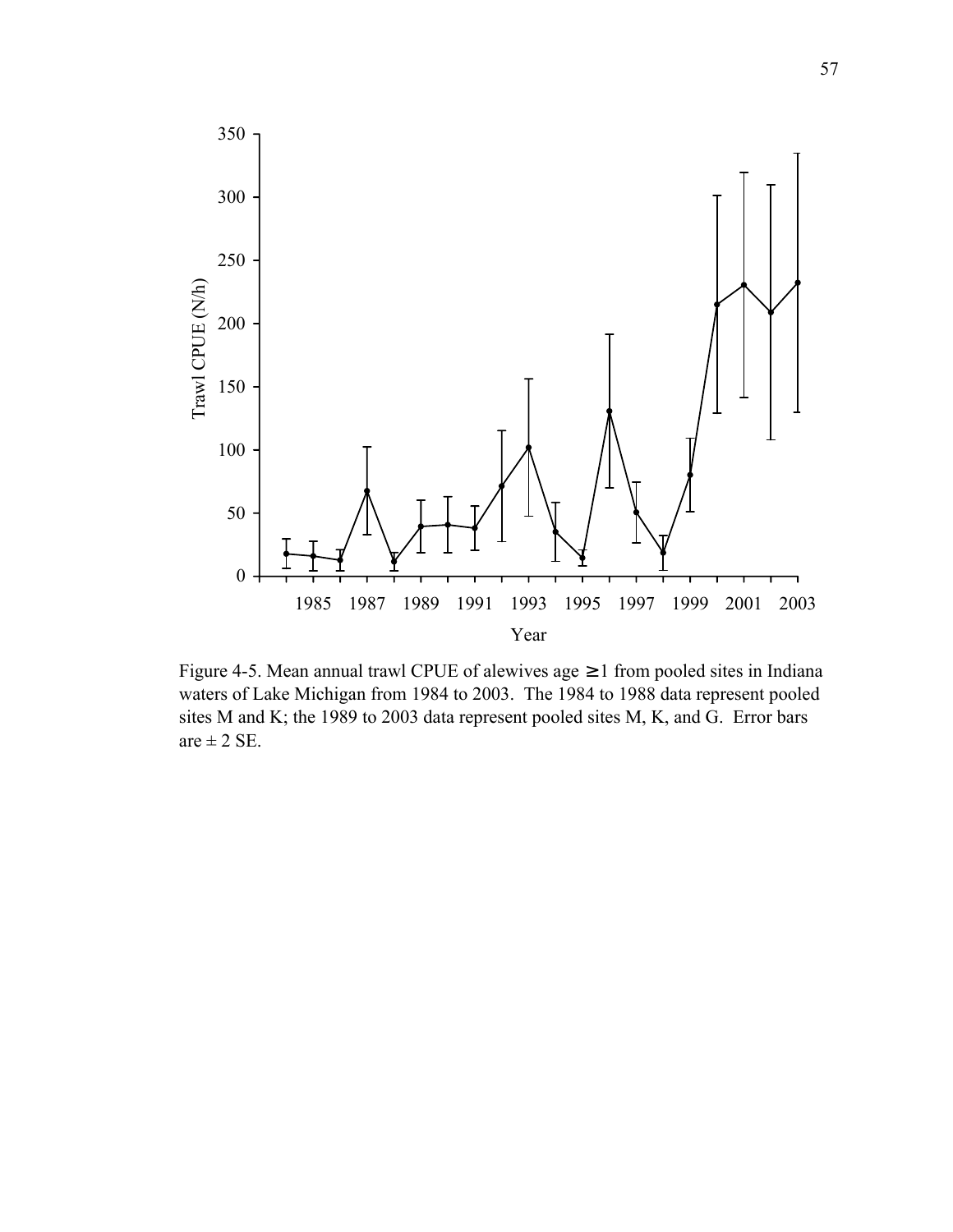

Figure 4-5. Mean annual trawl CPUE of alewives age  $\geq 1$  from pooled sites in Indiana waters of Lake Michigan from 1984 to 2003. The 1984 to 1988 data represent pooled sites M and K; the 1989 to 2003 data represent pooled sites M, K, and G. Error bars are  $\pm$  2 SE.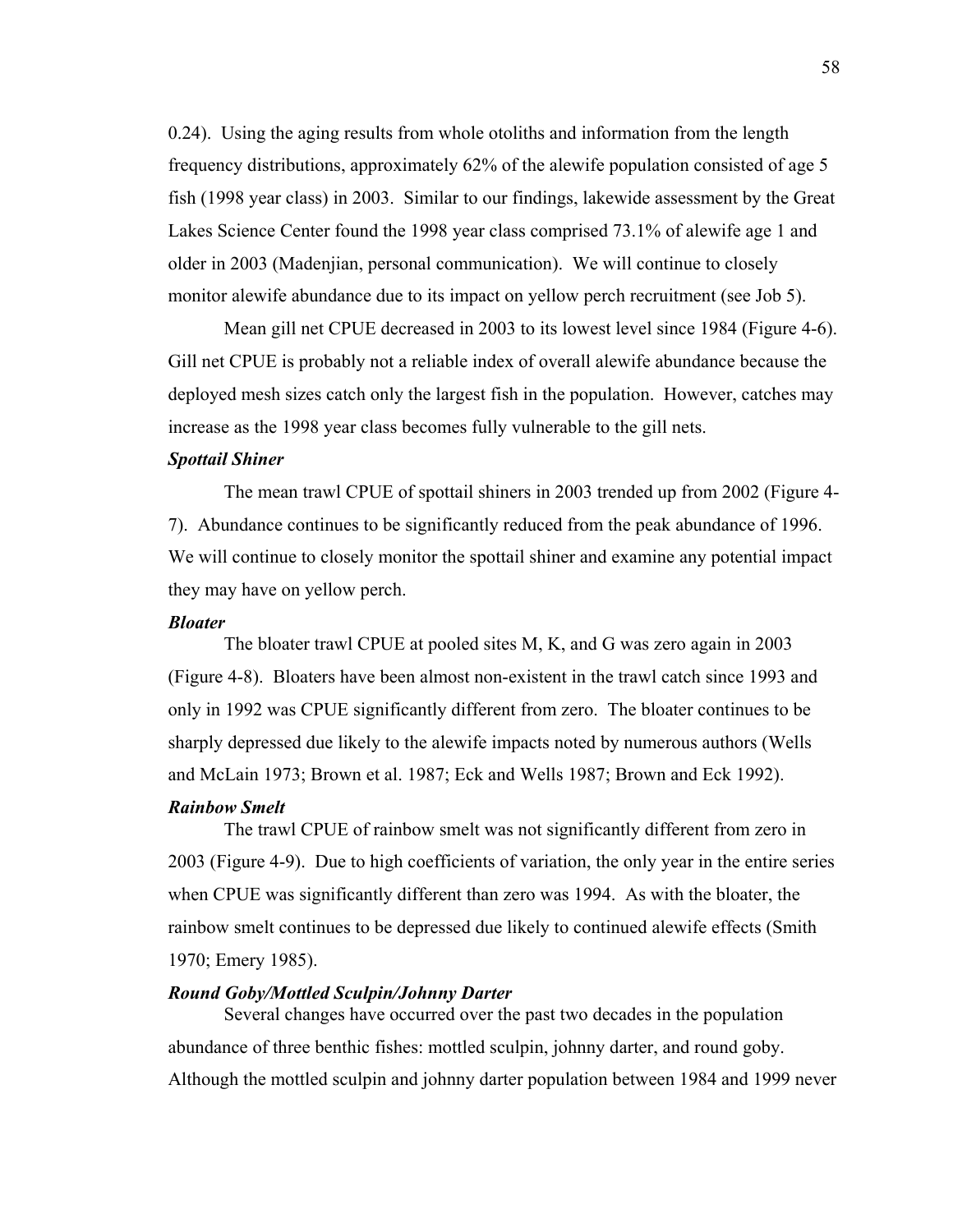0.24). Using the aging results from whole otoliths and information from the length frequency distributions, approximately 62% of the alewife population consisted of age 5 fish (1998 year class) in 2003. Similar to our findings, lakewide assessment by the Great Lakes Science Center found the 1998 year class comprised 73.1% of alewife age 1 and older in 2003 (Madenjian, personal communication). We will continue to closely monitor alewife abundance due to its impact on yellow perch recruitment (see Job 5).

 Mean gill net CPUE decreased in 2003 to its lowest level since 1984 (Figure 4-6). Gill net CPUE is probably not a reliable index of overall alewife abundance because the deployed mesh sizes catch only the largest fish in the population. However, catches may increase as the 1998 year class becomes fully vulnerable to the gill nets.

### *Spottail Shiner*

 The mean trawl CPUE of spottail shiners in 2003 trended up from 2002 (Figure 4- 7). Abundance continues to be significantly reduced from the peak abundance of 1996. We will continue to closely monitor the spottail shiner and examine any potential impact they may have on yellow perch.

#### *Bloater*

 The bloater trawl CPUE at pooled sites M, K, and G was zero again in 2003 (Figure 4-8). Bloaters have been almost non-existent in the trawl catch since 1993 and only in 1992 was CPUE significantly different from zero. The bloater continues to be sharply depressed due likely to the alewife impacts noted by numerous authors (Wells and McLain 1973; Brown et al. 1987; Eck and Wells 1987; Brown and Eck 1992).

### *Rainbow Smelt*

 The trawl CPUE of rainbow smelt was not significantly different from zero in 2003 (Figure 4-9). Due to high coefficients of variation, the only year in the entire series when CPUE was significantly different than zero was 1994. As with the bloater, the rainbow smelt continues to be depressed due likely to continued alewife effects (Smith 1970; Emery 1985).

# *Round Goby/Mottled Sculpin/Johnny Darter*

 Several changes have occurred over the past two decades in the population abundance of three benthic fishes: mottled sculpin, johnny darter, and round goby. Although the mottled sculpin and johnny darter population between 1984 and 1999 never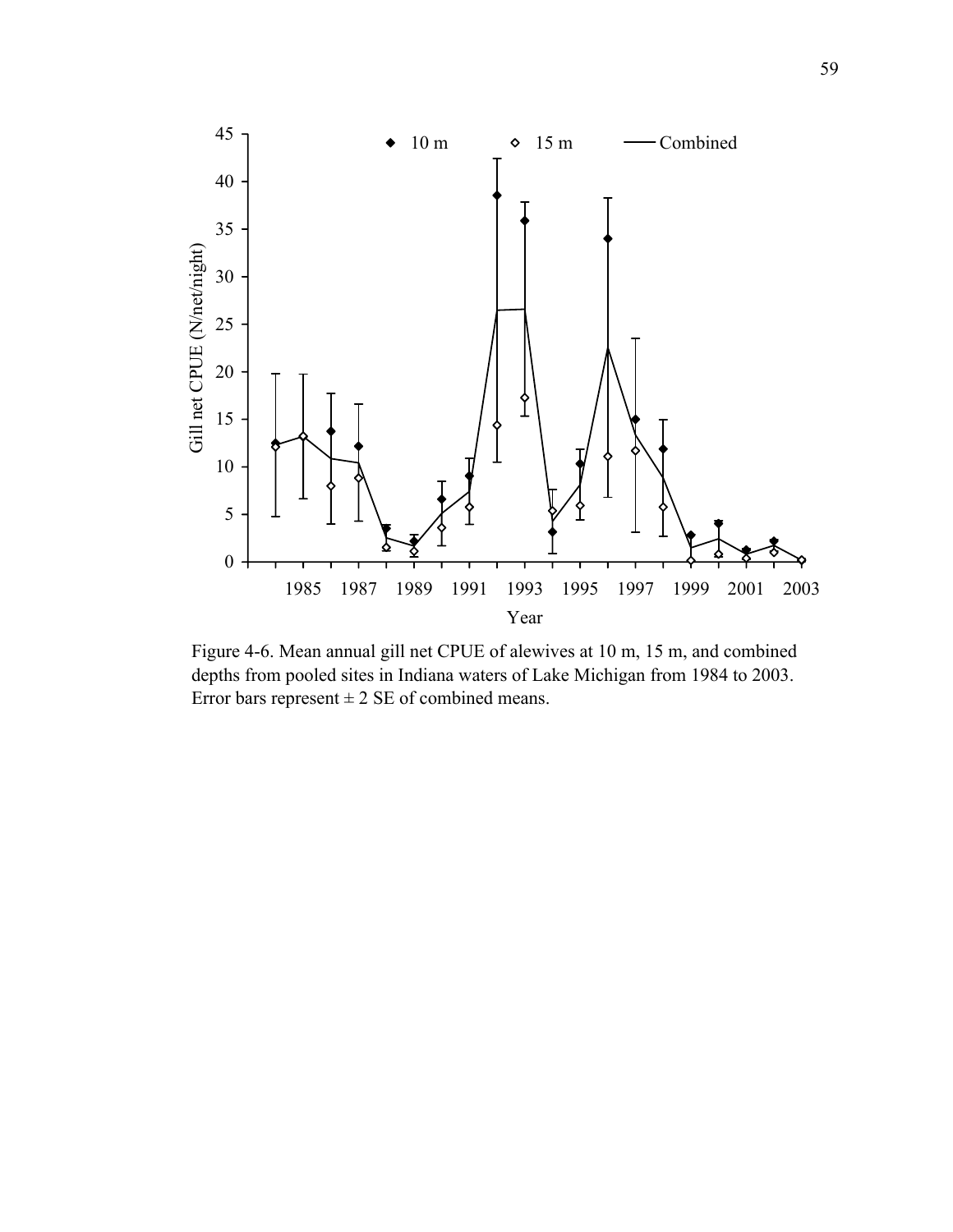

Figure 4-6. Mean annual gill net CPUE of alewives at 10 m, 15 m, and combined depths from pooled sites in Indiana waters of Lake Michigan from 1984 to 2003. Error bars represent  $\pm 2$  SE of combined means.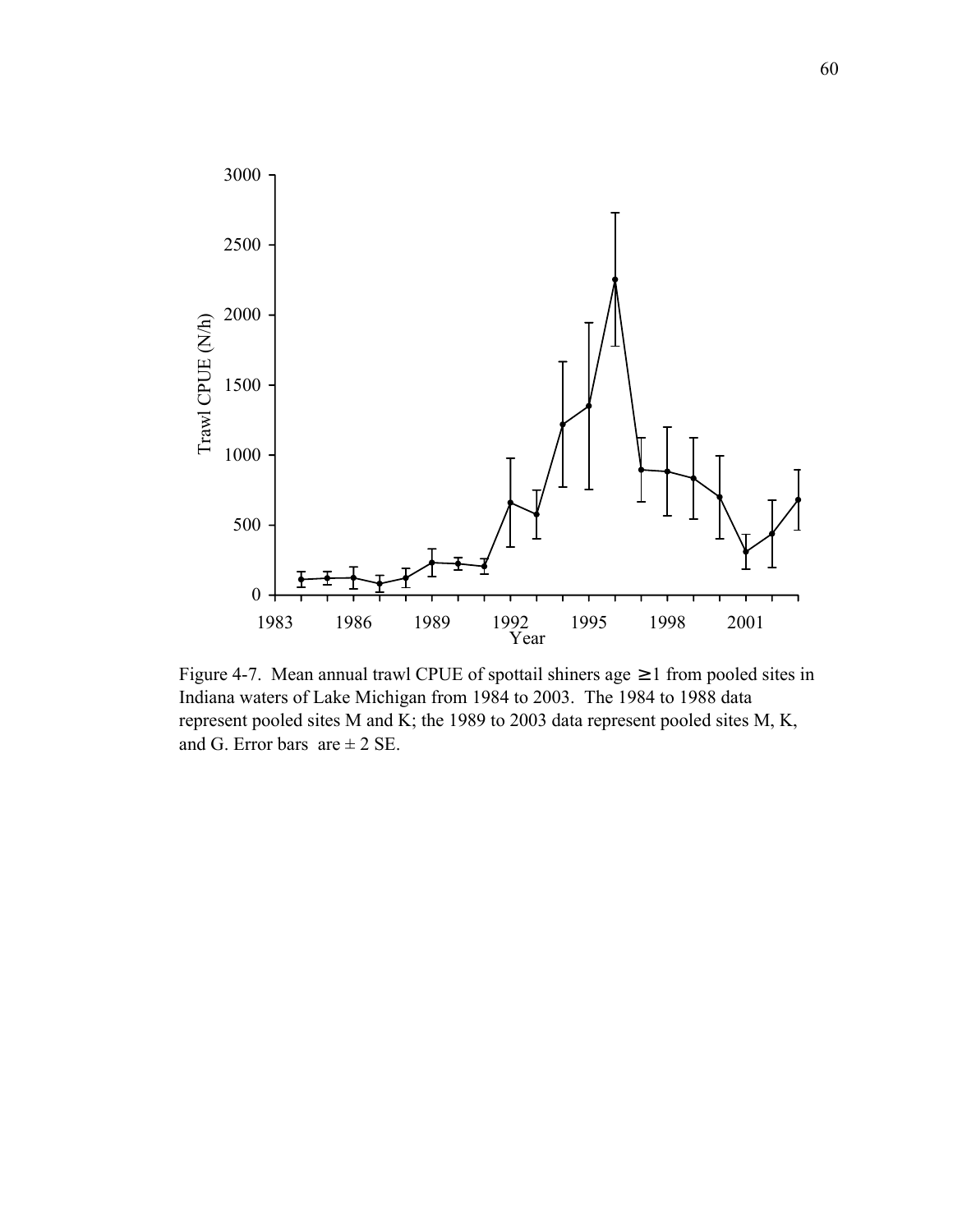

Figure 4-7. Mean annual trawl CPUE of spottail shiners age  $\geq 1$  from pooled sites in Indiana waters of Lake Michigan from 1984 to 2003. The 1984 to 1988 data represent pooled sites M and K; the 1989 to 2003 data represent pooled sites M, K, and G. Error bars  $are \pm 2$  SE.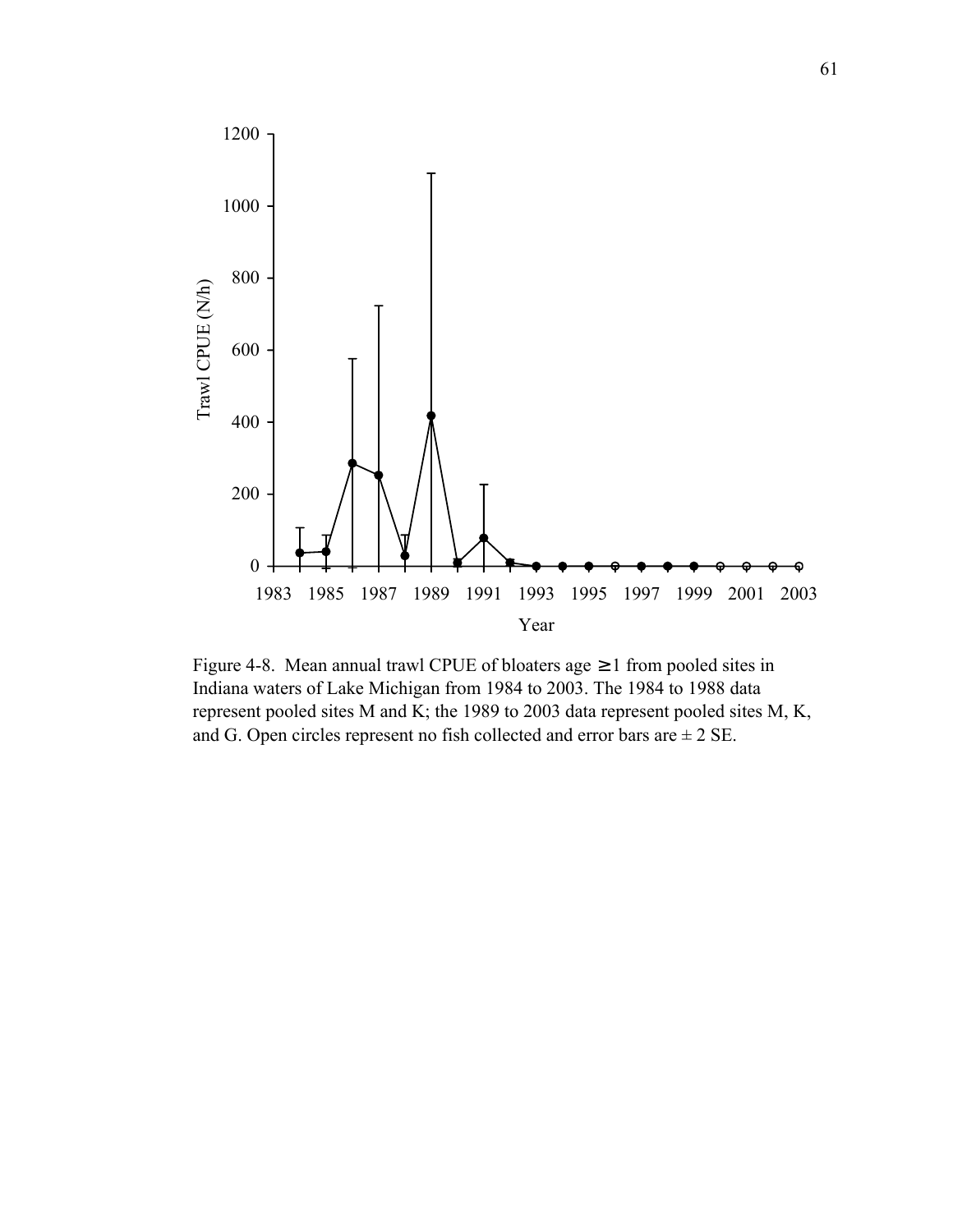

Figure 4-8. Mean annual trawl CPUE of bloaters age  $\geq 1$  from pooled sites in Indiana waters of Lake Michigan from 1984 to 2003. The 1984 to 1988 data represent pooled sites M and K; the 1989 to 2003 data represent pooled sites M, K, and G. Open circles represent no fish collected and error bars are  $\pm 2$  SE.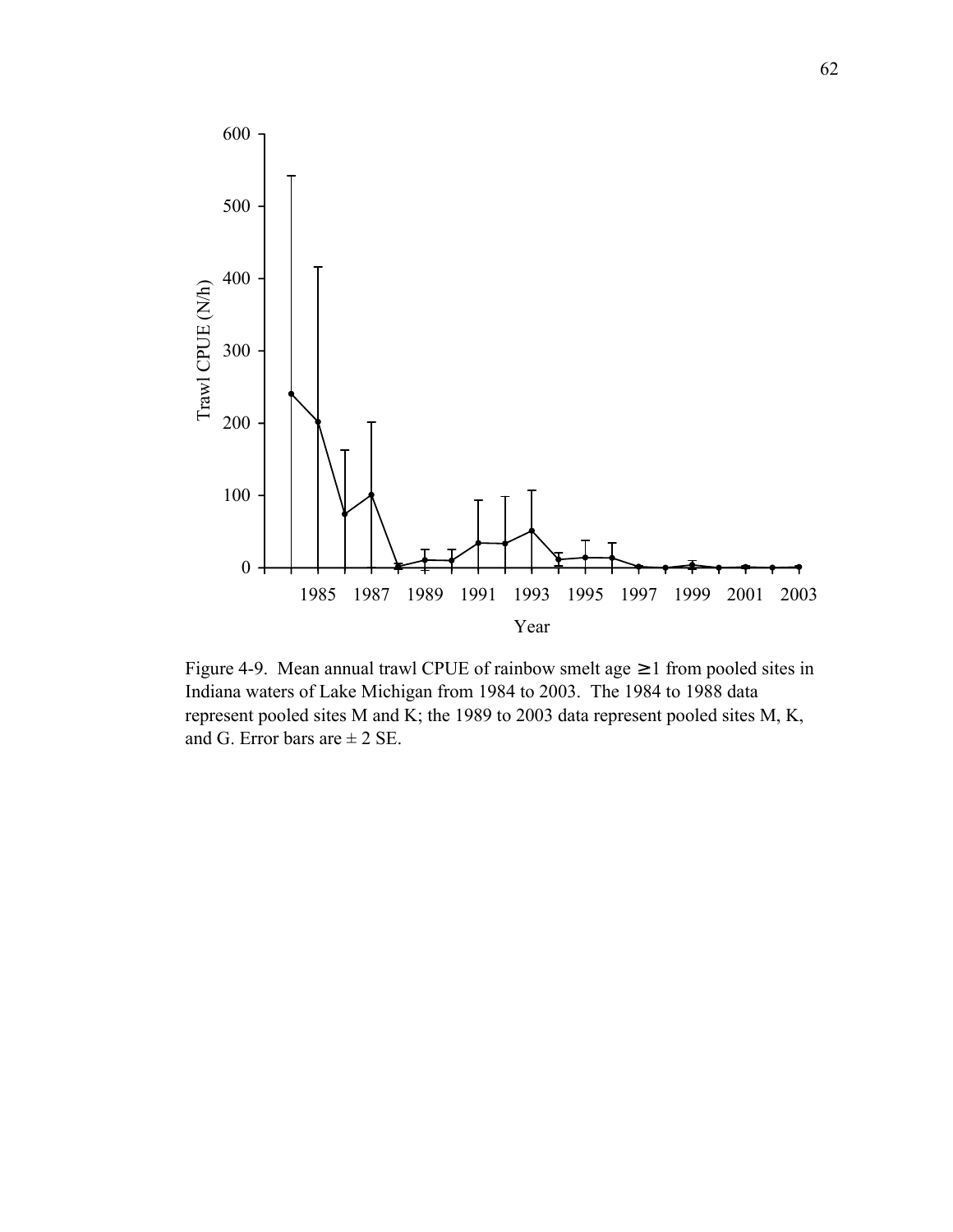

Figure 4-9. Mean annual trawl CPUE of rainbow smelt age  $\geq 1$  from pooled sites in Indiana waters of Lake Michigan from 1984 to 2003. The 1984 to 1988 data represent pooled sites M and K; the 1989 to 2003 data represent pooled sites M, K, and G. Error bars are  $\pm 2$  SE.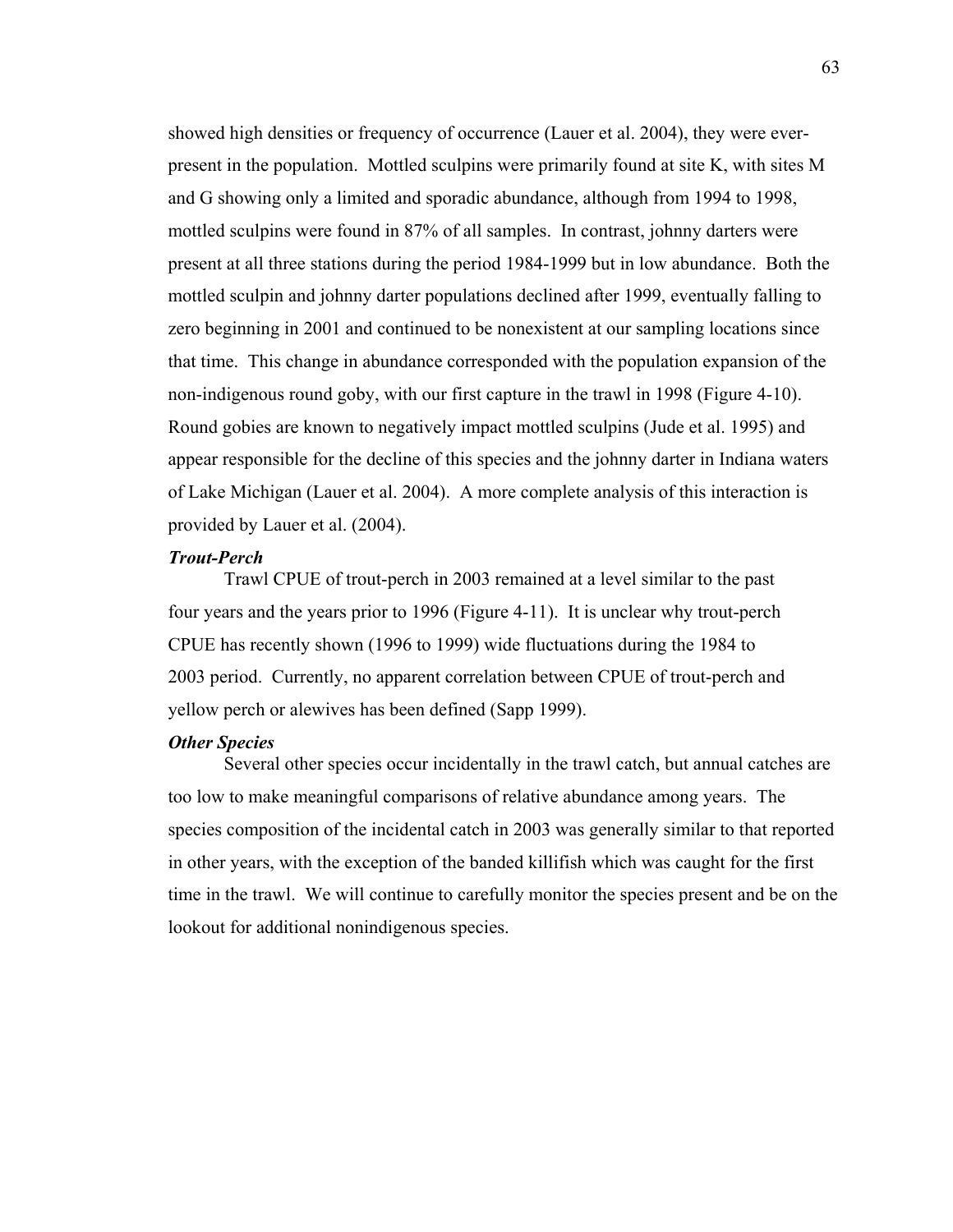showed high densities or frequency of occurrence (Lauer et al. 2004), they were everpresent in the population. Mottled sculpins were primarily found at site K, with sites M and G showing only a limited and sporadic abundance, although from 1994 to 1998, mottled sculpins were found in 87% of all samples. In contrast, johnny darters were present at all three stations during the period 1984-1999 but in low abundance. Both the mottled sculpin and johnny darter populations declined after 1999, eventually falling to zero beginning in 2001 and continued to be nonexistent at our sampling locations since that time. This change in abundance corresponded with the population expansion of the non-indigenous round goby, with our first capture in the trawl in 1998 (Figure 4-10). Round gobies are known to negatively impact mottled sculpins (Jude et al. 1995) and appear responsible for the decline of this species and the johnny darter in Indiana waters of Lake Michigan (Lauer et al. 2004). A more complete analysis of this interaction is provided by Lauer et al. (2004).

## *Trout-Perch*

 Trawl CPUE of trout-perch in 2003 remained at a level similar to the past four years and the years prior to 1996 (Figure 4-11). It is unclear why trout-perch CPUE has recently shown (1996 to 1999) wide fluctuations during the 1984 to 2003 period. Currently, no apparent correlation between CPUE of trout-perch and yellow perch or alewives has been defined (Sapp 1999).

#### *Other Species*

 Several other species occur incidentally in the trawl catch, but annual catches are too low to make meaningful comparisons of relative abundance among years. The species composition of the incidental catch in 2003 was generally similar to that reported in other years, with the exception of the banded killifish which was caught for the first time in the trawl. We will continue to carefully monitor the species present and be on the lookout for additional nonindigenous species.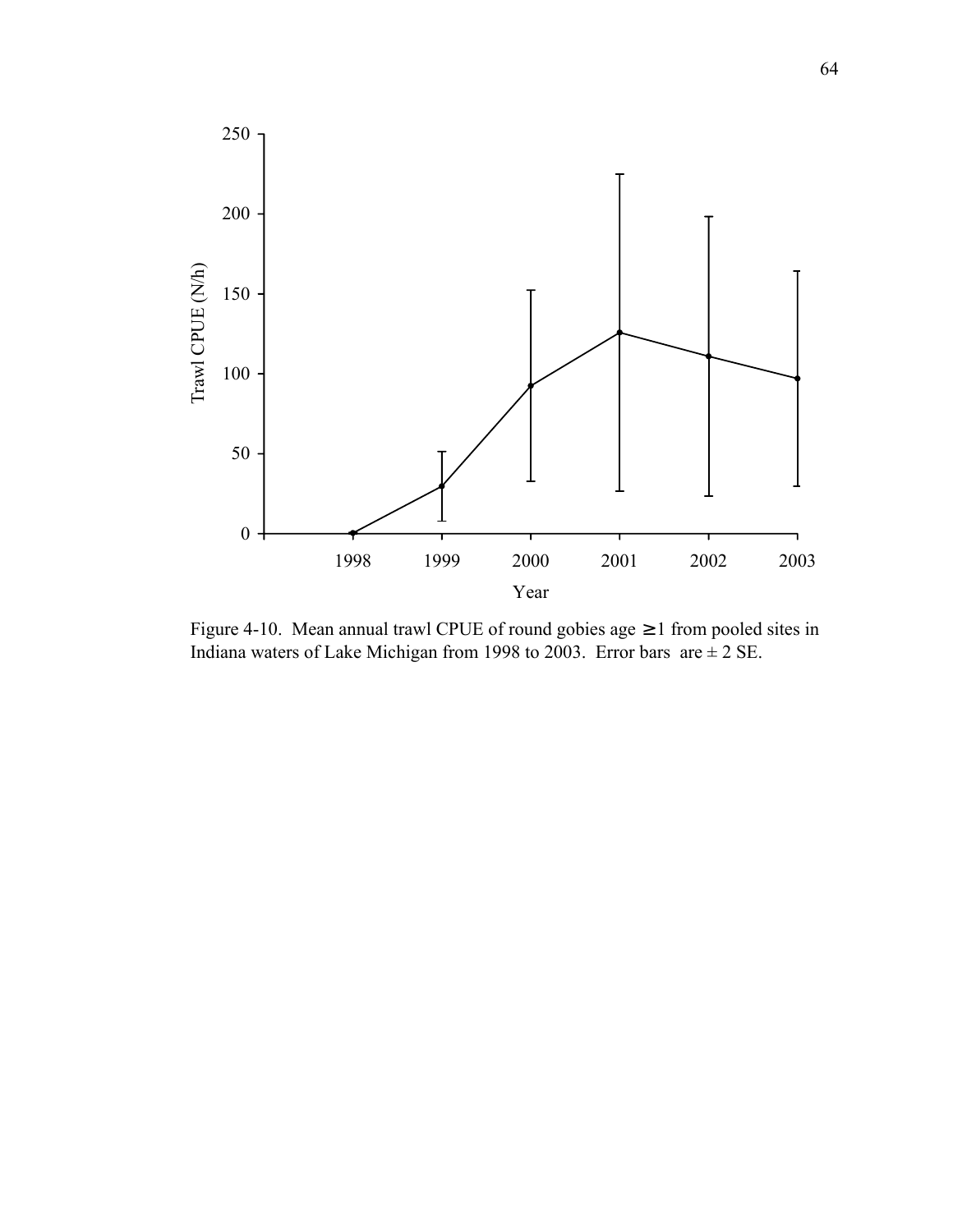

Figure 4-10. Mean annual trawl CPUE of round gobies age ≥ 1 from pooled sites in Indiana waters of Lake Michigan from 1998 to 2003. Error bars are  $\pm$  2 SE.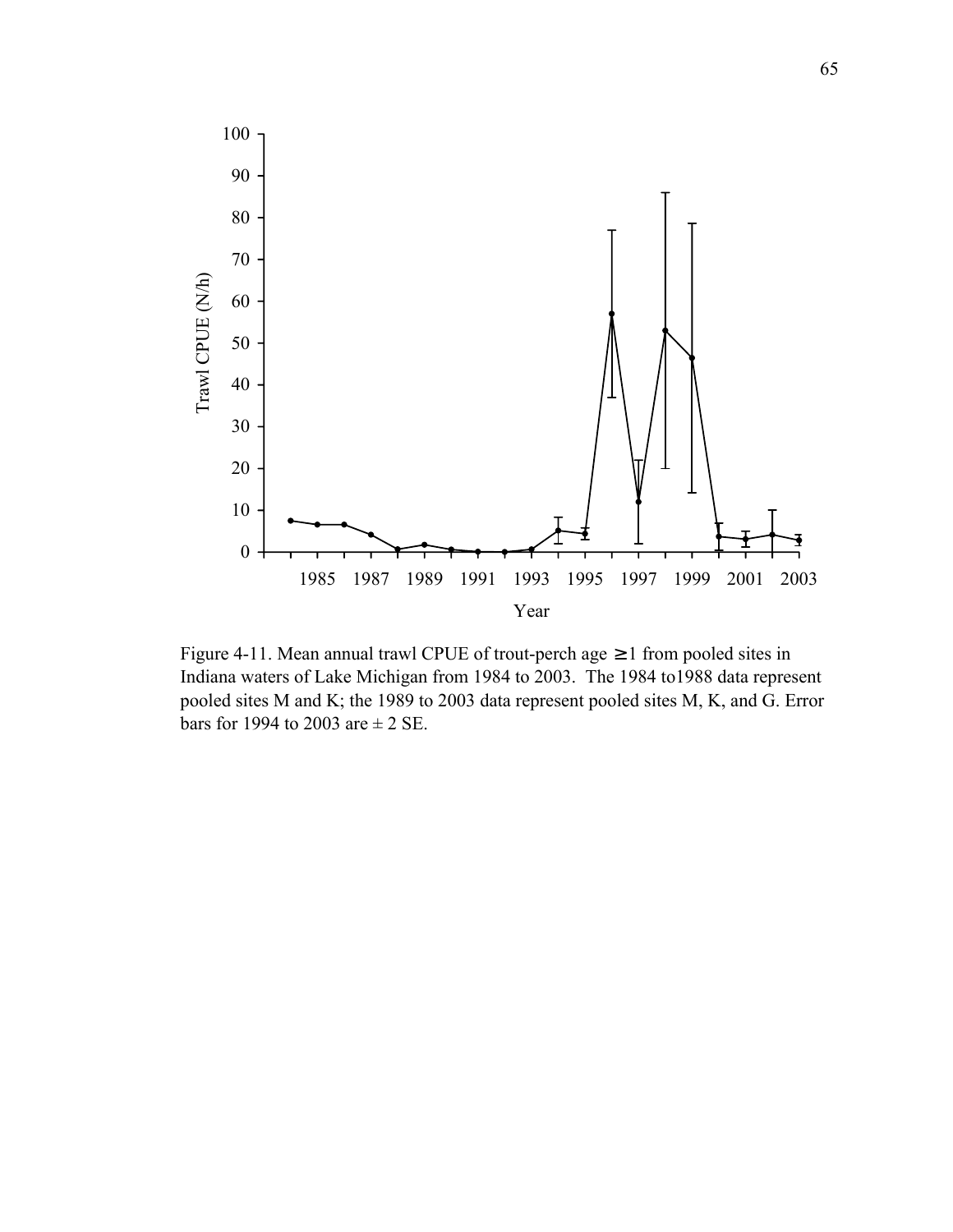

Figure 4-11. Mean annual trawl CPUE of trout-perch age  $\geq 1$  from pooled sites in Indiana waters of Lake Michigan from 1984 to 2003. The 1984 to1988 data represent pooled sites M and K; the 1989 to 2003 data represent pooled sites M, K, and G. Error bars for 1994 to 2003 are  $\pm$  2 SE.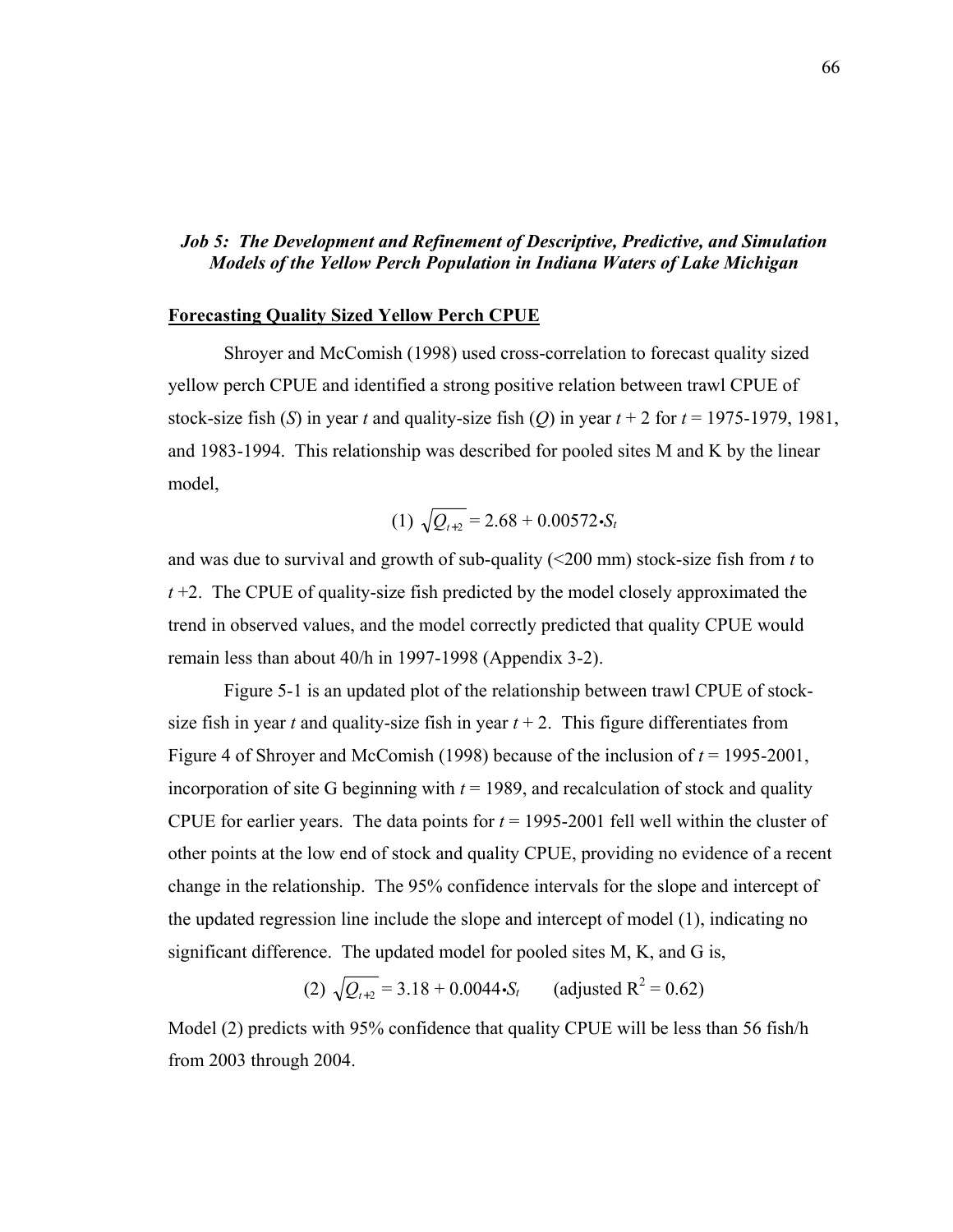# *Job 5: The Development and Refinement of Descriptive, Predictive, and Simulation Models of the Yellow Perch Population in Indiana Waters of Lake Michigan*

#### **Forecasting Quality Sized Yellow Perch CPUE**

 Shroyer and McComish (1998) used cross-correlation to forecast quality sized yellow perch CPUE and identified a strong positive relation between trawl CPUE of stock-size fish (*S*) in year *t* and quality-size fish (*Q*) in year  $t + 2$  for  $t = 1975-1979$ , 1981, and 1983-1994. This relationship was described for pooled sites M and K by the linear model,

(1) 
$$
\sqrt{Q_{t+2}} = 2.68 + 0.00572 \cdot S_t
$$

and was due to survival and growth of sub-quality (<200 mm) stock-size fish from *t* to *t* +2. The CPUE of quality-size fish predicted by the model closely approximated the trend in observed values, and the model correctly predicted that quality CPUE would remain less than about 40/h in 1997-1998 (Appendix 3-2).

 Figure 5-1 is an updated plot of the relationship between trawl CPUE of stocksize fish in year *t* and quality-size fish in year  $t + 2$ . This figure differentiates from Figure 4 of Shroyer and McComish (1998) because of the inclusion of *t* = 1995-2001, incorporation of site G beginning with  $t = 1989$ , and recalculation of stock and quality CPUE for earlier years. The data points for  $t = 1995-2001$  fell well within the cluster of other points at the low end of stock and quality CPUE, providing no evidence of a recent change in the relationship. The 95% confidence intervals for the slope and intercept of the updated regression line include the slope and intercept of model (1), indicating no significant difference. The updated model for pooled sites M, K, and G is,

(2)  $\sqrt{Q_{t+2}} = 3.18 + 0.0044 \cdot S_t$  (adjusted R<sup>2</sup> = 0.62)

Model (2) predicts with 95% confidence that quality CPUE will be less than 56 fish/h from 2003 through 2004.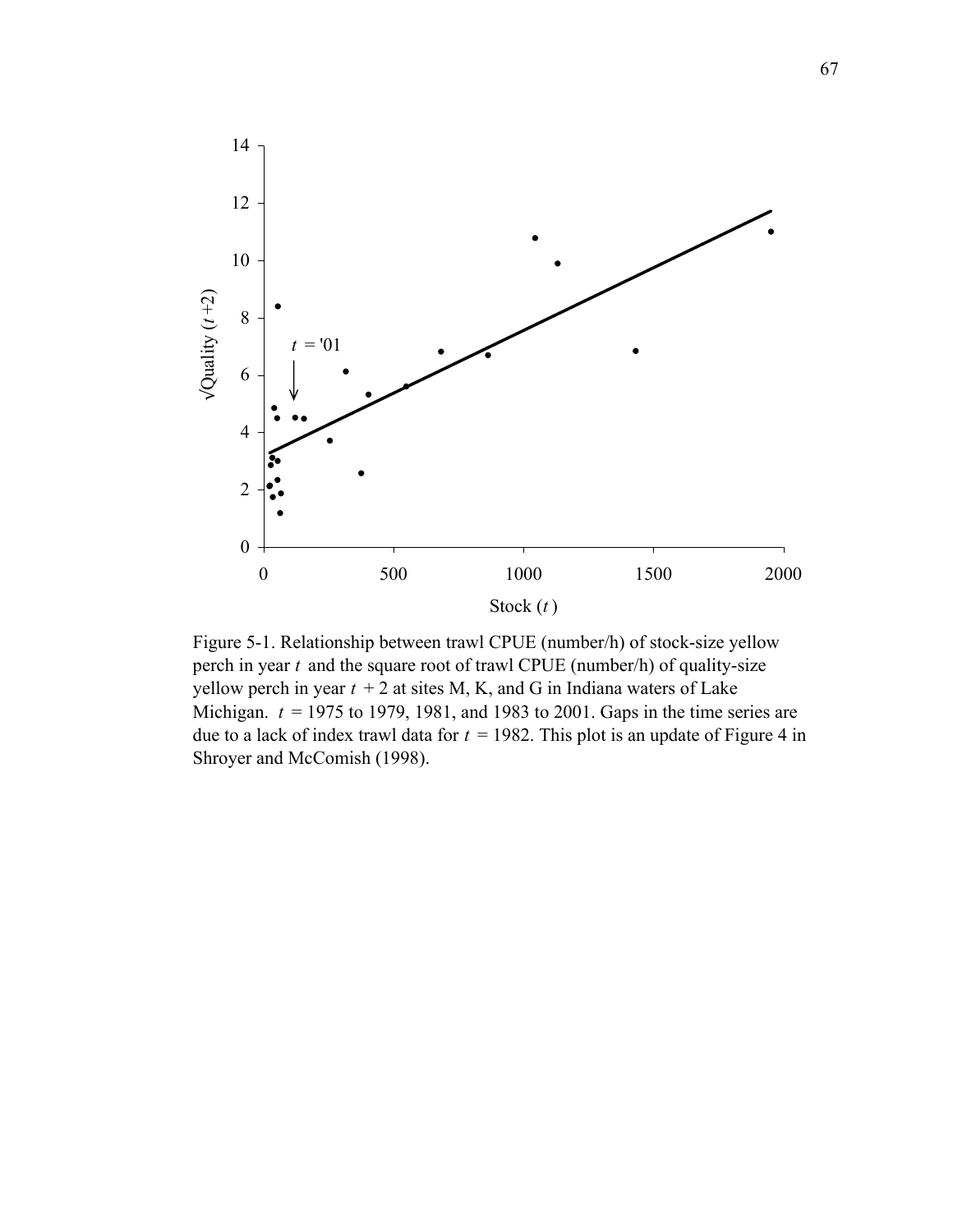

Figure 5-1. Relationship between trawl CPUE (number/h) of stock-size yellow perch in year *t* and the square root of trawl CPUE (number/h) of quality-size yellow perch in year  $t + 2$  at sites M, K, and G in Indiana waters of Lake Michigan. *t* = 1975 to 1979, 1981, and 1983 to 2001. Gaps in the time series are due to a lack of index trawl data for  $t = 1982$ . This plot is an update of Figure 4 in Shroyer and McComish (1998).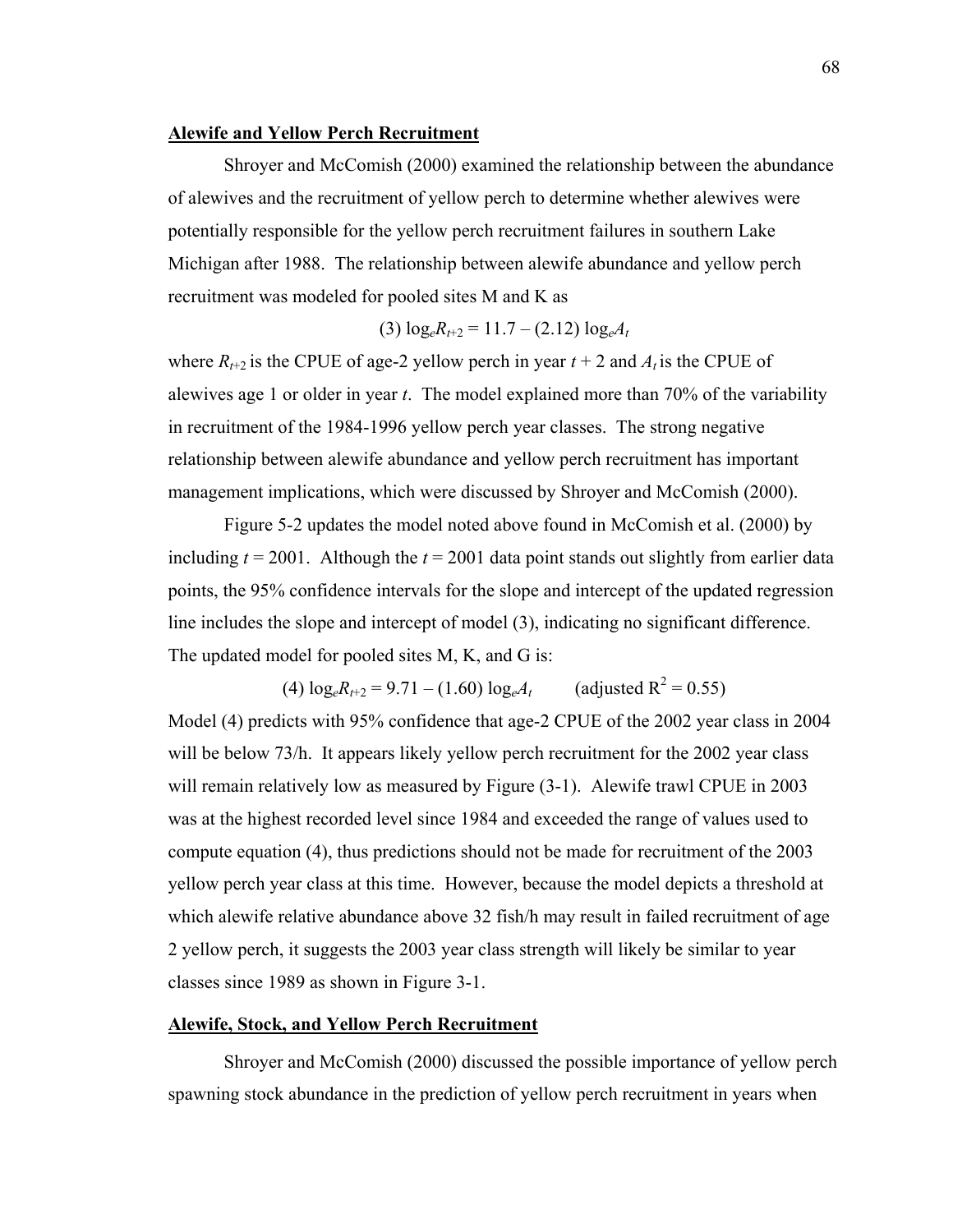#### **Alewife and Yellow Perch Recruitment**

 Shroyer and McComish (2000) examined the relationship between the abundance of alewives and the recruitment of yellow perch to determine whether alewives were potentially responsible for the yellow perch recruitment failures in southern Lake Michigan after 1988. The relationship between alewife abundance and yellow perch recruitment was modeled for pooled sites M and K as

$$
(3) \log_{e} R_{t+2} = 11.7 - (2.12) \log_{e} A_{t}
$$

where  $R_{t+2}$  is the CPUE of age-2 yellow perch in year  $t + 2$  and  $A_t$  is the CPUE of alewives age 1 or older in year *t*. The model explained more than 70% of the variability in recruitment of the 1984-1996 yellow perch year classes. The strong negative relationship between alewife abundance and yellow perch recruitment has important management implications, which were discussed by Shroyer and McComish (2000).

 Figure 5-2 updates the model noted above found in McComish et al. (2000) by including  $t = 2001$ . Although the  $t = 2001$  data point stands out slightly from earlier data points, the 95% confidence intervals for the slope and intercept of the updated regression line includes the slope and intercept of model (3), indicating no significant difference. The updated model for pooled sites M, K, and G is:

 $(4) \log_e R_{t+2} = 9.71 - (1.60) \log_e A_t$ (adjusted  $R^2$  = 0.55) Model (4) predicts with 95% confidence that age-2 CPUE of the 2002 year class in 2004 will be below 73/h. It appears likely yellow perch recruitment for the 2002 year class will remain relatively low as measured by Figure  $(3-1)$ . Alewife trawl CPUE in 2003 was at the highest recorded level since 1984 and exceeded the range of values used to compute equation (4), thus predictions should not be made for recruitment of the 2003 yellow perch year class at this time. However, because the model depicts a threshold at which alewife relative abundance above 32 fish/h may result in failed recruitment of age 2 yellow perch, it suggests the 2003 year class strength will likely be similar to year classes since 1989 as shown in Figure 3-1.

#### **Alewife, Stock, and Yellow Perch Recruitment**

 Shroyer and McComish (2000) discussed the possible importance of yellow perch spawning stock abundance in the prediction of yellow perch recruitment in years when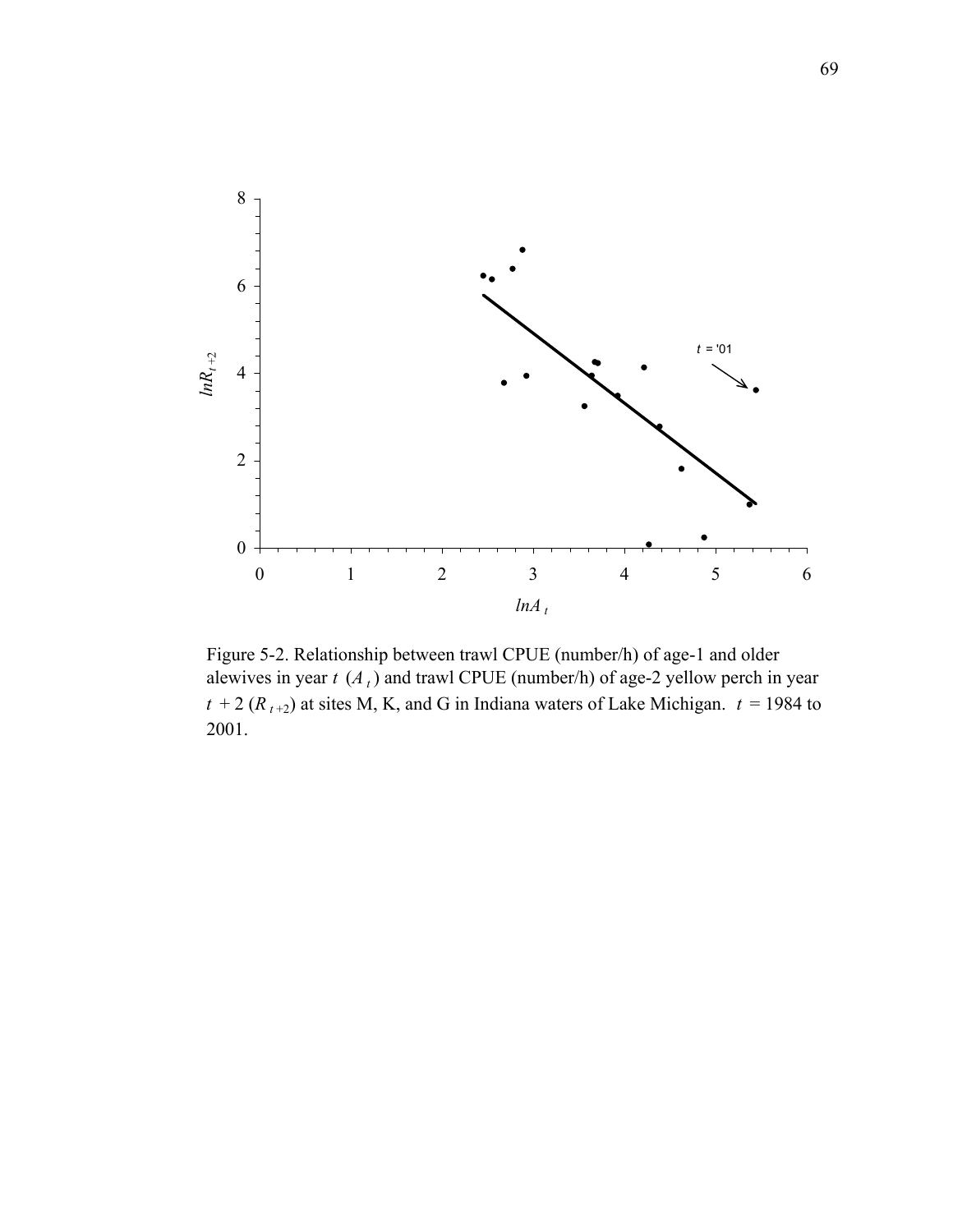

Figure 5-2. Relationship between trawl CPUE (number/h) of age-1 and older alewives in year  $t$  ( $A_t$ ) and trawl CPUE (number/h) of age-2 yellow perch in year  $t + 2$  ( $R_{t+2}$ ) at sites M, K, and G in Indiana waters of Lake Michigan.  $t = 1984$  to 2001.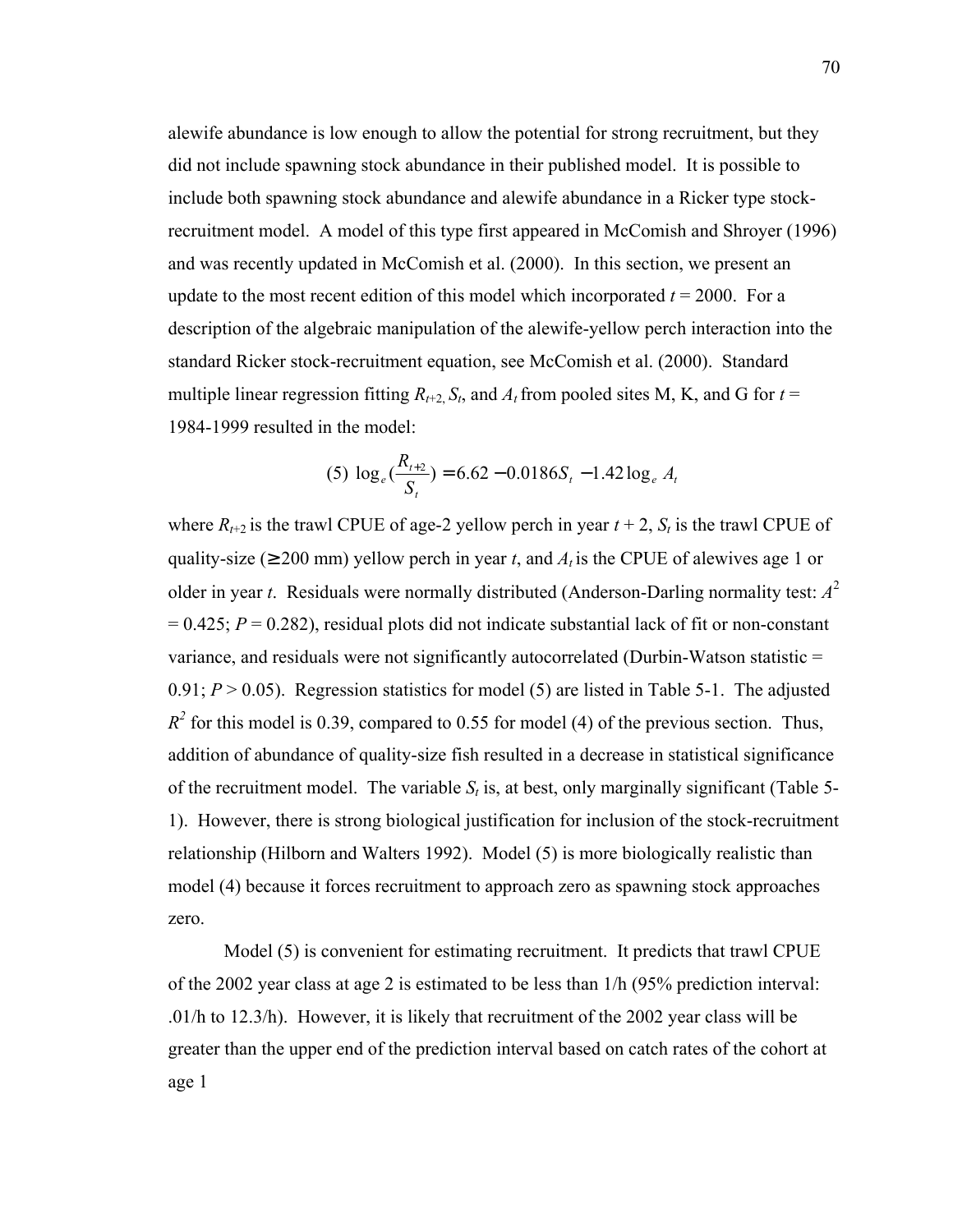alewife abundance is low enough to allow the potential for strong recruitment, but they did not include spawning stock abundance in their published model. It is possible to include both spawning stock abundance and alewife abundance in a Ricker type stockrecruitment model. A model of this type first appeared in McComish and Shroyer (1996) and was recently updated in McComish et al. (2000). In this section, we present an update to the most recent edition of this model which incorporated  $t = 2000$ . For a description of the algebraic manipulation of the alewife-yellow perch interaction into the standard Ricker stock-recruitment equation, see McComish et al. (2000). Standard multiple linear regression fitting  $R_{t+2}$ ,  $S_t$ , and  $A_t$  from pooled sites M, K, and G for  $t =$ 1984-1999 resulted in the model:

$$
(5) \log_e(\frac{R_{t+2}}{S_t}) = 6.62 - 0.0186S_t - 1.42\log_e A_t
$$

where  $R_{t+2}$  is the trawl CPUE of age-2 yellow perch in year  $t + 2$ ,  $S_t$  is the trawl CPUE of quality-size ( $\geq 200$  mm) yellow perch in year *t*, and  $A_t$  is the CPUE of alewives age 1 or older in year *t*. Residuals were normally distributed (Anderson-Darling normality test: *A*<sup>2</sup>  $= 0.425$ ;  $P = 0.282$ ), residual plots did not indicate substantial lack of fit or non-constant variance, and residuals were not significantly autocorrelated (Durbin-Watson statistic =  $0.91; P > 0.05$ ). Regression statistics for model (5) are listed in Table 5-1. The adjusted  $R^2$  for this model is 0.39, compared to 0.55 for model (4) of the previous section. Thus, addition of abundance of quality-size fish resulted in a decrease in statistical significance of the recruitment model. The variable  $S_t$  is, at best, only marginally significant (Table 5-1). However, there is strong biological justification for inclusion of the stock-recruitment relationship (Hilborn and Walters 1992). Model (5) is more biologically realistic than model (4) because it forces recruitment to approach zero as spawning stock approaches zero.

 Model (5) is convenient for estimating recruitment. It predicts that trawl CPUE of the 2002 year class at age 2 is estimated to be less than 1/h (95% prediction interval: .01/h to 12.3/h). However, it is likely that recruitment of the 2002 year class will be greater than the upper end of the prediction interval based on catch rates of the cohort at age 1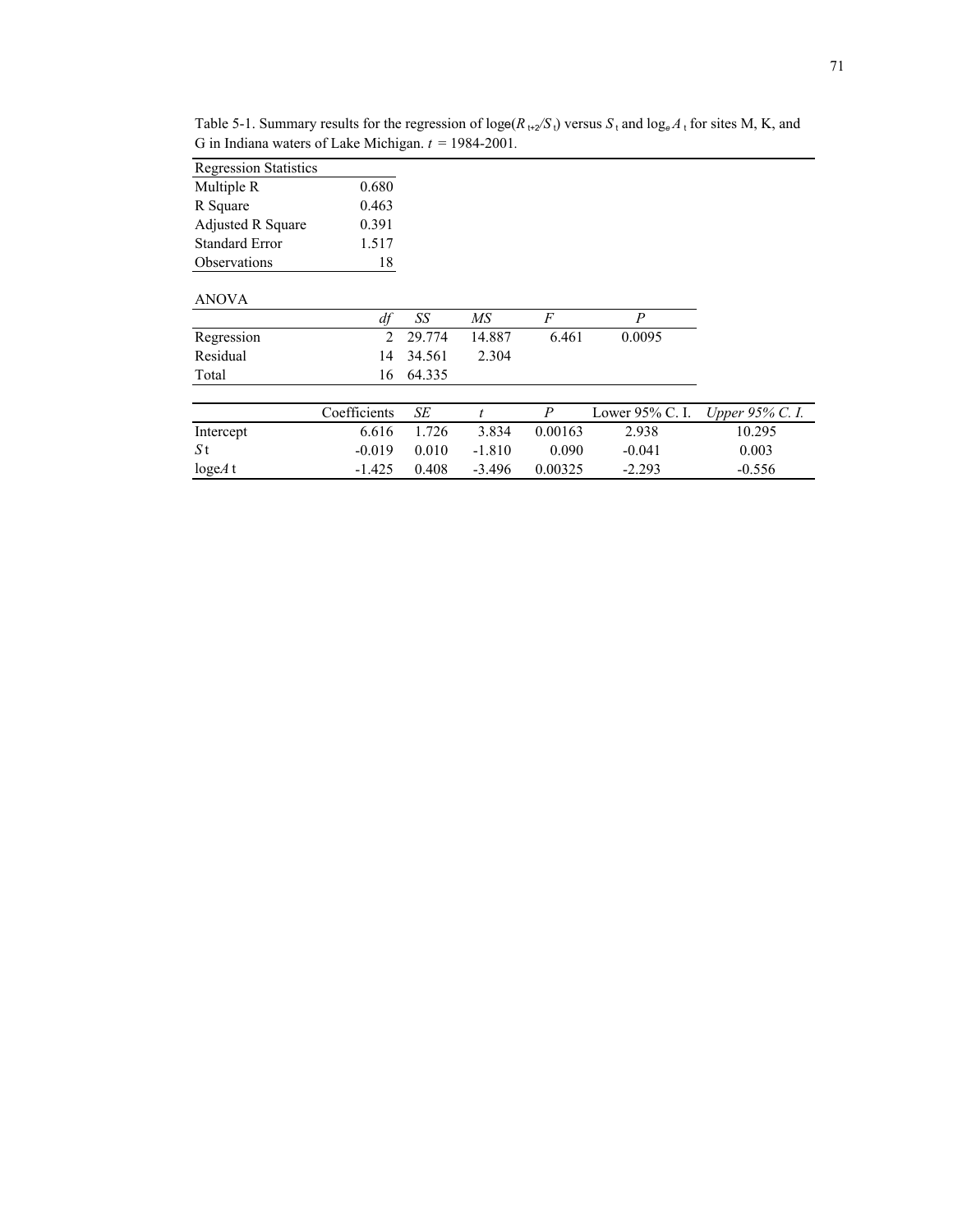| <b>Regression Statistics</b> |                |        |          |         |                 |                 |
|------------------------------|----------------|--------|----------|---------|-----------------|-----------------|
| Multiple R                   | 0.680          |        |          |         |                 |                 |
| R Square                     | 0.463          |        |          |         |                 |                 |
| Adjusted R Square            | 0.391          |        |          |         |                 |                 |
| <b>Standard Error</b>        | 1.517          |        |          |         |                 |                 |
| Observations                 | 18             |        |          |         |                 |                 |
| <b>ANOVA</b>                 |                |        |          |         |                 |                 |
|                              | df             | SS     | МS       | F       | P               |                 |
| Regression                   | $\mathfrak{D}$ | 29.774 | 14.887   | 6.461   | 0.0095          |                 |
| Residual                     | 14             | 34.561 | 2.304    |         |                 |                 |
| Total                        | 16             | 64.335 |          |         |                 |                 |
|                              | Coefficients   | SE     | t.       | P       | Lower 95% C. I. | Upper 95% C. I. |
|                              |                |        |          |         |                 |                 |
| Intercept                    | 6.616          | 1.726  | 3.834    | 0.00163 | 2.938           | 10.295          |
| S t                          | $-0.019$       | 0.010  | $-1.810$ | 0.090   | $-0.041$        | 0.003           |
| $\log eA$ t                  | $-1.425$       | 0.408  | $-3.496$ | 0.00325 | $-2.293$        | $-0.556$        |

Table 5-1. Summary results for the regression of  $\log(e/R_{1+2}/S_1)$  versus  $S_1$  and  $\log_e A_1$  for sites M, K, and G in Indiana waters of Lake Michigan.  $t = 1984-2001$ .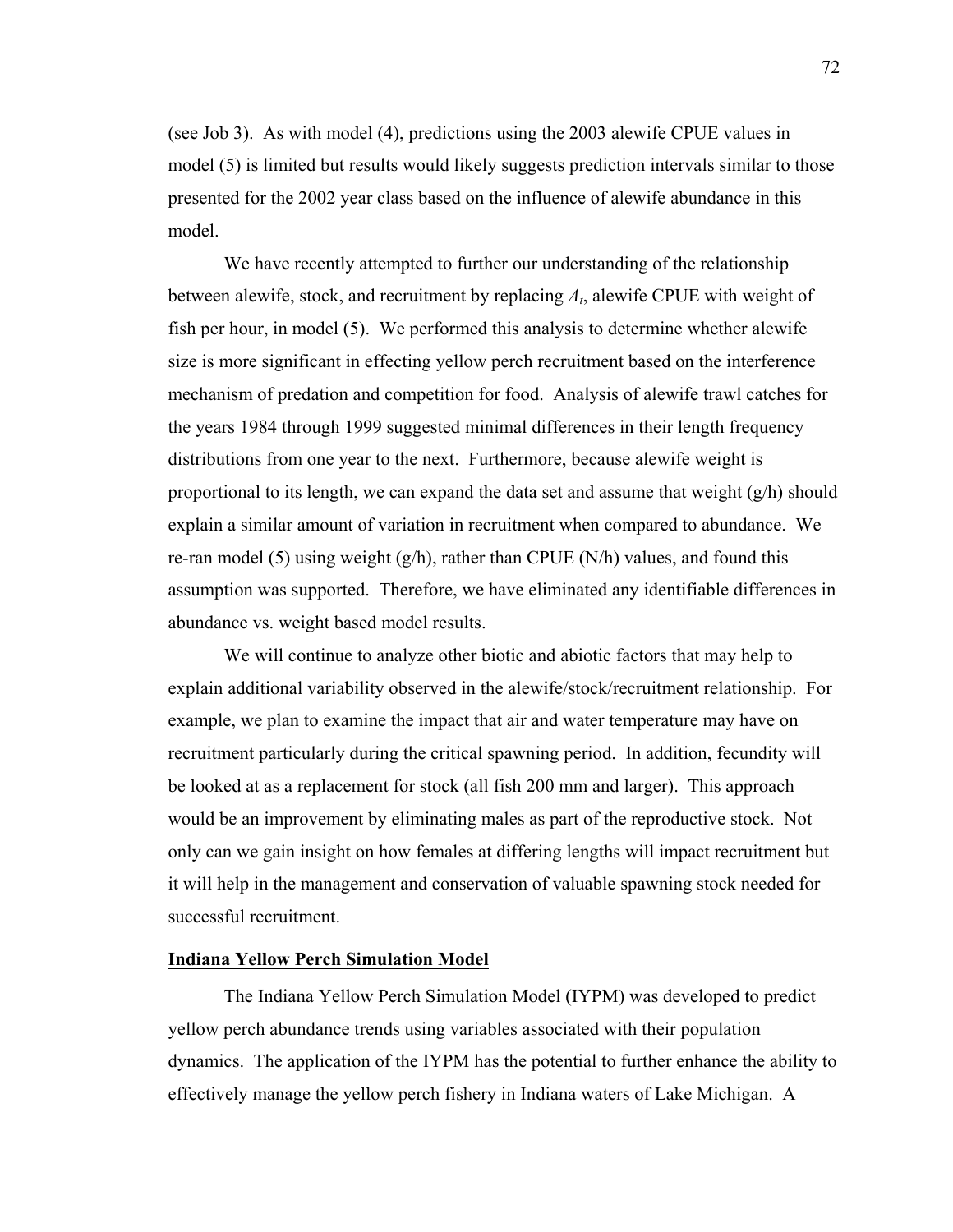(see Job 3). As with model (4), predictions using the 2003 alewife CPUE values in model (5) is limited but results would likely suggests prediction intervals similar to those presented for the 2002 year class based on the influence of alewife abundance in this model.

 We have recently attempted to further our understanding of the relationship between alewife, stock, and recruitment by replacing *At*, alewife CPUE with weight of fish per hour, in model (5). We performed this analysis to determine whether alewife size is more significant in effecting yellow perch recruitment based on the interference mechanism of predation and competition for food. Analysis of alewife trawl catches for the years 1984 through 1999 suggested minimal differences in their length frequency distributions from one year to the next. Furthermore, because alewife weight is proportional to its length, we can expand the data set and assume that weight  $(g/h)$  should explain a similar amount of variation in recruitment when compared to abundance. We re-ran model (5) using weight  $(g/h)$ , rather than CPUE (N/h) values, and found this assumption was supported. Therefore, we have eliminated any identifiable differences in abundance vs. weight based model results.

 We will continue to analyze other biotic and abiotic factors that may help to explain additional variability observed in the alewife/stock/recruitment relationship. For example, we plan to examine the impact that air and water temperature may have on recruitment particularly during the critical spawning period. In addition, fecundity will be looked at as a replacement for stock (all fish 200 mm and larger). This approach would be an improvement by eliminating males as part of the reproductive stock. Not only can we gain insight on how females at differing lengths will impact recruitment but it will help in the management and conservation of valuable spawning stock needed for successful recruitment.

## **Indiana Yellow Perch Simulation Model**

The Indiana Yellow Perch Simulation Model (IYPM) was developed to predict yellow perch abundance trends using variables associated with their population dynamics. The application of the IYPM has the potential to further enhance the ability to effectively manage the yellow perch fishery in Indiana waters of Lake Michigan. A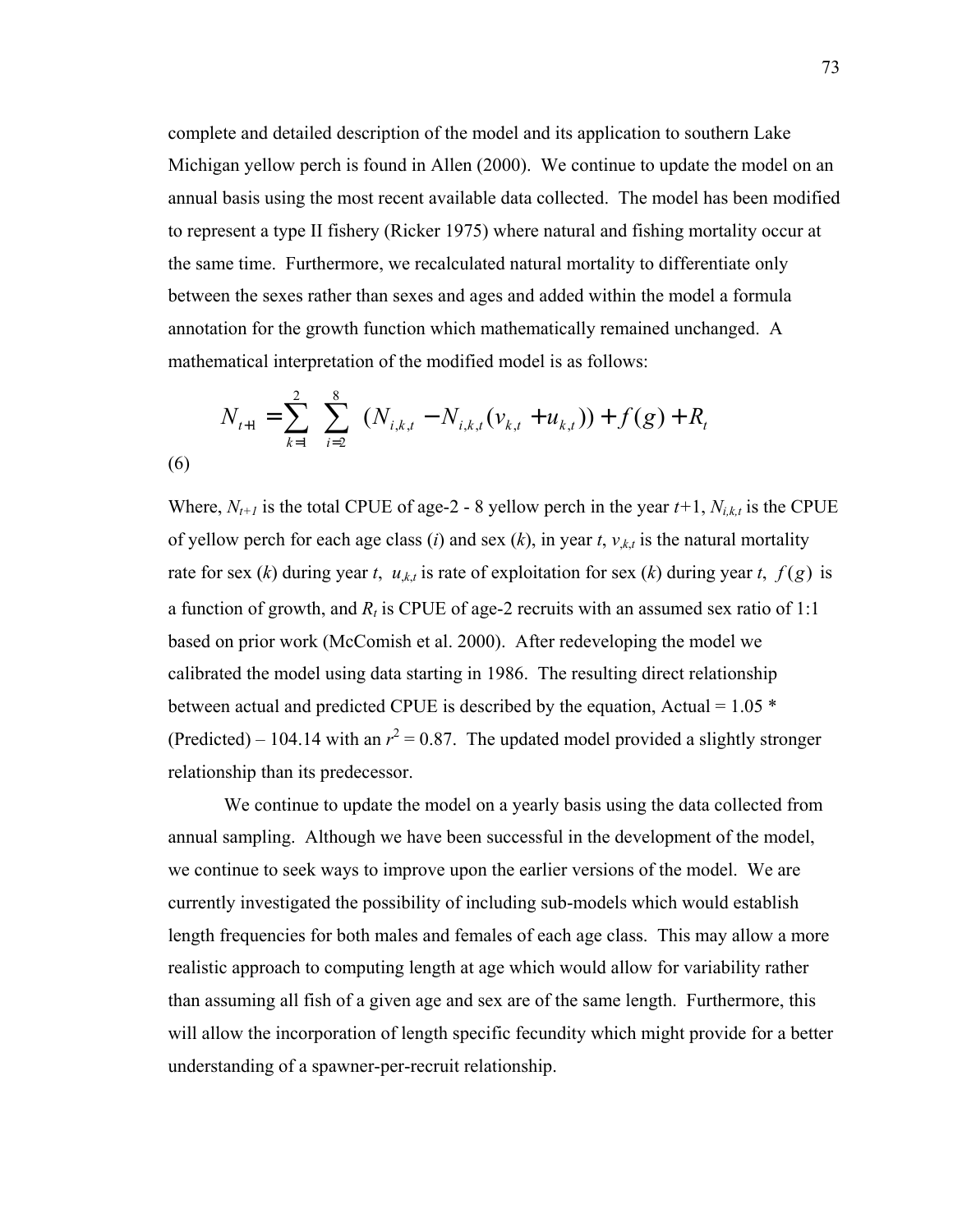complete and detailed description of the model and its application to southern Lake Michigan yellow perch is found in Allen (2000). We continue to update the model on an annual basis using the most recent available data collected. The model has been modified to represent a type II fishery (Ricker 1975) where natural and fishing mortality occur at the same time. Furthermore, we recalculated natural mortality to differentiate only between the sexes rather than sexes and ages and added within the model a formula annotation for the growth function which mathematically remained unchanged. A mathematical interpretation of the modified model is as follows:

$$
N_{t+1} = \sum_{k=1}^{2} \sum_{i=2}^{8} (N_{i,k,t} - N_{i,k,t}(v_{k,t} + u_{k,t})) + f(g) + R_{t}
$$
  
(6)

Where,  $N_{t+1}$  is the total CPUE of age-2 - 8 yellow perch in the year  $t+1$ ,  $N_{i,k,t}$  is the CPUE of yellow perch for each age class (*i*) and sex (*k*), in year *t*,  $v_{k,t}$  is the natural mortality rate for sex (*k*) during year *t*,  $u_{k,t}$  is rate of exploitation for sex (*k*) during year *t*,  $f(g)$  is a function of growth, and  $R_t$  is CPUE of age-2 recruits with an assumed sex ratio of 1:1 based on prior work (McComish et al. 2000). After redeveloping the model we calibrated the model using data starting in 1986. The resulting direct relationship between actual and predicted CPUE is described by the equation, Actual =  $1.05$   $*$ (Predicted) – 104.14 with an  $r^2 = 0.87$ . The updated model provided a slightly stronger relationship than its predecessor.

 We continue to update the model on a yearly basis using the data collected from annual sampling. Although we have been successful in the development of the model, we continue to seek ways to improve upon the earlier versions of the model. We are currently investigated the possibility of including sub-models which would establish length frequencies for both males and females of each age class. This may allow a more realistic approach to computing length at age which would allow for variability rather than assuming all fish of a given age and sex are of the same length. Furthermore, this will allow the incorporation of length specific fecundity which might provide for a better understanding of a spawner-per-recruit relationship.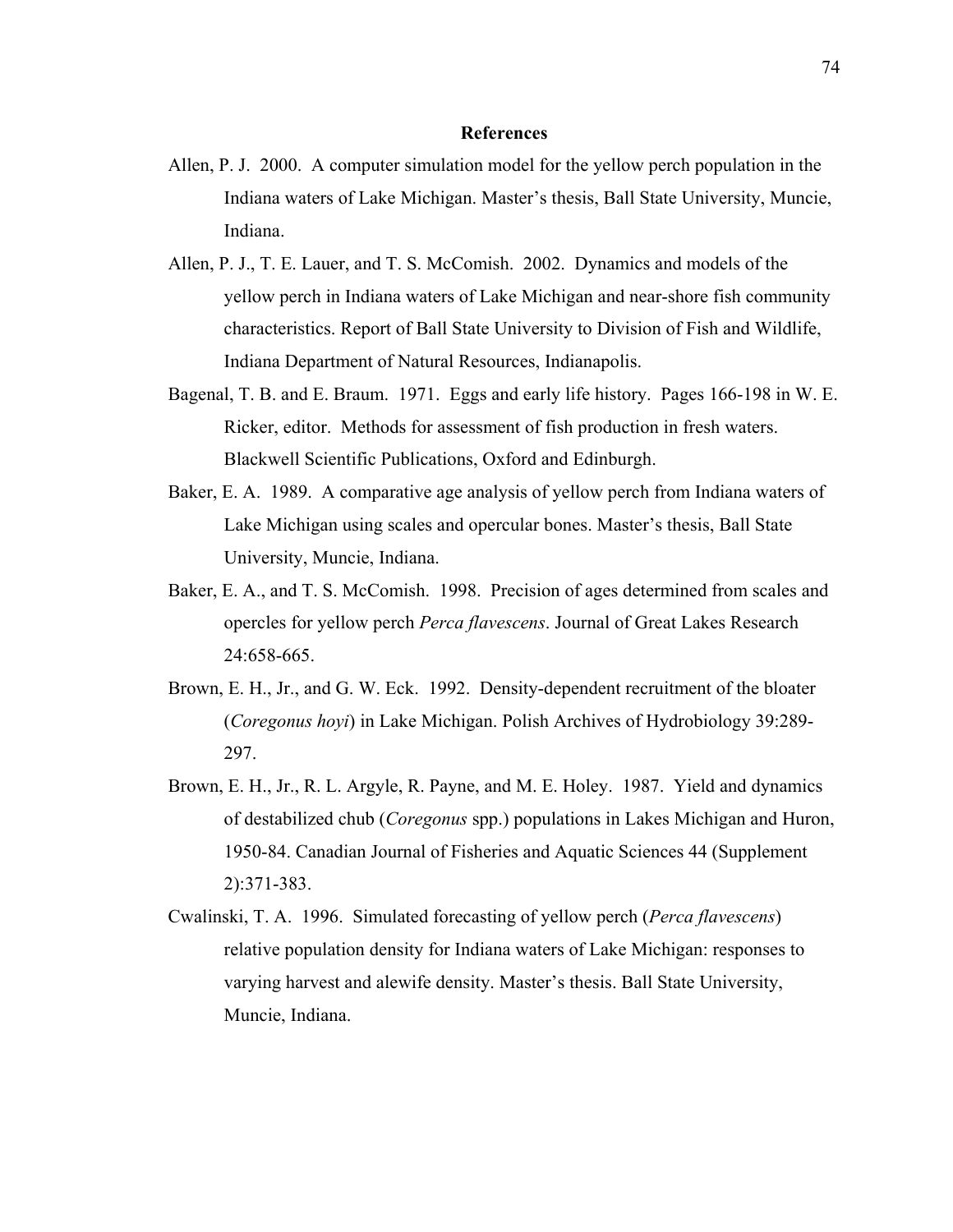#### **References**

- Allen, P. J. 2000. A computer simulation model for the yellow perch population in the Indiana waters of Lake Michigan. Master's thesis, Ball State University, Muncie, Indiana.
- Allen, P. J., T. E. Lauer, and T. S. McComish. 2002. Dynamics and models of the yellow perch in Indiana waters of Lake Michigan and near-shore fish community characteristics. Report of Ball State University to Division of Fish and Wildlife, Indiana Department of Natural Resources, Indianapolis.
- Bagenal, T. B. and E. Braum. 1971. Eggs and early life history. Pages 166-198 in W. E. Ricker, editor. Methods for assessment of fish production in fresh waters. Blackwell Scientific Publications, Oxford and Edinburgh.
- Baker, E. A. 1989. A comparative age analysis of yellow perch from Indiana waters of Lake Michigan using scales and opercular bones. Master's thesis, Ball State University, Muncie, Indiana.
- Baker, E. A., and T. S. McComish. 1998. Precision of ages determined from scales and opercles for yellow perch *Perca flavescens*. Journal of Great Lakes Research 24:658-665.
- Brown, E. H., Jr., and G. W. Eck. 1992. Density-dependent recruitment of the bloater (*Coregonus hoyi*) in Lake Michigan. Polish Archives of Hydrobiology 39:289- 297.
- Brown, E. H., Jr., R. L. Argyle, R. Payne, and M. E. Holey. 1987. Yield and dynamics of destabilized chub (*Coregonus* spp.) populations in Lakes Michigan and Huron, 1950-84. Canadian Journal of Fisheries and Aquatic Sciences 44 (Supplement 2):371-383.
- Cwalinski, T. A. 1996. Simulated forecasting of yellow perch (*Perca flavescens*) relative population density for Indiana waters of Lake Michigan: responses to varying harvest and alewife density. Master's thesis. Ball State University, Muncie, Indiana.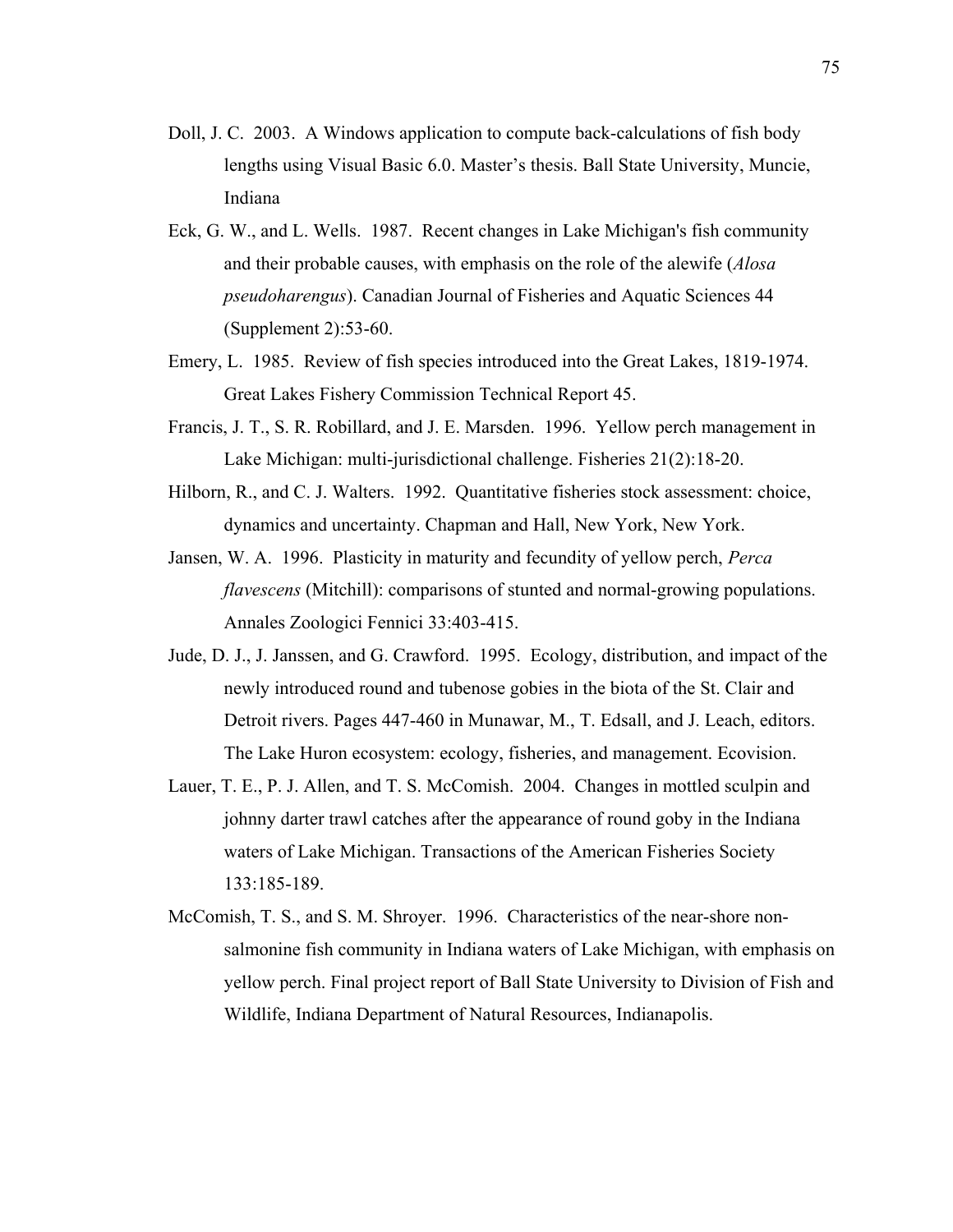- Doll, J. C. 2003. A Windows application to compute back-calculations of fish body lengths using Visual Basic 6.0. Master's thesis. Ball State University, Muncie, Indiana
- Eck, G. W., and L. Wells. 1987. Recent changes in Lake Michigan's fish community and their probable causes, with emphasis on the role of the alewife (*Alosa pseudoharengus*). Canadian Journal of Fisheries and Aquatic Sciences 44 (Supplement 2):53-60.
- Emery, L. 1985. Review of fish species introduced into the Great Lakes, 1819-1974. Great Lakes Fishery Commission Technical Report 45.
- Francis, J. T., S. R. Robillard, and J. E. Marsden. 1996. Yellow perch management in Lake Michigan: multi-jurisdictional challenge. Fisheries 21(2):18-20.
- Hilborn, R., and C. J. Walters. 1992. Quantitative fisheries stock assessment: choice, dynamics and uncertainty. Chapman and Hall, New York, New York.
- Jansen, W. A. 1996. Plasticity in maturity and fecundity of yellow perch, *Perca flavescens* (Mitchill): comparisons of stunted and normal-growing populations. Annales Zoologici Fennici 33:403-415.
- Jude, D. J., J. Janssen, and G. Crawford. 1995. Ecology, distribution, and impact of the newly introduced round and tubenose gobies in the biota of the St. Clair and Detroit rivers. Pages 447-460 in Munawar, M., T. Edsall, and J. Leach, editors. The Lake Huron ecosystem: ecology, fisheries, and management. Ecovision.
- Lauer, T. E., P. J. Allen, and T. S. McComish. 2004. Changes in mottled sculpin and johnny darter trawl catches after the appearance of round goby in the Indiana waters of Lake Michigan. Transactions of the American Fisheries Society 133:185-189.
- McComish, T. S., and S. M. Shroyer. 1996. Characteristics of the near-shore nonsalmonine fish community in Indiana waters of Lake Michigan, with emphasis on yellow perch. Final project report of Ball State University to Division of Fish and Wildlife, Indiana Department of Natural Resources, Indianapolis.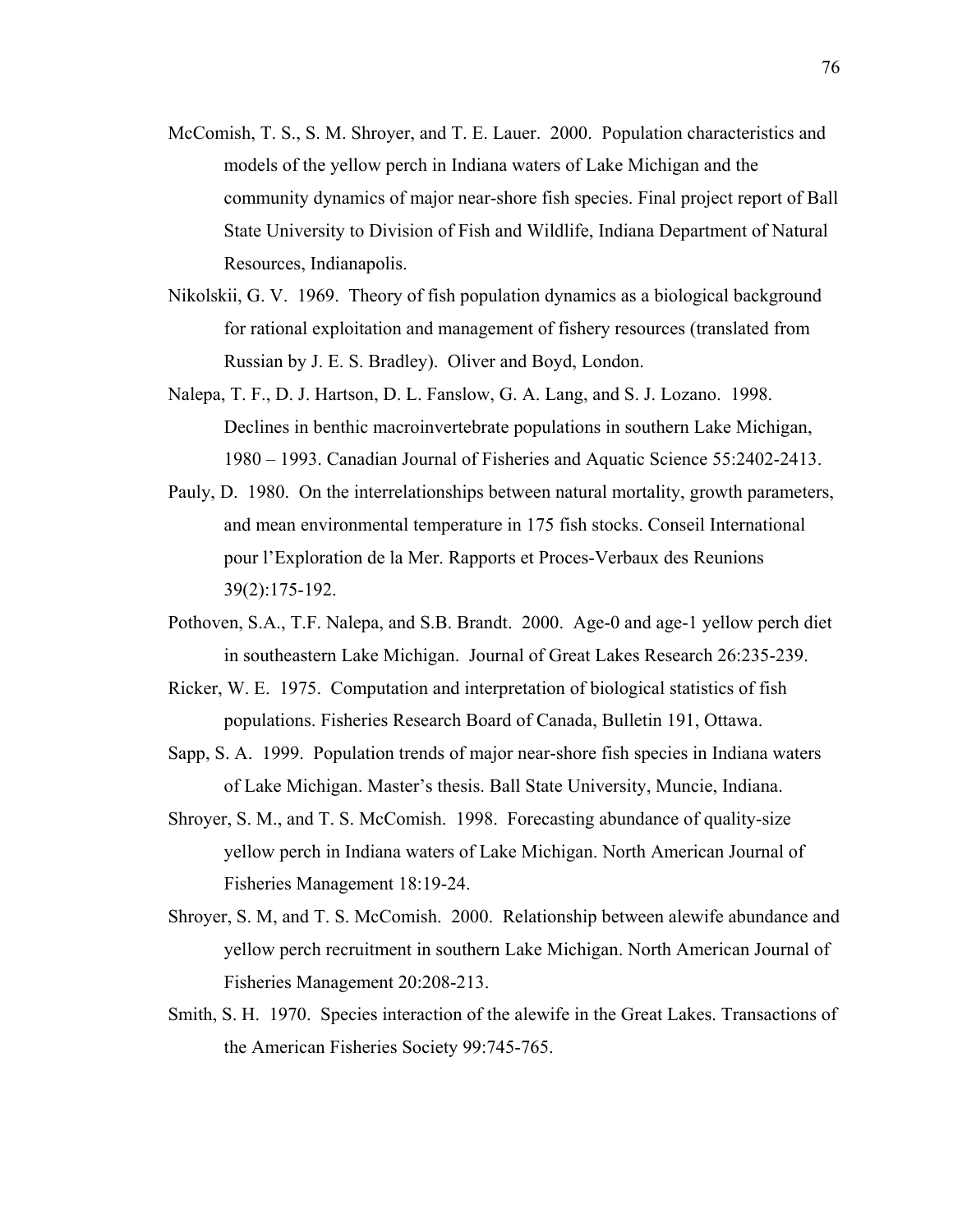- McComish, T. S., S. M. Shroyer, and T. E. Lauer. 2000. Population characteristics and models of the yellow perch in Indiana waters of Lake Michigan and the community dynamics of major near-shore fish species. Final project report of Ball State University to Division of Fish and Wildlife, Indiana Department of Natural Resources, Indianapolis.
- Nikolskii, G. V. 1969. Theory of fish population dynamics as a biological background for rational exploitation and management of fishery resources (translated from Russian by J. E. S. Bradley). Oliver and Boyd, London.
- Nalepa, T. F., D. J. Hartson, D. L. Fanslow, G. A. Lang, and S. J. Lozano. 1998. Declines in benthic macroinvertebrate populations in southern Lake Michigan, 1980 – 1993. Canadian Journal of Fisheries and Aquatic Science 55:2402-2413.
- Pauly, D. 1980. On the interrelationships between natural mortality, growth parameters, and mean environmental temperature in 175 fish stocks. Conseil International pour l'Exploration de la Mer. Rapports et Proces-Verbaux des Reunions 39(2):175-192.
- Pothoven, S.A., T.F. Nalepa, and S.B. Brandt. 2000. Age-0 and age-1 yellow perch diet in southeastern Lake Michigan. Journal of Great Lakes Research 26:235-239.
- Ricker, W. E. 1975. Computation and interpretation of biological statistics of fish populations. Fisheries Research Board of Canada, Bulletin 191, Ottawa.
- Sapp, S. A. 1999. Population trends of major near-shore fish species in Indiana waters of Lake Michigan. Master's thesis. Ball State University, Muncie, Indiana.
- Shroyer, S. M., and T. S. McComish. 1998. Forecasting abundance of quality-size yellow perch in Indiana waters of Lake Michigan. North American Journal of Fisheries Management 18:19-24.
- Shroyer, S. M, and T. S. McComish. 2000. Relationship between alewife abundance and yellow perch recruitment in southern Lake Michigan. North American Journal of Fisheries Management 20:208-213.
- Smith, S. H. 1970. Species interaction of the alewife in the Great Lakes. Transactions of the American Fisheries Society 99:745-765.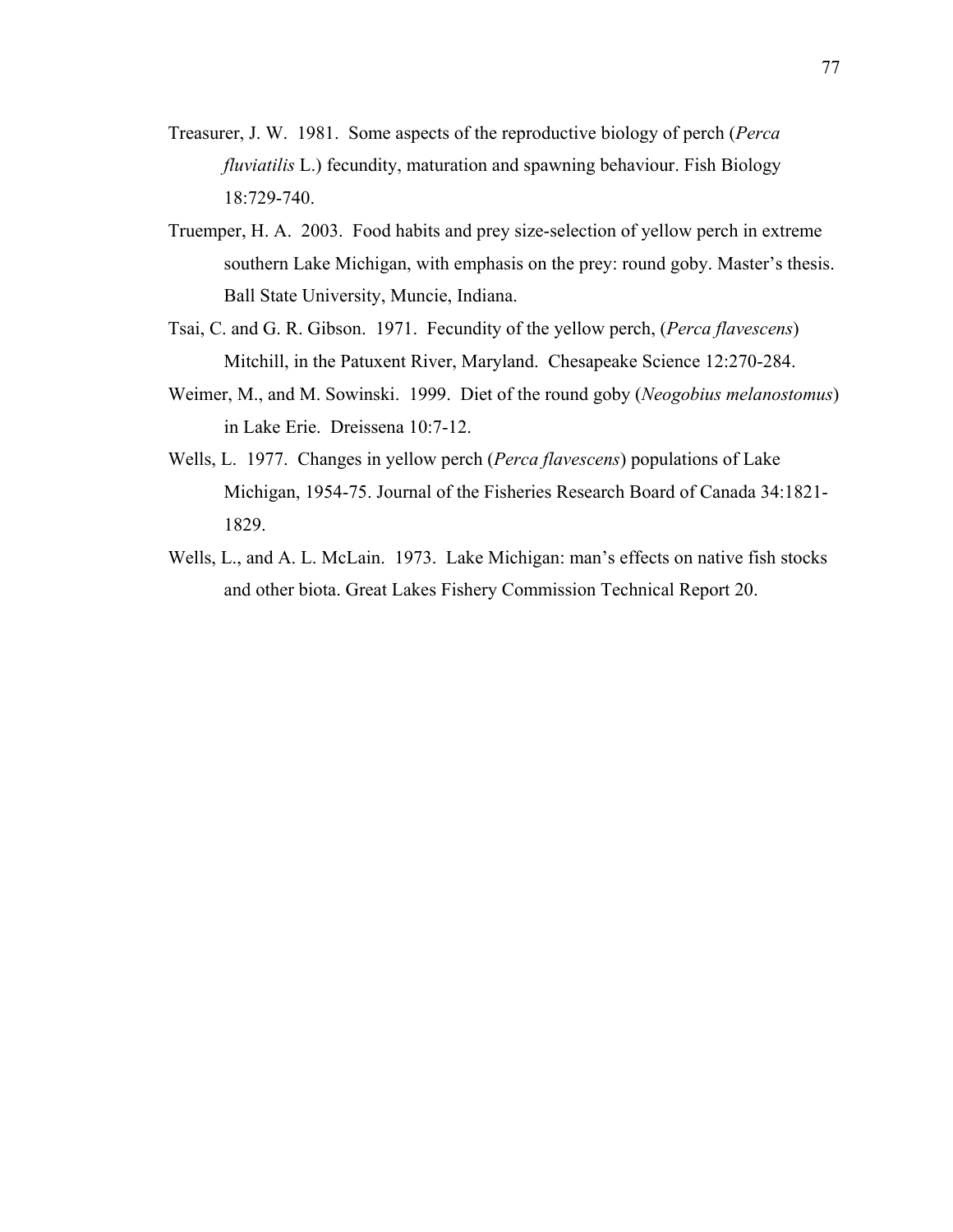- Treasurer, J. W. 1981. Some aspects of the reproductive biology of perch (*Perca fluviatilis* L.) fecundity, maturation and spawning behaviour. Fish Biology 18:729-740.
- Truemper, H. A. 2003. Food habits and prey size-selection of yellow perch in extreme southern Lake Michigan, with emphasis on the prey: round goby. Master's thesis. Ball State University, Muncie, Indiana.
- Tsai, C. and G. R. Gibson. 1971. Fecundity of the yellow perch, (*Perca flavescens*) Mitchill, in the Patuxent River, Maryland. Chesapeake Science 12:270-284.
- Weimer, M., and M. Sowinski. 1999. Diet of the round goby (*Neogobius melanostomus*) in Lake Erie. Dreissena 10:7-12.
- Wells, L. 1977. Changes in yellow perch (*Perca flavescens*) populations of Lake Michigan, 1954-75. Journal of the Fisheries Research Board of Canada 34:1821- 1829.
- Wells, L., and A. L. McLain. 1973. Lake Michigan: man's effects on native fish stocks and other biota. Great Lakes Fishery Commission Technical Report 20.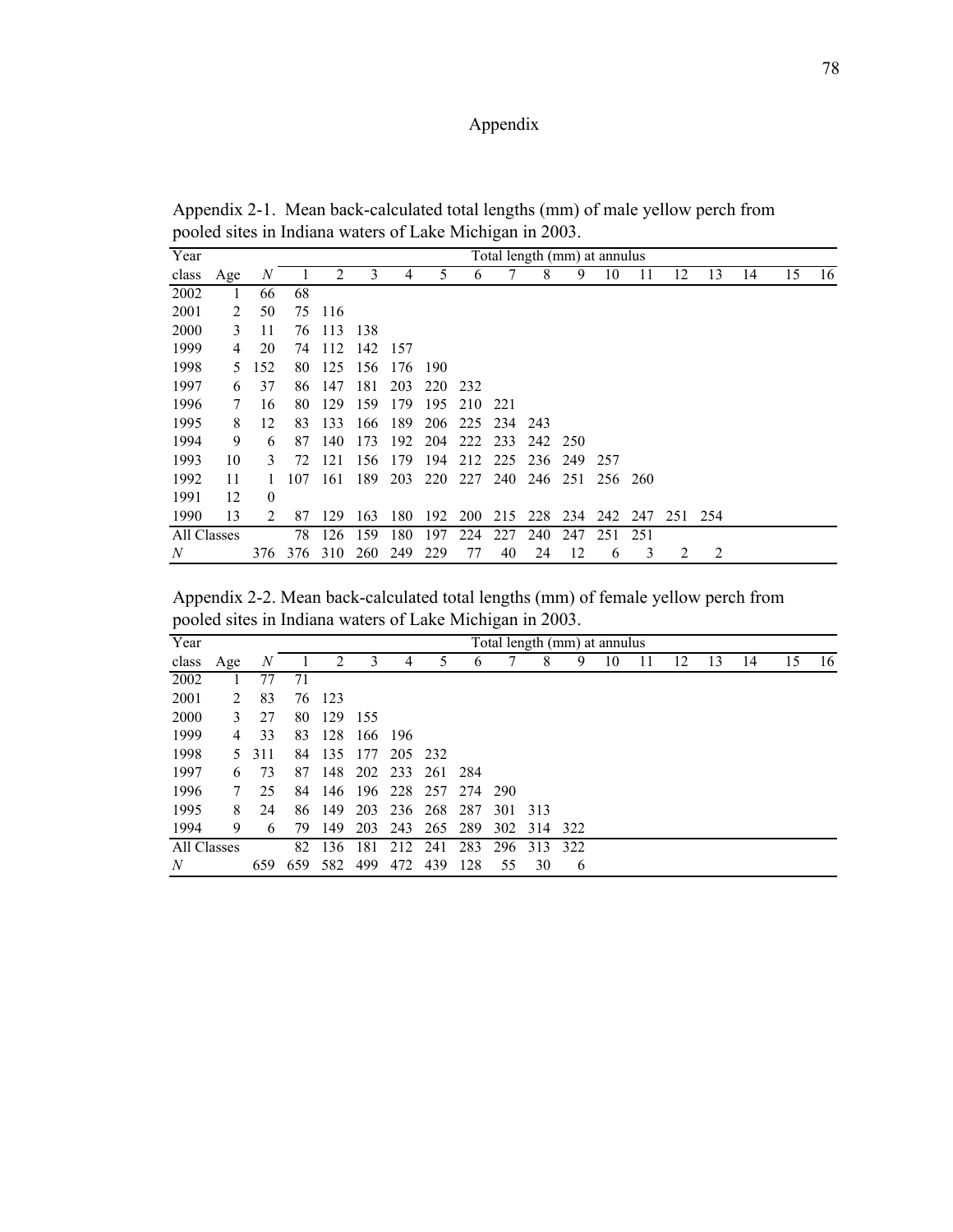# Appendix

Appendix 2-1. Mean back-calculated total lengths (mm) of male yellow perch from pooled sites in Indiana waters of Lake Michigan in 2003.

| Year             |     |          |     |        |     |      |            |             |      | Total length (mm) at annulus |     |     |     |                 |    |    |    |    |
|------------------|-----|----------|-----|--------|-----|------|------------|-------------|------|------------------------------|-----|-----|-----|-----------------|----|----|----|----|
| class            | Age | N        |     | 2      | 3   | 4    | 5          | 6           |      | 8                            | 9   | 10  |     | 12              | 13 | 14 | 15 | 16 |
| 2002             |     | 66       | 68  |        |     |      |            |             |      |                              |     |     |     |                 |    |    |    |    |
| 2001             | 2   | 50       |     | 75 116 |     |      |            |             |      |                              |     |     |     |                 |    |    |    |    |
| 2000             | 3   | 11       | 76  | 113    | 138 |      |            |             |      |                              |     |     |     |                 |    |    |    |    |
| 1999             | 4   | 20       | 74  | 112    | 142 | -157 |            |             |      |                              |     |     |     |                 |    |    |    |    |
| 1998             | 5   | 152      | 80  | 125    | 156 | 176  | 190        |             |      |                              |     |     |     |                 |    |    |    |    |
| 1997             | 6   | 37       | 86  | 147    | 181 | 203  | <b>220</b> | 232         |      |                              |     |     |     |                 |    |    |    |    |
| 1996             | 7   | 16       | 80  | 129    | 159 | 179  | 195        | 210         | -221 |                              |     |     |     |                 |    |    |    |    |
| 1995             | 8   | 12       | 83  | 133    | 166 | 189  | 206        | 225         | 234  | 243                          |     |     |     |                 |    |    |    |    |
| 1994             | 9   | 6        | 87  | 140    | 173 | 192  | 204        | 222         | 233  | 242 250                      |     |     |     |                 |    |    |    |    |
| 1993             | 10  | 3        | 72  | 121    | 156 | 179  | 194        | 212         | 225  | 236                          | 249 | 257 |     |                 |    |    |    |    |
| 1992             | 11  |          | 107 | 161    | 189 | 203  |            | 220 227 240 |      | 246 251 256 260              |     |     |     |                 |    |    |    |    |
| 1991             | 12  | $\theta$ |     |        |     |      |            |             |      |                              |     |     |     |                 |    |    |    |    |
| 1990             | 13  | 2        | 87  | 129    | 163 | 180  | 192        | <b>200</b>  |      | 215 228 234                  |     |     |     | 242 247 251 254 |    |    |    |    |
| All Classes      |     |          | 78  | 126    | 159 | 180  | 197        | 224         | 227  | 240                          | 247 | 251 | 251 |                 |    |    |    |    |
| $\boldsymbol{N}$ |     | 376      | 376 | 310    | 260 | 249  | 229        | 77          | 40   | 24                           | 12  | 6   | 3   | 2               | 2  |    |    |    |

Appendix 2-2. Mean back-calculated total lengths (mm) of female yellow perch from pooled sites in Indiana waters of Lake Michigan in 2003.

| Year             |     |     |     |                             |      |                     |     |     |     |     | Total length (mm) at annulus |    |    |    |    |    |    |
|------------------|-----|-----|-----|-----------------------------|------|---------------------|-----|-----|-----|-----|------------------------------|----|----|----|----|----|----|
| class            | Age | N   |     | $\mathcal{D}_{\mathcal{L}}$ | 3    | 4                   | 5   | 6   |     | 8   | 9                            | 10 | 12 | 13 | 14 | 15 | 16 |
| 2002             |     | 77  | 71  |                             |      |                     |     |     |     |     |                              |    |    |    |    |    |    |
| 2001             | 2   | 83  |     | 76 123                      |      |                     |     |     |     |     |                              |    |    |    |    |    |    |
| 2000             | 3   | 27  | 80  | 129                         | -155 |                     |     |     |     |     |                              |    |    |    |    |    |    |
| 1999             | 4   | 33  | 83  | 128                         |      | 166 196             |     |     |     |     |                              |    |    |    |    |    |    |
| 1998             | 5.  | 311 | 84  | 135                         | 177  | 205 232             |     |     |     |     |                              |    |    |    |    |    |    |
| 1997             | 6   | 73  | 87  | 148                         |      | 202 233 261 284     |     |     |     |     |                              |    |    |    |    |    |    |
| 1996             | 7   | 25  | 84  | 146                         |      | 196 228 257 274 290 |     |     |     |     |                              |    |    |    |    |    |    |
| 1995             | 8   | 24  |     | 86 149                      | 203  | 236 268 287         |     |     | 301 | 313 |                              |    |    |    |    |    |    |
| 1994             | 9   | 6   | 79  | 149                         | 203  | 243                 | 265 | 289 | 302 | 314 | 322                          |    |    |    |    |    |    |
| All Classes      |     |     | 82  | 136                         | 181  | 212                 | 241 | 283 | 296 | 313 | 322                          |    |    |    |    |    |    |
| $\boldsymbol{N}$ |     | 659 | 659 | 582                         | 499  | 472                 | 439 | 128 | 55  | 30  | 6                            |    |    |    |    |    |    |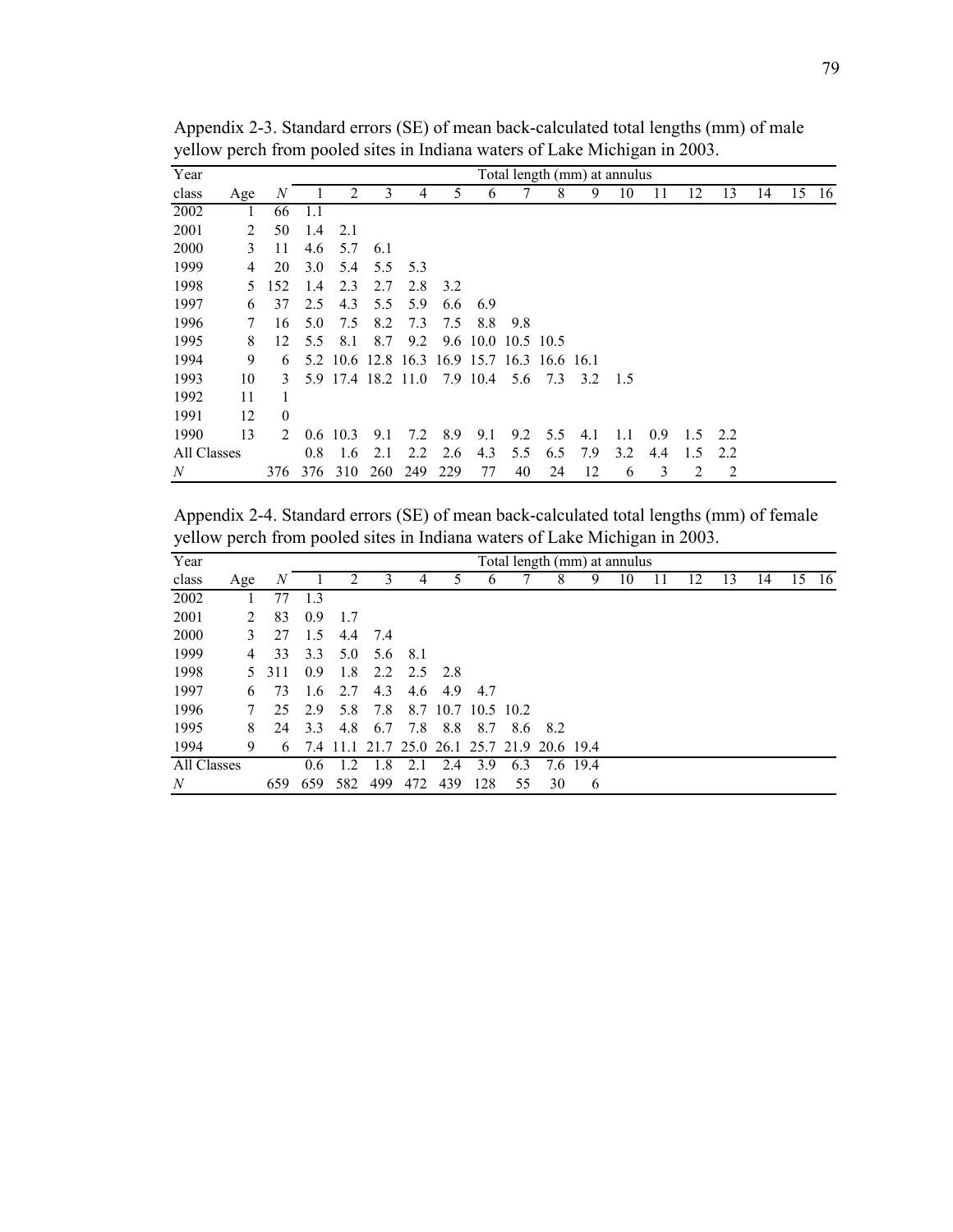| Year        |     |                |     |              |                    |     |                                             |          |                |     | Total length (mm) at annulus |     |     |     |     |    |    |     |
|-------------|-----|----------------|-----|--------------|--------------------|-----|---------------------------------------------|----------|----------------|-----|------------------------------|-----|-----|-----|-----|----|----|-----|
| class       | Age | N              |     | 2            | 3                  | 4   | 5                                           | 6        |                | 8   | 9                            | 10  | 11  | 12  | 13  | 14 | 15 | -16 |
| 2002        | 1   | 66             | 1.1 |              |                    |     |                                             |          |                |     |                              |     |     |     |     |    |    |     |
| 2001        | 2   | 50             | 1.4 | 2.1          |                    |     |                                             |          |                |     |                              |     |     |     |     |    |    |     |
| 2000        | 3   | 11             | 4.6 | 5.7          | 6.1                |     |                                             |          |                |     |                              |     |     |     |     |    |    |     |
| 1999        | 4   | 20             | 3.0 | 5.4          | 5.5                | 5.3 |                                             |          |                |     |                              |     |     |     |     |    |    |     |
| 1998        | 5.  | 152            | 1.4 | 2.3          | 2.7                | 2.8 | 3.2                                         |          |                |     |                              |     |     |     |     |    |    |     |
| 1997        | 6   | 37             | 2.5 | 4.3          | 5.5                | 5.9 | 6.6                                         | 6.9      |                |     |                              |     |     |     |     |    |    |     |
| 1996        | 7   | 16             | 5.0 | 7.5          | 8.2                | 7.3 | 7.5                                         | 8.8      | 9.8            |     |                              |     |     |     |     |    |    |     |
| 1995        | 8   | 12             | 5.5 | 8.1          | 8.7                | 9.2 | 9.6                                         |          | 10.0 10.5 10.5 |     |                              |     |     |     |     |    |    |     |
| 1994        | 9   | 6              |     |              |                    |     | 5.2 10.6 12.8 16.3 16.9 15.7 16.3 16.6 16.1 |          |                |     |                              |     |     |     |     |    |    |     |
| 1993        | 10  | 3              |     |              | 5.9 17.4 18.2 11.0 |     |                                             | 7.9 10.4 | 5.6            | 7.3 | 3.2                          | 1.5 |     |     |     |    |    |     |
| 1992        | 11  |                |     |              |                    |     |                                             |          |                |     |                              |     |     |     |     |    |    |     |
| 1991        | 12  | $\theta$       |     |              |                    |     |                                             |          |                |     |                              |     |     |     |     |    |    |     |
| 1990        | 13  | $\mathfrak{D}$ |     | $0.6 \t10.3$ | 9.1                | 7.2 | 8.9                                         | 9.1      | 9.2            | 5.5 | 4.1                          | 1.1 | 0.9 | 1.5 | 2.2 |    |    |     |
| All Classes |     |                | 0.8 | 1.6          | 2.1                | 2.2 | 2.6                                         | 4.3      | 5.5            | 6.5 | 7.9                          | 3.2 | 4.4 | 1.5 | 2.2 |    |    |     |
| N           |     | 376            | 376 | 310          | 260                | 249 | 229                                         | 77       | 40             | 24  | 12                           | 6   | 3   | 2   | 2   |    |    |     |

Appendix 2-3. Standard errors (SE) of mean back-calculated total lengths (mm) of male yellow perch from pooled sites in Indiana waters of Lake Michigan in 2003.

Appendix 2-4. Standard errors (SE) of mean back-calculated total lengths (mm) of female yellow perch from pooled sites in Indiana waters of Lake Michigan in 2003.

| Year             |               |     |               |       |         |       |     |                    |     |                                    | Total length (mm) at annulus |    |    |    |    |    |     |
|------------------|---------------|-----|---------------|-------|---------|-------|-----|--------------------|-----|------------------------------------|------------------------------|----|----|----|----|----|-----|
| class            | Age           | N   |               | 2     | 3       | 4     |     | b                  |     | 8                                  | 9                            | 10 | 12 | 13 | 14 | 15 | -16 |
| 2002             |               | 77  | 1.3           |       |         |       |     |                    |     |                                    |                              |    |    |    |    |    |     |
| 2001             | $\mathcal{L}$ | 83  | 0.9           | 1.7   |         |       |     |                    |     |                                    |                              |    |    |    |    |    |     |
| 2000             | 3             | 27  | 1.5           |       | 4.4 7.4 |       |     |                    |     |                                    |                              |    |    |    |    |    |     |
| 1999             | 4             | 33  | 3.3           | 5.0   | 5.6     | - 8.1 |     |                    |     |                                    |                              |    |    |    |    |    |     |
| 1998             | 5.            | 311 | 0.9           | 1.8   | 2.2     | 2.5   | 2.8 |                    |     |                                    |                              |    |    |    |    |    |     |
| 1997             | 6             | 73  | 1.6           | 2.7   | 4.3     | 4.6   | 4.9 | 4.7                |     |                                    |                              |    |    |    |    |    |     |
| 1996             | 7             | 25  | 2.9           | 5.8   | 7.8     |       |     | 8.7 10.7 10.5 10.2 |     |                                    |                              |    |    |    |    |    |     |
| 1995             | 8             | 24  | 3.3           | 4.8   | 6.7     | 7.8   | 8.8 | 8.7                | 8.6 | 8.2                                |                              |    |    |    |    |    |     |
| 1994             | 9             | 6   | 7.4           | -11.1 |         |       |     |                    |     | 21.7 25.0 26.1 25.7 21.9 20.6 19.4 |                              |    |    |    |    |    |     |
| All Classes      |               |     | $0.6^{\circ}$ | 1.2   | 1.8     | 2.1   | 2.4 | 3.9                | 6.3 |                                    | 7.6 19.4                     |    |    |    |    |    |     |
| $\boldsymbol{N}$ |               | 659 | 659           | 582   | 499     | 472   | 439 | 128                | 55  | 30                                 | 6                            |    |    |    |    |    |     |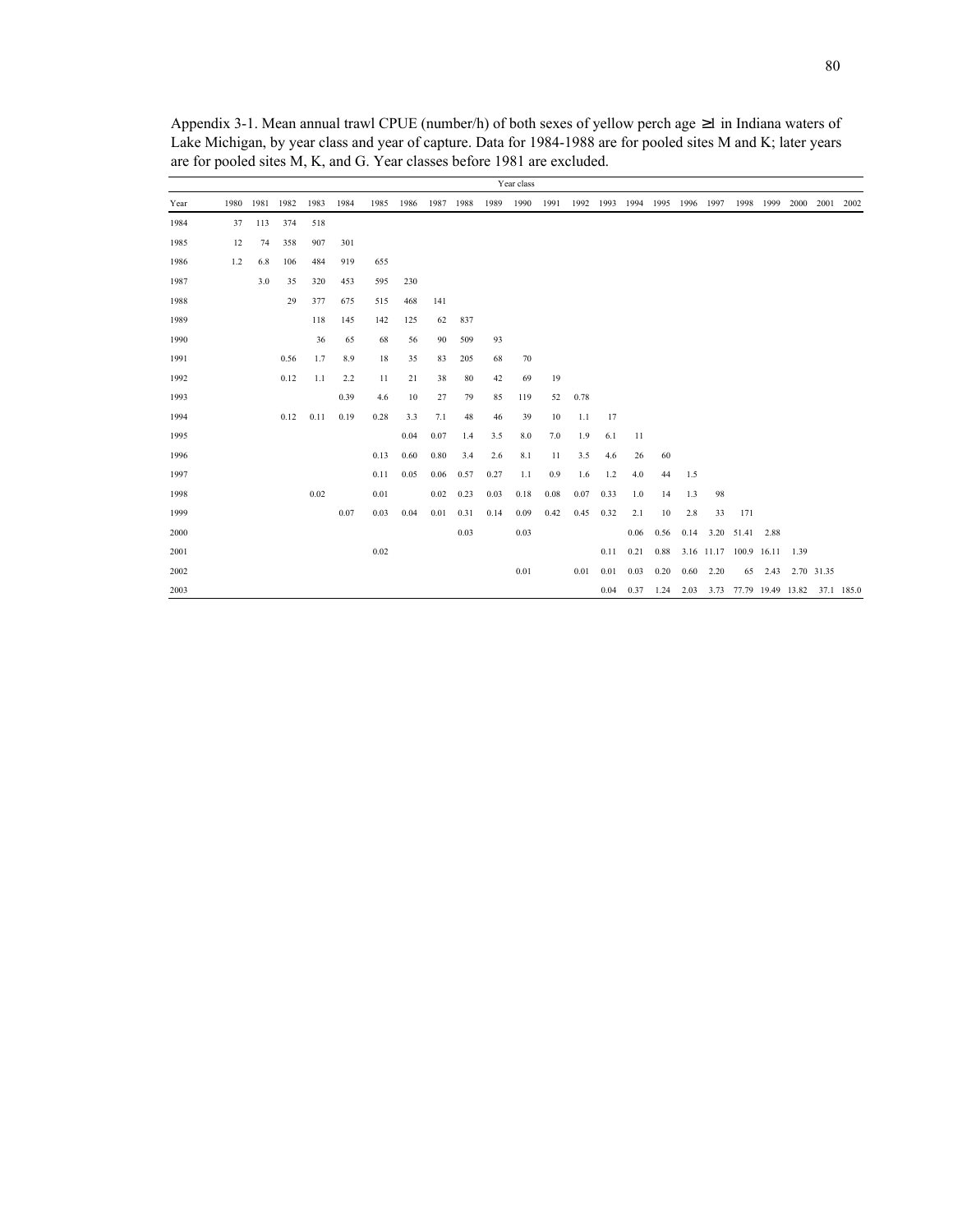|      |     |                |      |      |      |      |      |           |      |      | Year class |      |      |      |      |                               |      |      |                                   |           |      |            |      |
|------|-----|----------------|------|------|------|------|------|-----------|------|------|------------|------|------|------|------|-------------------------------|------|------|-----------------------------------|-----------|------|------------|------|
| Year |     | 1980 1981 1982 |      | 1983 | 1984 | 1985 | 1986 | 1987 1988 |      | 1989 | 1990       | 1991 |      |      |      | 1992 1993 1994 1995 1996 1997 |      |      |                                   | 1998 1999 |      | 2000 2001  | 2002 |
| 1984 | 37  | 113            | 374  | 518  |      |      |      |           |      |      |            |      |      |      |      |                               |      |      |                                   |           |      |            |      |
| 1985 | 12  | 74             | 358  | 907  | 301  |      |      |           |      |      |            |      |      |      |      |                               |      |      |                                   |           |      |            |      |
| 1986 | 1.2 | 6.8            | 106  | 484  | 919  | 655  |      |           |      |      |            |      |      |      |      |                               |      |      |                                   |           |      |            |      |
| 1987 |     | 3.0            | 35   | 320  | 453  | 595  | 230  |           |      |      |            |      |      |      |      |                               |      |      |                                   |           |      |            |      |
| 1988 |     |                | 29   | 377  | 675  | 515  | 468  | 141       |      |      |            |      |      |      |      |                               |      |      |                                   |           |      |            |      |
| 1989 |     |                |      | 118  | 145  | 142  | 125  | 62        | 837  |      |            |      |      |      |      |                               |      |      |                                   |           |      |            |      |
| 1990 |     |                |      | 36   | 65   | 68   | 56   | 90        | 509  | 93   |            |      |      |      |      |                               |      |      |                                   |           |      |            |      |
| 1991 |     |                | 0.56 | 1.7  | 8.9  | 18   | 35   | 83        | 205  | 68   | 70         |      |      |      |      |                               |      |      |                                   |           |      |            |      |
| 1992 |     |                | 0.12 | 1.1  | 2.2  | 11   | 21   | 38        | 80   | 42   | 69         | 19   |      |      |      |                               |      |      |                                   |           |      |            |      |
| 1993 |     |                |      |      | 0.39 | 4.6  | 10   | 27        | 79   | 85   | 119        | 52   | 0.78 |      |      |                               |      |      |                                   |           |      |            |      |
| 1994 |     |                | 0.12 | 0.11 | 0.19 | 0.28 | 3.3  | 7.1       | 48   | 46   | 39         | 10   | 1.1  | 17   |      |                               |      |      |                                   |           |      |            |      |
| 1995 |     |                |      |      |      |      | 0.04 | 0.07      | 1.4  | 3.5  | 8.0        | 7.0  | 1.9  | 6.1  | 11   |                               |      |      |                                   |           |      |            |      |
| 1996 |     |                |      |      |      | 0.13 | 0.60 | 0.80      | 3.4  | 2.6  | 8.1        | 11   | 3.5  | 4.6  | 26   | 60                            |      |      |                                   |           |      |            |      |
| 1997 |     |                |      |      |      | 0.11 | 0.05 | 0.06      | 0.57 | 0.27 | 1.1        | 0.9  | 1.6  | 1.2  | 4.0  | 44                            | 1.5  |      |                                   |           |      |            |      |
| 1998 |     |                |      | 0.02 |      | 0.01 |      | 0.02      | 0.23 | 0.03 | 0.18       | 0.08 | 0.07 | 0.33 | 1.0  | 14                            | 1.3  | 98   |                                   |           |      |            |      |
| 1999 |     |                |      |      | 0.07 | 0.03 | 0.04 | 0.01      | 0.31 | 0.14 | 0.09       | 0.42 | 0.45 | 0.32 | 2.1  | 10                            | 2.8  | 33   | 171                               |           |      |            |      |
| 2000 |     |                |      |      |      |      |      |           | 0.03 |      | 0.03       |      |      |      | 0.06 | 0.56                          | 0.14 |      | 3.20 51.41 2.88                   |           |      |            |      |
| 2001 |     |                |      |      |      | 0.02 |      |           |      |      |            |      |      | 0.11 | 0.21 | 0.88                          |      |      | 3.16 11.17 100.9 16.11            |           | 1.39 |            |      |
| 2002 |     |                |      |      |      |      |      |           |      |      | 0.01       |      | 0.01 | 0.01 | 0.03 | 0.20                          | 0.60 | 2.20 | 65                                | 2.43      |      | 2.70 31.35 |      |
| 2003 |     |                |      |      |      |      |      |           |      |      |            |      |      | 0.04 | 0.37 | 1.24                          | 2.03 |      | 3.73 77.79 19.49 13.82 37.1 185.0 |           |      |            |      |

Appendix 3-1. Mean annual trawl CPUE (number/h) of both sexes of yellow perch age ≥1 in Indiana waters of Lake Michigan, by year class and year of capture. Data for 1984-1988 are for pooled sites M and K; later years are for pooled sites M, K, and G. Year classes before 1981 are excluded.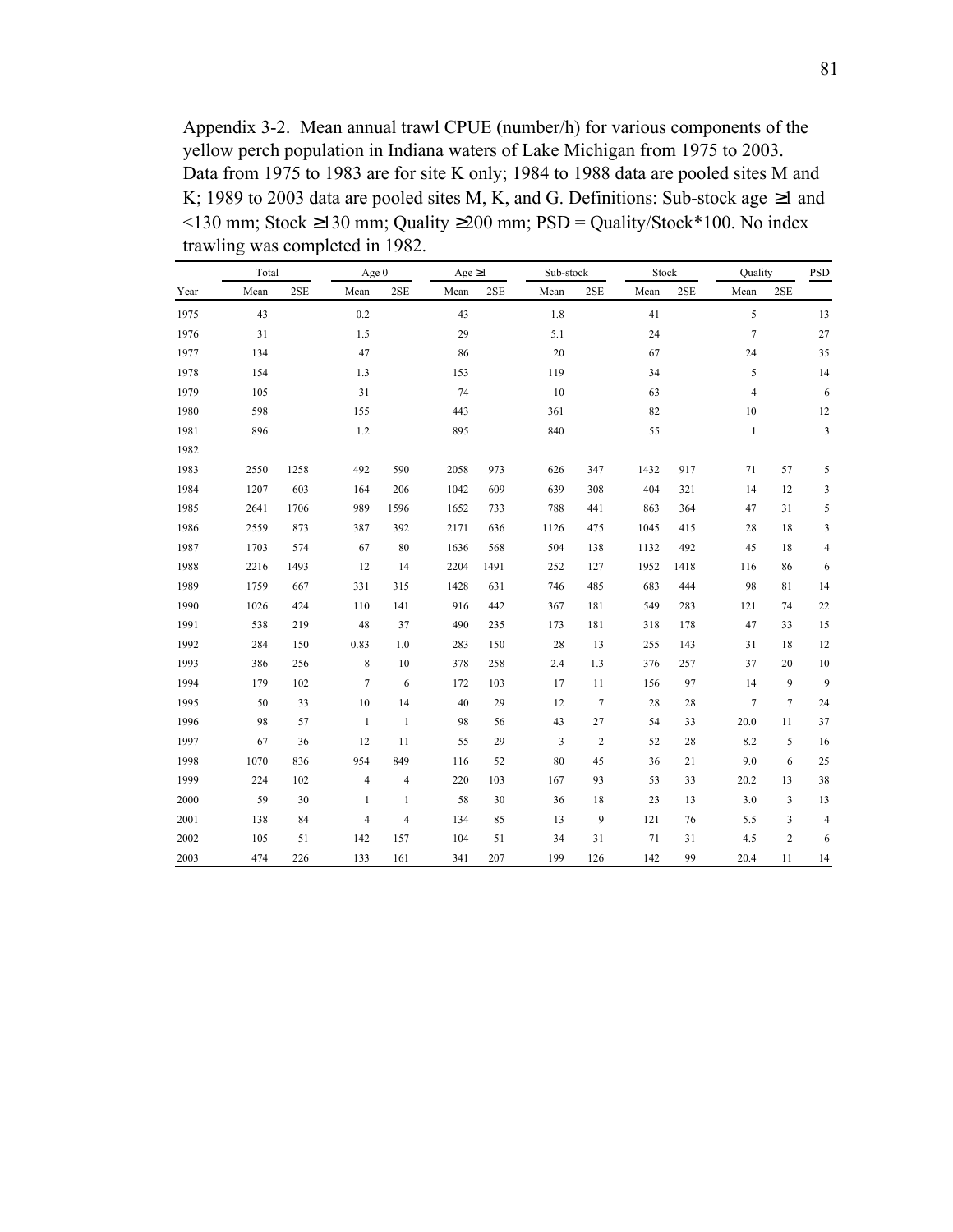Appendix 3-2. Mean annual trawl CPUE (number/h) for various components of the yellow perch population in Indiana waters of Lake Michigan from 1975 to 2003. Data from 1975 to 1983 are for site K only; 1984 to 1988 data are pooled sites M and K; 1989 to 2003 data are pooled sites M, K, and G. Definitions: Sub-stock age ≥1 and  $\le$ 130 mm; Stock ≥130 mm; Quality ≥200 mm; PSD = Quality/Stock\*100. No index trawling was completed in 1982.

|      | Total |      | Age 0        |                | Age $\geq$ 1 |      | Sub-stock |                  | Stock |      | Quality        |                | PSD                      |
|------|-------|------|--------------|----------------|--------------|------|-----------|------------------|-------|------|----------------|----------------|--------------------------|
| Year | Mean  | 2SE  | Mean         | 2SE            | Mean         | 2SE  | Mean      | 2SE              | Mean  | 2SE  | Mean           | 2SE            |                          |
| 1975 | 43    |      | 0.2          |                | 43           |      | 1.8       |                  | 41    |      | 5              |                | 13                       |
| 1976 | 31    |      | 1.5          |                | 29           |      | 5.1       |                  | 24    |      | $\overline{7}$ |                | $27\,$                   |
| 1977 | 134   |      | 47           |                | 86           |      | $20\,$    |                  | 67    |      | 24             |                | 35                       |
| 1978 | 154   |      | 1.3          |                | 153          |      | 119       |                  | 34    |      | 5              |                | 14                       |
| 1979 | 105   |      | 31           |                | 74           |      | 10        |                  | 63    |      | $\overline{4}$ |                | 6                        |
| 1980 | 598   |      | 155          |                | 443          |      | 361       |                  | 82    |      | $10\,$         |                | 12                       |
| 1981 | 896   |      | 1.2          |                | 895          |      | 840       |                  | 55    |      | $\mathbf{1}$   |                | 3                        |
| 1982 |       |      |              |                |              |      |           |                  |       |      |                |                |                          |
| 1983 | 2550  | 1258 | 492          | 590            | 2058         | 973  | 626       | 347              | 1432  | 917  | 71             | 57             | 5                        |
| 1984 | 1207  | 603  | 164          | 206            | 1042         | 609  | 639       | 308              | 404   | 321  | 14             | 12             | 3                        |
| 1985 | 2641  | 1706 | 989          | 1596           | 1652         | 733  | 788       | 441              | 863   | 364  | 47             | 31             | 5                        |
| 1986 | 2559  | 873  | 387          | 392            | 2171         | 636  | 1126      | 475              | 1045  | 415  | 28             | 18             | 3                        |
| 1987 | 1703  | 574  | 67           | 80             | 1636         | 568  | 504       | 138              | 1132  | 492  | 45             | 18             | $\overline{\mathcal{L}}$ |
| 1988 | 2216  | 1493 | 12           | 14             | 2204         | 1491 | 252       | 127              | 1952  | 1418 | 116            | 86             | 6                        |
| 1989 | 1759  | 667  | 331          | 315            | 1428         | 631  | 746       | 485              | 683   | 444  | 98             | 81             | 14                       |
| 1990 | 1026  | 424  | 110          | 141            | 916          | 442  | 367       | 181              | 549   | 283  | 121            | 74             | 22                       |
| 1991 | 538   | 219  | 48           | 37             | 490          | 235  | 173       | 181              | 318   | 178  | 47             | 33             | 15                       |
| 1992 | 284   | 150  | 0.83         | 1.0            | 283          | 150  | 28        | 13               | 255   | 143  | 31             | 18             | 12                       |
| 1993 | 386   | 256  | 8            | 10             | 378          | 258  | 2.4       | 1.3              | 376   | 257  | 37             | 20             | $10\,$                   |
| 1994 | 179   | 102  | $\tau$       | 6              | 172          | 103  | 17        | 11               | 156   | 97   | 14             | 9              | $\overline{9}$           |
| 1995 | 50    | 33   | $10\,$       | 14             | 40           | 29   | 12        | $\tau$           | 28    | 28   | $\overline{7}$ | $\overline{7}$ | 24                       |
| 1996 | 98    | 57   | $\mathbf{1}$ | $\mathbf{1}$   | 98           | 56   | 43        | 27               | 54    | 33   | 20.0           | 11             | 37                       |
| 1997 | 67    | 36   | 12           | 11             | 55           | 29   | 3         | $\boldsymbol{2}$ | 52    | 28   | 8.2            | 5              | 16                       |
| 1998 | 1070  | 836  | 954          | 849            | 116          | 52   | 80        | 45               | 36    | 21   | 9.0            | 6              | $25\,$                   |
| 1999 | 224   | 102  | 4            | $\overline{4}$ | 220          | 103  | 167       | 93               | 53    | 33   | 20.2           | 13             | 38                       |
| 2000 | 59    | 30   | $\mathbf{1}$ | $\mathbf{1}$   | 58           | 30   | 36        | 18               | 23    | 13   | 3.0            | $\mathfrak{Z}$ | 13                       |
| 2001 | 138   | 84   | 4            | $\overline{4}$ | 134          | 85   | 13        | 9                | 121   | 76   | 5.5            | 3              | $\overline{4}$           |
| 2002 | 105   | 51   | 142          | 157            | 104          | 51   | 34        | 31               | 71    | 31   | 4.5            | $\sqrt{2}$     | 6                        |
| 2003 | 474   | 226  | 133          | 161            | 341          | 207  | 199       | 126              | 142   | 99   | 20.4           | 11             | 14                       |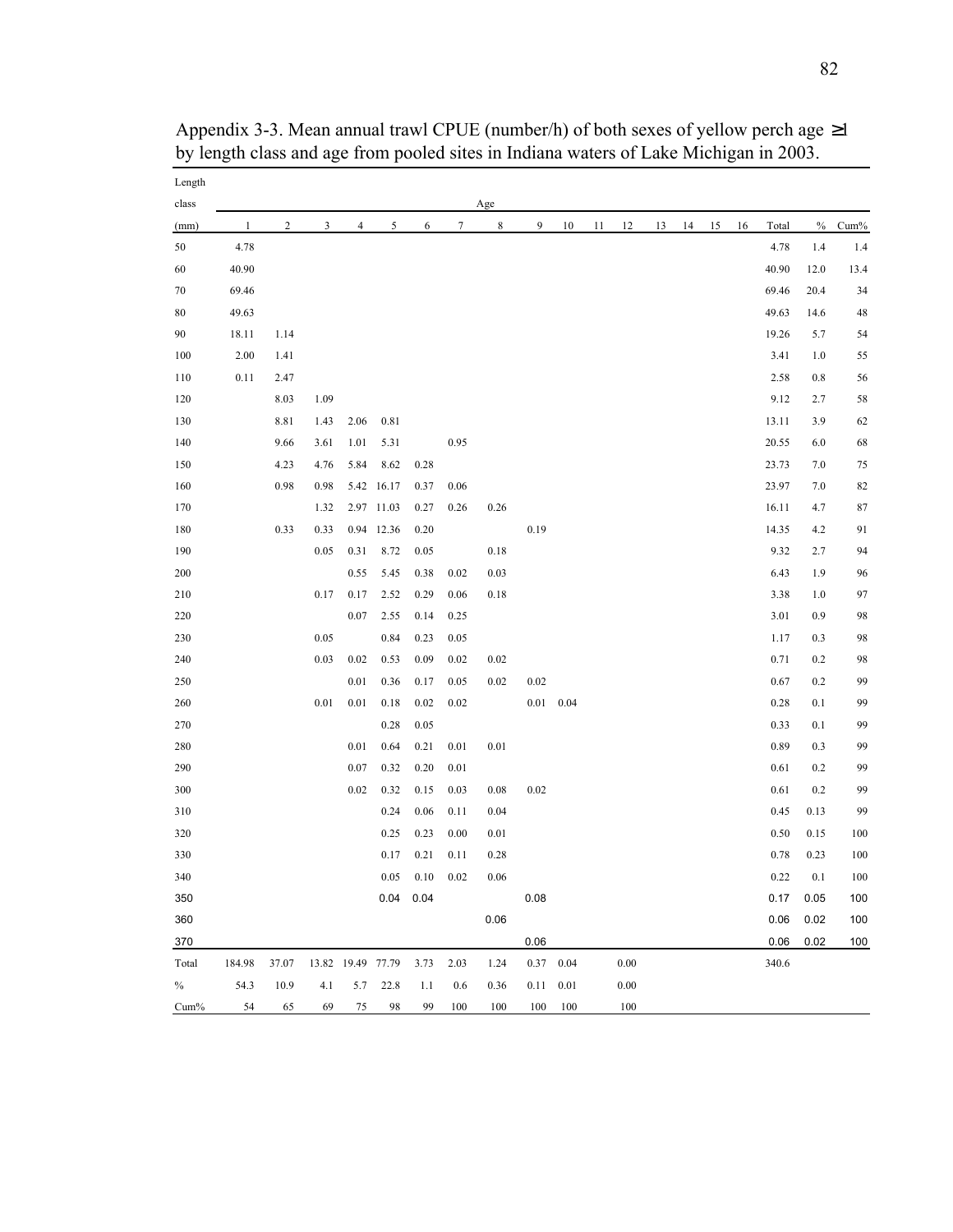| Length<br>class |              |                |      |                |                             |             |                      | Age      |      |                   |    |      |    |    |    |    |             |      |      |
|-----------------|--------------|----------------|------|----------------|-----------------------------|-------------|----------------------|----------|------|-------------------|----|------|----|----|----|----|-------------|------|------|
| (mm)            | $\mathbf{1}$ | $\overline{2}$ | 3    | $\overline{4}$ | 5                           | 6           | $\tau$               | 8        | 9    | 10                | 11 | 12   | 13 | 14 | 15 | 16 | Total       | $\%$ | Cum% |
| 50              | 4.78         |                |      |                |                             |             |                      |          |      |                   |    |      |    |    |    |    | 4.78        | 1.4  | 1.4  |
| 60              | 40.90        |                |      |                |                             |             |                      |          |      |                   |    |      |    |    |    |    | 40.90       | 12.0 | 13.4 |
| 70              | 69.46        |                |      |                |                             |             |                      |          |      |                   |    |      |    |    |    |    | 69.46       | 20.4 | 34   |
| 80              | 49.63        |                |      |                |                             |             |                      |          |      |                   |    |      |    |    |    |    | 49.63       | 14.6 | 48   |
| 90              | 18.11        | 1.14           |      |                |                             |             |                      |          |      |                   |    |      |    |    |    |    | 19.26       | 5.7  | 54   |
| 100             | 2.00         | 1.41           |      |                |                             |             |                      |          |      |                   |    |      |    |    |    |    | 3.41        | 1.0  | 55   |
| 110             | 0.11         | 2.47           |      |                |                             |             |                      |          |      |                   |    |      |    |    |    |    | 2.58        | 0.8  | 56   |
| 120             |              | 8.03           | 1.09 |                |                             |             |                      |          |      |                   |    |      |    |    |    |    | 9.12        | 2.7  | 58   |
| 130             |              | 8.81           | 1.43 | 2.06           | 0.81                        |             |                      |          |      |                   |    |      |    |    |    |    | 13.11       | 3.9  | 62   |
| 140             |              | 9.66           | 3.61 | 1.01           | 5.31                        |             | 0.95                 |          |      |                   |    |      |    |    |    |    | 20.55       | 6.0  | 68   |
| 150             |              | 4.23           | 4.76 | 5.84           | 8.62                        | 0.28        |                      |          |      |                   |    |      |    |    |    |    | 23.73       | 7.0  | 75   |
| 160             |              | 0.98           | 0.98 |                | 5.42 16.17                  | 0.37        | 0.06                 |          |      |                   |    |      |    |    |    |    | 23.97       | 7.0  | 82   |
| 170             |              |                | 1.32 |                | 2.97 11.03                  | 0.27        | 0.26                 | 0.26     |      |                   |    |      |    |    |    |    | 16.11       | 4.7  | 87   |
| 180             |              | 0.33           | 0.33 |                | 0.94 12.36                  | 0.20        |                      |          | 0.19 |                   |    |      |    |    |    |    | 14.35       | 4.2  | 91   |
| 190             |              |                | 0.05 | 0.31           | 8.72                        | 0.05        |                      | 0.18     |      |                   |    |      |    |    |    |    | 9.32        | 2.7  | 94   |
| 200             |              |                |      | 0.55           | 5.45                        | 0.38        | 0.02                 | 0.03     |      |                   |    |      |    |    |    |    | 6.43        | 1.9  | 96   |
| 210             |              |                | 0.17 | 0.17           | 2.52                        | 0.29        | 0.06                 | 0.18     |      |                   |    |      |    |    |    |    | 3.38        | 1.0  | 97   |
| 220             |              |                |      | 0.07           | 2.55                        | 0.14        | 0.25                 |          |      |                   |    |      |    |    |    |    | 3.01        | 0.9  | 98   |
| 230             |              |                | 0.05 |                | 0.84                        | 0.23        | 0.05                 |          |      |                   |    |      |    |    |    |    | 1.17        | 0.3  | 98   |
| 240             |              |                | 0.03 | 0.02           | 0.53                        | 0.09        | 0.02                 | 0.02     |      |                   |    |      |    |    |    |    | 0.71        | 0.2  | 98   |
| 250             |              |                |      | 0.01           | 0.36                        | 0.17        | 0.05                 | 0.02     | 0.02 |                   |    |      |    |    |    |    | 0.67        | 0.2  | 99   |
| 260             |              |                | 0.01 | 0.01           | 0.18                        | 0.02        | 0.02                 |          | 0.01 | 0.04              |    |      |    |    |    |    | 0.28        | 0.1  | 99   |
| 270             |              |                |      |                | 0.28                        | 0.05        |                      |          |      |                   |    |      |    |    |    |    | 0.33        | 0.1  | 99   |
| 280             |              |                |      | 0.01           | 0.64                        | 0.21        | 0.01                 | $0.01\,$ |      |                   |    |      |    |    |    |    | 0.89        | 0.3  | 99   |
| 290             |              |                |      | 0.07           | 0.32                        | 0.20        | 0.01                 |          |      |                   |    |      |    |    |    |    | 0.61        | 0.2  | 99   |
| 300             |              |                |      | 0.02           | 0.32                        | 0.15        | 0.03                 | 0.08     | 0.02 |                   |    |      |    |    |    |    | 0.61        | 0.2  | 99   |
| 310             |              |                |      |                | 0.24                        | 0.06        | 0.11                 | 0.04     |      |                   |    |      |    |    |    |    | 0.45        | 0.13 | 99   |
| 320             |              |                |      |                | 0.25                        | 0.23        | 0.00                 | 0.01     |      |                   |    |      |    |    |    |    | 0.50        | 0.15 | 100  |
| 330             |              |                |      |                | 0.17                        | 0.21        | 0.11                 | 0.28     |      |                   |    |      |    |    |    |    | 0.78        | 0.23 | 100  |
| 340             |              |                |      |                |                             |             | $0.05$ $0.10$ $0.02$ | 0.06     |      |                   |    |      |    |    |    |    | 0.22        | 0.1  | 100  |
| 350             |              |                |      |                |                             | $0.04$ 0.04 |                      |          | 0.08 |                   |    |      |    |    |    |    | 0.17        | 0.05 | 100  |
| 360             |              |                |      |                |                             |             |                      | 0.06     |      |                   |    |      |    |    |    |    | 0.06        | 0.02 | 100  |
| 370             |              |                |      |                |                             |             |                      |          | 0.06 |                   |    |      |    |    |    |    | $0.06$ 0.02 |      | 100  |
| Total           | 184.98       | 37.07          |      |                | 13.82 19.49 77.79 3.73 2.03 |             |                      | 1.24     |      | $0.37$ 0.04       |    | 0.00 |    |    |    |    | 340.6       |      |      |
| $\%$            | 54.3         | 10.9           | 4.1  |                | 5.7 22.8                    | 1.1         | 0.6                  | 0.36     |      | $0.11 \quad 0.01$ |    | 0.00 |    |    |    |    |             |      |      |
| Cum%            | 54           | 65             | 69   |                | 75 98                       | 99          | 100                  | 100      |      | 100 100           |    | 100  |    |    |    |    |             |      |      |

Appendix 3-3. Mean annual trawl CPUE (number/h) of both sexes of yellow perch age ≥1 by length class and age from pooled sites in Indiana waters of Lake Michigan in 2003.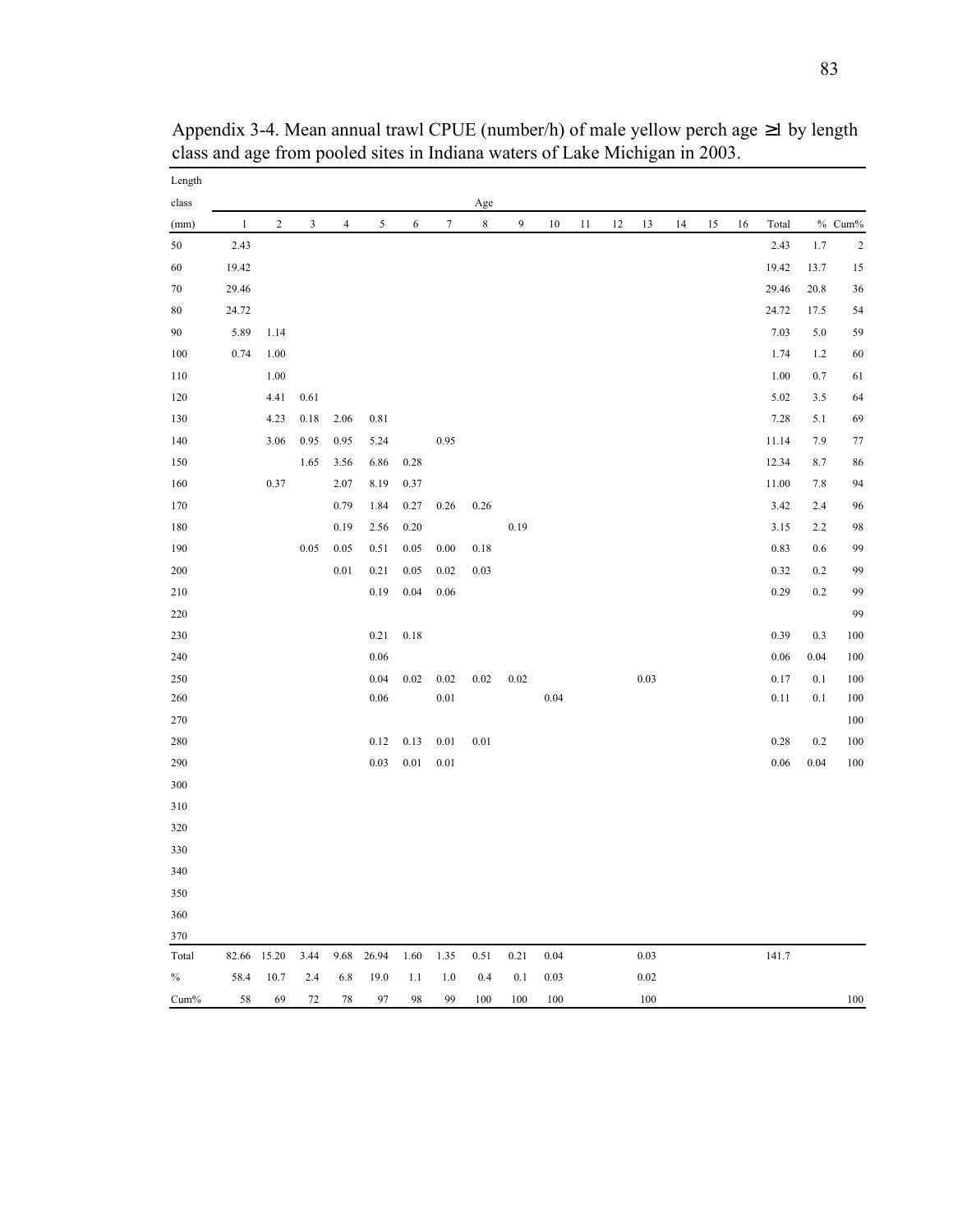| Length  |              |                |                         |                |            |            |                  |           |                  |        |    |        |          |    |    |    |          |         |                |
|---------|--------------|----------------|-------------------------|----------------|------------|------------|------------------|-----------|------------------|--------|----|--------|----------|----|----|----|----------|---------|----------------|
| class   |              |                |                         |                |            |            |                  | Age       |                  |        |    |        |          |    |    |    |          |         |                |
| (mm)    | $\mathbf{1}$ | $\overline{c}$ | $\overline{\mathbf{3}}$ | $\overline{4}$ | 5          | $\sqrt{6}$ | $\boldsymbol{7}$ | $\,$ $\,$ | $\boldsymbol{9}$ | $10\,$ | 11 | $12\,$ | 13       | 14 | 15 | 16 | Total    |         | $\%$ Cum%      |
| $50\,$  | 2.43         |                |                         |                |            |            |                  |           |                  |        |    |        |          |    |    |    | 2.43     | 1.7     | $\overline{c}$ |
| $60\,$  | 19.42        |                |                         |                |            |            |                  |           |                  |        |    |        |          |    |    |    | 19.42    | 13.7    | 15             |
| $70\,$  | 29.46        |                |                         |                |            |            |                  |           |                  |        |    |        |          |    |    |    | 29.46    | 20.8    | 36             |
| 80      | 24.72        |                |                         |                |            |            |                  |           |                  |        |    |        |          |    |    |    | 24.72    | 17.5    | 54             |
| 90      | 5.89         | 1.14           |                         |                |            |            |                  |           |                  |        |    |        |          |    |    |    | 7.03     | 5.0     | 59             |
| 100     | 0.74         | 1.00           |                         |                |            |            |                  |           |                  |        |    |        |          |    |    |    | 1.74     | 1.2     | 60             |
| 110     |              | 1.00           |                         |                |            |            |                  |           |                  |        |    |        |          |    |    |    | 1.00     | $0.7\,$ | 61             |
| 120     |              | 4.41           | 0.61                    |                |            |            |                  |           |                  |        |    |        |          |    |    |    | 5.02     | 3.5     | 64             |
| 130     |              | 4.23           | 0.18                    | 2.06           | 0.81       |            |                  |           |                  |        |    |        |          |    |    |    | 7.28     | 5.1     | 69             |
| 140     |              | 3.06           | 0.95                    | 0.95           | 5.24       |            | 0.95             |           |                  |        |    |        |          |    |    |    | 11.14    | 7.9     | 77             |
| 150     |              |                | 1.65                    | 3.56           | 6.86       | 0.28       |                  |           |                  |        |    |        |          |    |    |    | 12.34    | 8.7     | 86             |
| 160     |              | 0.37           |                         | 2.07           | 8.19       | 0.37       |                  |           |                  |        |    |        |          |    |    |    | 11.00    | 7.8     | 94             |
| 170     |              |                |                         | 0.79           | 1.84       | 0.27       | 0.26             | 0.26      |                  |        |    |        |          |    |    |    | 3.42     | 2.4     | 96             |
| 180     |              |                |                         | 0.19           | 2.56       | 0.20       |                  |           | 0.19             |        |    |        |          |    |    |    | 3.15     | 2.2     | 98             |
| 190     |              |                | 0.05                    | 0.05           | 0.51       | 0.05       | 0.00             | $0.18\,$  |                  |        |    |        |          |    |    |    | 0.83     | 0.6     | 99             |
| $200\,$ |              |                |                         | $0.01\,$       | 0.21       | 0.05       | 0.02             | 0.03      |                  |        |    |        |          |    |    |    | 0.32     | $0.2\,$ | 99             |
| 210     |              |                |                         |                | 0.19       | 0.04       | 0.06             |           |                  |        |    |        |          |    |    |    | 0.29     | $0.2\,$ | 99             |
| 220     |              |                |                         |                |            |            |                  |           |                  |        |    |        |          |    |    |    |          |         | 99             |
| 230     |              |                |                         |                | 0.21       | 0.18       |                  |           |                  |        |    |        |          |    |    |    | 0.39     | 0.3     | 100            |
| 240     |              |                |                         |                | 0.06       |            |                  |           |                  |        |    |        |          |    |    |    | 0.06     | 0.04    | 100            |
| 250     |              |                |                         |                | 0.04       | 0.02       | 0.02             | 0.02      | 0.02             |        |    |        | $0.03\,$ |    |    |    | 0.17     | 0.1     | 100            |
| 260     |              |                |                         |                | 0.06       |            | $0.01\,$         |           |                  | 0.04   |    |        |          |    |    |    | 0.11     | 0.1     | 100            |
| 270     |              |                |                         |                |            |            |                  |           |                  |        |    |        |          |    |    |    |          |         | 100            |
| 280     |              |                |                         |                | 0.12       | 0.13       | $0.01\,$         | $0.01\,$  |                  |        |    |        |          |    |    |    | 0.28     | 0.2     | 100            |
| 290     |              |                |                         |                | $0.03\,$   | $0.01\,$   | $0.01\,$         |           |                  |        |    |        |          |    |    |    | $0.06\,$ | 0.04    | 100            |
| 300     |              |                |                         |                |            |            |                  |           |                  |        |    |        |          |    |    |    |          |         |                |
| 310     |              |                |                         |                |            |            |                  |           |                  |        |    |        |          |    |    |    |          |         |                |
| 320     |              |                |                         |                |            |            |                  |           |                  |        |    |        |          |    |    |    |          |         |                |
| 330     |              |                |                         |                |            |            |                  |           |                  |        |    |        |          |    |    |    |          |         |                |
| 340     |              |                |                         |                |            |            |                  |           |                  |        |    |        |          |    |    |    |          |         |                |
| 350     |              |                |                         |                |            |            |                  |           |                  |        |    |        |          |    |    |    |          |         |                |
| 360     |              |                |                         |                |            |            |                  |           |                  |        |    |        |          |    |    |    |          |         |                |
| 370     |              |                |                         |                |            |            |                  |           |                  |        |    |        |          |    |    |    |          |         |                |
| Total   |              | 82.66 15.20    | 3.44                    |                | 9.68 26.94 | 1.60       | 1.35             | 0.51      | 0.21             | 0.04   |    |        | 0.03     |    |    |    | 141.7    |         |                |
| $\%$    | 58.4         | 10.7           | 2.4                     | 6.8            | 19.0       | 1.1        | 1.0              | 0.4       | 0.1              | 0.03   |    |        | 0.02     |    |    |    |          |         |                |
| Cum%    | 58           | 69             | $72\,$                  | $78\,$         | 97         | 98         | 99               | 100       | 100              | 100    |    |        | 100      |    |    |    |          |         | 100            |

Appendix 3-4. Mean annual trawl CPUE (number/h) of male yellow perch age ≥1 by length class and age from pooled sites in Indiana waters of Lake Michigan in 2003.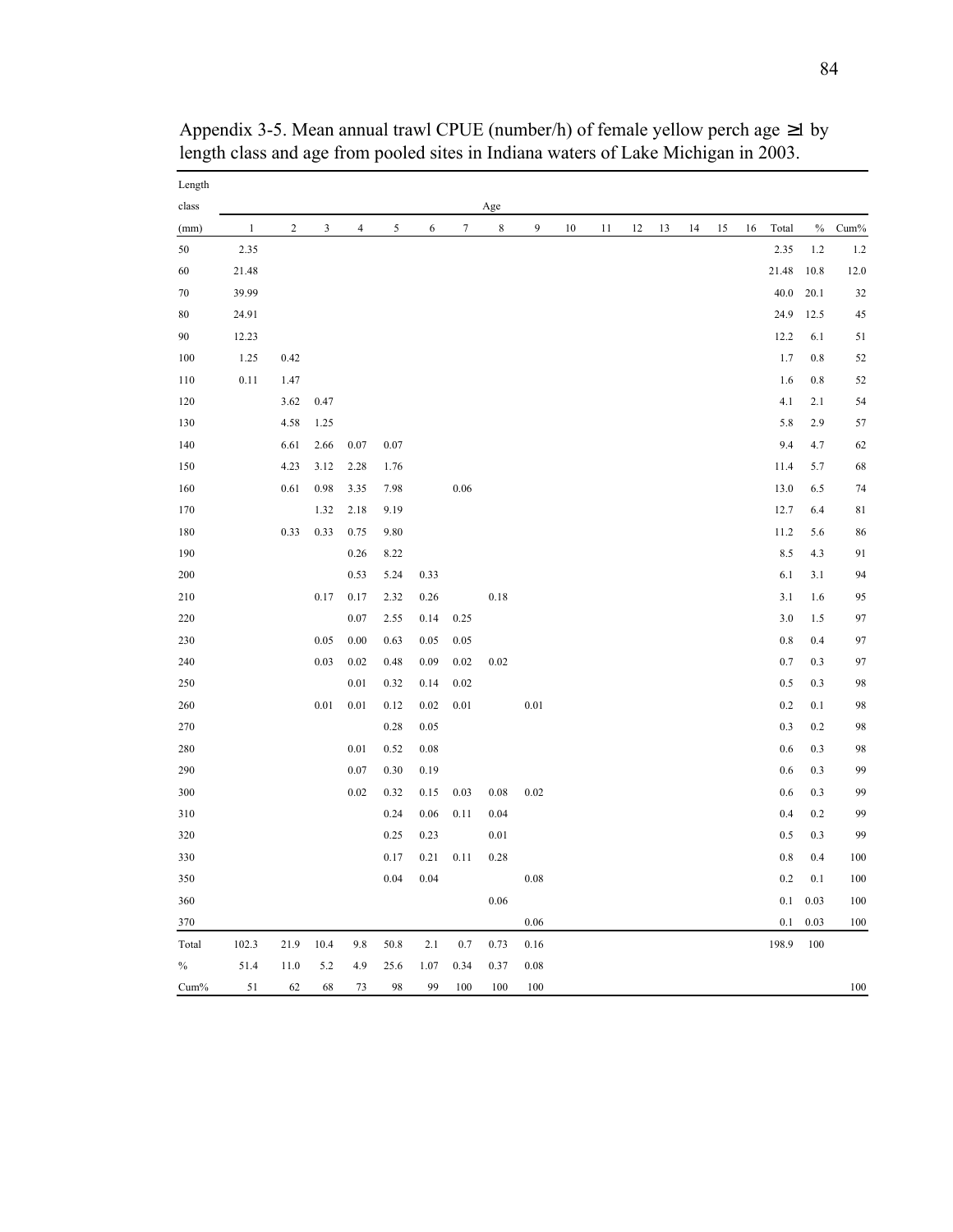| Length |              |                |                             |                |      |          |                  |             |          |    |    |    |    |    |    |    |         |      |             |
|--------|--------------|----------------|-----------------------------|----------------|------|----------|------------------|-------------|----------|----|----|----|----|----|----|----|---------|------|-------------|
| class  |              |                |                             |                |      |          |                  | Age         |          |    |    |    |    |    |    |    |         |      |             |
| (mm)   | $\mathbf{1}$ | $\overline{c}$ | $\ensuremath{\mathfrak{Z}}$ | $\overline{4}$ | 5    | 6        | $\boldsymbol{7}$ | $\,$ 8 $\,$ | 9        | 10 | 11 | 12 | 13 | 14 | 15 | 16 | Total   | $\%$ | Cum%        |
| 50     | 2.35         |                |                             |                |      |          |                  |             |          |    |    |    |    |    |    |    | 2.35    | 1.2  | 1.2         |
| 60     | 21.48        |                |                             |                |      |          |                  |             |          |    |    |    |    |    |    |    | 21.48   | 10.8 | 12.0        |
| $70\,$ | 39.99        |                |                             |                |      |          |                  |             |          |    |    |    |    |    |    |    | 40.0    | 20.1 | 32          |
| 80     | 24.91        |                |                             |                |      |          |                  |             |          |    |    |    |    |    |    |    | 24.9    | 12.5 | 45          |
| 90     | 12.23        |                |                             |                |      |          |                  |             |          |    |    |    |    |    |    |    | 12.2    | 6.1  | 51          |
| 100    | 1.25         | 0.42           |                             |                |      |          |                  |             |          |    |    |    |    |    |    |    | 1.7     | 0.8  | 52          |
| 110    | 0.11         | 1.47           |                             |                |      |          |                  |             |          |    |    |    |    |    |    |    | 1.6     | 0.8  | 52          |
| 120    |              | 3.62           | 0.47                        |                |      |          |                  |             |          |    |    |    |    |    |    |    | 4.1     | 2.1  | 54          |
| 130    |              | 4.58           | 1.25                        |                |      |          |                  |             |          |    |    |    |    |    |    |    | 5.8     | 2.9  | 57          |
| 140    |              | 6.61           | 2.66                        | 0.07           | 0.07 |          |                  |             |          |    |    |    |    |    |    |    | 9.4     | 4.7  | 62          |
| 150    |              | 4.23           | 3.12                        | 2.28           | 1.76 |          |                  |             |          |    |    |    |    |    |    |    | 11.4    | 5.7  | 68          |
| 160    |              | 0.61           | 0.98                        | 3.35           | 7.98 |          | $0.06\,$         |             |          |    |    |    |    |    |    |    | 13.0    | 6.5  | 74          |
| 170    |              |                | 1.32                        | 2.18           | 9.19 |          |                  |             |          |    |    |    |    |    |    |    | 12.7    | 6.4  | $8\sqrt{1}$ |
| 180    |              | 0.33           | 0.33                        | 0.75           | 9.80 |          |                  |             |          |    |    |    |    |    |    |    | 11.2    | 5.6  | 86          |
| 190    |              |                |                             | 0.26           | 8.22 |          |                  |             |          |    |    |    |    |    |    |    | 8.5     | 4.3  | 91          |
| 200    |              |                |                             | 0.53           | 5.24 | 0.33     |                  |             |          |    |    |    |    |    |    |    | 6.1     | 3.1  | 94          |
| 210    |              |                | 0.17                        | 0.17           | 2.32 | 0.26     |                  | $0.18\,$    |          |    |    |    |    |    |    |    | 3.1     | 1.6  | 95          |
| 220    |              |                |                             | 0.07           | 2.55 | 0.14     | 0.25             |             |          |    |    |    |    |    |    |    | 3.0     | 1.5  | 97          |
| 230    |              |                | 0.05                        | 0.00           | 0.63 | 0.05     | 0.05             |             |          |    |    |    |    |    |    |    | 0.8     | 0.4  | 97          |
| 240    |              |                | 0.03                        | 0.02           | 0.48 | 0.09     | 0.02             | 0.02        |          |    |    |    |    |    |    |    | 0.7     | 0.3  | 97          |
| 250    |              |                |                             | 0.01           | 0.32 | 0.14     | 0.02             |             |          |    |    |    |    |    |    |    | 0.5     | 0.3  | 98          |
| 260    |              |                | $0.01\,$                    | 0.01           | 0.12 | $0.02\,$ | $0.01\,$         |             | $0.01\,$ |    |    |    |    |    |    |    | 0.2     | 0.1  | 98          |
| 270    |              |                |                             |                | 0.28 | 0.05     |                  |             |          |    |    |    |    |    |    |    | 0.3     | 0.2  | 98          |
| 280    |              |                |                             | 0.01           | 0.52 | 0.08     |                  |             |          |    |    |    |    |    |    |    | 0.6     | 0.3  | 98          |
| 290    |              |                |                             | 0.07           | 0.30 | 0.19     |                  |             |          |    |    |    |    |    |    |    | 0.6     | 0.3  | 99          |
| 300    |              |                |                             | 0.02           | 0.32 | 0.15     | 0.03             | 0.08        | 0.02     |    |    |    |    |    |    |    | 0.6     | 0.3  | 99          |
| 310    |              |                |                             |                | 0.24 | 0.06     | 0.11             | 0.04        |          |    |    |    |    |    |    |    | 0.4     | 0.2  | 99          |
| 320    |              |                |                             |                | 0.25 | 0.23     |                  | $0.01\,$    |          |    |    |    |    |    |    |    | 0.5     | 0.3  | 99          |
| 330    |              |                |                             |                | 0.17 | 0.21     | 0.11             | 0.28        |          |    |    |    |    |    |    |    | 0.8     | 0.4  | 100         |
| 350    |              |                |                             |                | 0.04 | 0.04     |                  |             | $0.08\,$ |    |    |    |    |    |    |    | $0.2\,$ | 0.1  | 100         |
| 360    |              |                |                             |                |      |          |                  | 0.06        |          |    |    |    |    |    |    |    | $0.1\,$ | 0.03 | 100         |
| 370    |              |                |                             |                |      |          |                  |             | 0.06     |    |    |    |    |    |    |    | 0.1     | 0.03 | 100         |
| Total  | 102.3        | 21.9           | 10.4                        | 9.8            | 50.8 | 2.1      | 0.7              | 0.73        | 0.16     |    |    |    |    |    |    |    | 198.9   | 100  |             |
| $\%$   | 51.4         | 11.0           | 5.2                         | 4.9            | 25.6 | 1.07     | 0.34             | 0.37        | 0.08     |    |    |    |    |    |    |    |         |      |             |
| Cum%   | 51           | 62             | 68                          | 73             | 98   | 99       | 100              | 100         | 100      |    |    |    |    |    |    |    |         |      | 100         |

Appendix 3-5. Mean annual trawl CPUE (number/h) of female yellow perch age ≥1 by length class and age from pooled sites in Indiana waters of Lake Michigan in 2003.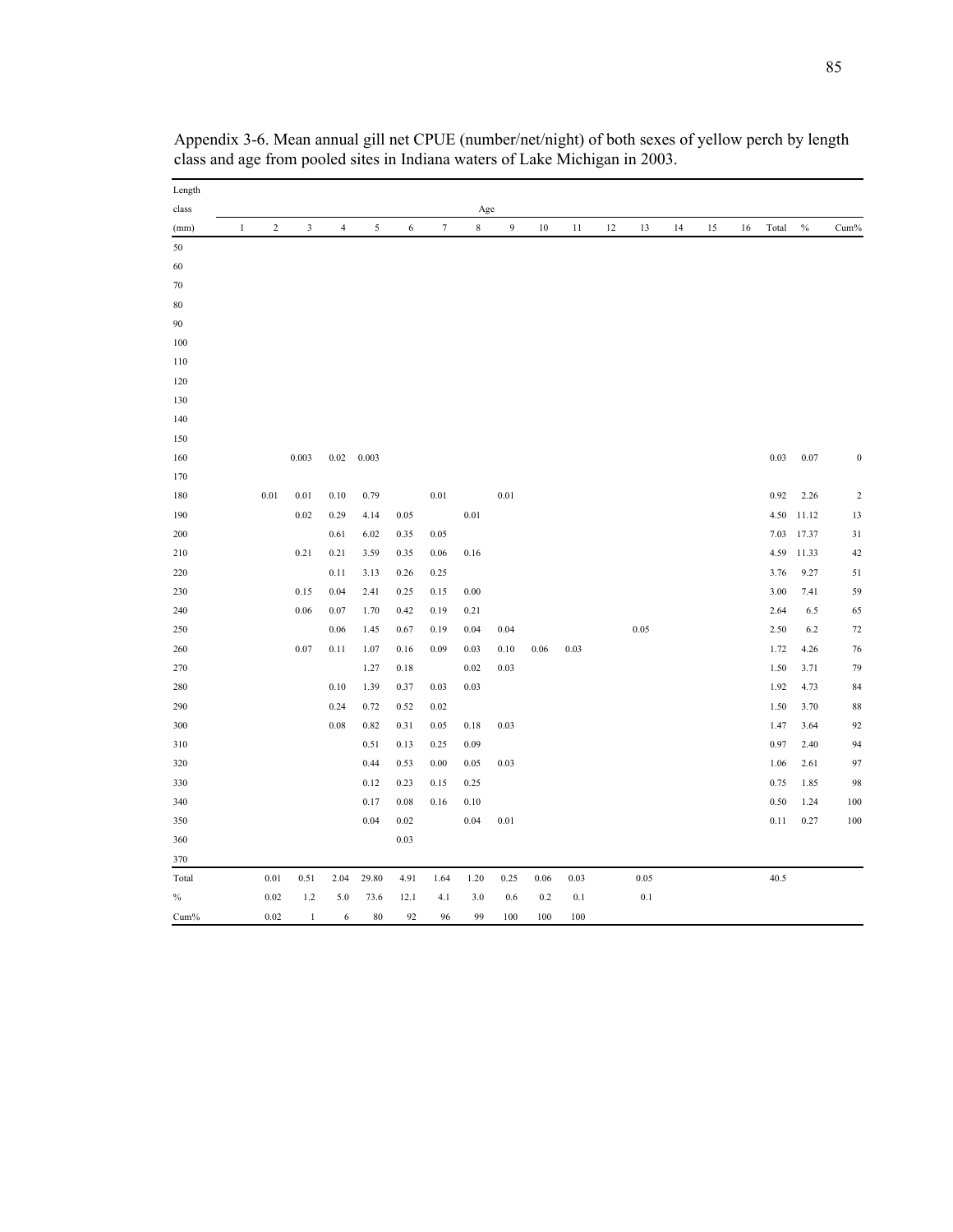| Length |              |            |                         |                |                |      |                  |             |                |        |      |    |      |    |    |    |       |       |                |
|--------|--------------|------------|-------------------------|----------------|----------------|------|------------------|-------------|----------------|--------|------|----|------|----|----|----|-------|-------|----------------|
| class  |              |            |                         |                |                |      |                  | Age         |                |        |      |    |      |    |    |    |       |       |                |
| (mm)   | $\mathbf{1}$ | $\sqrt{2}$ | $\overline{\mathbf{3}}$ | $\overline{4}$ | $\mathfrak{s}$ | 6    | $\boldsymbol{7}$ | $\,$ 8 $\,$ | $\overline{9}$ | $10\,$ | 11   | 12 | 13   | 14 | 15 | 16 | Total | $\%$  | Cum%           |
| 50     |              |            |                         |                |                |      |                  |             |                |        |      |    |      |    |    |    |       |       |                |
| 60     |              |            |                         |                |                |      |                  |             |                |        |      |    |      |    |    |    |       |       |                |
| $70\,$ |              |            |                         |                |                |      |                  |             |                |        |      |    |      |    |    |    |       |       |                |
| $80\,$ |              |            |                         |                |                |      |                  |             |                |        |      |    |      |    |    |    |       |       |                |
| 90     |              |            |                         |                |                |      |                  |             |                |        |      |    |      |    |    |    |       |       |                |
| 100    |              |            |                         |                |                |      |                  |             |                |        |      |    |      |    |    |    |       |       |                |
| 110    |              |            |                         |                |                |      |                  |             |                |        |      |    |      |    |    |    |       |       |                |
| 120    |              |            |                         |                |                |      |                  |             |                |        |      |    |      |    |    |    |       |       |                |
| 130    |              |            |                         |                |                |      |                  |             |                |        |      |    |      |    |    |    |       |       |                |
| 140    |              |            |                         |                |                |      |                  |             |                |        |      |    |      |    |    |    |       |       |                |
| 150    |              |            |                         |                |                |      |                  |             |                |        |      |    |      |    |    |    |       |       |                |
| 160    |              |            | 0.003                   | 0.02           | 0.003          |      |                  |             |                |        |      |    |      |    |    |    | 0.03  | 0.07  | $\mathbf{0}$   |
| 170    |              |            |                         |                |                |      |                  |             |                |        |      |    |      |    |    |    |       |       |                |
| 180    |              | 0.01       | 0.01                    | 0.10           | 0.79           |      | 0.01             |             | 0.01           |        |      |    |      |    |    |    | 0.92  | 2.26  | $\overline{c}$ |
| 190    |              |            | 0.02                    | 0.29           | 4.14           | 0.05 |                  | $0.01\,$    |                |        |      |    |      |    |    |    | 4.50  | 11.12 | 13             |
| 200    |              |            |                         | 0.61           | 6.02           | 0.35 | 0.05             |             |                |        |      |    |      |    |    |    | 7.03  | 17.37 | 31             |
| 210    |              |            | 0.21                    | 0.21           | 3.59           | 0.35 | 0.06             | 0.16        |                |        |      |    |      |    |    |    | 4.59  | 11.33 | 42             |
| 220    |              |            |                         | 0.11           | 3.13           | 0.26 | 0.25             |             |                |        |      |    |      |    |    |    | 3.76  | 9.27  | 51             |
| 230    |              |            | 0.15                    | 0.04           | 2.41           | 0.25 | 0.15             | 0.00        |                |        |      |    |      |    |    |    | 3.00  | 7.41  | 59             |
| 240    |              |            | 0.06                    | 0.07           | 1.70           | 0.42 | 0.19             | 0.21        |                |        |      |    |      |    |    |    | 2.64  | 6.5   | 65             |
| 250    |              |            |                         | 0.06           | 1.45           | 0.67 | 0.19             | 0.04        | 0.04           |        |      |    | 0.05 |    |    |    | 2.50  | 6.2   | 72             |
| 260    |              |            | 0.07                    | 0.11           | 1.07           | 0.16 | 0.09             | 0.03        | 0.10           | 0.06   | 0.03 |    |      |    |    |    | 1.72  | 4.26  | 76             |
| 270    |              |            |                         |                | 1.27           | 0.18 |                  | 0.02        | 0.03           |        |      |    |      |    |    |    | 1.50  | 3.71  | 79             |
| 280    |              |            |                         | 0.10           | 1.39           | 0.37 | 0.03             | 0.03        |                |        |      |    |      |    |    |    | 1.92  | 4.73  | 84             |
| 290    |              |            |                         | 0.24           | 0.72           | 0.52 | 0.02             |             |                |        |      |    |      |    |    |    | 1.50  | 3.70  | 88             |
| 300    |              |            |                         | $\rm 0.08$     | 0.82           | 0.31 | 0.05             | 0.18        | 0.03           |        |      |    |      |    |    |    | 1.47  | 3.64  | 92             |
| 310    |              |            |                         |                | 0.51           | 0.13 | 0.25             | 0.09        |                |        |      |    |      |    |    |    | 0.97  | 2.40  | 94             |
| 320    |              |            |                         |                | 0.44           | 0.53 | 0.00             | 0.05        | 0.03           |        |      |    |      |    |    |    | 1.06  | 2.61  | 97             |
| 330    |              |            |                         |                | 0.12           | 0.23 | 0.15             | 0.25        |                |        |      |    |      |    |    |    | 0.75  | 1.85  | 98             |
| 340    |              |            |                         |                | 0.17           | 0.08 | 0.16             | 0.10        |                |        |      |    |      |    |    |    | 0.50  | 1.24  | 100            |
| 350    |              |            |                         |                | 0.04           | 0.02 |                  | 0.04        | 0.01           |        |      |    |      |    |    |    | 0.11  | 0.27  | 100            |
| 360    |              |            |                         |                |                | 0.03 |                  |             |                |        |      |    |      |    |    |    |       |       |                |
| 370    |              |            |                         |                |                |      |                  |             |                |        |      |    |      |    |    |    |       |       |                |
| Total  |              | 0.01       | 0.51                    | 2.04           | 29.80          | 4.91 | 1.64             | 1.20        | 0.25           | 0.06   | 0.03 |    | 0.05 |    |    |    | 40.5  |       |                |
| $\%$   |              | 0.02       | 1.2                     | 5.0            | 73.6           | 12.1 | 4.1              | 3.0         | 0.6            | 0.2    | 0.1  |    | 0.1  |    |    |    |       |       |                |
| Cum%   |              | 0.02       | 1                       | 6              | 80             | 92   | 96               | 99          | 100            | 100    | 100  |    |      |    |    |    |       |       |                |

Appendix 3-6. Mean annual gill net CPUE (number/net/night) of both sexes of yellow perch by length class and age from pooled sites in Indiana waters of Lake Michigan in 2003.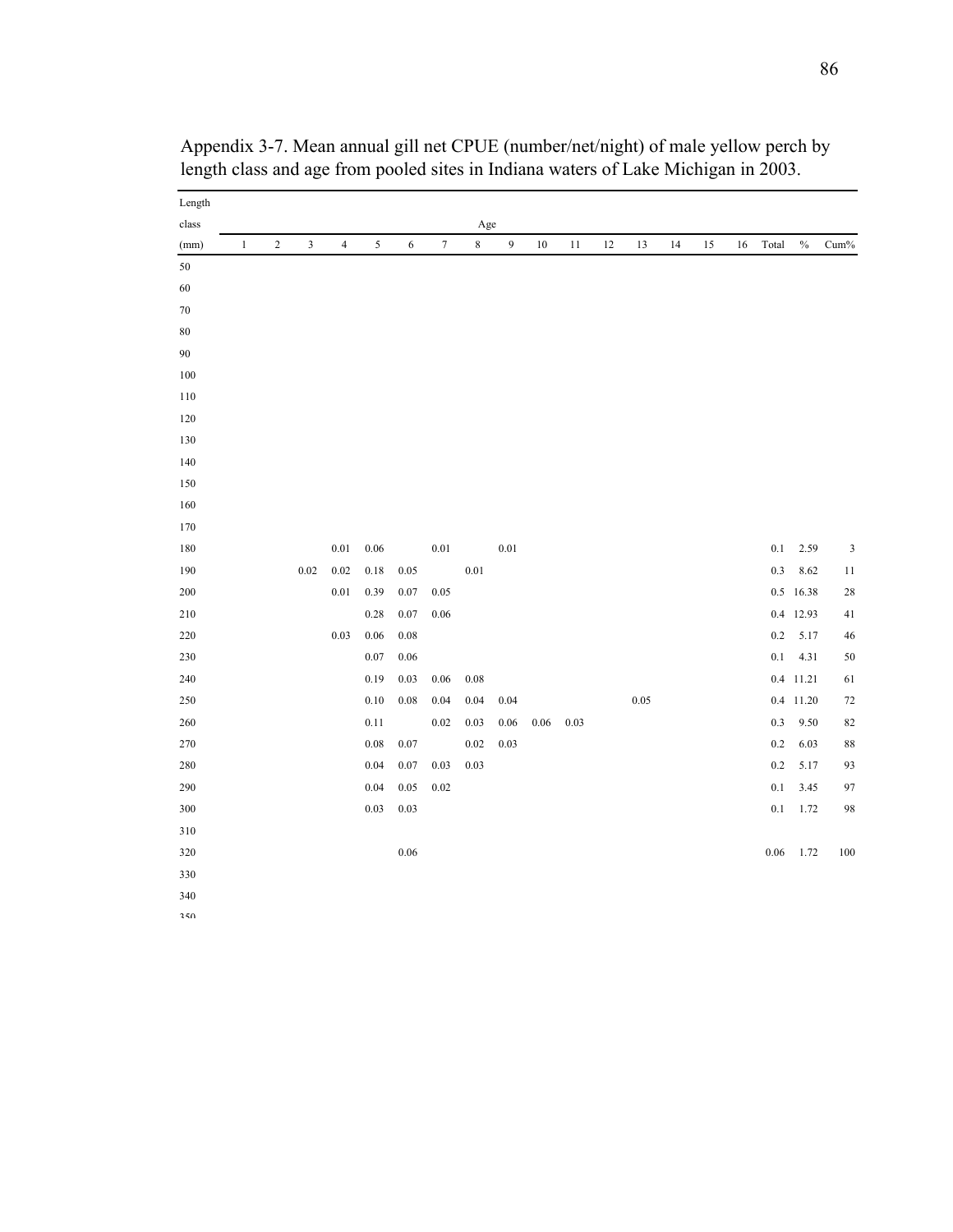| Length  |              |                  |                         |                |            |            |                  |          |                |        |      |    |      |    |    |    |         |           |                |
|---------|--------------|------------------|-------------------------|----------------|------------|------------|------------------|----------|----------------|--------|------|----|------|----|----|----|---------|-----------|----------------|
| class   |              |                  |                         |                |            |            |                  | Age      |                |        |      |    |      |    |    |    |         |           |                |
| (mm)    | $\mathbf{1}$ | $\boldsymbol{2}$ | $\overline{\mathbf{3}}$ | $\overline{4}$ | $\sqrt{5}$ | $\sqrt{6}$ | $\boldsymbol{7}$ | $\,8\,$  | $\overline{9}$ | $10\,$ | 11   | 12 | 13   | 14 | 15 | 16 | Total   | $\%$      | Cum%           |
| 50      |              |                  |                         |                |            |            |                  |          |                |        |      |    |      |    |    |    |         |           |                |
| 60      |              |                  |                         |                |            |            |                  |          |                |        |      |    |      |    |    |    |         |           |                |
| $70\,$  |              |                  |                         |                |            |            |                  |          |                |        |      |    |      |    |    |    |         |           |                |
| $80\,$  |              |                  |                         |                |            |            |                  |          |                |        |      |    |      |    |    |    |         |           |                |
| 90      |              |                  |                         |                |            |            |                  |          |                |        |      |    |      |    |    |    |         |           |                |
| $100\,$ |              |                  |                         |                |            |            |                  |          |                |        |      |    |      |    |    |    |         |           |                |
| $110\,$ |              |                  |                         |                |            |            |                  |          |                |        |      |    |      |    |    |    |         |           |                |
| $120\,$ |              |                  |                         |                |            |            |                  |          |                |        |      |    |      |    |    |    |         |           |                |
| 130     |              |                  |                         |                |            |            |                  |          |                |        |      |    |      |    |    |    |         |           |                |
| 140     |              |                  |                         |                |            |            |                  |          |                |        |      |    |      |    |    |    |         |           |                |
| 150     |              |                  |                         |                |            |            |                  |          |                |        |      |    |      |    |    |    |         |           |                |
| 160     |              |                  |                         |                |            |            |                  |          |                |        |      |    |      |    |    |    |         |           |                |
| 170     |              |                  |                         |                |            |            |                  |          |                |        |      |    |      |    |    |    |         |           |                |
| $180\,$ |              |                  |                         | 0.01           | $0.06\,$   |            | 0.01             |          | 0.01           |        |      |    |      |    |    |    | 0.1     | 2.59      | $\mathfrak{Z}$ |
| 190     |              |                  | 0.02                    | 0.02           | 0.18       | 0.05       |                  | $0.01\,$ |                |        |      |    |      |    |    |    | $0.3\,$ | 8.62      | 11             |
| $200\,$ |              |                  |                         | $0.01\,$       | 0.39       | $0.07\,$   | 0.05             |          |                |        |      |    |      |    |    |    |         | 0.5 16.38 | 28             |
| 210     |              |                  |                         |                | 0.28       | 0.07       | 0.06             |          |                |        |      |    |      |    |    |    |         | 0.4 12.93 | 41             |
| $220\,$ |              |                  |                         | 0.03           | $0.06\,$   | $0.08\,$   |                  |          |                |        |      |    |      |    |    |    | $0.2\,$ | 5.17      | 46             |
| 230     |              |                  |                         |                | 0.07       | 0.06       |                  |          |                |        |      |    |      |    |    |    | 0.1     | 4.31      | 50             |
| $240\,$ |              |                  |                         |                | 0.19       | 0.03       | $0.06\,$         | $0.08\,$ |                |        |      |    |      |    |    |    | $0.4\,$ | 11.21     | 61             |
| $250\,$ |              |                  |                         |                | 0.10       | 0.08       | 0.04             | 0.04     | 0.04           |        |      |    | 0.05 |    |    |    | $0.4\,$ | 11.20     | 72             |
| $260\,$ |              |                  |                         |                | 0.11       |            | 0.02             | 0.03     | 0.06           | 0.06   | 0.03 |    |      |    |    |    | 0.3     | 9.50      | 82             |
| $270\,$ |              |                  |                         |                | $0.08\,$   | 0.07       |                  | 0.02     | 0.03           |        |      |    |      |    |    |    | $0.2\,$ | 6.03      | 88             |
| 280     |              |                  |                         |                | 0.04       | 0.07       | 0.03             | 0.03     |                |        |      |    |      |    |    |    | 0.2     | 5.17      | 93             |
| 290     |              |                  |                         |                | 0.04       | $0.05\,$   | 0.02             |          |                |        |      |    |      |    |    |    | 0.1     | 3.45      | 97             |
| 300     |              |                  |                         |                | 0.03       | 0.03       |                  |          |                |        |      |    |      |    |    |    | 0.1     | 1.72      | 98             |
| 310     |              |                  |                         |                |            |            |                  |          |                |        |      |    |      |    |    |    |         |           |                |
| $320\,$ |              |                  |                         |                |            | 0.06       |                  |          |                |        |      |    |      |    |    |    | 0.06    | 1.72      | $100\,$        |
| 330     |              |                  |                         |                |            |            |                  |          |                |        |      |    |      |    |    |    |         |           |                |
| 340     |              |                  |                         |                |            |            |                  |          |                |        |      |    |      |    |    |    |         |           |                |
| $250$   |              |                  |                         |                |            |            |                  |          |                |        |      |    |      |    |    |    |         |           |                |

Appendix 3-7. Mean annual gill net CPUE (number/net/night) of male yellow perch by length class and age from pooled sites in Indiana waters of Lake Michigan in 2003.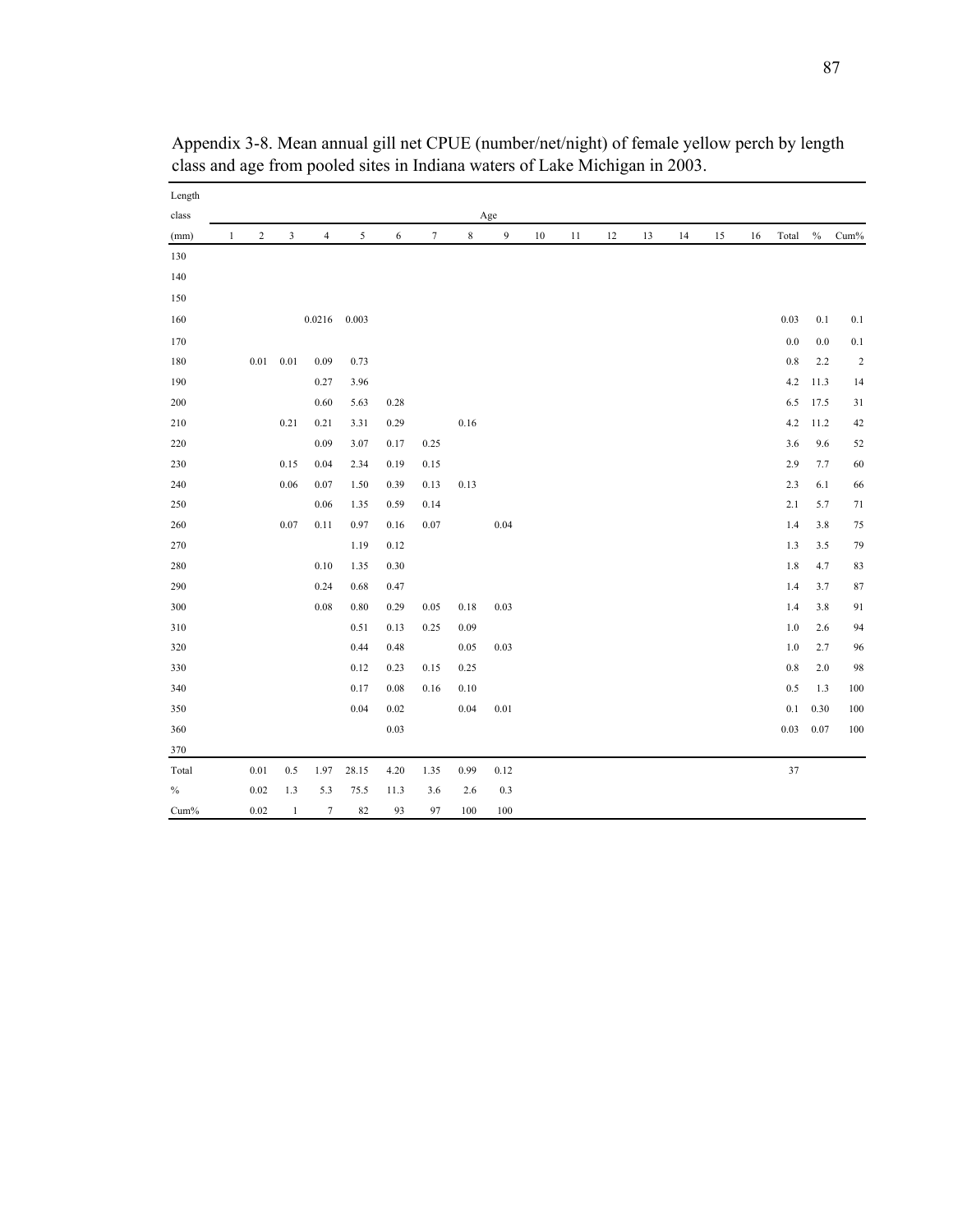| Length  |              |            |                         |                |       |      |                  |             |                |        |    |    |    |    |    |    |        |      |                         |
|---------|--------------|------------|-------------------------|----------------|-------|------|------------------|-------------|----------------|--------|----|----|----|----|----|----|--------|------|-------------------------|
| class   |              |            |                         |                |       |      |                  |             | Age            |        |    |    |    |    |    |    |        |      |                         |
| (mm)    | $\mathbf{1}$ | $\sqrt{2}$ | $\overline{\mathbf{3}}$ | $\overline{4}$ | 5     | 6    | $\boldsymbol{7}$ | $\,$ 8 $\,$ | $\mathfrak{g}$ | $10\,$ | 11 | 12 | 13 | 14 | 15 | 16 | Total  | $\%$ | $Cum\%$                 |
| 130     |              |            |                         |                |       |      |                  |             |                |        |    |    |    |    |    |    |        |      |                         |
| 140     |              |            |                         |                |       |      |                  |             |                |        |    |    |    |    |    |    |        |      |                         |
| 150     |              |            |                         |                |       |      |                  |             |                |        |    |    |    |    |    |    |        |      |                         |
| 160     |              |            |                         | 0.0216         | 0.003 |      |                  |             |                |        |    |    |    |    |    |    | 0.03   | 0.1  | 0.1                     |
| 170     |              |            |                         |                |       |      |                  |             |                |        |    |    |    |    |    |    | 0.0    | 0.0  | $0.1\,$                 |
| $180\,$ |              | 0.01       | 0.01                    | 0.09           | 0.73  |      |                  |             |                |        |    |    |    |    |    |    | 0.8    | 2.2  | $\overline{\mathbf{c}}$ |
| 190     |              |            |                         | 0.27           | 3.96  |      |                  |             |                |        |    |    |    |    |    |    | 4.2    | 11.3 | 14                      |
| 200     |              |            |                         | 0.60           | 5.63  | 0.28 |                  |             |                |        |    |    |    |    |    |    | 6.5    | 17.5 | 31                      |
| $210\,$ |              |            | 0.21                    | 0.21           | 3.31  | 0.29 |                  | $0.16\,$    |                |        |    |    |    |    |    |    | 4.2    | 11.2 | 42                      |
| 220     |              |            |                         | 0.09           | 3.07  | 0.17 | 0.25             |             |                |        |    |    |    |    |    |    | 3.6    | 9.6  | 52                      |
| 230     |              |            | 0.15                    | 0.04           | 2.34  | 0.19 | 0.15             |             |                |        |    |    |    |    |    |    | 2.9    | 7.7  | 60                      |
| 240     |              |            | 0.06                    | 0.07           | 1.50  | 0.39 | 0.13             | 0.13        |                |        |    |    |    |    |    |    | 2.3    | 6.1  | 66                      |
| 250     |              |            |                         | 0.06           | 1.35  | 0.59 | 0.14             |             |                |        |    |    |    |    |    |    | 2.1    | 5.7  | 71                      |
| 260     |              |            | 0.07                    | 0.11           | 0.97  | 0.16 | 0.07             |             | 0.04           |        |    |    |    |    |    |    | 1.4    | 3.8  | 75                      |
| 270     |              |            |                         |                | 1.19  | 0.12 |                  |             |                |        |    |    |    |    |    |    | 1.3    | 3.5  | 79                      |
| 280     |              |            |                         | 0.10           | 1.35  | 0.30 |                  |             |                |        |    |    |    |    |    |    | 1.8    | 4.7  | 83                      |
| 290     |              |            |                         | 0.24           | 0.68  | 0.47 |                  |             |                |        |    |    |    |    |    |    | 1.4    | 3.7  | 87                      |
| 300     |              |            |                         | 0.08           | 0.80  | 0.29 | 0.05             | 0.18        | 0.03           |        |    |    |    |    |    |    | 1.4    | 3.8  | 91                      |
| 310     |              |            |                         |                | 0.51  | 0.13 | 0.25             | 0.09        |                |        |    |    |    |    |    |    | 1.0    | 2.6  | 94                      |
| 320     |              |            |                         |                | 0.44  | 0.48 |                  | $0.05\,$    | 0.03           |        |    |    |    |    |    |    | 1.0    | 2.7  | 96                      |
| 330     |              |            |                         |                | 0.12  | 0.23 | 0.15             | 0.25        |                |        |    |    |    |    |    |    | 0.8    | 2.0  | 98                      |
| 340     |              |            |                         |                | 0.17  | 0.08 | 0.16             | 0.10        |                |        |    |    |    |    |    |    | 0.5    | 1.3  | 100                     |
| 350     |              |            |                         |                | 0.04  | 0.02 |                  | 0.04        | 0.01           |        |    |    |    |    |    |    | 0.1    | 0.30 | 100                     |
| 360     |              |            |                         |                |       | 0.03 |                  |             |                |        |    |    |    |    |    |    | 0.03   | 0.07 | 100                     |
| 370     |              |            |                         |                |       |      |                  |             |                |        |    |    |    |    |    |    |        |      |                         |
| Total   |              | 0.01       | 0.5                     | 1.97           | 28.15 | 4.20 | 1.35             | 0.99        | 0.12           |        |    |    |    |    |    |    | $37\,$ |      |                         |
| $\%$    |              | 0.02       | 1.3                     | 5.3            | 75.5  | 11.3 | 3.6              | 2.6         | 0.3            |        |    |    |    |    |    |    |        |      |                         |
| Cum%    |              | 0.02       | $\mathbf{1}$            | $\tau$         | 82    | 93   | 97               | 100         | 100            |        |    |    |    |    |    |    |        |      |                         |

Appendix 3-8. Mean annual gill net CPUE (number/net/night) of female yellow perch by length class and age from pooled sites in Indiana waters of Lake Michigan in 2003.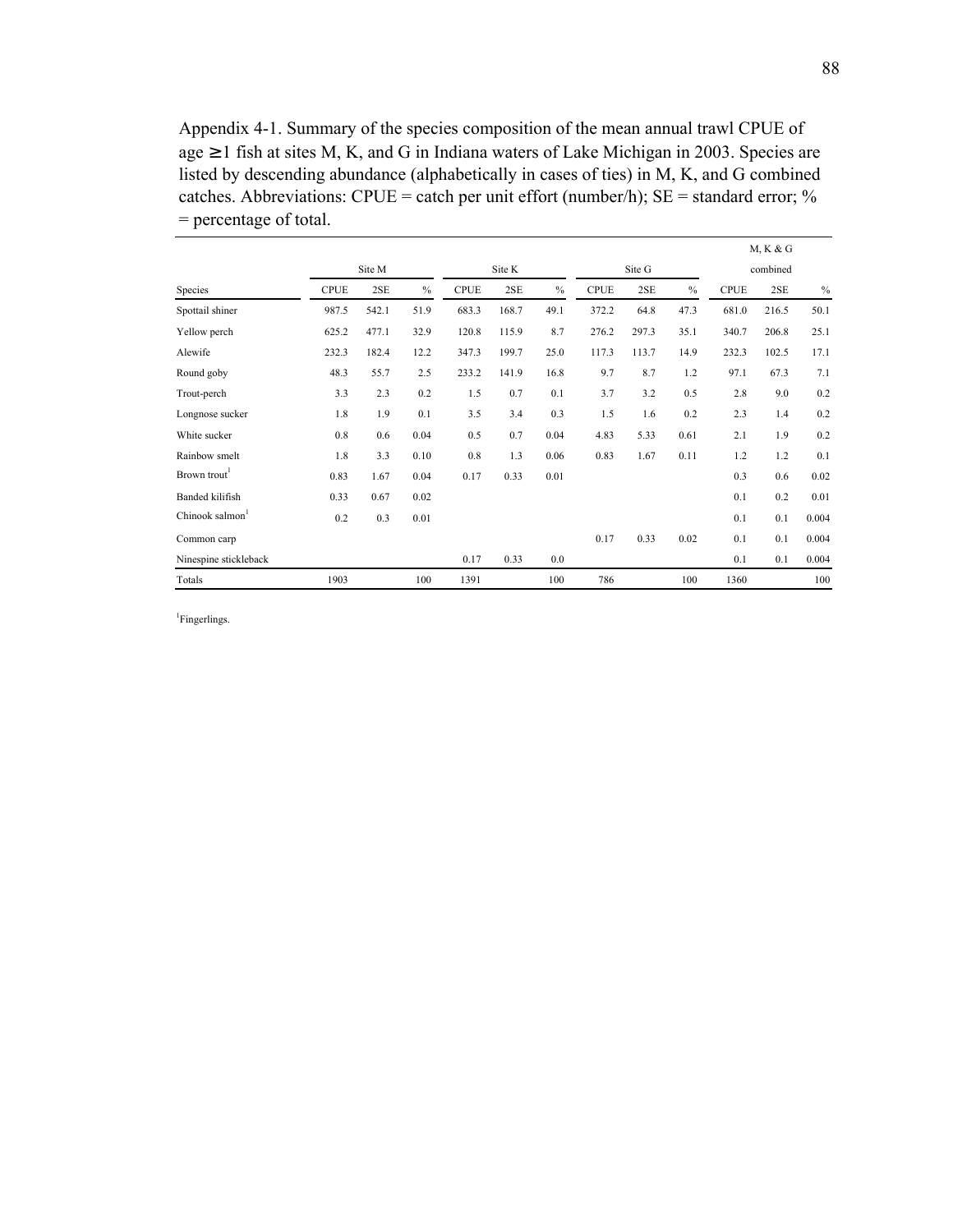Appendix 4-1. Summary of the species composition of the mean annual trawl CPUE of age ≥ 1 fish at sites M, K, and G in Indiana waters of Lake Michigan in 2003. Species are listed by descending abundance (alphabetically in cases of ties) in M, K, and G combined catches. Abbreviations: CPUE = catch per unit effort (number/h);  $SE =$  standard error; % = percentage of total.

|                             |             |        |               |             |       |               |             |          |      |             | M, K & G |       |
|-----------------------------|-------------|--------|---------------|-------------|-------|---------------|-------------|----------|------|-------------|----------|-------|
|                             |             | Site K |               |             |       | Site G        |             | combined |      |             |          |       |
| Species                     | <b>CPUE</b> | 2SE    | $\frac{0}{0}$ | <b>CPUE</b> | 2SE   | $\frac{0}{0}$ | <b>CPUE</b> | 2SE      | $\%$ | <b>CPUE</b> | 2SE      | $\%$  |
| Spottail shiner             | 987.5       | 542.1  | 51.9          | 683.3       | 168.7 | 49.1          | 372.2       | 64.8     | 47.3 | 681.0       | 216.5    | 50.1  |
| Yellow perch                | 625.2       | 477.1  | 32.9          | 120.8       | 115.9 | 8.7           | 276.2       | 297.3    | 35.1 | 340.7       | 206.8    | 25.1  |
| Alewife                     | 232.3       | 182.4  | 12.2          | 347.3       | 199.7 | 25.0          | 117.3       | 113.7    | 14.9 | 232.3       | 102.5    | 17.1  |
| Round goby                  | 48.3        | 55.7   | 2.5           | 233.2       | 141.9 | 16.8          | 9.7         | 8.7      | 1.2  | 97.1        | 67.3     | 7.1   |
| Trout-perch                 | 3.3         | 2.3    | 0.2           | 1.5         | 0.7   | 0.1           | 3.7         | 3.2      | 0.5  | 2.8         | 9.0      | 0.2   |
| Longnose sucker             | 1.8         | 1.9    | 0.1           | 3.5         | 3.4   | 0.3           | 1.5         | 1.6      | 0.2  | 2.3         | 1.4      | 0.2   |
| White sucker                | 0.8         | 0.6    | 0.04          | 0.5         | 0.7   | 0.04          | 4.83        | 5.33     | 0.61 | 2.1         | 1.9      | 0.2   |
| Rainbow smelt               | 1.8         | 3.3    | 0.10          | 0.8         | 1.3   | 0.06          | 0.83        | 1.67     | 0.11 | 1.2         | 1.2      | 0.1   |
| Brown trout <sup>1</sup>    | 0.83        | 1.67   | 0.04          | 0.17        | 0.33  | 0.01          |             |          |      | 0.3         | 0.6      | 0.02  |
| Banded kilifish             | 0.33        | 0.67   | 0.02          |             |       |               |             |          |      | 0.1         | 0.2      | 0.01  |
| Chinook salmon <sup>1</sup> | 0.2         | 0.3    | 0.01          |             |       |               |             |          |      | 0.1         | 0.1      | 0.004 |
| Common carp                 |             |        |               |             |       |               | 0.17        | 0.33     | 0.02 | 0.1         | 0.1      | 0.004 |
| Ninespine stickleback       |             |        |               | 0.17        | 0.33  | 0.0           |             |          |      | 0.1         | 0.1      | 0.004 |
| Totals                      | 1903        |        | 100           | 1391        |       | 100           | 786         |          | 100  | 1360        |          | 100   |

<sup>1</sup>Fingerlings.